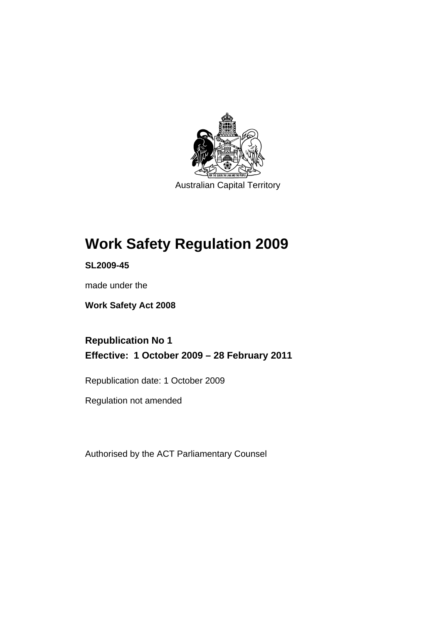

Australian Capital Territory

# **[Work Safety Regulation 2009](#page-14-0)**

**SL2009-45** 

made under the

**[Work Safety Act 2008](#page-14-0)** 

**Republication No 1 Effective: 1 October 2009 – 28 February 2011** 

Republication date: 1 October 2009

Regulation not amended

Authorised by the ACT Parliamentary Counsel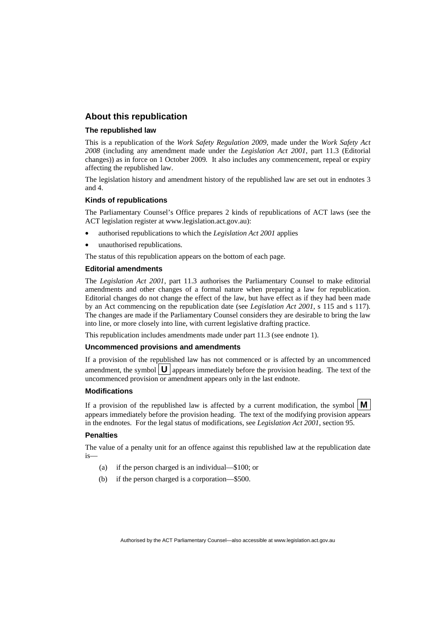#### **About this republication**

#### **The republished law**

This is a republication of the *Work Safety Regulation 2009*, made under the *[Work Safety Act](#page-14-0)  [2008](#page-14-0)* (including any amendment made under the *Legislation Act 2001*, part 11.3 (Editorial changes)) as in force on 1 October 2009*.* It also includes any commencement, repeal or expiry affecting the republished law.

The legislation history and amendment history of the republished law are set out in endnotes 3 and 4.

#### **Kinds of republications**

The Parliamentary Counsel's Office prepares 2 kinds of republications of ACT laws (see the ACT legislation register at www.legislation.act.gov.au):

- authorised republications to which the *Legislation Act 2001* applies
- unauthorised republications.

The status of this republication appears on the bottom of each page.

#### **Editorial amendments**

The *Legislation Act 2001*, part 11.3 authorises the Parliamentary Counsel to make editorial amendments and other changes of a formal nature when preparing a law for republication. Editorial changes do not change the effect of the law, but have effect as if they had been made by an Act commencing on the republication date (see *Legislation Act 2001*, s 115 and s 117). The changes are made if the Parliamentary Counsel considers they are desirable to bring the law into line, or more closely into line, with current legislative drafting practice.

This republication includes amendments made under part 11.3 (see endnote 1).

#### **Uncommenced provisions and amendments**

If a provision of the republished law has not commenced or is affected by an uncommenced amendment, the symbol  $\mathbf{U}$  appears immediately before the provision heading. The text of the uncommenced provision  $\overline{or}$  amendment appears only in the last endnote.

#### **Modifications**

If a provision of the republished law is affected by a current modification, the symbol  $\mathbf{M}$ appears immediately before the provision heading. The text of the modifying provision appears in the endnotes. For the legal status of modifications, see *Legislation Act 2001*, section 95.

#### **Penalties**

The value of a penalty unit for an offence against this republished law at the republication date is—

- (a) if the person charged is an individual—\$100; or
- (b) if the person charged is a corporation—\$500.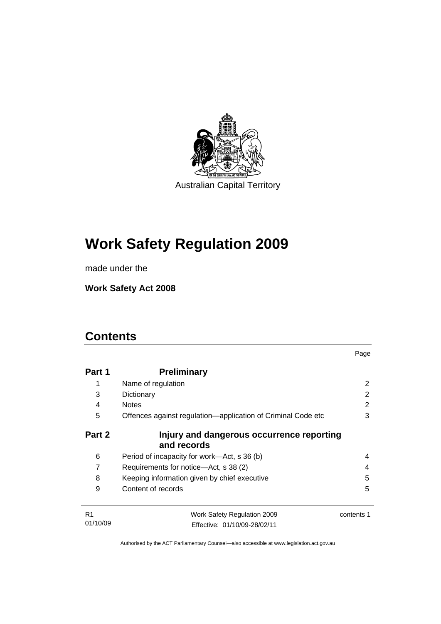

# **[Work Safety Regulation 2009](#page-14-0)**

made under the

**[Work Safety Act 2008](#page-14-0)** 

# **Contents**

| Part 1         | <b>Preliminary</b>                                           |            |
|----------------|--------------------------------------------------------------|------------|
| 1              | Name of regulation                                           | 2          |
| 3              | Dictionary                                                   | 2          |
| 4              | <b>Notes</b>                                                 | 2          |
| 5              | Offences against regulation—application of Criminal Code etc | 3          |
| Part 2         | Injury and dangerous occurrence reporting<br>and records     |            |
| 6              | Period of incapacity for work—Act, s 36 (b)                  | 4          |
| 7              | Requirements for notice—Act, s 38 (2)                        |            |
| 8              | Keeping information given by chief executive                 | 5          |
| 9              | Content of records                                           | 5          |
| R <sub>1</sub> | Work Safety Regulation 2009                                  | contents 1 |
| 01/10/09       | Effective: 01/10/09-28/02/11                                 |            |

Page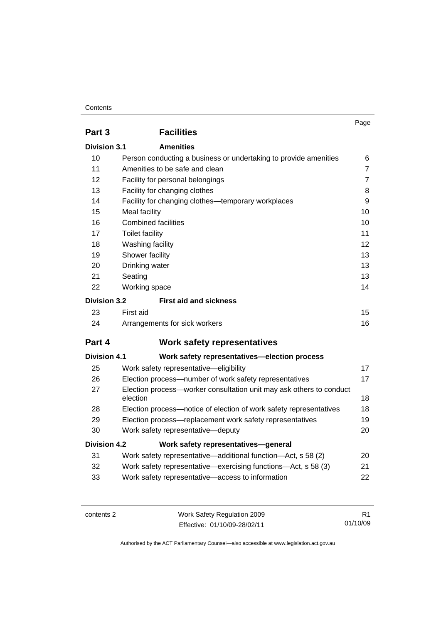#### **Contents**

|                     |                                                                     | Page           |
|---------------------|---------------------------------------------------------------------|----------------|
| Part 3              | <b>Facilities</b>                                                   |                |
| Division 3.1        | <b>Amenities</b>                                                    |                |
| 10                  | Person conducting a business or undertaking to provide amenities    | 6              |
| 11                  | Amenities to be safe and clean                                      | $\overline{7}$ |
| 12                  | Facility for personal belongings                                    | $\overline{7}$ |
| 13                  | Facility for changing clothes                                       | 8              |
| 14                  | Facility for changing clothes—temporary workplaces                  | 9              |
| 15                  | Meal facility                                                       | 10             |
| 16                  | <b>Combined facilities</b>                                          | 10             |
| 17                  | <b>Toilet facility</b>                                              | 11             |
| 18                  | Washing facility                                                    | 12             |
| 19                  | Shower facility                                                     | 13             |
| 20                  | Drinking water                                                      |                |
| 21                  | 13<br>Seating                                                       |                |
| 22                  | Working space                                                       | 14             |
| <b>Division 3.2</b> | <b>First aid and sickness</b>                                       |                |
| 23                  | First aid                                                           | 15             |
| 24                  | Arrangements for sick workers                                       | 16             |
| Part 4              | <b>Work safety representatives</b>                                  |                |
| <b>Division 4.1</b> | Work safety representatives-election process                        |                |
| 25                  | Work safety representative-eligibility                              | 17             |
| 26                  | Election process-number of work safety representatives              | 17             |
| 27                  | Election process-worker consultation unit may ask others to conduct |                |
|                     | election                                                            | 18             |
| 28                  | Election process-notice of election of work safety representatives  | 18             |
| 29                  | Election process—replacement work safety representatives            | 19             |
| 30                  | Work safety representative-deputy                                   | 20             |
| <b>Division 4.2</b> | Work safety representatives-general                                 |                |
| 31                  | Work safety representative—additional function—Act, s 58 (2)        | 20             |
| 32                  | Work safety representative—exercising functions—Act, s 58 (3)       | 21             |
| 33                  | Work safety representative-access to information                    | 22             |

contents 2 Work Safety Regulation 2009 Effective: 01/10/09-28/02/11

R1 01/10/09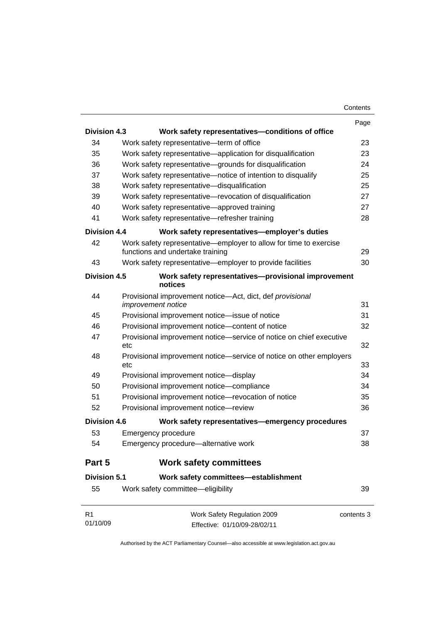|                            |                                                                                                       | Page       |
|----------------------------|-------------------------------------------------------------------------------------------------------|------------|
| <b>Division 4.3</b>        | Work safety representatives-conditions of office                                                      |            |
| 34                         | Work safety representative-term of office                                                             | 23         |
| 35                         | Work safety representative—application for disqualification                                           | 23         |
| 36                         | Work safety representative-grounds for disqualification                                               | 24         |
| 37                         | Work safety representative-notice of intention to disqualify                                          | 25         |
| 38                         | Work safety representative-disqualification                                                           | 25         |
| 39                         | Work safety representative-revocation of disqualification                                             | 27         |
| 40                         | Work safety representative—approved training                                                          | 27         |
| 41                         | Work safety representative-refresher training                                                         | 28         |
| <b>Division 4.4</b>        | Work safety representatives-employer's duties                                                         |            |
| 42                         | Work safety representative—employer to allow for time to exercise<br>functions and undertake training | 29         |
| 43                         | Work safety representative—employer to provide facilities                                             | 30         |
| <b>Division 4.5</b>        | Work safety representatives-provisional improvement<br>notices                                        |            |
| 44                         | Provisional improvement notice-Act, dict, def provisional                                             |            |
|                            | improvement notice                                                                                    | 31         |
| 45                         | Provisional improvement notice-issue of notice                                                        | 31         |
| 46                         | Provisional improvement notice-content of notice                                                      | 32         |
| 47                         | Provisional improvement notice-service of notice on chief executive<br>etc                            | 32         |
| 48                         | Provisional improvement notice—service of notice on other employers<br>etc                            | 33         |
| 49                         | Provisional improvement notice-display                                                                | 34         |
| 50                         | Provisional improvement notice-compliance                                                             | 34         |
| 51                         | Provisional improvement notice-revocation of notice                                                   | 35         |
| 52                         | Provisional improvement notice-review                                                                 | 36         |
| <b>Division 4.6</b>        | Work safety representatives-emergency procedures                                                      |            |
| 53                         | Emergency procedure                                                                                   | 37         |
| 54                         | Emergency procedure-alternative work                                                                  | 38         |
| Part 5                     | <b>Work safety committees</b>                                                                         |            |
| <b>Division 5.1</b>        | Work safety committees-establishment                                                                  |            |
| 55                         | Work safety committee-eligibility                                                                     | 39         |
| R <sub>1</sub><br>01/10/09 | Work Safety Regulation 2009<br>Effective: 01/10/09-28/02/11                                           | contents 3 |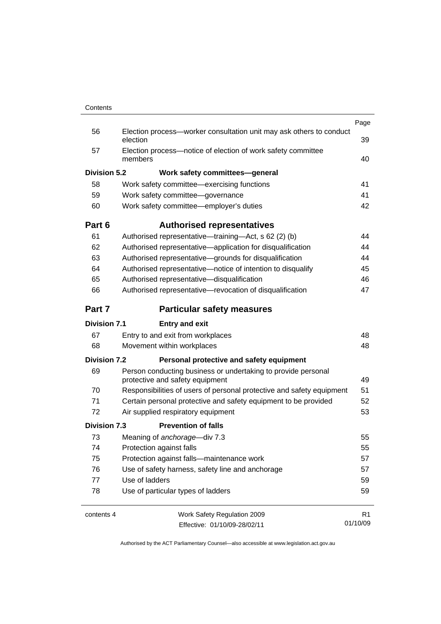|                     |                                                                                                  | Page           |
|---------------------|--------------------------------------------------------------------------------------------------|----------------|
| 56                  | Election process-worker consultation unit may ask others to conduct<br>election                  | 39             |
| 57                  | Election process-notice of election of work safety committee<br>members                          | 40             |
| <b>Division 5.2</b> | Work safety committees-general                                                                   |                |
| 58                  | Work safety committee—exercising functions                                                       | 41             |
| 59                  | Work safety committee-governance                                                                 | 41             |
| 60                  | Work safety committee-employer's duties                                                          | 42             |
| Part 6              | <b>Authorised representatives</b>                                                                |                |
| 61                  | Authorised representative—training—Act, s 62 (2) (b)                                             | 44             |
| 62                  | Authorised representative-application for disqualification                                       | 44             |
| 63                  | Authorised representative-grounds for disqualification                                           | 44             |
| 64                  | Authorised representative-notice of intention to disqualify                                      | 45             |
| 65                  | Authorised representative-disqualification                                                       | 46             |
| 66                  | Authorised representative-revocation of disqualification                                         | 47             |
| Part 7              | <b>Particular safety measures</b>                                                                |                |
| <b>Division 7.1</b> | <b>Entry and exit</b>                                                                            |                |
| 67                  | Entry to and exit from workplaces                                                                | 48             |
| 68                  | Movement within workplaces                                                                       | 48             |
| <b>Division 7.2</b> | Personal protective and safety equipment                                                         |                |
| 69                  | Person conducting business or undertaking to provide personal<br>protective and safety equipment | 49             |
| 70                  | Responsibilities of users of personal protective and safety equipment                            | 51             |
| 71                  | Certain personal protective and safety equipment to be provided                                  | 52             |
| 72                  | Air supplied respiratory equipment                                                               | 53             |
| <b>Division 7.3</b> | <b>Prevention of falls</b>                                                                       |                |
| 73                  | Meaning of anchorage-div 7.3                                                                     | 55             |
| 74                  | Protection against falls                                                                         | 55             |
| 75                  | Protection against falls-maintenance work<br>Use of safety harness, safety line and anchorage    |                |
| 76                  |                                                                                                  |                |
| 77                  | Use of ladders                                                                                   | 59             |
| 78                  | Use of particular types of ladders                                                               |                |
| contents 4          | Work Safety Regulation 2009                                                                      | R <sub>1</sub> |
|                     | Effective: 01/10/09-28/02/11                                                                     | 01/10/09       |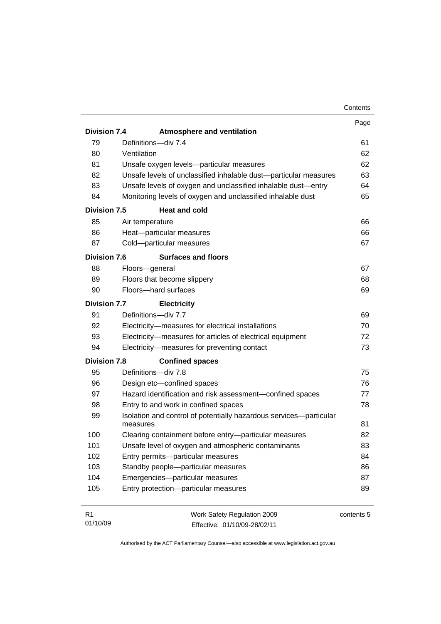|                     |                                                                                | Contents   |
|---------------------|--------------------------------------------------------------------------------|------------|
|                     |                                                                                | Page       |
| <b>Division 7.4</b> | <b>Atmosphere and ventilation</b>                                              |            |
| 79                  | Definitions-div 7.4                                                            | 61         |
| 80                  | Ventilation                                                                    | 62         |
| 81                  | Unsafe oxygen levels-particular measures                                       | 62         |
| 82                  | Unsafe levels of unclassified inhalable dust-particular measures               | 63         |
| 83                  | Unsafe levels of oxygen and unclassified inhalable dust-entry                  | 64         |
| 84                  | Monitoring levels of oxygen and unclassified inhalable dust                    | 65         |
| Division 7.5        | <b>Heat and cold</b>                                                           |            |
| 85                  | Air temperature                                                                | 66         |
| 86                  | Heat-particular measures                                                       | 66         |
| 87                  | Cold-particular measures                                                       | 67         |
| <b>Division 7.6</b> | <b>Surfaces and floors</b>                                                     |            |
| 88                  | Floors-general                                                                 | 67         |
| 89                  | Floors that become slippery                                                    | 68         |
| 90                  | Floors-hard surfaces                                                           | 69         |
| <b>Division 7.7</b> | <b>Electricity</b>                                                             |            |
| 91                  | Definitions-div 7.7                                                            | 69         |
| 92                  | Electricity-measures for electrical installations                              | 70         |
| 93                  | Electricity-measures for articles of electrical equipment                      | 72         |
| 94                  | Electricity-measures for preventing contact                                    | 73         |
| <b>Division 7.8</b> | <b>Confined spaces</b>                                                         |            |
| 95                  | Definitions-div 7.8                                                            | 75         |
| 96                  | Design etc-confined spaces                                                     | 76         |
| 97                  | Hazard identification and risk assessment-confined spaces                      | 77         |
| 98                  | Entry to and work in confined spaces                                           | 78         |
| 99                  | Isolation and control of potentially hazardous services-particular<br>measures | 81         |
| 100                 | Clearing containment before entry-particular measures                          | 82         |
| 101                 | Unsafe level of oxygen and atmospheric contaminants                            | 83         |
| 102                 | Entry permits-particular measures                                              | 84         |
| 103                 | Standby people-particular measures                                             | 86         |
| 104                 | Emergencies-particular measures                                                | 87         |
| 105                 | Entry protection-particular measures                                           | 89         |
|                     |                                                                                |            |
| R <sub>1</sub>      | Work Safety Regulation 2009                                                    | contents 5 |

Effective: 01/10/09-28/02/11

01/10/09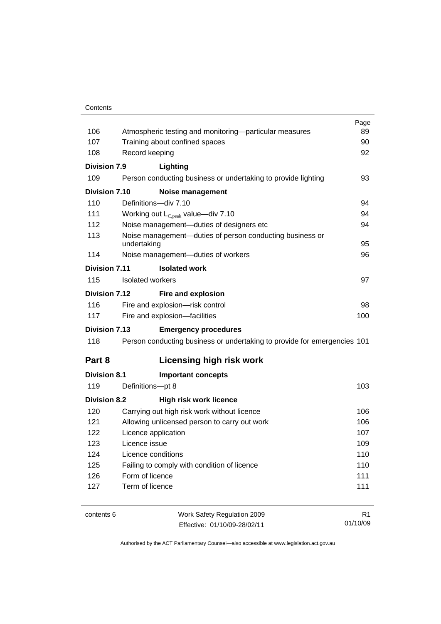#### **Contents**

|                      |                                                                          | Page           |  |
|----------------------|--------------------------------------------------------------------------|----------------|--|
| 106                  | Atmospheric testing and monitoring—particular measures                   |                |  |
| 107                  | Training about confined spaces                                           | 90             |  |
| 108                  | Record keeping                                                           | 92             |  |
| Division 7.9         | Lighting                                                                 |                |  |
| 109                  | Person conducting business or undertaking to provide lighting            | 93             |  |
| Division 7.10        | <b>Noise management</b>                                                  |                |  |
| 110                  | Definitions-div 7.10                                                     | 94             |  |
| 111                  | Working out $L_{C,peak}$ value—div 7.10                                  | 94             |  |
| 112                  | Noise management-duties of designers etc                                 | 94             |  |
| 113                  | Noise management-duties of person conducting business or<br>undertaking  | 95             |  |
| 114                  | Noise management-duties of workers                                       | 96             |  |
| <b>Division 7.11</b> | <b>Isolated work</b>                                                     |                |  |
| 115                  | Isolated workers                                                         | 97             |  |
| Division 7.12        | Fire and explosion                                                       |                |  |
| 116                  | Fire and explosion-risk control                                          | 98             |  |
| 117                  | Fire and explosion-facilities                                            | 100            |  |
| <b>Division 7.13</b> | <b>Emergency procedures</b>                                              |                |  |
| 118                  | Person conducting business or undertaking to provide for emergencies 101 |                |  |
| Part 8               | <b>Licensing high risk work</b>                                          |                |  |
| <b>Division 8.1</b>  | <b>Important concepts</b>                                                |                |  |
| 119                  | Definitions-pt 8                                                         | 103            |  |
| <b>Division 8.2</b>  | <b>High risk work licence</b>                                            |                |  |
| 120                  | Carrying out high risk work without licence                              | 106            |  |
| 121                  | Allowing unlicensed person to carry out work                             |                |  |
| 122                  | Licence application                                                      |                |  |
| 123                  | Licence issue                                                            |                |  |
| 124                  | Licence conditions                                                       |                |  |
| 125                  | Failing to comply with condition of licence                              | 110            |  |
| 126                  | Form of licence                                                          | 111            |  |
| 127                  | Term of licence                                                          | 111            |  |
|                      |                                                                          |                |  |
| contents 6           | Work Safety Regulation 2009                                              | R <sub>1</sub> |  |

Effective: 01/10/09-28/02/11

01/10/09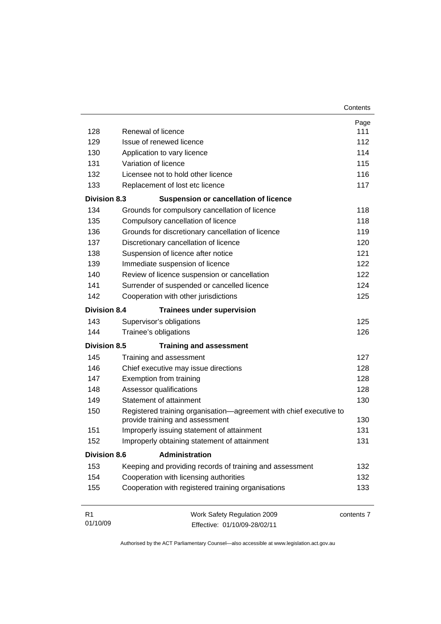| 128                 | Renewal of licence                                                                                    | Page<br>111 |
|---------------------|-------------------------------------------------------------------------------------------------------|-------------|
| 129                 | Issue of renewed licence                                                                              | 112         |
| 130                 |                                                                                                       | 114         |
| 131                 | Application to vary licence<br>Variation of licence                                                   | 115         |
| 132                 | Licensee not to hold other licence                                                                    | 116         |
| 133                 | Replacement of lost etc licence                                                                       | 117         |
| <b>Division 8.3</b> | <b>Suspension or cancellation of licence</b>                                                          |             |
| 134                 |                                                                                                       | 118         |
| 135                 | Grounds for compulsory cancellation of licence                                                        | 118         |
| 136                 | Compulsory cancellation of licence                                                                    | 119         |
| 137                 | Grounds for discretionary cancellation of licence<br>Discretionary cancellation of licence            | 120         |
| 138                 | Suspension of licence after notice                                                                    | 121         |
| 139                 | Immediate suspension of licence                                                                       | 122         |
| 140                 | Review of licence suspension or cancellation                                                          | 122         |
| 141                 | Surrender of suspended or cancelled licence                                                           | 124         |
| 142                 | Cooperation with other jurisdictions                                                                  | 125         |
|                     |                                                                                                       |             |
| <b>Division 8.4</b> | <b>Trainees under supervision</b>                                                                     |             |
| 143                 | Supervisor's obligations                                                                              | 125         |
| 144                 | Trainee's obligations                                                                                 | 126         |
| <b>Division 8.5</b> | <b>Training and assessment</b>                                                                        |             |
| 145                 | Training and assessment                                                                               | 127         |
| 146                 | Chief executive may issue directions                                                                  | 128         |
| 147                 | Exemption from training                                                                               | 128         |
| 148                 | Assessor qualifications                                                                               | 128         |
| 149                 | Statement of attainment                                                                               | 130         |
| 150                 | Registered training organisation-agreement with chief executive to<br>provide training and assessment | 130         |
| 151                 | Improperly issuing statement of attainment                                                            | 131         |
| 152                 | Improperly obtaining statement of attainment                                                          | 131         |
| <b>Division 8.6</b> | <b>Administration</b>                                                                                 |             |
| 153                 | Keeping and providing records of training and assessment                                              | 132         |
| 154                 | Cooperation with licensing authorities                                                                | 132         |
| 155                 | Cooperation with registered training organisations                                                    | 133         |
| R1                  | Work Safety Regulation 2009                                                                           | contents 7  |
| 01/10/09            | Effective: 01/10/09-28/02/11                                                                          |             |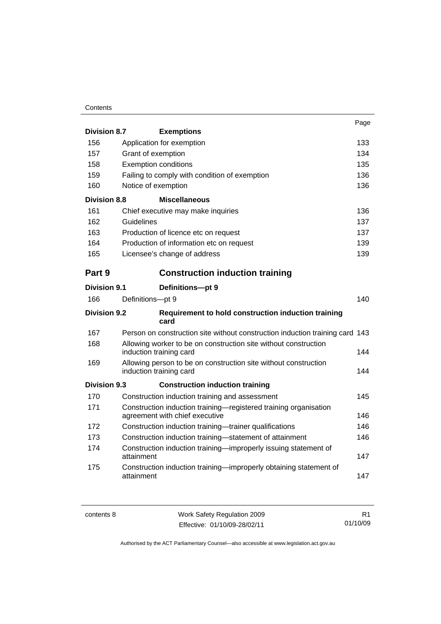#### **Contents**

|                     |                                                                                                    | Page |
|---------------------|----------------------------------------------------------------------------------------------------|------|
| <b>Division 8.7</b> | <b>Exemptions</b>                                                                                  |      |
| 156                 | Application for exemption                                                                          | 133  |
| 157                 | Grant of exemption                                                                                 | 134  |
| 158                 | <b>Exemption conditions</b>                                                                        | 135  |
| 159                 | Failing to comply with condition of exemption                                                      | 136  |
| 160                 | Notice of exemption                                                                                | 136  |
| <b>Division 8.8</b> | <b>Miscellaneous</b>                                                                               |      |
| 161                 | Chief executive may make inquiries                                                                 | 136  |
| 162                 | Guidelines                                                                                         | 137  |
| 163                 | Production of licence etc on request                                                               | 137  |
| 164                 | Production of information etc on request                                                           | 139  |
| 165                 | Licensee's change of address                                                                       | 139  |
| Part 9              | <b>Construction induction training</b>                                                             |      |
| <b>Division 9.1</b> | Definitions-pt 9                                                                                   |      |
| 166                 | Definitions-pt 9                                                                                   | 140  |
| <b>Division 9.2</b> | Requirement to hold construction induction training<br>card                                        |      |
| 167                 | Person on construction site without construction induction training card 143                       |      |
| 168                 | Allowing worker to be on construction site without construction<br>induction training card         | 144  |
| 169                 | Allowing person to be on construction site without construction<br>induction training card         | 144  |
| Division 9.3        | <b>Construction induction training</b>                                                             |      |
| 170                 | Construction induction training and assessment                                                     | 145  |
| 171                 | Construction induction training-registered training organisation<br>agreement with chief executive | 146  |
| 172                 | Construction induction training-trainer qualifications                                             | 146  |
| 173                 | Construction induction training-statement of attainment                                            | 146  |
| 174                 | Construction induction training-improperly issuing statement of<br>attainment                      | 147  |
| 175                 | Construction induction training-improperly obtaining statement of<br>attainment                    | 147  |

| contents 8 | Work Safety Regulation 2009  |          |
|------------|------------------------------|----------|
|            | Effective: 01/10/09-28/02/11 | 01/10/09 |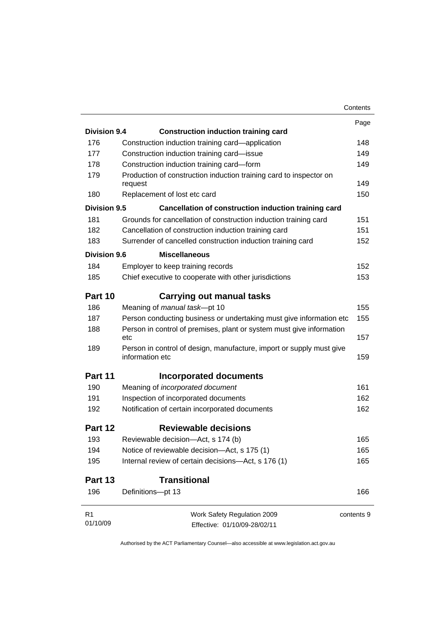|                     |                                                                                         | Contents   |
|---------------------|-----------------------------------------------------------------------------------------|------------|
|                     |                                                                                         | Page       |
| <b>Division 9.4</b> | <b>Construction induction training card</b>                                             |            |
| 176                 | Construction induction training card—application                                        | 148        |
| 177                 | Construction induction training card-issue                                              | 149        |
| 178                 | Construction induction training card-form                                               | 149        |
| 179                 | Production of construction induction training card to inspector on<br>request           | 149        |
| 180                 | Replacement of lost etc card                                                            | 150        |
| <b>Division 9.5</b> | Cancellation of construction induction training card                                    |            |
| 181                 | Grounds for cancellation of construction induction training card                        | 151        |
| 182                 | Cancellation of construction induction training card                                    | 151        |
| 183                 | Surrender of cancelled construction induction training card                             | 152        |
| Division 9.6        | <b>Miscellaneous</b>                                                                    |            |
| 184                 | Employer to keep training records                                                       | 152        |
| 185                 | Chief executive to cooperate with other jurisdictions                                   | 153        |
|                     |                                                                                         |            |
| Part 10             | Carrying out manual tasks                                                               |            |
| 186                 | Meaning of manual task-pt 10                                                            | 155        |
| 187                 | Person conducting business or undertaking must give information etc                     | 155        |
| 188                 | Person in control of premises, plant or system must give information<br>etc             | 157        |
| 189                 | Person in control of design, manufacture, import or supply must give<br>information etc | 159        |
| Part 11             | Incorporated documents                                                                  |            |
| 190                 | Meaning of incorporated document                                                        | 161        |
| 191                 | Inspection of incorporated documents                                                    | 162        |
| 192                 | Notification of certain incorporated documents                                          | 162        |
| Part 12             | <b>Reviewable decisions</b>                                                             |            |
| 193                 | Reviewable decision-Act, s 174 (b)                                                      | 165        |
| 194                 | Notice of reviewable decision-Act, s 175 (1)                                            | 165        |
| 195                 | Internal review of certain decisions-Act, s 176 (1)                                     | 165        |
| Part 13             | <b>Transitional</b>                                                                     |            |
| 196                 | Definitions-pt 13                                                                       | 166        |
| R1                  | Work Safety Regulation 2009                                                             | contents 9 |
| 01/10/09            | Effective: 01/10/09-28/02/11                                                            |            |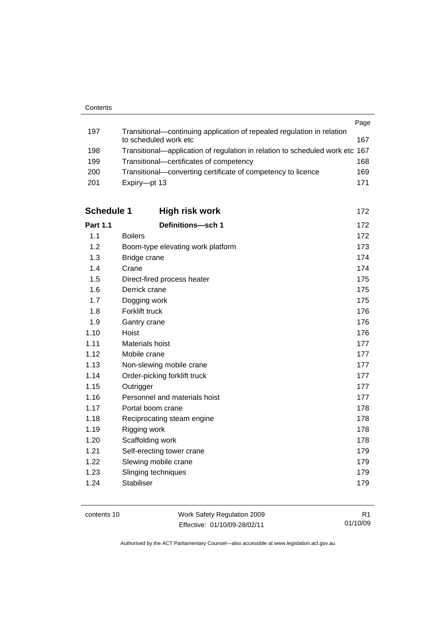|     |                                                                              | Page |
|-----|------------------------------------------------------------------------------|------|
| 197 | Transitional-continuing application of repealed regulation in relation       |      |
|     | to scheduled work etc                                                        | 167  |
| 198 | Transitional—application of regulation in relation to scheduled work etc 167 |      |
| 199 | Transitional-certificates of competency                                      | 168  |
| 200 | Transitional—converting certificate of competency to licence                 | 169  |
| 201 | Expiry-pt 13                                                                 | 171  |

| <b>Schedule 1</b> | High risk work                    | 172 |
|-------------------|-----------------------------------|-----|
| <b>Part 1.1</b>   | Definitions-sch 1                 | 172 |
| 1.1               | <b>Boilers</b>                    | 172 |
| 1.2               | Boom-type elevating work platform | 173 |
| 1.3               | Bridge crane                      | 174 |
| 1.4               | Crane                             | 174 |
| 1.5               | Direct-fired process heater       | 175 |
| 1.6               | Derrick crane                     | 175 |
| 1.7               | Dogging work                      | 175 |
| 1.8               | Forklift truck                    | 176 |
| 1.9               | Gantry crane                      | 176 |
| 1.10              | Hoist                             | 176 |
| 1.11              | Materials hoist                   | 177 |
| 1.12              | Mobile crane                      | 177 |
| 1.13              | Non-slewing mobile crane          | 177 |
| 1.14              | Order-picking forklift truck      | 177 |
| 1.15              | Outrigger                         | 177 |
| 1.16              | Personnel and materials hoist     | 177 |
| 1.17              | Portal boom crane                 | 178 |
| 1.18              | Reciprocating steam engine        | 178 |
| 1.19              | Rigging work                      | 178 |
| 1.20              | Scaffolding work                  | 178 |
| 1.21              | Self-erecting tower crane         | 179 |
| 1.22              | Slewing mobile crane              | 179 |
| 1.23              | Slinging techniques               | 179 |
| 1.24              | <b>Stabiliser</b>                 | 179 |

contents 10 Work Safety Regulation 2009 Effective: 01/10/09-28/02/11

R1 01/10/09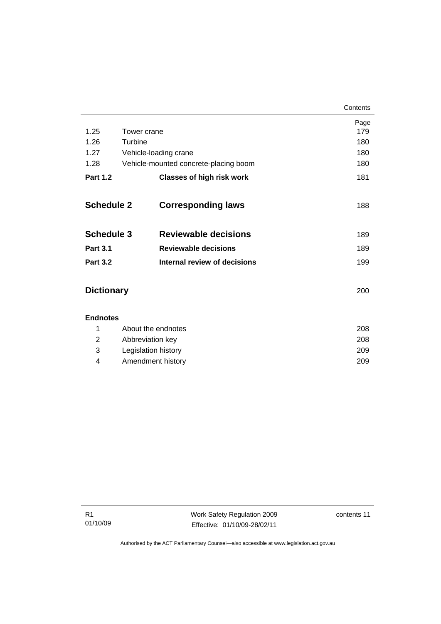|                   |             |                                       | Contents |
|-------------------|-------------|---------------------------------------|----------|
|                   |             |                                       | Page     |
| 1.25              | Tower crane |                                       | 179      |
| 1.26              | Turbine     |                                       | 180      |
| 1.27              |             | Vehicle-loading crane                 | 180      |
| 1.28              |             | Vehicle-mounted concrete-placing boom | 180      |
| <b>Part 1.2</b>   |             | <b>Classes of high risk work</b>      | 181      |
| <b>Schedule 2</b> |             | <b>Corresponding laws</b>             | 188      |
| <b>Schedule 3</b> |             | <b>Reviewable decisions</b>           | 189      |
| <b>Part 3.1</b>   |             | <b>Reviewable decisions</b>           | 189      |
| <b>Part 3.2</b>   |             | Internal review of decisions          | 199      |
| <b>Dictionary</b> |             |                                       | 200      |
| <b>Endnotes</b>   |             |                                       |          |
| 1                 |             | About the endnotes                    | 208      |
| 2                 |             | Abbreviation key                      | 208      |

 3 Legislation history [209](#page-222-0) 4 Amendment history [209](#page-222-0)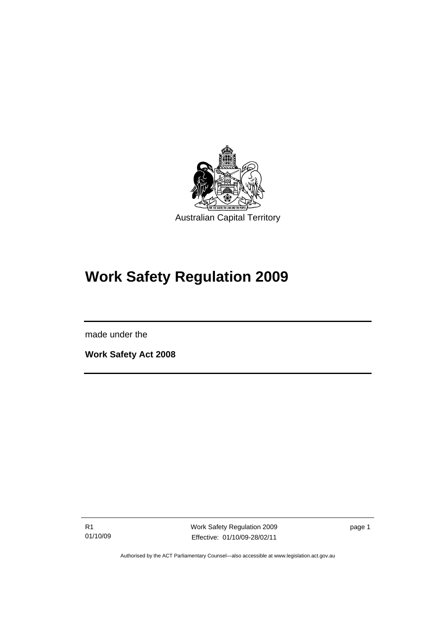<span id="page-14-0"></span>

# **Work Safety Regulation 2009**

made under the

l

**Work Safety Act 2008** 

R1 01/10/09 Work Safety Regulation 2009 Effective: 01/10/09-28/02/11

page 1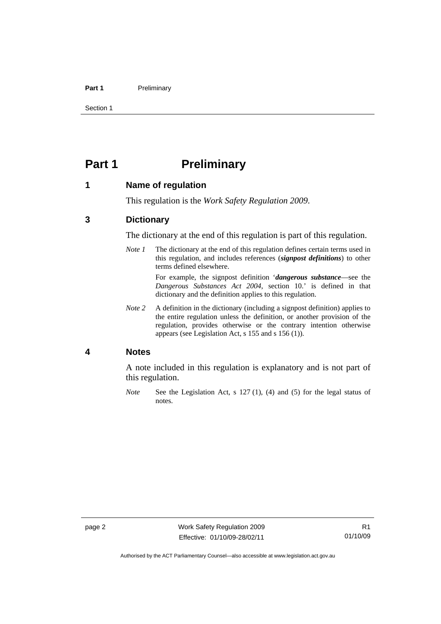#### <span id="page-15-0"></span>Part 1 **Preliminary**

Section 1

# **Part 1** Preliminary

#### **1 Name of regulation**

This regulation is the *Work Safety Regulation 2009*.

#### **3 Dictionary**

The dictionary at the end of this regulation is part of this regulation.

*Note 1* The dictionary at the end of this regulation defines certain terms used in this regulation, and includes references (*signpost definitions*) to other terms defined elsewhere.

> For example, the signpost definition '*dangerous substance*—see the *Dangerous Substances Act 2004*, section 10.' is defined in that dictionary and the definition applies to this regulation.

*Note 2* A definition in the dictionary (including a signpost definition) applies to the entire regulation unless the definition, or another provision of the regulation, provides otherwise or the contrary intention otherwise appears (see Legislation Act, s 155 and s 156 (1)).

#### **4 Notes**

A note included in this regulation is explanatory and is not part of this regulation.

*Note* See the Legislation Act, s 127 (1), (4) and (5) for the legal status of notes.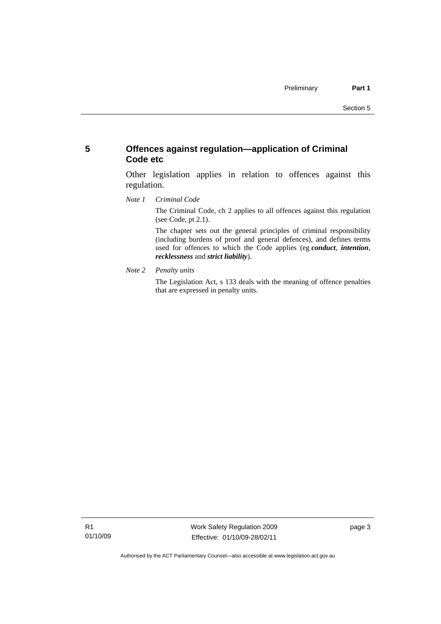#### <span id="page-16-0"></span>**5 Offences against regulation—application of Criminal Code etc**

Other legislation applies in relation to offences against this regulation.

*Note 1 Criminal Code*

The Criminal Code, ch 2 applies to all offences against this regulation (see Code, pt 2.1).

The chapter sets out the general principles of criminal responsibility (including burdens of proof and general defences), and defines terms used for offences to which the Code applies (eg *conduct*, *intention*, *recklessness* and *strict liability*).

*Note 2 Penalty units* 

The Legislation Act, s 133 deals with the meaning of offence penalties that are expressed in penalty units.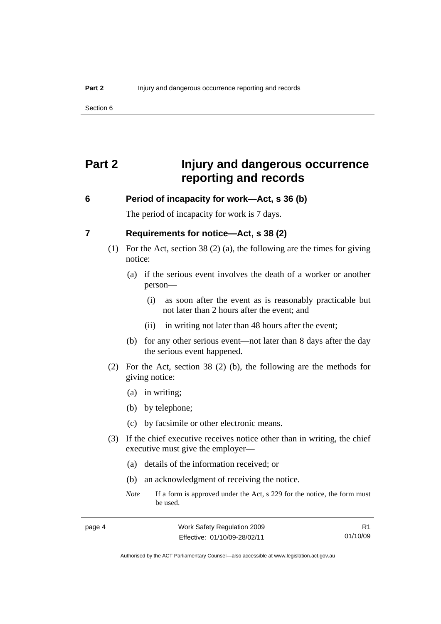<span id="page-17-0"></span>Section 6

# **Part 2 Injury and dangerous occurrence reporting and records**

#### **6 Period of incapacity for work—Act, s 36 (b)**

The period of incapacity for work is 7 days.

#### **7 Requirements for notice—Act, s 38 (2)**

- (1) For the Act, section 38 (2) (a), the following are the times for giving notice:
	- (a) if the serious event involves the death of a worker or another person—
		- (i) as soon after the event as is reasonably practicable but not later than 2 hours after the event; and
		- (ii) in writing not later than 48 hours after the event;
	- (b) for any other serious event—not later than 8 days after the day the serious event happened.
- (2) For the Act, section 38 (2) (b), the following are the methods for giving notice:
	- (a) in writing;
	- (b) by telephone;
	- (c) by facsimile or other electronic means.
- (3) If the chief executive receives notice other than in writing, the chief executive must give the employer—
	- (a) details of the information received; or
	- (b) an acknowledgment of receiving the notice.
	- *Note* If a form is approved under the Act, s 229 for the notice, the form must be used.

R1 01/10/09

Authorised by the ACT Parliamentary Counsel—also accessible at www.legislation.act.gov.au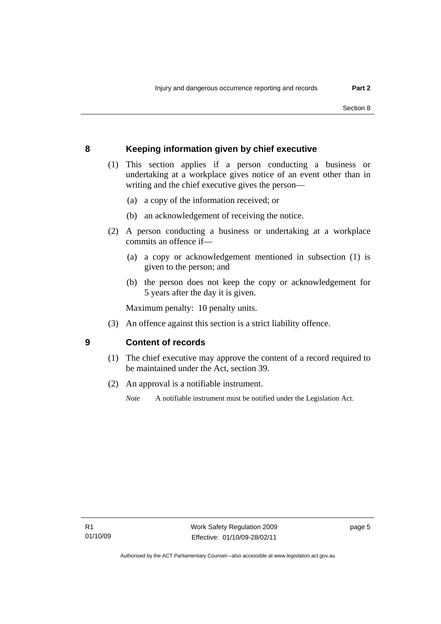# <span id="page-18-0"></span>**8 Keeping information given by chief executive**

- (1) This section applies if a person conducting a business or undertaking at a workplace gives notice of an event other than in writing and the chief executive gives the person—
	- (a) a copy of the information received; or
	- (b) an acknowledgement of receiving the notice.
- (2) A person conducting a business or undertaking at a workplace commits an offence if—
	- (a) a copy or acknowledgement mentioned in subsection (1) is given to the person; and
	- (b) the person does not keep the copy or acknowledgement for 5 years after the day it is given.

Maximum penalty: 10 penalty units.

(3) An offence against this section is a strict liability offence.

# **9 Content of records**

- (1) The chief executive may approve the content of a record required to be maintained under the Act, section 39.
- (2) An approval is a notifiable instrument.
	- *Note* A notifiable instrument must be notified under the Legislation Act.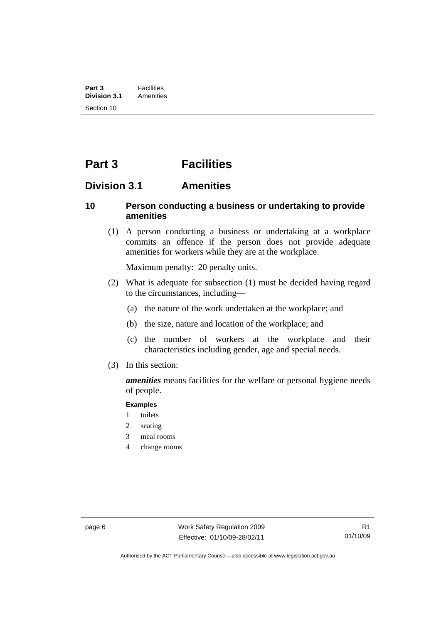# <span id="page-19-0"></span>**Part 3 Facilities**

# **Division 3.1 Amenities**

#### **10 Person conducting a business or undertaking to provide amenities**

 (1) A person conducting a business or undertaking at a workplace commits an offence if the person does not provide adequate amenities for workers while they are at the workplace.

Maximum penalty: 20 penalty units.

- (2) What is adequate for subsection (1) must be decided having regard to the circumstances, including—
	- (a) the nature of the work undertaken at the workplace; and
	- (b) the size, nature and location of the workplace; and
	- (c) the number of workers at the workplace and their characteristics including gender, age and special needs.
- (3) In this section:

*amenities* means facilities for the welfare or personal hygiene needs of people.

#### **Examples**

- 1 toilets
- 2 seating
- 3 meal rooms
- 4 change rooms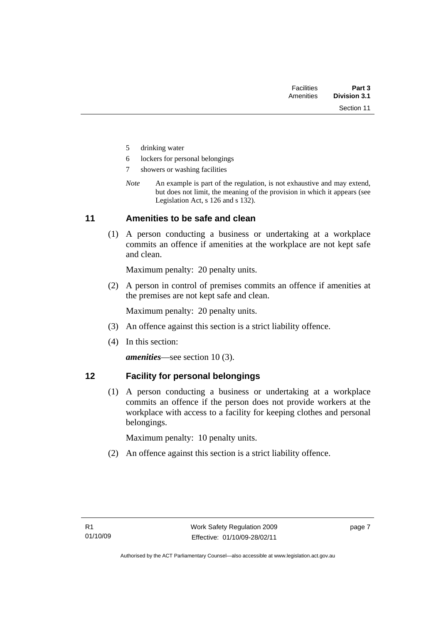| Part 3              |
|---------------------|
| <b>Division 3.1</b> |
|                     |

- <span id="page-20-0"></span>5 drinking water
- 6 lockers for personal belongings
- 7 showers or washing facilities
- *Note* An example is part of the regulation, is not exhaustive and may extend, but does not limit, the meaning of the provision in which it appears (see Legislation Act, s 126 and s 132).

#### **11 Amenities to be safe and clean**

 (1) A person conducting a business or undertaking at a workplace commits an offence if amenities at the workplace are not kept safe and clean.

Maximum penalty: 20 penalty units.

 (2) A person in control of premises commits an offence if amenities at the premises are not kept safe and clean.

Maximum penalty: 20 penalty units.

- (3) An offence against this section is a strict liability offence.
- (4) In this section:

*amenities*—see section 10 (3).

#### **12 Facility for personal belongings**

 (1) A person conducting a business or undertaking at a workplace commits an offence if the person does not provide workers at the workplace with access to a facility for keeping clothes and personal belongings.

Maximum penalty: 10 penalty units.

(2) An offence against this section is a strict liability offence.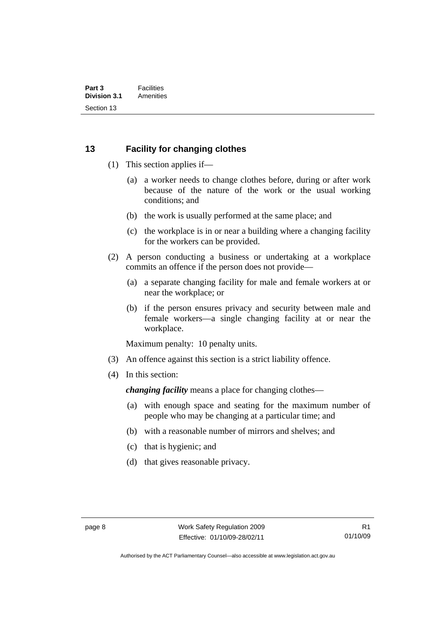# <span id="page-21-0"></span>**13 Facility for changing clothes**

- (1) This section applies if—
	- (a) a worker needs to change clothes before, during or after work because of the nature of the work or the usual working conditions; and
	- (b) the work is usually performed at the same place; and
	- (c) the workplace is in or near a building where a changing facility for the workers can be provided.
- (2) A person conducting a business or undertaking at a workplace commits an offence if the person does not provide—
	- (a) a separate changing facility for male and female workers at or near the workplace; or
	- (b) if the person ensures privacy and security between male and female workers—a single changing facility at or near the workplace.

Maximum penalty: 10 penalty units.

- (3) An offence against this section is a strict liability offence.
- (4) In this section:

*changing facility* means a place for changing clothes—

- (a) with enough space and seating for the maximum number of people who may be changing at a particular time; and
- (b) with a reasonable number of mirrors and shelves; and
- (c) that is hygienic; and
- (d) that gives reasonable privacy.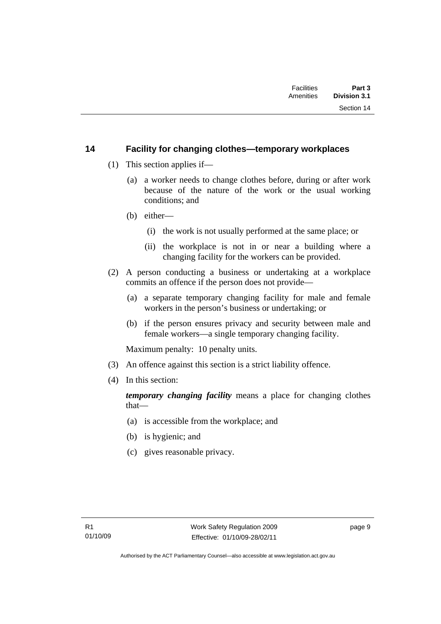#### <span id="page-22-0"></span>**14 Facility for changing clothes—temporary workplaces**

- (1) This section applies if—
	- (a) a worker needs to change clothes before, during or after work because of the nature of the work or the usual working conditions; and
	- (b) either—
		- (i) the work is not usually performed at the same place; or
		- (ii) the workplace is not in or near a building where a changing facility for the workers can be provided.
- (2) A person conducting a business or undertaking at a workplace commits an offence if the person does not provide—
	- (a) a separate temporary changing facility for male and female workers in the person's business or undertaking; or
	- (b) if the person ensures privacy and security between male and female workers—a single temporary changing facility.

Maximum penalty: 10 penalty units.

- (3) An offence against this section is a strict liability offence.
- (4) In this section:

*temporary changing facility* means a place for changing clothes that—

- (a) is accessible from the workplace; and
- (b) is hygienic; and
- (c) gives reasonable privacy.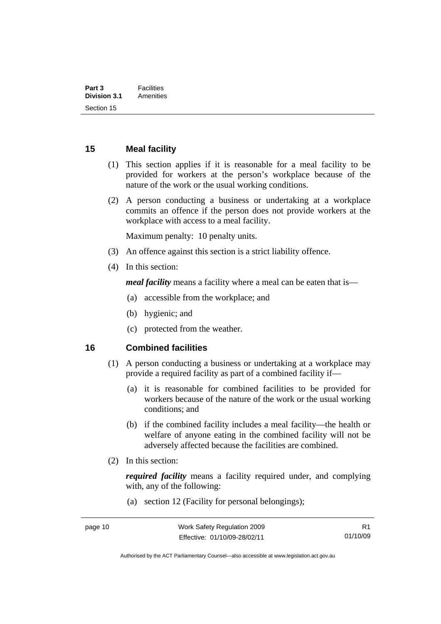#### <span id="page-23-0"></span>**15 Meal facility**

- (1) This section applies if it is reasonable for a meal facility to be provided for workers at the person's workplace because of the nature of the work or the usual working conditions.
- (2) A person conducting a business or undertaking at a workplace commits an offence if the person does not provide workers at the workplace with access to a meal facility.

Maximum penalty: 10 penalty units.

- (3) An offence against this section is a strict liability offence.
- (4) In this section:

*meal facility* means a facility where a meal can be eaten that is—

- (a) accessible from the workplace; and
- (b) hygienic; and
- (c) protected from the weather.

#### **16 Combined facilities**

- (1) A person conducting a business or undertaking at a workplace may provide a required facility as part of a combined facility if—
	- (a) it is reasonable for combined facilities to be provided for workers because of the nature of the work or the usual working conditions; and
	- (b) if the combined facility includes a meal facility—the health or welfare of anyone eating in the combined facility will not be adversely affected because the facilities are combined.
- (2) In this section:

*required facility* means a facility required under, and complying with, any of the following:

(a) section 12 (Facility for personal belongings);

Authorised by the ACT Parliamentary Counsel—also accessible at www.legislation.act.gov.au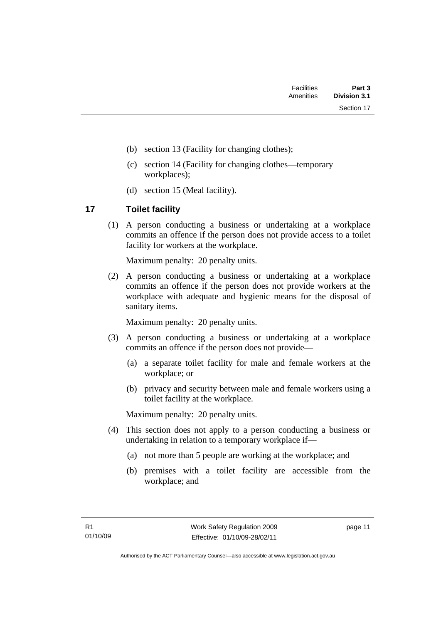| <b>Facilities</b> | Part 3       |
|-------------------|--------------|
| Amenities         | Division 3.1 |
|                   | Section 17   |

- <span id="page-24-0"></span>(b) section 13 (Facility for changing clothes);
- (c) section 14 (Facility for changing clothes—temporary workplaces);
- (d) section 15 (Meal facility).

# **17 Toilet facility**

 (1) A person conducting a business or undertaking at a workplace commits an offence if the person does not provide access to a toilet facility for workers at the workplace.

Maximum penalty: 20 penalty units.

 (2) A person conducting a business or undertaking at a workplace commits an offence if the person does not provide workers at the workplace with adequate and hygienic means for the disposal of sanitary items.

Maximum penalty: 20 penalty units.

- (3) A person conducting a business or undertaking at a workplace commits an offence if the person does not provide—
	- (a) a separate toilet facility for male and female workers at the workplace; or
	- (b) privacy and security between male and female workers using a toilet facility at the workplace.

Maximum penalty: 20 penalty units.

- (4) This section does not apply to a person conducting a business or undertaking in relation to a temporary workplace if—
	- (a) not more than 5 people are working at the workplace; and
	- (b) premises with a toilet facility are accessible from the workplace; and

page 11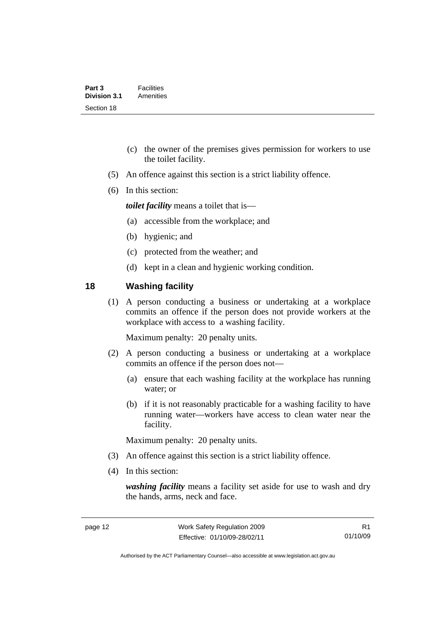- <span id="page-25-0"></span> (c) the owner of the premises gives permission for workers to use the toilet facility.
- (5) An offence against this section is a strict liability offence.
- (6) In this section:

*toilet facility* means a toilet that is—

- (a) accessible from the workplace; and
- (b) hygienic; and
- (c) protected from the weather; and
- (d) kept in a clean and hygienic working condition.

#### **18 Washing facility**

 (1) A person conducting a business or undertaking at a workplace commits an offence if the person does not provide workers at the workplace with access to a washing facility.

Maximum penalty: 20 penalty units.

- (2) A person conducting a business or undertaking at a workplace commits an offence if the person does not—
	- (a) ensure that each washing facility at the workplace has running water; or
	- (b) if it is not reasonably practicable for a washing facility to have running water—workers have access to clean water near the facility.

Maximum penalty: 20 penalty units.

- (3) An offence against this section is a strict liability offence.
- (4) In this section:

*washing facility* means a facility set aside for use to wash and dry the hands, arms, neck and face.

Authorised by the ACT Parliamentary Counsel—also accessible at www.legislation.act.gov.au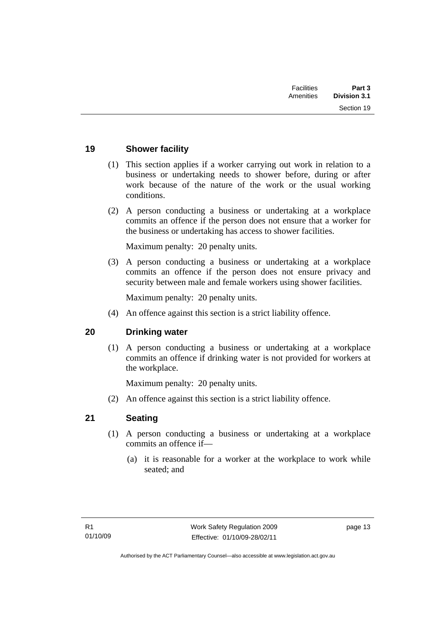| Part 3              | <b>Facilities</b> |
|---------------------|-------------------|
| <b>Division 3.1</b> | Amenities         |
| Section 19          |                   |

#### <span id="page-26-0"></span>**19 Shower facility**

- (1) This section applies if a worker carrying out work in relation to a business or undertaking needs to shower before, during or after work because of the nature of the work or the usual working conditions.
- (2) A person conducting a business or undertaking at a workplace commits an offence if the person does not ensure that a worker for the business or undertaking has access to shower facilities.

Maximum penalty: 20 penalty units.

 (3) A person conducting a business or undertaking at a workplace commits an offence if the person does not ensure privacy and security between male and female workers using shower facilities.

Maximum penalty: 20 penalty units.

(4) An offence against this section is a strict liability offence.

#### **20 Drinking water**

 (1) A person conducting a business or undertaking at a workplace commits an offence if drinking water is not provided for workers at the workplace.

Maximum penalty: 20 penalty units.

(2) An offence against this section is a strict liability offence.

#### **21 Seating**

- (1) A person conducting a business or undertaking at a workplace commits an offence if—
	- (a) it is reasonable for a worker at the workplace to work while seated; and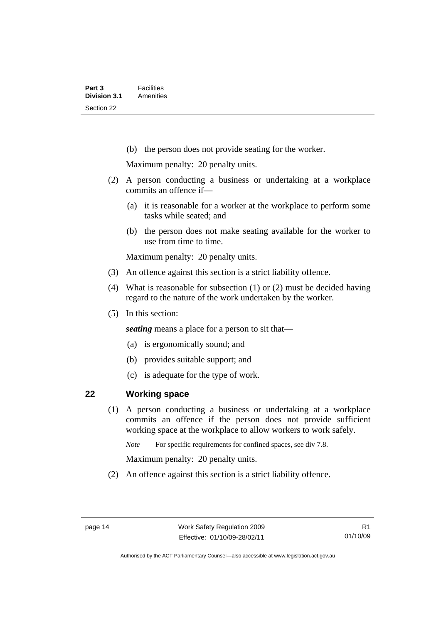<span id="page-27-0"></span>(b) the person does not provide seating for the worker.

Maximum penalty: 20 penalty units.

- (2) A person conducting a business or undertaking at a workplace commits an offence if—
	- (a) it is reasonable for a worker at the workplace to perform some tasks while seated; and
	- (b) the person does not make seating available for the worker to use from time to time.

Maximum penalty: 20 penalty units.

- (3) An offence against this section is a strict liability offence.
- (4) What is reasonable for subsection (1) or (2) must be decided having regard to the nature of the work undertaken by the worker.
- (5) In this section:

*seating* means a place for a person to sit that—

- (a) is ergonomically sound; and
- (b) provides suitable support; and
- (c) is adequate for the type of work.

#### **22 Working space**

 (1) A person conducting a business or undertaking at a workplace commits an offence if the person does not provide sufficient working space at the workplace to allow workers to work safely.

*Note* For specific requirements for confined spaces, see div 7.8.

Maximum penalty: 20 penalty units.

(2) An offence against this section is a strict liability offence.

Authorised by the ACT Parliamentary Counsel—also accessible at www.legislation.act.gov.au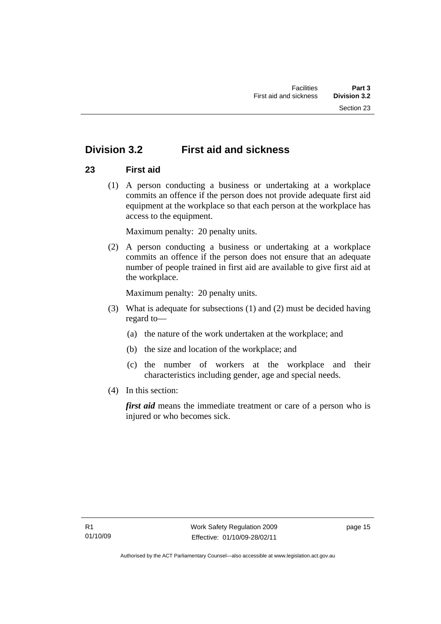# <span id="page-28-0"></span>**Division 3.2 First aid and sickness**

# **23 First aid**

 (1) A person conducting a business or undertaking at a workplace commits an offence if the person does not provide adequate first aid equipment at the workplace so that each person at the workplace has access to the equipment.

Maximum penalty: 20 penalty units.

 (2) A person conducting a business or undertaking at a workplace commits an offence if the person does not ensure that an adequate number of people trained in first aid are available to give first aid at the workplace.

Maximum penalty: 20 penalty units.

- (3) What is adequate for subsections (1) and (2) must be decided having regard to—
	- (a) the nature of the work undertaken at the workplace; and
	- (b) the size and location of the workplace; and
	- (c) the number of workers at the workplace and their characteristics including gender, age and special needs.
- (4) In this section:

*first aid* means the immediate treatment or care of a person who is injured or who becomes sick.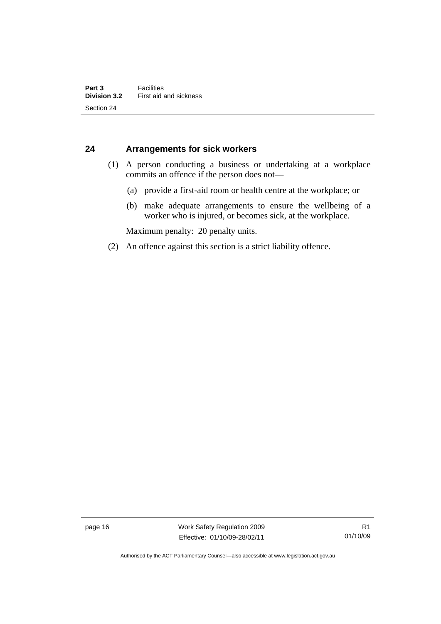#### <span id="page-29-0"></span>**24 Arrangements for sick workers**

- (1) A person conducting a business or undertaking at a workplace commits an offence if the person does not—
	- (a) provide a first-aid room or health centre at the workplace; or
	- (b) make adequate arrangements to ensure the wellbeing of a worker who is injured, or becomes sick, at the workplace.

Maximum penalty: 20 penalty units.

(2) An offence against this section is a strict liability offence.

page 16 Work Safety Regulation 2009 Effective: 01/10/09-28/02/11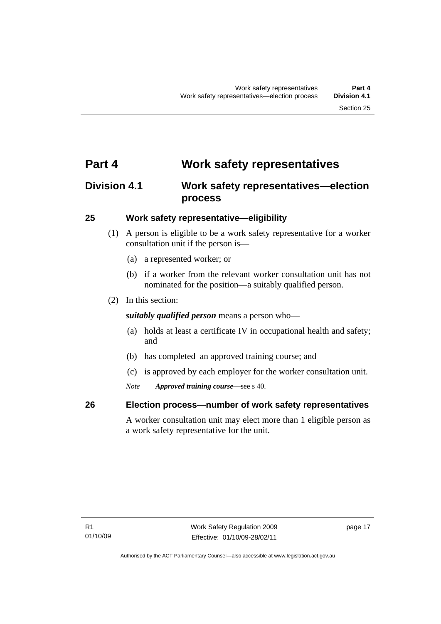# <span id="page-30-0"></span>**Part 4 Work safety representatives**

# **Division 4.1 Work safety representatives—election process**

#### **25 Work safety representative—eligibility**

- (1) A person is eligible to be a work safety representative for a worker consultation unit if the person is—
	- (a) a represented worker; or
	- (b) if a worker from the relevant worker consultation unit has not nominated for the position—a suitably qualified person.
- (2) In this section:

*suitably qualified person* means a person who—

- (a) holds at least a certificate IV in occupational health and safety; and
- (b) has completed an approved training course; and
- (c) is approved by each employer for the worker consultation unit.
- *Note Approved training course*—see s 40.

# **26 Election process—number of work safety representatives**

A worker consultation unit may elect more than 1 eligible person as a work safety representative for the unit.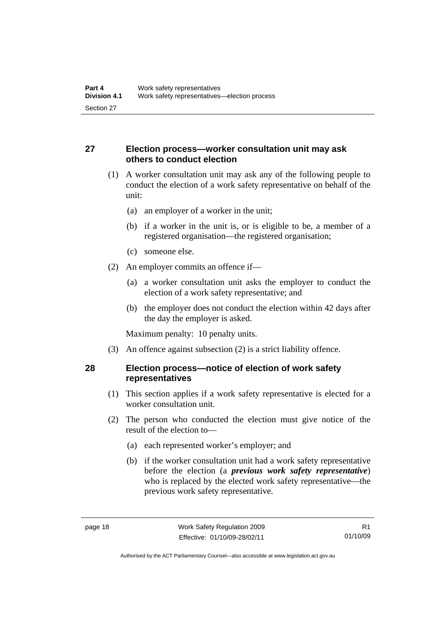# <span id="page-31-0"></span>**27 Election process—worker consultation unit may ask others to conduct election**

- (1) A worker consultation unit may ask any of the following people to conduct the election of a work safety representative on behalf of the unit:
	- (a) an employer of a worker in the unit;
	- (b) if a worker in the unit is, or is eligible to be, a member of a registered organisation—the registered organisation;
	- (c) someone else.
- (2) An employer commits an offence if—
	- (a) a worker consultation unit asks the employer to conduct the election of a work safety representative; and
	- (b) the employer does not conduct the election within 42 days after the day the employer is asked.

Maximum penalty: 10 penalty units.

(3) An offence against subsection (2) is a strict liability offence.

#### **28 Election process—notice of election of work safety representatives**

- (1) This section applies if a work safety representative is elected for a worker consultation unit.
- (2) The person who conducted the election must give notice of the result of the election to—
	- (a) each represented worker's employer; and
	- (b) if the worker consultation unit had a work safety representative before the election (a *previous work safety representative*) who is replaced by the elected work safety representative—the previous work safety representative.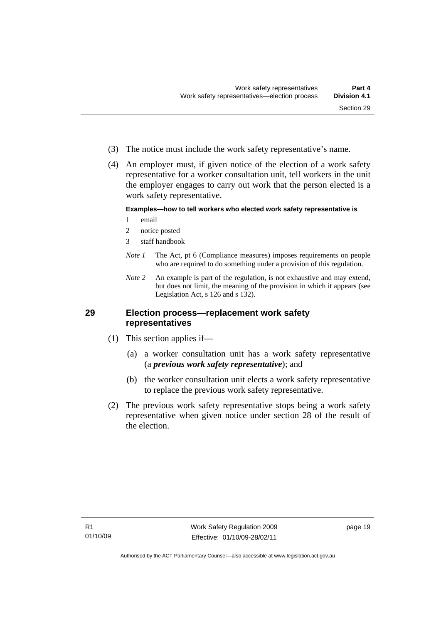<span id="page-32-0"></span> (4) An employer must, if given notice of the election of a work safety representative for a worker consultation unit, tell workers in the unit the employer engages to carry out work that the person elected is a work safety representative.

#### **Examples—how to tell workers who elected work safety representative is**

- 1 email
- 2 notice posted
- 3 staff handbook
- *Note 1* The Act, pt 6 (Compliance measures) imposes requirements on people who are required to do something under a provision of this regulation.
- *Note 2* An example is part of the regulation, is not exhaustive and may extend, but does not limit, the meaning of the provision in which it appears (see Legislation Act, s 126 and s 132).

#### **29 Election process—replacement work safety representatives**

- (1) This section applies if—
	- (a) a worker consultation unit has a work safety representative (a *previous work safety representative*); and
	- (b) the worker consultation unit elects a work safety representative to replace the previous work safety representative.
- (2) The previous work safety representative stops being a work safety representative when given notice under section 28 of the result of the election.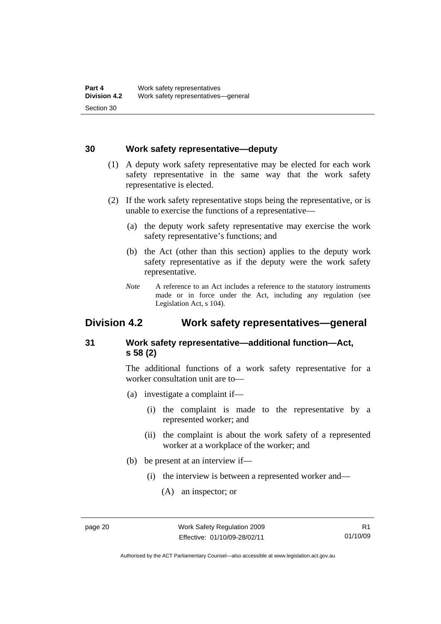#### <span id="page-33-0"></span>**30 Work safety representative—deputy**

- (1) A deputy work safety representative may be elected for each work safety representative in the same way that the work safety representative is elected.
- (2) If the work safety representative stops being the representative, or is unable to exercise the functions of a representative—
	- (a) the deputy work safety representative may exercise the work safety representative's functions; and
	- (b) the Act (other than this section) applies to the deputy work safety representative as if the deputy were the work safety representative.
	- *Note* A reference to an Act includes a reference to the statutory instruments made or in force under the Act, including any regulation (see Legislation Act, s 104).

# **Division 4.2 Work safety representatives—general**

# **31 Work safety representative—additional function—Act, s 58 (2)**

The additional functions of a work safety representative for a worker consultation unit are to—

- (a) investigate a complaint if—
	- (i) the complaint is made to the representative by a represented worker; and
	- (ii) the complaint is about the work safety of a represented worker at a workplace of the worker; and
- (b) be present at an interview if—
	- (i) the interview is between a represented worker and—
		- (A) an inspector; or

Authorised by the ACT Parliamentary Counsel—also accessible at www.legislation.act.gov.au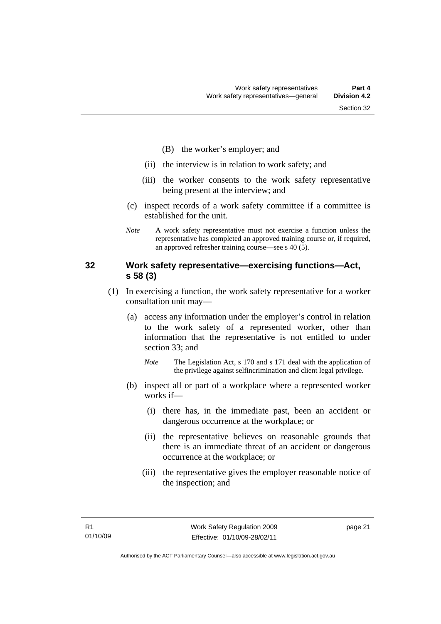- (B) the worker's employer; and
- <span id="page-34-0"></span>(ii) the interview is in relation to work safety; and
- (iii) the worker consents to the work safety representative being present at the interview; and
- (c) inspect records of a work safety committee if a committee is established for the unit.
- *Note* A work safety representative must not exercise a function unless the representative has completed an approved training course or, if required, an approved refresher training course—see s 40 (5).

#### **32 Work safety representative—exercising functions—Act, s 58 (3)**

- (1) In exercising a function, the work safety representative for a worker consultation unit may—
	- (a) access any information under the employer's control in relation to the work safety of a represented worker, other than information that the representative is not entitled to under section 33; and
		- *Note* The Legislation Act, s 170 and s 171 deal with the application of the privilege against selfincrimination and client legal privilege.
	- (b) inspect all or part of a workplace where a represented worker works if—
		- (i) there has, in the immediate past, been an accident or dangerous occurrence at the workplace; or
		- (ii) the representative believes on reasonable grounds that there is an immediate threat of an accident or dangerous occurrence at the workplace; or
		- (iii) the representative gives the employer reasonable notice of the inspection; and

page 21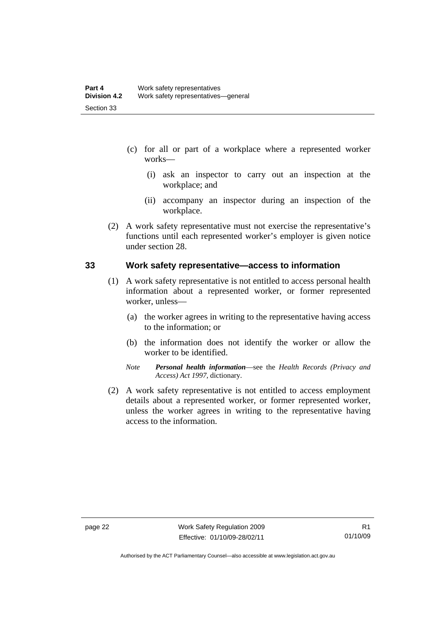- <span id="page-35-0"></span> (c) for all or part of a workplace where a represented worker works—
	- (i) ask an inspector to carry out an inspection at the workplace; and
	- (ii) accompany an inspector during an inspection of the workplace.
- (2) A work safety representative must not exercise the representative's functions until each represented worker's employer is given notice under section 28.

#### **33 Work safety representative—access to information**

- (1) A work safety representative is not entitled to access personal health information about a represented worker, or former represented worker, unless—
	- (a) the worker agrees in writing to the representative having access to the information; or
	- (b) the information does not identify the worker or allow the worker to be identified.
	- *Note Personal health information*—see the *Health Records (Privacy and Access) Act 1997*, dictionary.
- (2) A work safety representative is not entitled to access employment details about a represented worker, or former represented worker, unless the worker agrees in writing to the representative having access to the information.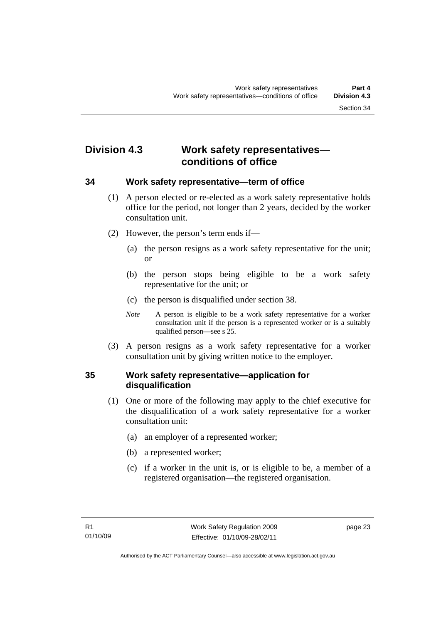# **Division 4.3 Work safety representatives conditions of office**

## **34 Work safety representative—term of office**

- (1) A person elected or re-elected as a work safety representative holds office for the period, not longer than 2 years, decided by the worker consultation unit.
- (2) However, the person's term ends if—
	- (a) the person resigns as a work safety representative for the unit; or
	- (b) the person stops being eligible to be a work safety representative for the unit; or
	- (c) the person is disqualified under section 38.
	- *Note* A person is eligible to be a work safety representative for a worker consultation unit if the person is a represented worker or is a suitably qualified person—see s 25.
- (3) A person resigns as a work safety representative for a worker consultation unit by giving written notice to the employer.

## **35 Work safety representative—application for disqualification**

- (1) One or more of the following may apply to the chief executive for the disqualification of a work safety representative for a worker consultation unit:
	- (a) an employer of a represented worker;
	- (b) a represented worker;
	- (c) if a worker in the unit is, or is eligible to be, a member of a registered organisation—the registered organisation.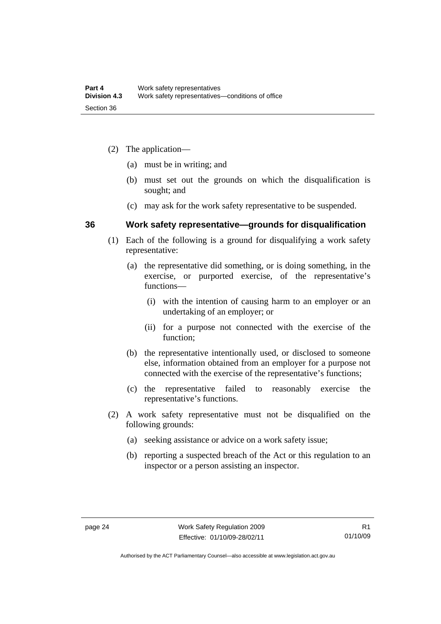- (2) The application—
	- (a) must be in writing; and
	- (b) must set out the grounds on which the disqualification is sought; and
	- (c) may ask for the work safety representative to be suspended.

## **36 Work safety representative—grounds for disqualification**

- (1) Each of the following is a ground for disqualifying a work safety representative:
	- (a) the representative did something, or is doing something, in the exercise, or purported exercise, of the representative's functions—
		- (i) with the intention of causing harm to an employer or an undertaking of an employer; or
		- (ii) for a purpose not connected with the exercise of the function;
	- (b) the representative intentionally used, or disclosed to someone else, information obtained from an employer for a purpose not connected with the exercise of the representative's functions;
	- (c) the representative failed to reasonably exercise the representative's functions.
- (2) A work safety representative must not be disqualified on the following grounds:
	- (a) seeking assistance or advice on a work safety issue;
	- (b) reporting a suspected breach of the Act or this regulation to an inspector or a person assisting an inspector.

Authorised by the ACT Parliamentary Counsel—also accessible at www.legislation.act.gov.au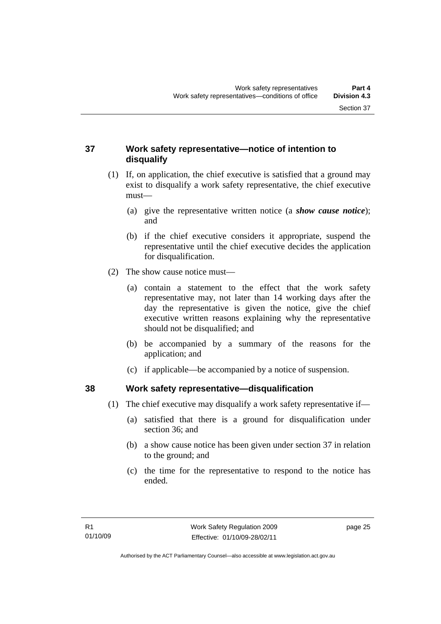# **37 Work safety representative—notice of intention to disqualify**

- (1) If, on application, the chief executive is satisfied that a ground may exist to disqualify a work safety representative, the chief executive must—
	- (a) give the representative written notice (a *show cause notice*); and
	- (b) if the chief executive considers it appropriate, suspend the representative until the chief executive decides the application for disqualification.
- (2) The show cause notice must—
	- (a) contain a statement to the effect that the work safety representative may, not later than 14 working days after the day the representative is given the notice, give the chief executive written reasons explaining why the representative should not be disqualified; and
	- (b) be accompanied by a summary of the reasons for the application; and
	- (c) if applicable—be accompanied by a notice of suspension.

# **38 Work safety representative—disqualification**

- (1) The chief executive may disqualify a work safety representative if—
	- (a) satisfied that there is a ground for disqualification under section 36; and
	- (b) a show cause notice has been given under section 37 in relation to the ground; and
	- (c) the time for the representative to respond to the notice has ended.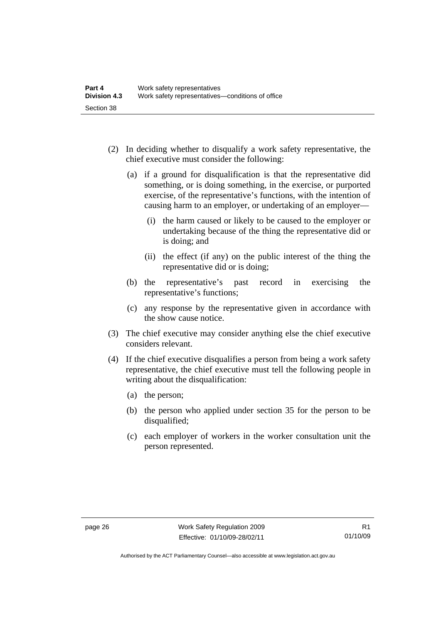- (2) In deciding whether to disqualify a work safety representative, the chief executive must consider the following:
	- (a) if a ground for disqualification is that the representative did something, or is doing something, in the exercise, or purported exercise, of the representative's functions, with the intention of causing harm to an employer, or undertaking of an employer—
		- (i) the harm caused or likely to be caused to the employer or undertaking because of the thing the representative did or is doing; and
		- (ii) the effect (if any) on the public interest of the thing the representative did or is doing;
	- (b) the representative's past record in exercising the representative's functions;
	- (c) any response by the representative given in accordance with the show cause notice.
- (3) The chief executive may consider anything else the chief executive considers relevant.
- (4) If the chief executive disqualifies a person from being a work safety representative, the chief executive must tell the following people in writing about the disqualification:
	- (a) the person;
	- (b) the person who applied under section 35 for the person to be disqualified;
	- (c) each employer of workers in the worker consultation unit the person represented.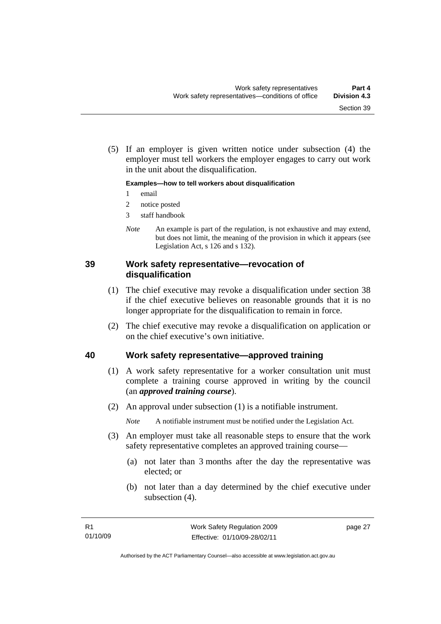(5) If an employer is given written notice under subsection (4) the employer must tell workers the employer engages to carry out work in the unit about the disqualification.

#### **Examples—how to tell workers about disqualification**

- 1 email
- 2 notice posted
- 3 staff handbook
- *Note* An example is part of the regulation, is not exhaustive and may extend, but does not limit, the meaning of the provision in which it appears (see Legislation Act, s 126 and s 132).

## **39 Work safety representative—revocation of disqualification**

- (1) The chief executive may revoke a disqualification under section 38 if the chief executive believes on reasonable grounds that it is no longer appropriate for the disqualification to remain in force.
- (2) The chief executive may revoke a disqualification on application or on the chief executive's own initiative.

## **40 Work safety representative—approved training**

- (1) A work safety representative for a worker consultation unit must complete a training course approved in writing by the council (an *approved training course*).
- (2) An approval under subsection (1) is a notifiable instrument.

*Note* A notifiable instrument must be notified under the Legislation Act.

- (3) An employer must take all reasonable steps to ensure that the work safety representative completes an approved training course—
	- (a) not later than 3 months after the day the representative was elected; or
	- (b) not later than a day determined by the chief executive under subsection (4).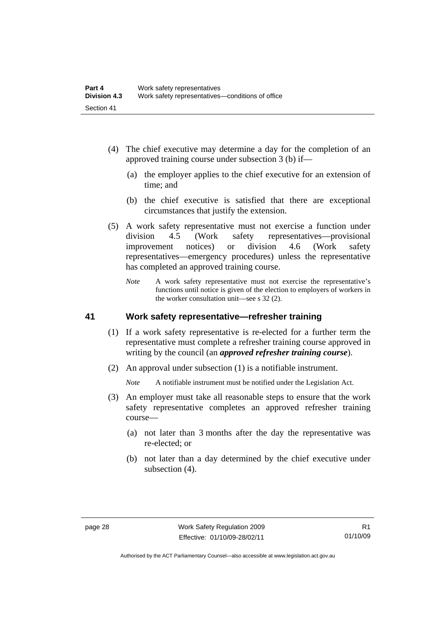- (4) The chief executive may determine a day for the completion of an approved training course under subsection 3 (b) if—
	- (a) the employer applies to the chief executive for an extension of time; and
	- (b) the chief executive is satisfied that there are exceptional circumstances that justify the extension.
- (5) A work safety representative must not exercise a function under division 4.5 (Work safety representatives—provisional improvement notices) or division 4.6 (Work safety representatives—emergency procedures) unless the representative has completed an approved training course.
	- *Note* A work safety representative must not exercise the representative's functions until notice is given of the election to employers of workers in the worker consultation unit—see s 32 (2).

## **41 Work safety representative—refresher training**

- (1) If a work safety representative is re-elected for a further term the representative must complete a refresher training course approved in writing by the council (an *approved refresher training course*).
- (2) An approval under subsection (1) is a notifiable instrument.

*Note* A notifiable instrument must be notified under the Legislation Act.

- (3) An employer must take all reasonable steps to ensure that the work safety representative completes an approved refresher training course—
	- (a) not later than 3 months after the day the representative was re-elected; or
	- (b) not later than a day determined by the chief executive under subsection (4).

Authorised by the ACT Parliamentary Counsel—also accessible at www.legislation.act.gov.au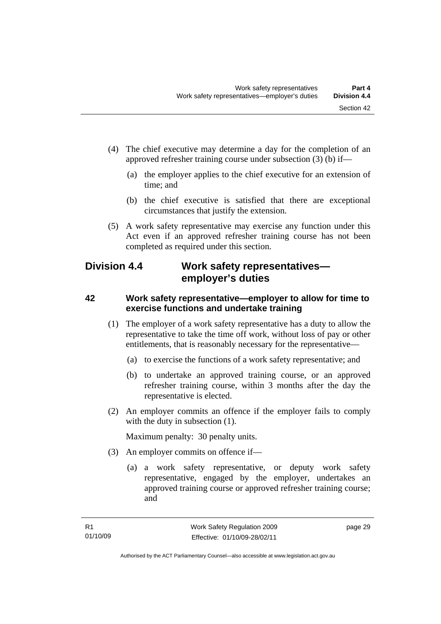- (4) The chief executive may determine a day for the completion of an approved refresher training course under subsection (3) (b) if—
	- (a) the employer applies to the chief executive for an extension of time; and
	- (b) the chief executive is satisfied that there are exceptional circumstances that justify the extension.
- (5) A work safety representative may exercise any function under this Act even if an approved refresher training course has not been completed as required under this section.

# **Division 4.4 Work safety representatives employer's duties**

# **42 Work safety representative—employer to allow for time to exercise functions and undertake training**

- (1) The employer of a work safety representative has a duty to allow the representative to take the time off work, without loss of pay or other entitlements, that is reasonably necessary for the representative—
	- (a) to exercise the functions of a work safety representative; and
	- (b) to undertake an approved training course, or an approved refresher training course, within 3 months after the day the representative is elected.
- (2) An employer commits an offence if the employer fails to comply with the duty in subsection (1).

- (3) An employer commits on offence if—
	- (a) a work safety representative, or deputy work safety representative, engaged by the employer, undertakes an approved training course or approved refresher training course; and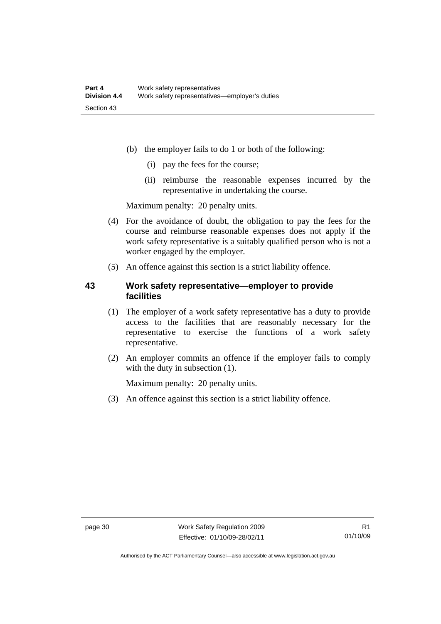- (b) the employer fails to do 1 or both of the following:
	- (i) pay the fees for the course;
	- (ii) reimburse the reasonable expenses incurred by the representative in undertaking the course.

Maximum penalty: 20 penalty units.

- (4) For the avoidance of doubt, the obligation to pay the fees for the course and reimburse reasonable expenses does not apply if the work safety representative is a suitably qualified person who is not a worker engaged by the employer.
- (5) An offence against this section is a strict liability offence.

# **43 Work safety representative—employer to provide facilities**

- (1) The employer of a work safety representative has a duty to provide access to the facilities that are reasonably necessary for the representative to exercise the functions of a work safety representative.
- (2) An employer commits an offence if the employer fails to comply with the duty in subsection (1).

Maximum penalty: 20 penalty units.

(3) An offence against this section is a strict liability offence.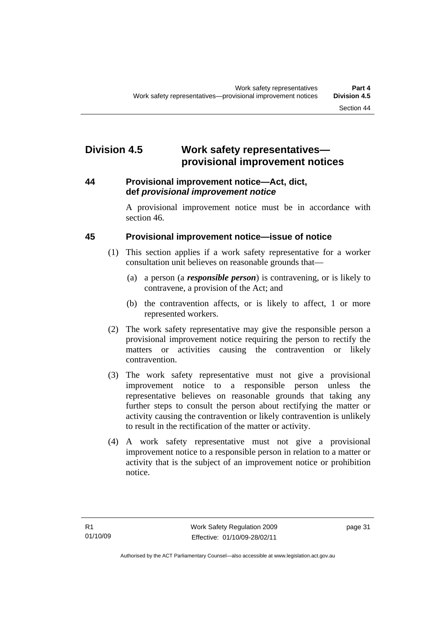# **Division 4.5 Work safety representatives provisional improvement notices**

## **44 Provisional improvement notice—Act, dict, def** *provisional improvement notice*

A provisional improvement notice must be in accordance with section 46.

# **45 Provisional improvement notice—issue of notice**

- (1) This section applies if a work safety representative for a worker consultation unit believes on reasonable grounds that—
	- (a) a person (a *responsible person*) is contravening, or is likely to contravene, a provision of the Act; and
	- (b) the contravention affects, or is likely to affect, 1 or more represented workers.
- (2) The work safety representative may give the responsible person a provisional improvement notice requiring the person to rectify the matters or activities causing the contravention or likely contravention.
- (3) The work safety representative must not give a provisional improvement notice to a responsible person unless the representative believes on reasonable grounds that taking any further steps to consult the person about rectifying the matter or activity causing the contravention or likely contravention is unlikely to result in the rectification of the matter or activity.
- (4) A work safety representative must not give a provisional improvement notice to a responsible person in relation to a matter or activity that is the subject of an improvement notice or prohibition notice.

page 31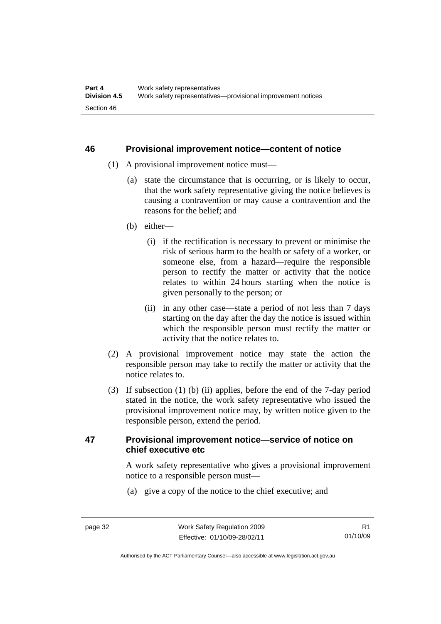## **46 Provisional improvement notice—content of notice**

- (1) A provisional improvement notice must—
	- (a) state the circumstance that is occurring, or is likely to occur, that the work safety representative giving the notice believes is causing a contravention or may cause a contravention and the reasons for the belief; and
	- (b) either—
		- (i) if the rectification is necessary to prevent or minimise the risk of serious harm to the health or safety of a worker, or someone else, from a hazard—require the responsible person to rectify the matter or activity that the notice relates to within 24 hours starting when the notice is given personally to the person; or
		- (ii) in any other case—state a period of not less than 7 days starting on the day after the day the notice is issued within which the responsible person must rectify the matter or activity that the notice relates to.
- (2) A provisional improvement notice may state the action the responsible person may take to rectify the matter or activity that the notice relates to.
- (3) If subsection (1) (b) (ii) applies, before the end of the 7-day period stated in the notice, the work safety representative who issued the provisional improvement notice may, by written notice given to the responsible person, extend the period.

## **47 Provisional improvement notice—service of notice on chief executive etc**

A work safety representative who gives a provisional improvement notice to a responsible person must—

(a) give a copy of the notice to the chief executive; and

Authorised by the ACT Parliamentary Counsel—also accessible at www.legislation.act.gov.au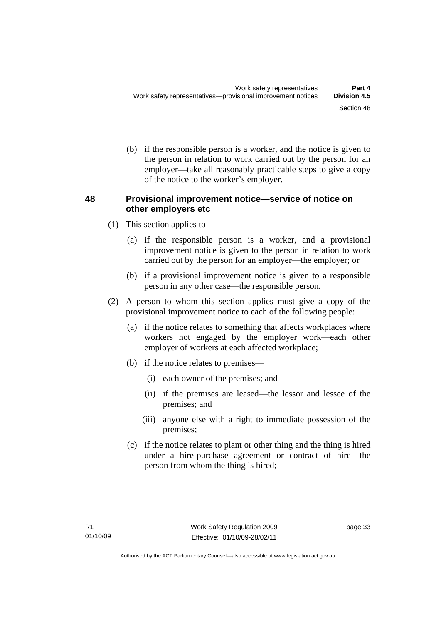(b) if the responsible person is a worker, and the notice is given to the person in relation to work carried out by the person for an employer—take all reasonably practicable steps to give a copy of the notice to the worker's employer.

# **48 Provisional improvement notice—service of notice on other employers etc**

- (1) This section applies to—
	- (a) if the responsible person is a worker, and a provisional improvement notice is given to the person in relation to work carried out by the person for an employer—the employer; or
	- (b) if a provisional improvement notice is given to a responsible person in any other case—the responsible person.
- (2) A person to whom this section applies must give a copy of the provisional improvement notice to each of the following people:
	- (a) if the notice relates to something that affects workplaces where workers not engaged by the employer work—each other employer of workers at each affected workplace;
	- (b) if the notice relates to premises—
		- (i) each owner of the premises; and
		- (ii) if the premises are leased—the lessor and lessee of the premises; and
		- (iii) anyone else with a right to immediate possession of the premises;
	- (c) if the notice relates to plant or other thing and the thing is hired under a hire-purchase agreement or contract of hire—the person from whom the thing is hired;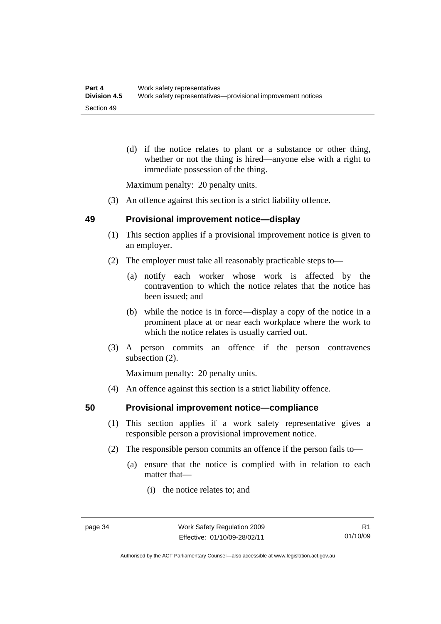(d) if the notice relates to plant or a substance or other thing, whether or not the thing is hired—anyone else with a right to immediate possession of the thing.

Maximum penalty: 20 penalty units.

(3) An offence against this section is a strict liability offence.

## **49 Provisional improvement notice—display**

- (1) This section applies if a provisional improvement notice is given to an employer.
- (2) The employer must take all reasonably practicable steps to—
	- (a) notify each worker whose work is affected by the contravention to which the notice relates that the notice has been issued; and
	- (b) while the notice is in force—display a copy of the notice in a prominent place at or near each workplace where the work to which the notice relates is usually carried out.
- (3) A person commits an offence if the person contravenes subsection (2).

Maximum penalty: 20 penalty units.

(4) An offence against this section is a strict liability offence.

## **50 Provisional improvement notice—compliance**

- (1) This section applies if a work safety representative gives a responsible person a provisional improvement notice.
- (2) The responsible person commits an offence if the person fails to—
	- (a) ensure that the notice is complied with in relation to each matter that—
		- (i) the notice relates to; and

R1 01/10/09

Authorised by the ACT Parliamentary Counsel—also accessible at www.legislation.act.gov.au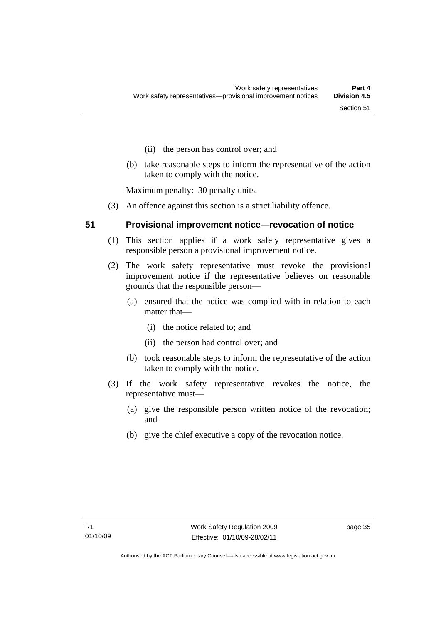- (ii) the person has control over; and
- (b) take reasonable steps to inform the representative of the action taken to comply with the notice.

Maximum penalty: 30 penalty units.

(3) An offence against this section is a strict liability offence.

#### **51 Provisional improvement notice—revocation of notice**

- (1) This section applies if a work safety representative gives a responsible person a provisional improvement notice.
- (2) The work safety representative must revoke the provisional improvement notice if the representative believes on reasonable grounds that the responsible person—
	- (a) ensured that the notice was complied with in relation to each matter that—
		- (i) the notice related to; and
		- (ii) the person had control over; and
	- (b) took reasonable steps to inform the representative of the action taken to comply with the notice.
- (3) If the work safety representative revokes the notice, the representative must—
	- (a) give the responsible person written notice of the revocation; and
	- (b) give the chief executive a copy of the revocation notice.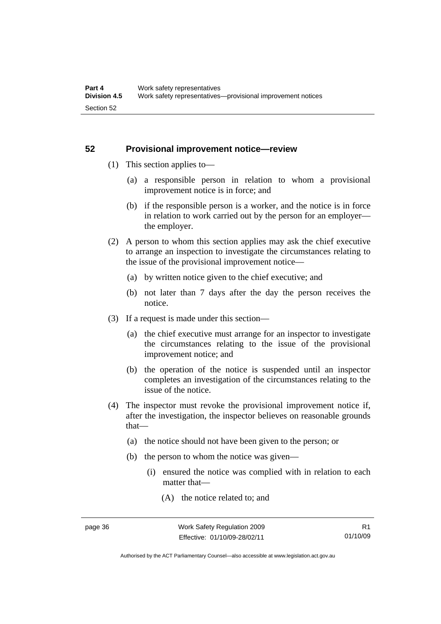## **52 Provisional improvement notice—review**

- (1) This section applies to—
	- (a) a responsible person in relation to whom a provisional improvement notice is in force; and
	- (b) if the responsible person is a worker, and the notice is in force in relation to work carried out by the person for an employer the employer.
- (2) A person to whom this section applies may ask the chief executive to arrange an inspection to investigate the circumstances relating to the issue of the provisional improvement notice—
	- (a) by written notice given to the chief executive; and
	- (b) not later than 7 days after the day the person receives the notice.
- (3) If a request is made under this section—
	- (a) the chief executive must arrange for an inspector to investigate the circumstances relating to the issue of the provisional improvement notice; and
	- (b) the operation of the notice is suspended until an inspector completes an investigation of the circumstances relating to the issue of the notice.
- (4) The inspector must revoke the provisional improvement notice if, after the investigation, the inspector believes on reasonable grounds that—
	- (a) the notice should not have been given to the person; or
	- (b) the person to whom the notice was given—
		- (i) ensured the notice was complied with in relation to each matter that—
			- (A) the notice related to; and

Authorised by the ACT Parliamentary Counsel—also accessible at www.legislation.act.gov.au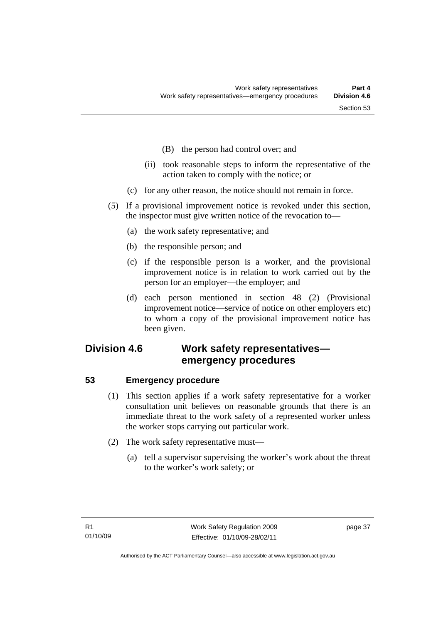- (B) the person had control over; and
- (ii) took reasonable steps to inform the representative of the action taken to comply with the notice; or
- (c) for any other reason, the notice should not remain in force.
- (5) If a provisional improvement notice is revoked under this section, the inspector must give written notice of the revocation to—
	- (a) the work safety representative; and
	- (b) the responsible person; and
	- (c) if the responsible person is a worker, and the provisional improvement notice is in relation to work carried out by the person for an employer—the employer; and
	- (d) each person mentioned in section 48 (2) (Provisional improvement notice—service of notice on other employers etc) to whom a copy of the provisional improvement notice has been given.

# **Division 4.6 Work safety representatives emergency procedures**

## **53 Emergency procedure**

- (1) This section applies if a work safety representative for a worker consultation unit believes on reasonable grounds that there is an immediate threat to the work safety of a represented worker unless the worker stops carrying out particular work.
- (2) The work safety representative must—
	- (a) tell a supervisor supervising the worker's work about the threat to the worker's work safety; or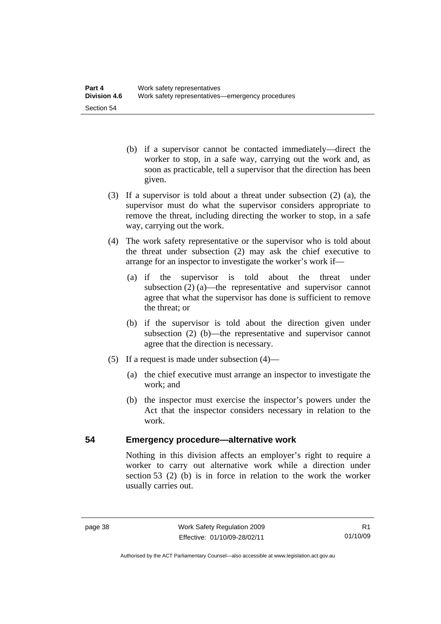- (b) if a supervisor cannot be contacted immediately—direct the worker to stop, in a safe way, carrying out the work and, as soon as practicable, tell a supervisor that the direction has been given.
- (3) If a supervisor is told about a threat under subsection (2) (a), the supervisor must do what the supervisor considers appropriate to remove the threat, including directing the worker to stop, in a safe way, carrying out the work.
- (4) The work safety representative or the supervisor who is told about the threat under subsection (2) may ask the chief executive to arrange for an inspector to investigate the worker's work if—
	- (a) if the supervisor is told about the threat under subsection (2) (a)—the representative and supervisor cannot agree that what the supervisor has done is sufficient to remove the threat; or
	- (b) if the supervisor is told about the direction given under subsection (2) (b)—the representative and supervisor cannot agree that the direction is necessary.
- (5) If a request is made under subsection (4)—
	- (a) the chief executive must arrange an inspector to investigate the work; and
	- (b) the inspector must exercise the inspector's powers under the Act that the inspector considers necessary in relation to the work.

## **54 Emergency procedure—alternative work**

Nothing in this division affects an employer's right to require a worker to carry out alternative work while a direction under section 53 (2) (b) is in force in relation to the work the worker usually carries out.

Authorised by the ACT Parliamentary Counsel—also accessible at www.legislation.act.gov.au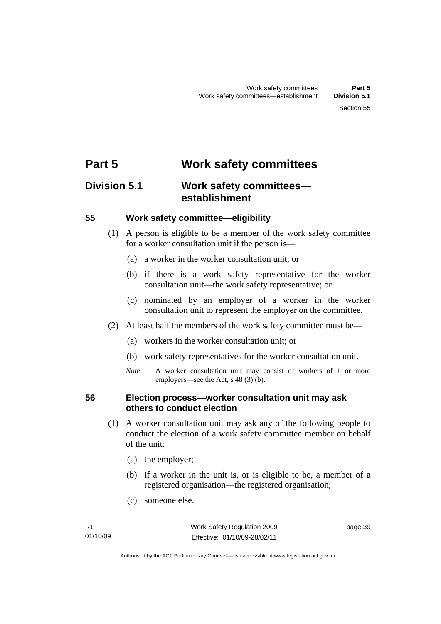# **Part 5 Work safety committees**

# **Division 5.1 Work safety committees establishment**

## **55 Work safety committee—eligibility**

- (1) A person is eligible to be a member of the work safety committee for a worker consultation unit if the person is—
	- (a) a worker in the worker consultation unit; or
	- (b) if there is a work safety representative for the worker consultation unit—the work safety representative; or
	- (c) nominated by an employer of a worker in the worker consultation unit to represent the employer on the committee.
- (2) At least half the members of the work safety committee must be—
	- (a) workers in the worker consultation unit; or
	- (b) work safety representatives for the worker consultation unit.
	- *Note* A worker consultation unit may consist of workers of 1 or more employers—see the Act, s 48 (3) (b).

## **56 Election process—worker consultation unit may ask others to conduct election**

- (1) A worker consultation unit may ask any of the following people to conduct the election of a work safety committee member on behalf of the unit:
	- (a) the employer;
	- (b) if a worker in the unit is, or is eligible to be, a member of a registered organisation—the registered organisation;
	- (c) someone else.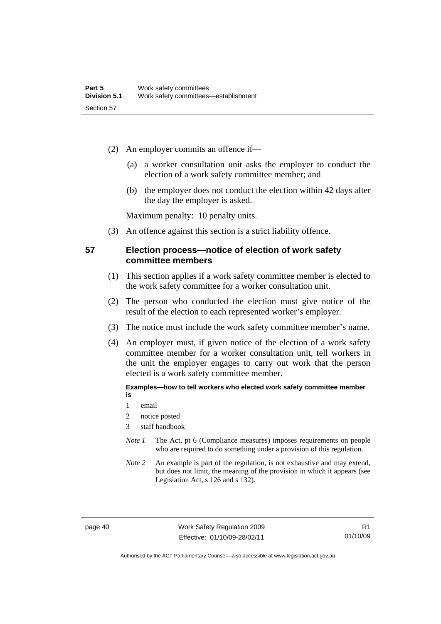- (2) An employer commits an offence if—
	- (a) a worker consultation unit asks the employer to conduct the election of a work safety committee member; and
	- (b) the employer does not conduct the election within 42 days after the day the employer is asked.

Maximum penalty: 10 penalty units.

(3) An offence against this section is a strict liability offence.

## **57 Election process—notice of election of work safety committee members**

- (1) This section applies if a work safety committee member is elected to the work safety committee for a worker consultation unit.
- (2) The person who conducted the election must give notice of the result of the election to each represented worker's employer.
- (3) The notice must include the work safety committee member's name.
- (4) An employer must, if given notice of the election of a work safety committee member for a worker consultation unit, tell workers in the unit the employer engages to carry out work that the person elected is a work safety committee member.

#### **Examples—how to tell workers who elected work safety committee member is**

- 1 email
- 2 notice posted
- 3 staff handbook
- *Note 1* The Act, pt 6 (Compliance measures) imposes requirements on people who are required to do something under a provision of this regulation.
- *Note 2* An example is part of the regulation, is not exhaustive and may extend, but does not limit, the meaning of the provision in which it appears (see Legislation Act, s 126 and s 132).

page 40 Work Safety Regulation 2009 Effective: 01/10/09-28/02/11

Authorised by the ACT Parliamentary Counsel—also accessible at www.legislation.act.gov.au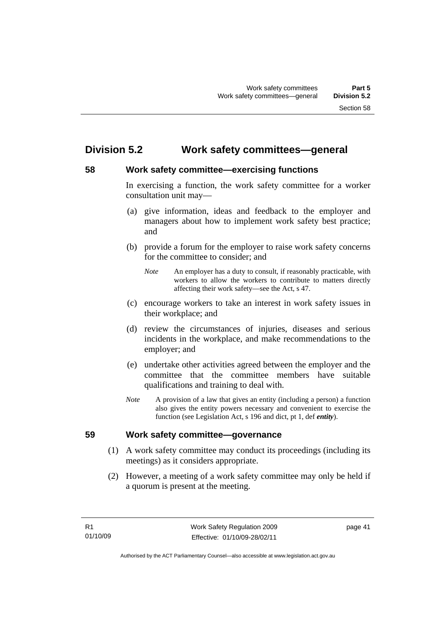# **Division 5.2 Work safety committees—general**

# **58 Work safety committee—exercising functions**

In exercising a function, the work safety committee for a worker consultation unit may—

- (a) give information, ideas and feedback to the employer and managers about how to implement work safety best practice; and
- (b) provide a forum for the employer to raise work safety concerns for the committee to consider; and
	- *Note* An employer has a duty to consult, if reasonably practicable, with workers to allow the workers to contribute to matters directly affecting their work safety—see the Act, s 47.
- (c) encourage workers to take an interest in work safety issues in their workplace; and
- (d) review the circumstances of injuries, diseases and serious incidents in the workplace, and make recommendations to the employer; and
- (e) undertake other activities agreed between the employer and the committee that the committee members have suitable qualifications and training to deal with.
- *Note* A provision of a law that gives an entity (including a person) a function also gives the entity powers necessary and convenient to exercise the function (see Legislation Act, s 196 and dict, pt 1, def *entity*).

## **59 Work safety committee—governance**

- (1) A work safety committee may conduct its proceedings (including its meetings) as it considers appropriate.
- (2) However, a meeting of a work safety committee may only be held if a quorum is present at the meeting.

page 41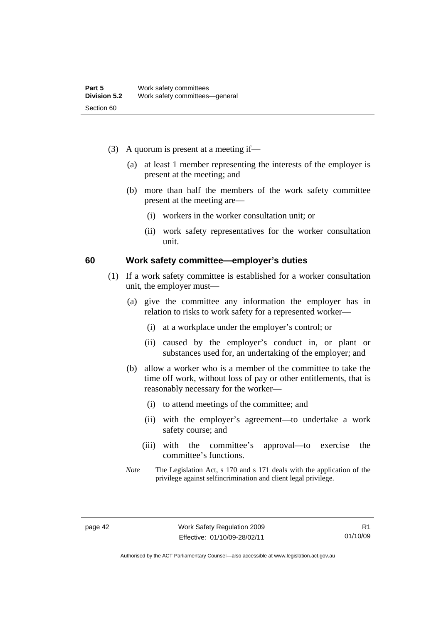- (3) A quorum is present at a meeting if—
	- (a) at least 1 member representing the interests of the employer is present at the meeting; and
	- (b) more than half the members of the work safety committee present at the meeting are—
		- (i) workers in the worker consultation unit; or
		- (ii) work safety representatives for the worker consultation unit.

#### **60 Work safety committee—employer's duties**

- (1) If a work safety committee is established for a worker consultation unit, the employer must—
	- (a) give the committee any information the employer has in relation to risks to work safety for a represented worker—
		- (i) at a workplace under the employer's control; or
		- (ii) caused by the employer's conduct in, or plant or substances used for, an undertaking of the employer; and
	- (b) allow a worker who is a member of the committee to take the time off work, without loss of pay or other entitlements, that is reasonably necessary for the worker—
		- (i) to attend meetings of the committee; and
		- (ii) with the employer's agreement—to undertake a work safety course; and
		- (iii) with the committee's approval—to exercise the committee's functions.
	- *Note* The Legislation Act, s 170 and s 171 deals with the application of the privilege against selfincrimination and client legal privilege.

Authorised by the ACT Parliamentary Counsel—also accessible at www.legislation.act.gov.au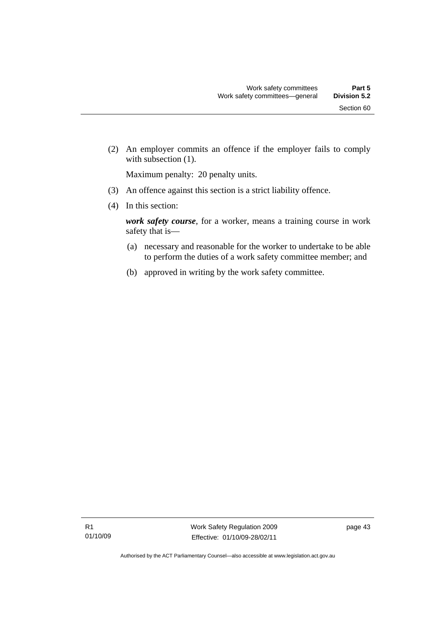(2) An employer commits an offence if the employer fails to comply with subsection (1).

Maximum penalty: 20 penalty units.

- (3) An offence against this section is a strict liability offence.
- (4) In this section:

*work safety course*, for a worker, means a training course in work safety that is—

- (a) necessary and reasonable for the worker to undertake to be able to perform the duties of a work safety committee member; and
- (b) approved in writing by the work safety committee.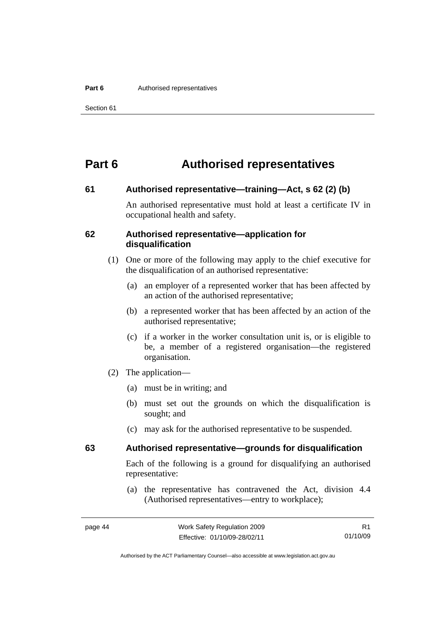#### **Part 6 Authorised representatives**

# **Part 6 Authorised representatives**

#### **61 Authorised representative—training—Act, s 62 (2) (b)**

An authorised representative must hold at least a certificate IV in occupational health and safety.

#### **62 Authorised representative—application for disqualification**

- (1) One or more of the following may apply to the chief executive for the disqualification of an authorised representative:
	- (a) an employer of a represented worker that has been affected by an action of the authorised representative;
	- (b) a represented worker that has been affected by an action of the authorised representative;
	- (c) if a worker in the worker consultation unit is, or is eligible to be, a member of a registered organisation—the registered organisation.
- (2) The application—
	- (a) must be in writing; and
	- (b) must set out the grounds on which the disqualification is sought; and
	- (c) may ask for the authorised representative to be suspended.

# **63 Authorised representative—grounds for disqualification**

Each of the following is a ground for disqualifying an authorised representative:

 (a) the representative has contravened the Act, division 4.4 (Authorised representatives—entry to workplace);

Authorised by the ACT Parliamentary Counsel—also accessible at www.legislation.act.gov.au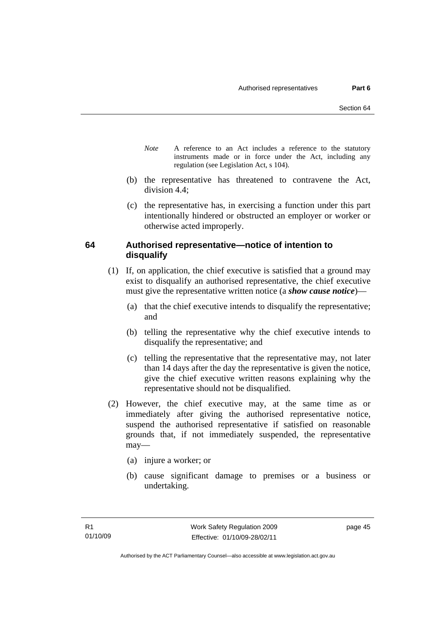- *Note* A reference to an Act includes a reference to the statutory instruments made or in force under the Act, including any regulation (see Legislation Act, s 104).
- (b) the representative has threatened to contravene the Act, division 4.4;
- (c) the representative has, in exercising a function under this part intentionally hindered or obstructed an employer or worker or otherwise acted improperly.

# **64 Authorised representative—notice of intention to disqualify**

- (1) If, on application, the chief executive is satisfied that a ground may exist to disqualify an authorised representative, the chief executive must give the representative written notice (a *show cause notice*)—
	- (a) that the chief executive intends to disqualify the representative; and
	- (b) telling the representative why the chief executive intends to disqualify the representative; and
	- (c) telling the representative that the representative may, not later than 14 days after the day the representative is given the notice, give the chief executive written reasons explaining why the representative should not be disqualified.
- (2) However, the chief executive may, at the same time as or immediately after giving the authorised representative notice, suspend the authorised representative if satisfied on reasonable grounds that, if not immediately suspended, the representative may—
	- (a) injure a worker; or
	- (b) cause significant damage to premises or a business or undertaking.

page 45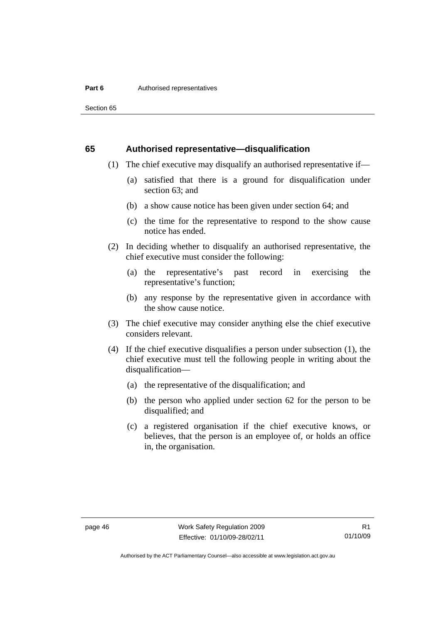Section 65

#### **65 Authorised representative—disqualification**

- (1) The chief executive may disqualify an authorised representative if—
	- (a) satisfied that there is a ground for disqualification under section 63; and
	- (b) a show cause notice has been given under section 64; and
	- (c) the time for the representative to respond to the show cause notice has ended.
- (2) In deciding whether to disqualify an authorised representative, the chief executive must consider the following:
	- (a) the representative's past record in exercising the representative's function;
	- (b) any response by the representative given in accordance with the show cause notice.
- (3) The chief executive may consider anything else the chief executive considers relevant.
- (4) If the chief executive disqualifies a person under subsection (1), the chief executive must tell the following people in writing about the disqualification—
	- (a) the representative of the disqualification; and
	- (b) the person who applied under section 62 for the person to be disqualified; and
	- (c) a registered organisation if the chief executive knows, or believes, that the person is an employee of, or holds an office in, the organisation.

Authorised by the ACT Parliamentary Counsel—also accessible at www.legislation.act.gov.au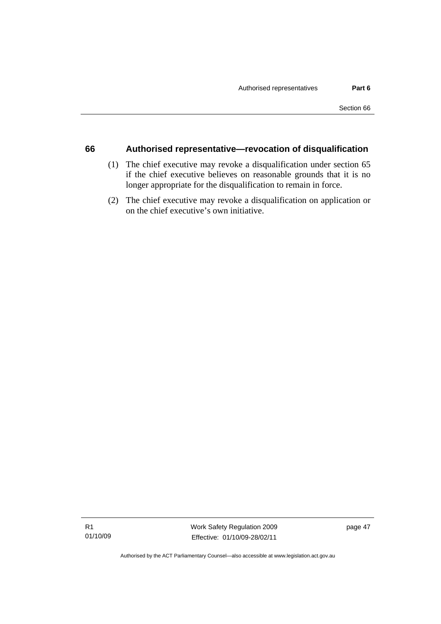## **66 Authorised representative—revocation of disqualification**

- (1) The chief executive may revoke a disqualification under section 65 if the chief executive believes on reasonable grounds that it is no longer appropriate for the disqualification to remain in force.
- (2) The chief executive may revoke a disqualification on application or on the chief executive's own initiative.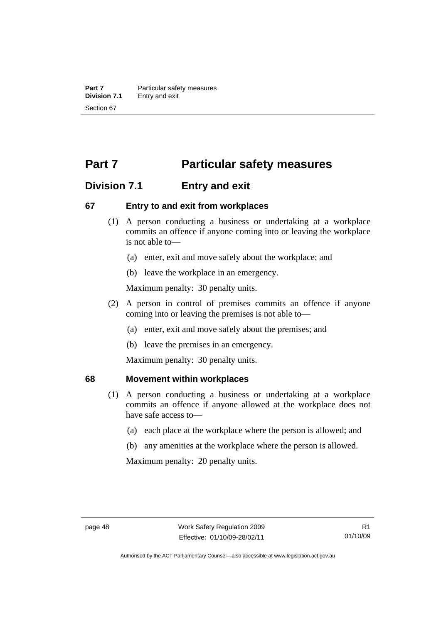# **Part 7** Particular safety measures

# **Division 7.1 Entry and exit**

# **67 Entry to and exit from workplaces**

- (1) A person conducting a business or undertaking at a workplace commits an offence if anyone coming into or leaving the workplace is not able to—
	- (a) enter, exit and move safely about the workplace; and
	- (b) leave the workplace in an emergency.

Maximum penalty: 30 penalty units.

- (2) A person in control of premises commits an offence if anyone coming into or leaving the premises is not able to—
	- (a) enter, exit and move safely about the premises; and
	- (b) leave the premises in an emergency.

Maximum penalty: 30 penalty units.

## **68 Movement within workplaces**

- (1) A person conducting a business or undertaking at a workplace commits an offence if anyone allowed at the workplace does not have safe access to—
	- (a) each place at the workplace where the person is allowed; and
	- (b) any amenities at the workplace where the person is allowed.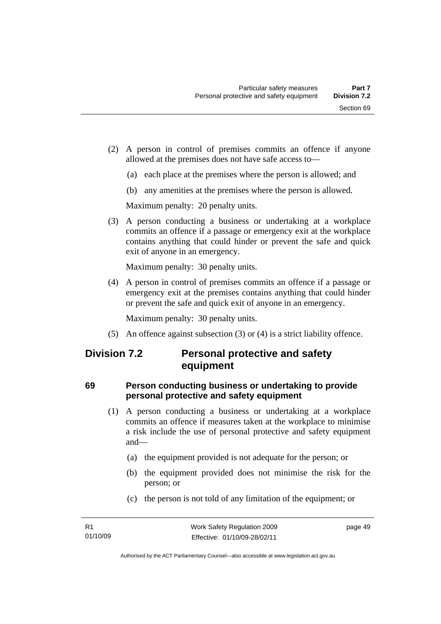- (2) A person in control of premises commits an offence if anyone allowed at the premises does not have safe access to—
	- (a) each place at the premises where the person is allowed; and
	- (b) any amenities at the premises where the person is allowed.

Maximum penalty: 20 penalty units.

 (3) A person conducting a business or undertaking at a workplace commits an offence if a passage or emergency exit at the workplace contains anything that could hinder or prevent the safe and quick exit of anyone in an emergency.

Maximum penalty: 30 penalty units.

 (4) A person in control of premises commits an offence if a passage or emergency exit at the premises contains anything that could hinder or prevent the safe and quick exit of anyone in an emergency.

Maximum penalty: 30 penalty units.

(5) An offence against subsection (3) or (4) is a strict liability offence.

# **Division 7.2 Personal protective and safety equipment**

# **69 Person conducting business or undertaking to provide personal protective and safety equipment**

- (1) A person conducting a business or undertaking at a workplace commits an offence if measures taken at the workplace to minimise a risk include the use of personal protective and safety equipment and—
	- (a) the equipment provided is not adequate for the person; or
	- (b) the equipment provided does not minimise the risk for the person; or
	- (c) the person is not told of any limitation of the equipment; or

page 49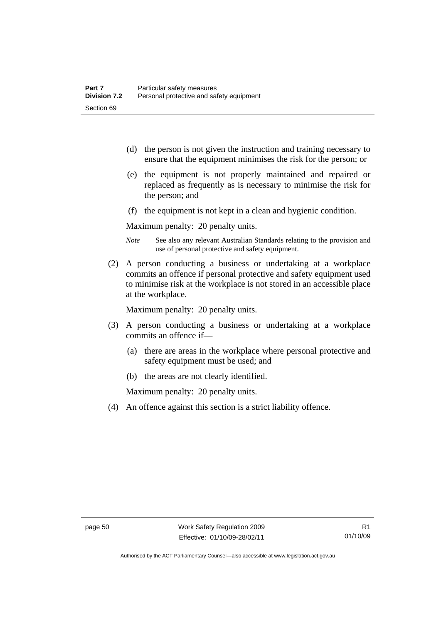- (d) the person is not given the instruction and training necessary to ensure that the equipment minimises the risk for the person; or
- (e) the equipment is not properly maintained and repaired or replaced as frequently as is necessary to minimise the risk for the person; and
- (f) the equipment is not kept in a clean and hygienic condition.

Maximum penalty: 20 penalty units.

- *Note* See also any relevant Australian Standards relating to the provision and use of personal protective and safety equipment.
- (2) A person conducting a business or undertaking at a workplace commits an offence if personal protective and safety equipment used to minimise risk at the workplace is not stored in an accessible place at the workplace.

Maximum penalty: 20 penalty units.

- (3) A person conducting a business or undertaking at a workplace commits an offence if—
	- (a) there are areas in the workplace where personal protective and safety equipment must be used; and
	- (b) the areas are not clearly identified.

Maximum penalty: 20 penalty units.

(4) An offence against this section is a strict liability offence.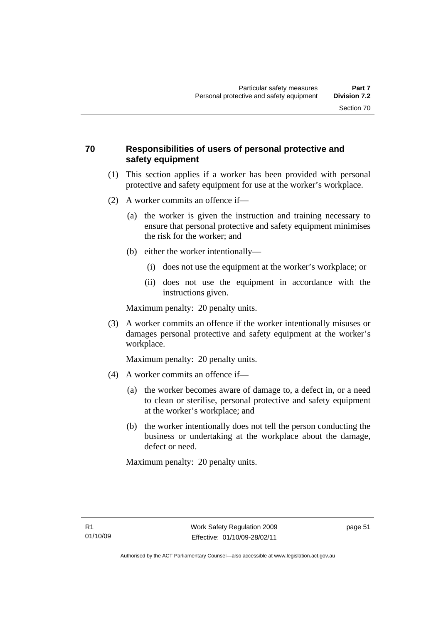# **70 Responsibilities of users of personal protective and safety equipment**

- (1) This section applies if a worker has been provided with personal protective and safety equipment for use at the worker's workplace.
- (2) A worker commits an offence if—
	- (a) the worker is given the instruction and training necessary to ensure that personal protective and safety equipment minimises the risk for the worker; and
	- (b) either the worker intentionally—
		- (i) does not use the equipment at the worker's workplace; or
		- (ii) does not use the equipment in accordance with the instructions given.

Maximum penalty: 20 penalty units.

 (3) A worker commits an offence if the worker intentionally misuses or damages personal protective and safety equipment at the worker's workplace.

Maximum penalty: 20 penalty units.

- (4) A worker commits an offence if—
	- (a) the worker becomes aware of damage to, a defect in, or a need to clean or sterilise, personal protective and safety equipment at the worker's workplace; and
	- (b) the worker intentionally does not tell the person conducting the business or undertaking at the workplace about the damage, defect or need.

Maximum penalty: 20 penalty units.

page 51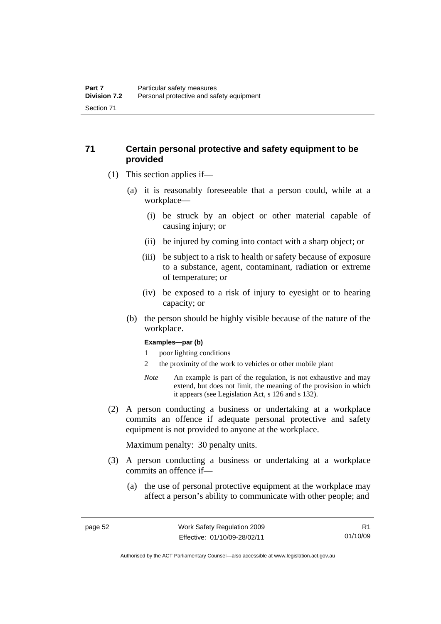# **71 Certain personal protective and safety equipment to be provided**

- (1) This section applies if—
	- (a) it is reasonably foreseeable that a person could, while at a workplace—
		- (i) be struck by an object or other material capable of causing injury; or
		- (ii) be injured by coming into contact with a sharp object; or
		- (iii) be subject to a risk to health or safety because of exposure to a substance, agent, contaminant, radiation or extreme of temperature; or
		- (iv) be exposed to a risk of injury to eyesight or to hearing capacity; or
	- (b) the person should be highly visible because of the nature of the workplace.

#### **Examples—par (b)**

- 1 poor lighting conditions
- 2 the proximity of the work to vehicles or other mobile plant
- *Note* An example is part of the regulation, is not exhaustive and may extend, but does not limit, the meaning of the provision in which it appears (see Legislation Act, s 126 and s 132).
- (2) A person conducting a business or undertaking at a workplace commits an offence if adequate personal protective and safety equipment is not provided to anyone at the workplace.

- (3) A person conducting a business or undertaking at a workplace commits an offence if—
	- (a) the use of personal protective equipment at the workplace may affect a person's ability to communicate with other people; and

R1 01/10/09

Authorised by the ACT Parliamentary Counsel—also accessible at www.legislation.act.gov.au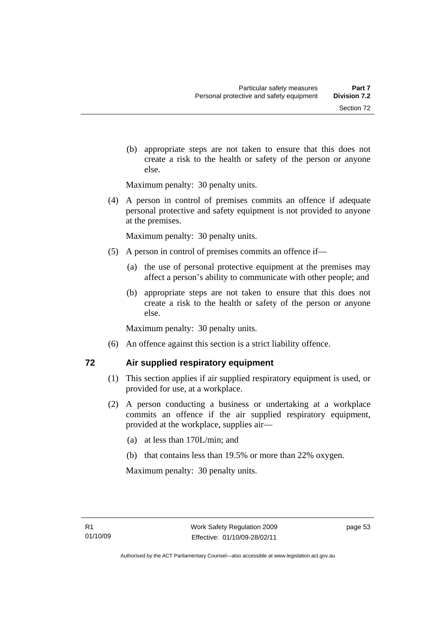(b) appropriate steps are not taken to ensure that this does not create a risk to the health or safety of the person or anyone else.

Maximum penalty: 30 penalty units.

 (4) A person in control of premises commits an offence if adequate personal protective and safety equipment is not provided to anyone at the premises.

Maximum penalty: 30 penalty units.

- (5) A person in control of premises commits an offence if—
	- (a) the use of personal protective equipment at the premises may affect a person's ability to communicate with other people; and
	- (b) appropriate steps are not taken to ensure that this does not create a risk to the health or safety of the person or anyone else.

Maximum penalty: 30 penalty units.

(6) An offence against this section is a strict liability offence.

## **72 Air supplied respiratory equipment**

- (1) This section applies if air supplied respiratory equipment is used, or provided for use, at a workplace.
- (2) A person conducting a business or undertaking at a workplace commits an offence if the air supplied respiratory equipment, provided at the workplace, supplies air—
	- (a) at less than 170L/min; and
	- (b) that contains less than 19.5% or more than 22% oxygen.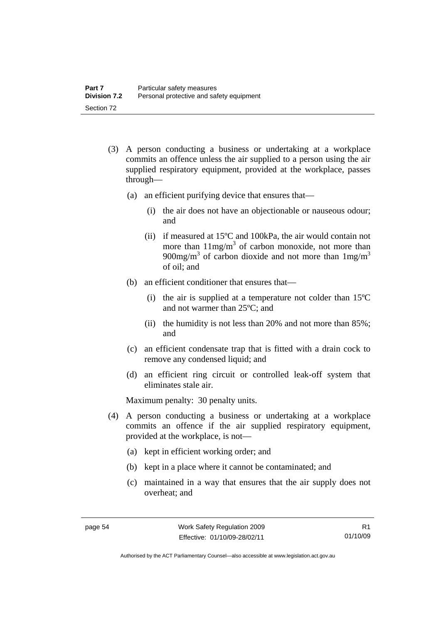- (3) A person conducting a business or undertaking at a workplace commits an offence unless the air supplied to a person using the air supplied respiratory equipment, provided at the workplace, passes through—
	- (a) an efficient purifying device that ensures that—
		- (i) the air does not have an objectionable or nauseous odour; and
		- (ii) if measured at 15ºC and 100kPa, the air would contain not more than  $11mg/m<sup>3</sup>$  of carbon monoxide, not more than 900mg/m<sup>3</sup> of carbon dioxide and not more than  $1 \text{mg/m}^3$ of oil; and
	- (b) an efficient conditioner that ensures that—
		- (i) the air is supplied at a temperature not colder than 15ºC and not warmer than 25ºC; and
		- (ii) the humidity is not less than 20% and not more than 85%; and
	- (c) an efficient condensate trap that is fitted with a drain cock to remove any condensed liquid; and
	- (d) an efficient ring circuit or controlled leak-off system that eliminates stale air.

- (4) A person conducting a business or undertaking at a workplace commits an offence if the air supplied respiratory equipment, provided at the workplace, is not—
	- (a) kept in efficient working order; and
	- (b) kept in a place where it cannot be contaminated; and
	- (c) maintained in a way that ensures that the air supply does not overheat; and

R1 01/10/09

Authorised by the ACT Parliamentary Counsel—also accessible at www.legislation.act.gov.au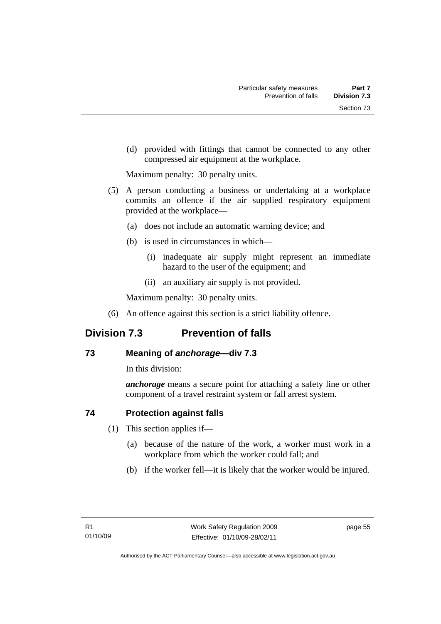(d) provided with fittings that cannot be connected to any other compressed air equipment at the workplace.

Maximum penalty: 30 penalty units.

- (5) A person conducting a business or undertaking at a workplace commits an offence if the air supplied respiratory equipment provided at the workplace—
	- (a) does not include an automatic warning device; and
	- (b) is used in circumstances in which—
		- (i) inadequate air supply might represent an immediate hazard to the user of the equipment; and
		- (ii) an auxiliary air supply is not provided.

Maximum penalty: 30 penalty units.

(6) An offence against this section is a strict liability offence.

# **Division 7.3 Prevention of falls**

# **73 Meaning of** *anchorage—***div 7.3**

In this division:

*anchorage* means a secure point for attaching a safety line or other component of a travel restraint system or fall arrest system.

# **74 Protection against falls**

- (1) This section applies if—
	- (a) because of the nature of the work, a worker must work in a workplace from which the worker could fall; and
	- (b) if the worker fell—it is likely that the worker would be injured.

page 55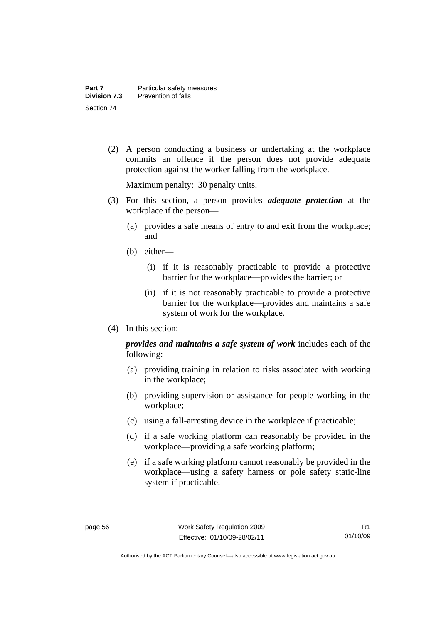(2) A person conducting a business or undertaking at the workplace commits an offence if the person does not provide adequate protection against the worker falling from the workplace.

Maximum penalty: 30 penalty units.

- (3) For this section, a person provides *adequate protection* at the workplace if the person—
	- (a) provides a safe means of entry to and exit from the workplace; and
	- (b) either—
		- (i) if it is reasonably practicable to provide a protective barrier for the workplace—provides the barrier; or
		- (ii) if it is not reasonably practicable to provide a protective barrier for the workplace—provides and maintains a safe system of work for the workplace.
- (4) In this section:

*provides and maintains a safe system of work* includes each of the following:

- (a) providing training in relation to risks associated with working in the workplace;
- (b) providing supervision or assistance for people working in the workplace;
- (c) using a fall-arresting device in the workplace if practicable;
- (d) if a safe working platform can reasonably be provided in the workplace—providing a safe working platform;
- (e) if a safe working platform cannot reasonably be provided in the workplace—using a safety harness or pole safety static-line system if practicable.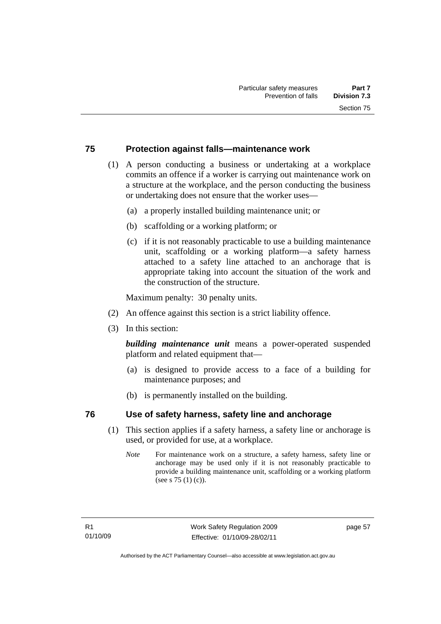# **75 Protection against falls—maintenance work**

- (1) A person conducting a business or undertaking at a workplace commits an offence if a worker is carrying out maintenance work on a structure at the workplace, and the person conducting the business or undertaking does not ensure that the worker uses—
	- (a) a properly installed building maintenance unit; or
	- (b) scaffolding or a working platform; or
	- (c) if it is not reasonably practicable to use a building maintenance unit, scaffolding or a working platform—a safety harness attached to a safety line attached to an anchorage that is appropriate taking into account the situation of the work and the construction of the structure.

Maximum penalty: 30 penalty units.

- (2) An offence against this section is a strict liability offence.
- (3) In this section:

*building maintenance unit* means a power-operated suspended platform and related equipment that—

- (a) is designed to provide access to a face of a building for maintenance purposes; and
- (b) is permanently installed on the building.

# **76 Use of safety harness, safety line and anchorage**

- (1) This section applies if a safety harness, a safety line or anchorage is used, or provided for use, at a workplace.
	- *Note* For maintenance work on a structure, a safety harness, safety line or anchorage may be used only if it is not reasonably practicable to provide a building maintenance unit, scaffolding or a working platform (see s 75 (1) (c)).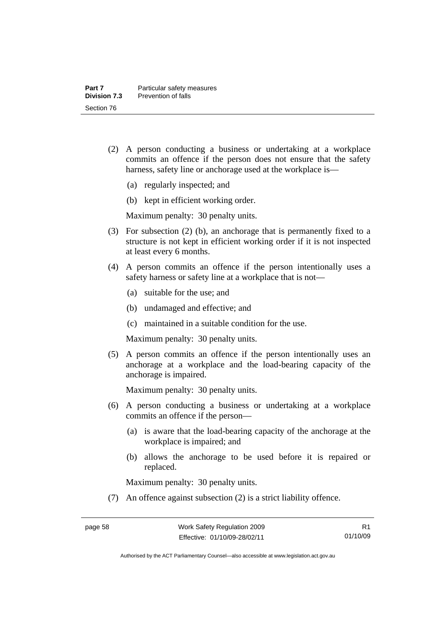- (2) A person conducting a business or undertaking at a workplace commits an offence if the person does not ensure that the safety harness, safety line or anchorage used at the workplace is—
	- (a) regularly inspected; and
	- (b) kept in efficient working order.

Maximum penalty: 30 penalty units.

- (3) For subsection (2) (b), an anchorage that is permanently fixed to a structure is not kept in efficient working order if it is not inspected at least every 6 months.
- (4) A person commits an offence if the person intentionally uses a safety harness or safety line at a workplace that is not—
	- (a) suitable for the use; and
	- (b) undamaged and effective; and
	- (c) maintained in a suitable condition for the use.

Maximum penalty: 30 penalty units.

 (5) A person commits an offence if the person intentionally uses an anchorage at a workplace and the load-bearing capacity of the anchorage is impaired.

Maximum penalty: 30 penalty units.

- (6) A person conducting a business or undertaking at a workplace commits an offence if the person—
	- (a) is aware that the load-bearing capacity of the anchorage at the workplace is impaired; and
	- (b) allows the anchorage to be used before it is repaired or replaced.

Maximum penalty: 30 penalty units.

(7) An offence against subsection (2) is a strict liability offence.

Authorised by the ACT Parliamentary Counsel—also accessible at www.legislation.act.gov.au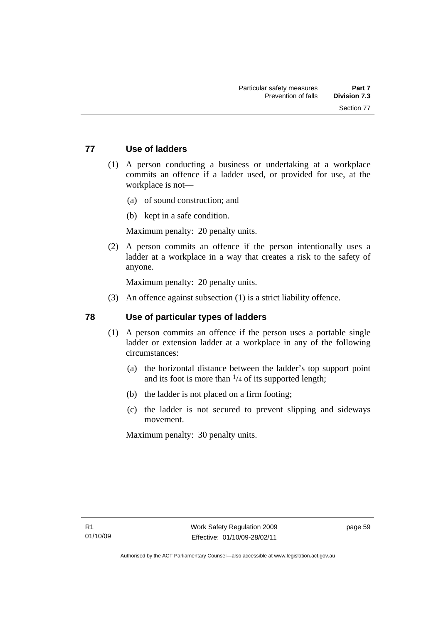# **77 Use of ladders**

- (1) A person conducting a business or undertaking at a workplace commits an offence if a ladder used, or provided for use, at the workplace is not—
	- (a) of sound construction; and
	- (b) kept in a safe condition.

Maximum penalty: 20 penalty units.

 (2) A person commits an offence if the person intentionally uses a ladder at a workplace in a way that creates a risk to the safety of anyone.

Maximum penalty: 20 penalty units.

(3) An offence against subsection (1) is a strict liability offence.

# **78 Use of particular types of ladders**

- (1) A person commits an offence if the person uses a portable single ladder or extension ladder at a workplace in any of the following circumstances:
	- (a) the horizontal distance between the ladder's top support point and its foot is more than  $\frac{1}{4}$  of its supported length;
	- (b) the ladder is not placed on a firm footing;
	- (c) the ladder is not secured to prevent slipping and sideways movement.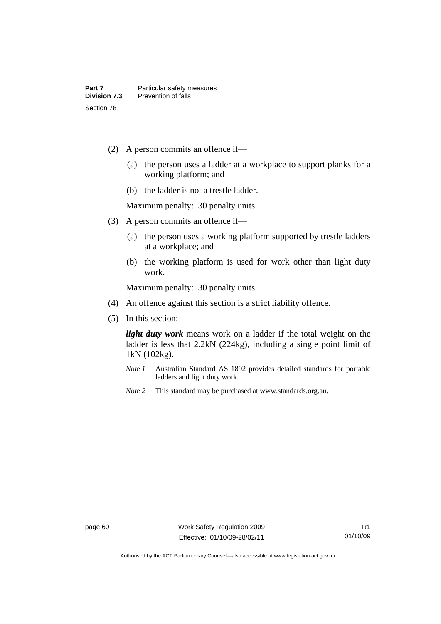- (2) A person commits an offence if—
	- (a) the person uses a ladder at a workplace to support planks for a working platform; and
	- (b) the ladder is not a trestle ladder.

Maximum penalty: 30 penalty units.

- (3) A person commits an offence if—
	- (a) the person uses a working platform supported by trestle ladders at a workplace; and
	- (b) the working platform is used for work other than light duty work.

Maximum penalty: 30 penalty units.

- (4) An offence against this section is a strict liability offence.
- (5) In this section:

*light duty work* means work on a ladder if the total weight on the ladder is less that 2.2kN (224kg), including a single point limit of 1kN (102kg).

- *Note 1* Australian Standard AS 1892 provides detailed standards for portable ladders and light duty work.
- *Note 2* This standard may be purchased at www.standards.org.au.

Authorised by the ACT Parliamentary Counsel—also accessible at www.legislation.act.gov.au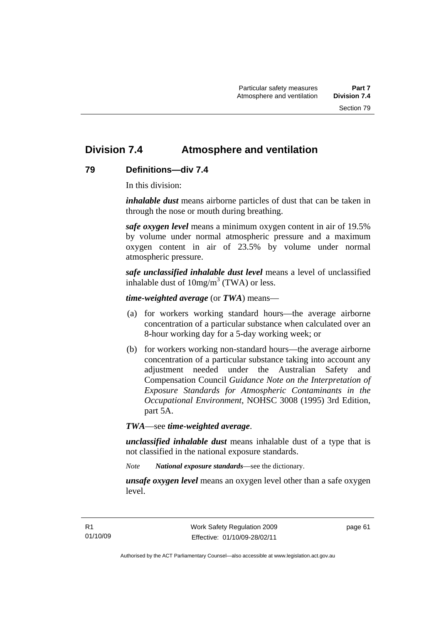# **Division 7.4 Atmosphere and ventilation**

# **79 Definitions—div 7.4**

In this division:

*inhalable dust* means airborne particles of dust that can be taken in through the nose or mouth during breathing.

*safe oxygen level* means a minimum oxygen content in air of 19.5% by volume under normal atmospheric pressure and a maximum oxygen content in air of 23.5% by volume under normal atmospheric pressure.

*safe unclassified inhalable dust level* means a level of unclassified inhalable dust of  $10mg/m<sup>3</sup>$  (TWA) or less.

*time-weighted average* (or *TWA*) means—

- (a) for workers working standard hours—the average airborne concentration of a particular substance when calculated over an 8-hour working day for a 5-day working week; or
- (b) for workers working non-standard hours—the average airborne concentration of a particular substance taking into account any adjustment needed under the Australian Safety and Compensation Council *Guidance Note on the Interpretation of Exposure Standards for Atmospheric Contaminants in the Occupational Environment*, NOHSC 3008 (1995) 3rd Edition, part 5A.

*TWA*—see *time-weighted average*.

*unclassified inhalable dust* means inhalable dust of a type that is not classified in the national exposure standards.

*Note National exposure standards*—see the dictionary.

*unsafe oxygen level* means an oxygen level other than a safe oxygen level.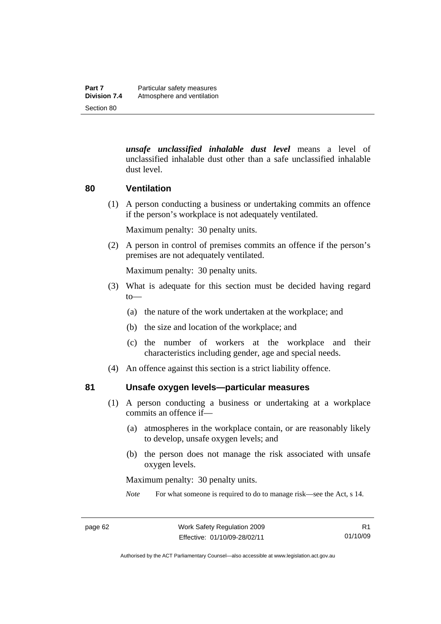*unsafe unclassified inhalable dust level* means a level of unclassified inhalable dust other than a safe unclassified inhalable dust level.

## **80 Ventilation**

 (1) A person conducting a business or undertaking commits an offence if the person's workplace is not adequately ventilated.

Maximum penalty: 30 penalty units.

 (2) A person in control of premises commits an offence if the person's premises are not adequately ventilated.

Maximum penalty: 30 penalty units.

- (3) What is adequate for this section must be decided having regard to—
	- (a) the nature of the work undertaken at the workplace; and
	- (b) the size and location of the workplace; and
	- (c) the number of workers at the workplace and their characteristics including gender, age and special needs.
- (4) An offence against this section is a strict liability offence.

### **81 Unsafe oxygen levels—particular measures**

- (1) A person conducting a business or undertaking at a workplace commits an offence if—
	- (a) atmospheres in the workplace contain, or are reasonably likely to develop, unsafe oxygen levels; and
	- (b) the person does not manage the risk associated with unsafe oxygen levels.

Maximum penalty: 30 penalty units.

*Note* For what someone is required to do to manage risk—see the Act, s 14.

Authorised by the ACT Parliamentary Counsel—also accessible at www.legislation.act.gov.au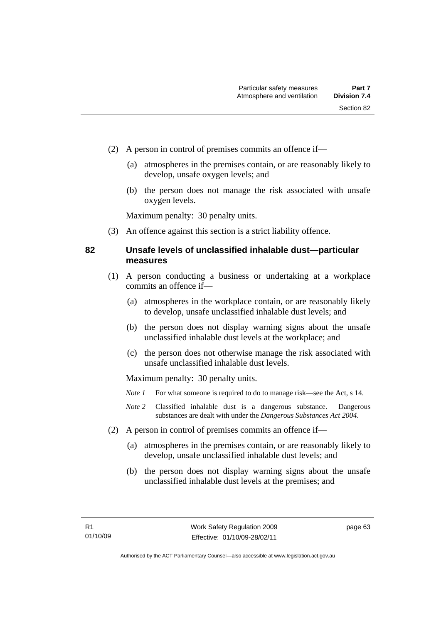- (2) A person in control of premises commits an offence if—
	- (a) atmospheres in the premises contain, or are reasonably likely to develop, unsafe oxygen levels; and
	- (b) the person does not manage the risk associated with unsafe oxygen levels.

Maximum penalty: 30 penalty units.

(3) An offence against this section is a strict liability offence.

## **82 Unsafe levels of unclassified inhalable dust—particular measures**

- (1) A person conducting a business or undertaking at a workplace commits an offence if—
	- (a) atmospheres in the workplace contain, or are reasonably likely to develop, unsafe unclassified inhalable dust levels; and
	- (b) the person does not display warning signs about the unsafe unclassified inhalable dust levels at the workplace; and
	- (c) the person does not otherwise manage the risk associated with unsafe unclassified inhalable dust levels.

- *Note 1* For what someone is required to do to manage risk—see the Act, s 14.
- *Note 2* Classified inhalable dust is a dangerous substance. Dangerous substances are dealt with under the *Dangerous Substances Act 2004*.
- (2) A person in control of premises commits an offence if—
	- (a) atmospheres in the premises contain, or are reasonably likely to develop, unsafe unclassified inhalable dust levels; and
	- (b) the person does not display warning signs about the unsafe unclassified inhalable dust levels at the premises; and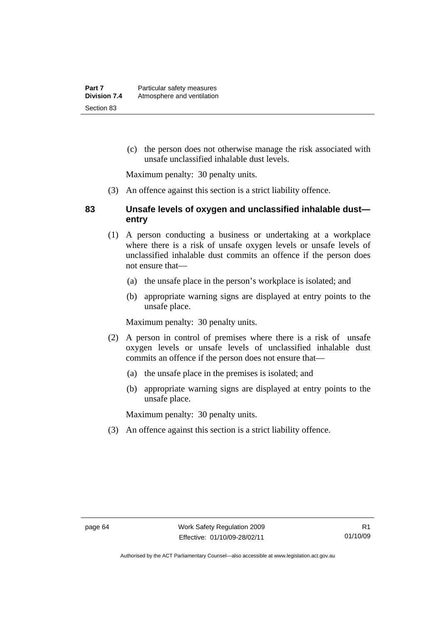(c) the person does not otherwise manage the risk associated with unsafe unclassified inhalable dust levels.

Maximum penalty: 30 penalty units.

(3) An offence against this section is a strict liability offence.

### **83 Unsafe levels of oxygen and unclassified inhalable dust entry**

- (1) A person conducting a business or undertaking at a workplace where there is a risk of unsafe oxygen levels or unsafe levels of unclassified inhalable dust commits an offence if the person does not ensure that—
	- (a) the unsafe place in the person's workplace is isolated; and
	- (b) appropriate warning signs are displayed at entry points to the unsafe place.

Maximum penalty: 30 penalty units.

- (2) A person in control of premises where there is a risk of unsafe oxygen levels or unsafe levels of unclassified inhalable dust commits an offence if the person does not ensure that—
	- (a) the unsafe place in the premises is isolated; and
	- (b) appropriate warning signs are displayed at entry points to the unsafe place.

Maximum penalty: 30 penalty units.

(3) An offence against this section is a strict liability offence.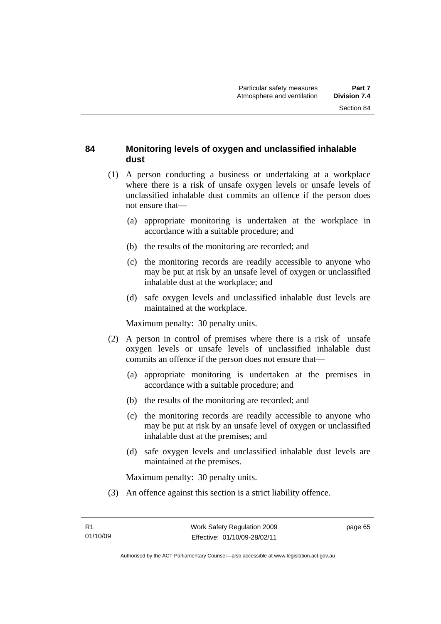# **84 Monitoring levels of oxygen and unclassified inhalable dust**

- (1) A person conducting a business or undertaking at a workplace where there is a risk of unsafe oxygen levels or unsafe levels of unclassified inhalable dust commits an offence if the person does not ensure that—
	- (a) appropriate monitoring is undertaken at the workplace in accordance with a suitable procedure; and
	- (b) the results of the monitoring are recorded; and
	- (c) the monitoring records are readily accessible to anyone who may be put at risk by an unsafe level of oxygen or unclassified inhalable dust at the workplace; and
	- (d) safe oxygen levels and unclassified inhalable dust levels are maintained at the workplace.

Maximum penalty: 30 penalty units.

- (2) A person in control of premises where there is a risk of unsafe oxygen levels or unsafe levels of unclassified inhalable dust commits an offence if the person does not ensure that—
	- (a) appropriate monitoring is undertaken at the premises in accordance with a suitable procedure; and
	- (b) the results of the monitoring are recorded; and
	- (c) the monitoring records are readily accessible to anyone who may be put at risk by an unsafe level of oxygen or unclassified inhalable dust at the premises; and
	- (d) safe oxygen levels and unclassified inhalable dust levels are maintained at the premises.

Maximum penalty: 30 penalty units.

(3) An offence against this section is a strict liability offence.

page 65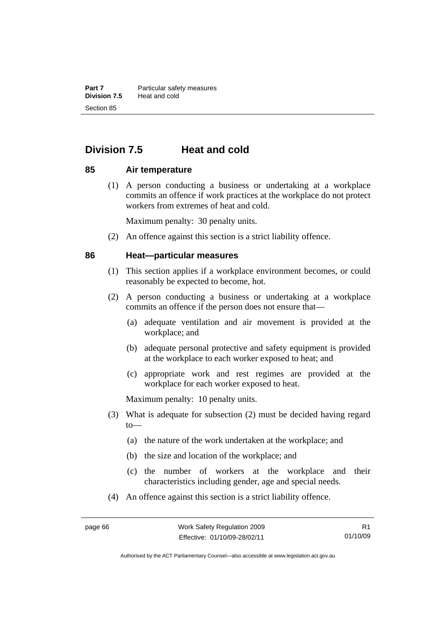**Part 7** Particular safety measures<br>**Division 7.5** Heat and cold **Division 7.5** Heat and cold Section 85

# **Division 7.5 Heat and cold**

### **85 Air temperature**

 (1) A person conducting a business or undertaking at a workplace commits an offence if work practices at the workplace do not protect workers from extremes of heat and cold.

Maximum penalty: 30 penalty units.

(2) An offence against this section is a strict liability offence.

### **86 Heat—particular measures**

- (1) This section applies if a workplace environment becomes, or could reasonably be expected to become, hot.
- (2) A person conducting a business or undertaking at a workplace commits an offence if the person does not ensure that—
	- (a) adequate ventilation and air movement is provided at the workplace; and
	- (b) adequate personal protective and safety equipment is provided at the workplace to each worker exposed to heat; and
	- (c) appropriate work and rest regimes are provided at the workplace for each worker exposed to heat.

- (3) What is adequate for subsection (2) must be decided having regard to—
	- (a) the nature of the work undertaken at the workplace; and
	- (b) the size and location of the workplace; and
	- (c) the number of workers at the workplace and their characteristics including gender, age and special needs.
- (4) An offence against this section is a strict liability offence.

Authorised by the ACT Parliamentary Counsel—also accessible at www.legislation.act.gov.au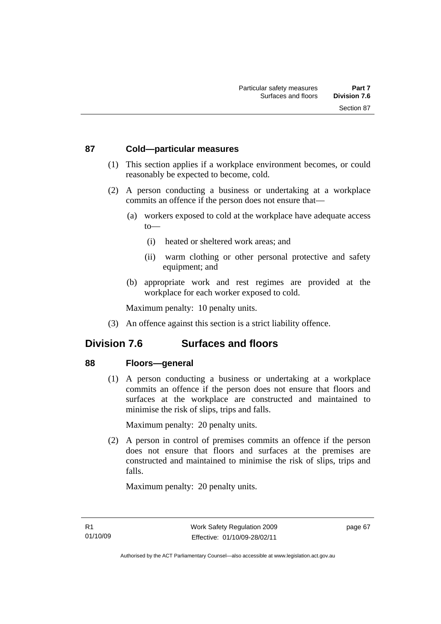## **87 Cold—particular measures**

- (1) This section applies if a workplace environment becomes, or could reasonably be expected to become, cold.
- (2) A person conducting a business or undertaking at a workplace commits an offence if the person does not ensure that—
	- (a) workers exposed to cold at the workplace have adequate access to—
		- (i) heated or sheltered work areas; and
		- (ii) warm clothing or other personal protective and safety equipment; and
	- (b) appropriate work and rest regimes are provided at the workplace for each worker exposed to cold.

Maximum penalty: 10 penalty units.

(3) An offence against this section is a strict liability offence.

# **Division 7.6 Surfaces and floors**

# **88 Floors—general**

 (1) A person conducting a business or undertaking at a workplace commits an offence if the person does not ensure that floors and surfaces at the workplace are constructed and maintained to minimise the risk of slips, trips and falls.

Maximum penalty: 20 penalty units.

 (2) A person in control of premises commits an offence if the person does not ensure that floors and surfaces at the premises are constructed and maintained to minimise the risk of slips, trips and falls.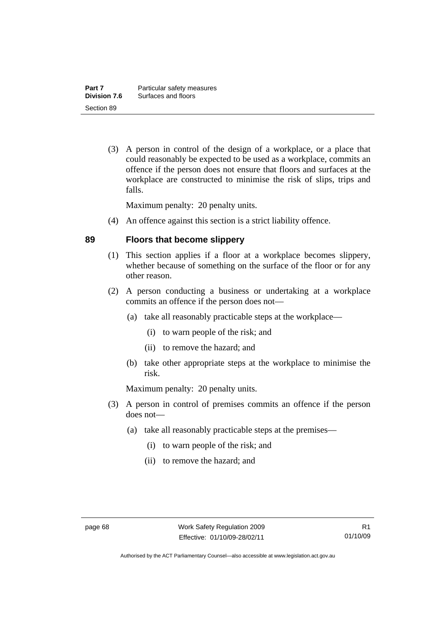(3) A person in control of the design of a workplace, or a place that could reasonably be expected to be used as a workplace, commits an offence if the person does not ensure that floors and surfaces at the workplace are constructed to minimise the risk of slips, trips and falls.

Maximum penalty: 20 penalty units.

(4) An offence against this section is a strict liability offence.

## **89 Floors that become slippery**

- (1) This section applies if a floor at a workplace becomes slippery, whether because of something on the surface of the floor or for any other reason.
- (2) A person conducting a business or undertaking at a workplace commits an offence if the person does not—
	- (a) take all reasonably practicable steps at the workplace—
		- (i) to warn people of the risk; and
		- (ii) to remove the hazard; and
	- (b) take other appropriate steps at the workplace to minimise the risk.

- (3) A person in control of premises commits an offence if the person does not—
	- (a) take all reasonably practicable steps at the premises—
		- (i) to warn people of the risk; and
		- (ii) to remove the hazard; and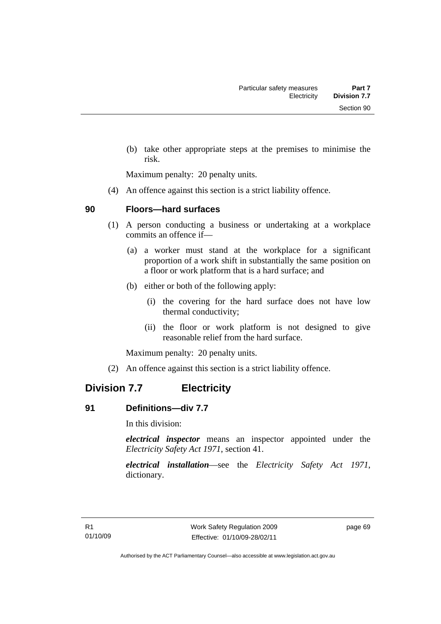(b) take other appropriate steps at the premises to minimise the risk.

Maximum penalty: 20 penalty units.

(4) An offence against this section is a strict liability offence.

## **90 Floors—hard surfaces**

- (1) A person conducting a business or undertaking at a workplace commits an offence if—
	- (a) a worker must stand at the workplace for a significant proportion of a work shift in substantially the same position on a floor or work platform that is a hard surface; and
	- (b) either or both of the following apply:
		- (i) the covering for the hard surface does not have low thermal conductivity;
		- (ii) the floor or work platform is not designed to give reasonable relief from the hard surface.

Maximum penalty: 20 penalty units.

(2) An offence against this section is a strict liability offence.

# **Division 7.7 Electricity**

# **91 Definitions—div 7.7**

In this division:

*electrical inspector* means an inspector appointed under the *Electricity Safety Act 1971*, section 41.

*electrical installation*—see the *Electricity Safety Act 1971*, dictionary.

page 69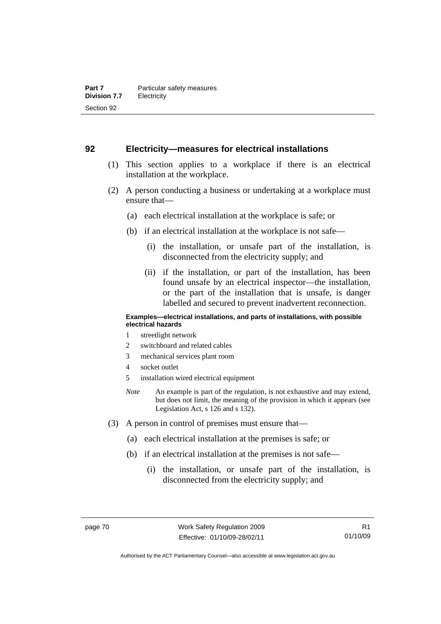### **92 Electricity—measures for electrical installations**

- (1) This section applies to a workplace if there is an electrical installation at the workplace.
- (2) A person conducting a business or undertaking at a workplace must ensure that—
	- (a) each electrical installation at the workplace is safe; or
	- (b) if an electrical installation at the workplace is not safe—
		- (i) the installation, or unsafe part of the installation, is disconnected from the electricity supply; and
		- (ii) if the installation, or part of the installation, has been found unsafe by an electrical inspector—the installation, or the part of the installation that is unsafe, is danger labelled and secured to prevent inadvertent reconnection.

#### **Examples—electrical installations, and parts of installations, with possible electrical hazards**

- 1 streetlight network
- 2 switchboard and related cables
- 3 mechanical services plant room
- 4 socket outlet
- 5 installation wired electrical equipment
- *Note* An example is part of the regulation, is not exhaustive and may extend, but does not limit, the meaning of the provision in which it appears (see Legislation Act, s 126 and s 132).
- (3) A person in control of premises must ensure that—
	- (a) each electrical installation at the premises is safe; or
	- (b) if an electrical installation at the premises is not safe—
		- (i) the installation, or unsafe part of the installation, is disconnected from the electricity supply; and

Authorised by the ACT Parliamentary Counsel—also accessible at www.legislation.act.gov.au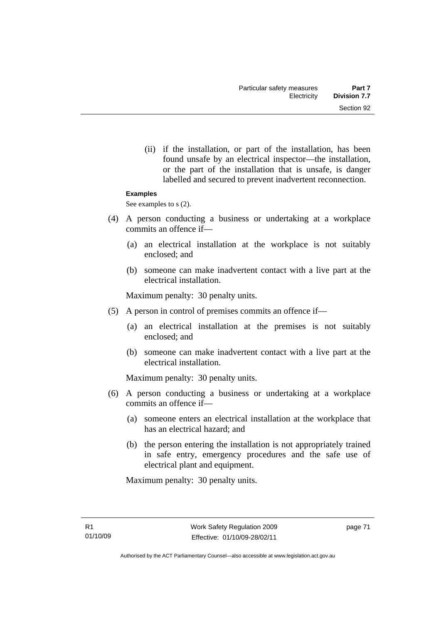(ii) if the installation, or part of the installation, has been found unsafe by an electrical inspector—the installation, or the part of the installation that is unsafe, is danger labelled and secured to prevent inadvertent reconnection.

#### **Examples**

See examples to s  $(2)$ .

- (4) A person conducting a business or undertaking at a workplace commits an offence if—
	- (a) an electrical installation at the workplace is not suitably enclosed; and
	- (b) someone can make inadvertent contact with a live part at the electrical installation.

Maximum penalty: 30 penalty units.

- (5) A person in control of premises commits an offence if—
	- (a) an electrical installation at the premises is not suitably enclosed; and
	- (b) someone can make inadvertent contact with a live part at the electrical installation.

Maximum penalty: 30 penalty units.

- (6) A person conducting a business or undertaking at a workplace commits an offence if—
	- (a) someone enters an electrical installation at the workplace that has an electrical hazard; and
	- (b) the person entering the installation is not appropriately trained in safe entry, emergency procedures and the safe use of electrical plant and equipment.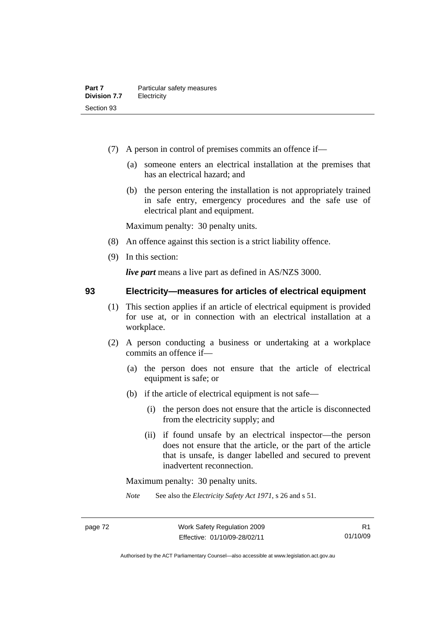- (7) A person in control of premises commits an offence if—
	- (a) someone enters an electrical installation at the premises that has an electrical hazard; and
	- (b) the person entering the installation is not appropriately trained in safe entry, emergency procedures and the safe use of electrical plant and equipment.

Maximum penalty: 30 penalty units.

- (8) An offence against this section is a strict liability offence.
- (9) In this section:

*live part* means a live part as defined in AS/NZS 3000.

**93 Electricity—measures for articles of electrical equipment** 

- (1) This section applies if an article of electrical equipment is provided for use at, or in connection with an electrical installation at a workplace.
- (2) A person conducting a business or undertaking at a workplace commits an offence if—
	- (a) the person does not ensure that the article of electrical equipment is safe; or
	- (b) if the article of electrical equipment is not safe—
		- (i) the person does not ensure that the article is disconnected from the electricity supply; and
		- (ii) if found unsafe by an electrical inspector—the person does not ensure that the article, or the part of the article that is unsafe, is danger labelled and secured to prevent inadvertent reconnection.

Maximum penalty: 30 penalty units.

*Note* See also the *Electricity Safety Act 1971*, s 26 and s 51.

R1 01/10/09

Authorised by the ACT Parliamentary Counsel—also accessible at www.legislation.act.gov.au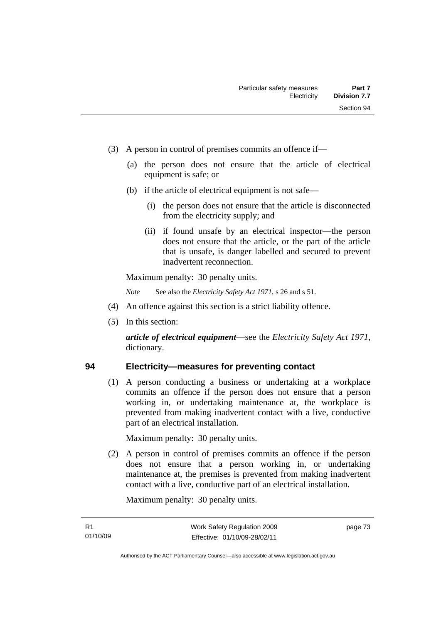- (3) A person in control of premises commits an offence if—
	- (a) the person does not ensure that the article of electrical equipment is safe; or
	- (b) if the article of electrical equipment is not safe—
		- (i) the person does not ensure that the article is disconnected from the electricity supply; and
		- (ii) if found unsafe by an electrical inspector—the person does not ensure that the article, or the part of the article that is unsafe, is danger labelled and secured to prevent inadvertent reconnection.

Maximum penalty: 30 penalty units.

*Note* See also the *Electricity Safety Act 1971*, s 26 and s 51.

- (4) An offence against this section is a strict liability offence.
- (5) In this section:

*article of electrical equipment*—see the *Electricity Safety Act 1971*, dictionary.

# **94 Electricity—measures for preventing contact**

 (1) A person conducting a business or undertaking at a workplace commits an offence if the person does not ensure that a person working in, or undertaking maintenance at, the workplace is prevented from making inadvertent contact with a live, conductive part of an electrical installation.

Maximum penalty: 30 penalty units.

 (2) A person in control of premises commits an offence if the person does not ensure that a person working in, or undertaking maintenance at, the premises is prevented from making inadvertent contact with a live, conductive part of an electrical installation.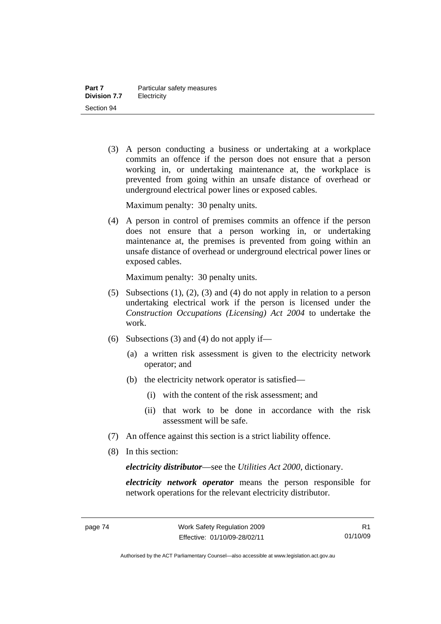(3) A person conducting a business or undertaking at a workplace commits an offence if the person does not ensure that a person working in, or undertaking maintenance at, the workplace is prevented from going within an unsafe distance of overhead or underground electrical power lines or exposed cables.

Maximum penalty: 30 penalty units.

 (4) A person in control of premises commits an offence if the person does not ensure that a person working in, or undertaking maintenance at, the premises is prevented from going within an unsafe distance of overhead or underground electrical power lines or exposed cables.

Maximum penalty: 30 penalty units.

- (5) Subsections (1), (2), (3) and (4) do not apply in relation to a person undertaking electrical work if the person is licensed under the *Construction Occupations (Licensing) Act 2004* to undertake the work.
- (6) Subsections (3) and (4) do not apply if—
	- (a) a written risk assessment is given to the electricity network operator; and
	- (b) the electricity network operator is satisfied—
		- (i) with the content of the risk assessment; and
		- (ii) that work to be done in accordance with the risk assessment will be safe.
- (7) An offence against this section is a strict liability offence.
- (8) In this section:

*electricity distributor*—see the *Utilities Act 2000*, dictionary.

*electricity network operator* means the person responsible for network operations for the relevant electricity distributor.

Authorised by the ACT Parliamentary Counsel—also accessible at www.legislation.act.gov.au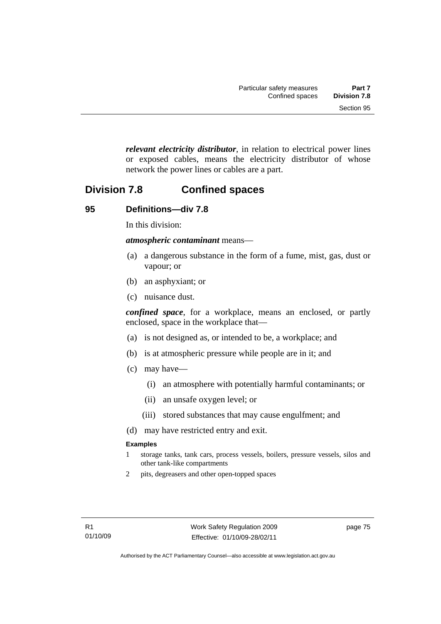*relevant electricity distributor*, in relation to electrical power lines or exposed cables, means the electricity distributor of whose network the power lines or cables are a part.

# **Division 7.8 Confined spaces**

## **95 Definitions—div 7.8**

In this division:

*atmospheric contaminant* means—

- (a) a dangerous substance in the form of a fume, mist, gas, dust or vapour; or
- (b) an asphyxiant; or
- (c) nuisance dust.

*confined space*, for a workplace, means an enclosed, or partly enclosed, space in the workplace that—

- (a) is not designed as, or intended to be, a workplace; and
- (b) is at atmospheric pressure while people are in it; and
- (c) may have—
	- (i) an atmosphere with potentially harmful contaminants; or
	- (ii) an unsafe oxygen level; or
	- (iii) stored substances that may cause engulfment; and
- (d) may have restricted entry and exit.

#### **Examples**

- 1 storage tanks, tank cars, process vessels, boilers, pressure vessels, silos and other tank-like compartments
- 2 pits, degreasers and other open-topped spaces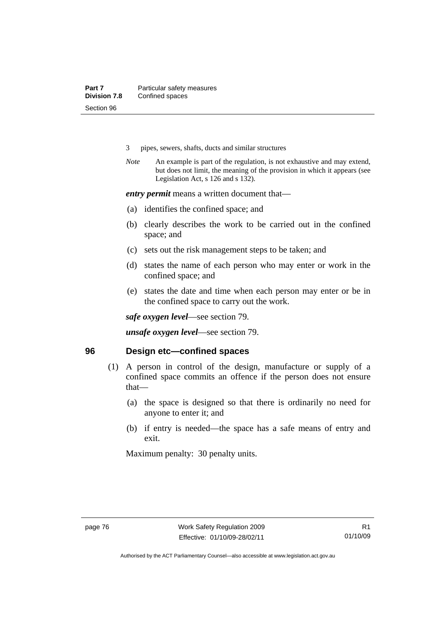- 3 pipes, sewers, shafts, ducts and similar structures
- *Note* An example is part of the regulation, is not exhaustive and may extend, but does not limit, the meaning of the provision in which it appears (see Legislation Act, s 126 and s 132).

*entry permit* means a written document that—

- (a) identifies the confined space; and
- (b) clearly describes the work to be carried out in the confined space; and
- (c) sets out the risk management steps to be taken; and
- (d) states the name of each person who may enter or work in the confined space; and
- (e) states the date and time when each person may enter or be in the confined space to carry out the work.

*safe oxygen level*—see section 79.

*unsafe oxygen level*—see section 79.

### **96 Design etc—confined spaces**

- (1) A person in control of the design, manufacture or supply of a confined space commits an offence if the person does not ensure that—
	- (a) the space is designed so that there is ordinarily no need for anyone to enter it; and
	- (b) if entry is needed—the space has a safe means of entry and exit.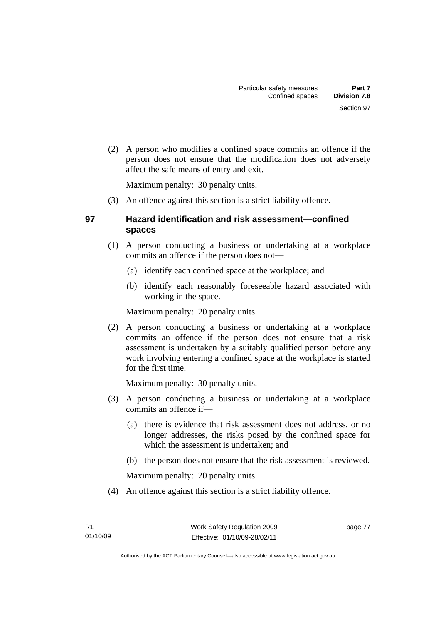(2) A person who modifies a confined space commits an offence if the person does not ensure that the modification does not adversely affect the safe means of entry and exit.

Maximum penalty: 30 penalty units.

(3) An offence against this section is a strict liability offence.

# **97 Hazard identification and risk assessment—confined spaces**

- (1) A person conducting a business or undertaking at a workplace commits an offence if the person does not—
	- (a) identify each confined space at the workplace; and
	- (b) identify each reasonably foreseeable hazard associated with working in the space.

Maximum penalty: 20 penalty units.

 (2) A person conducting a business or undertaking at a workplace commits an offence if the person does not ensure that a risk assessment is undertaken by a suitably qualified person before any work involving entering a confined space at the workplace is started for the first time.

Maximum penalty: 30 penalty units.

- (3) A person conducting a business or undertaking at a workplace commits an offence if—
	- (a) there is evidence that risk assessment does not address, or no longer addresses, the risks posed by the confined space for which the assessment is undertaken; and
	- (b) the person does not ensure that the risk assessment is reviewed.

Maximum penalty: 20 penalty units.

(4) An offence against this section is a strict liability offence.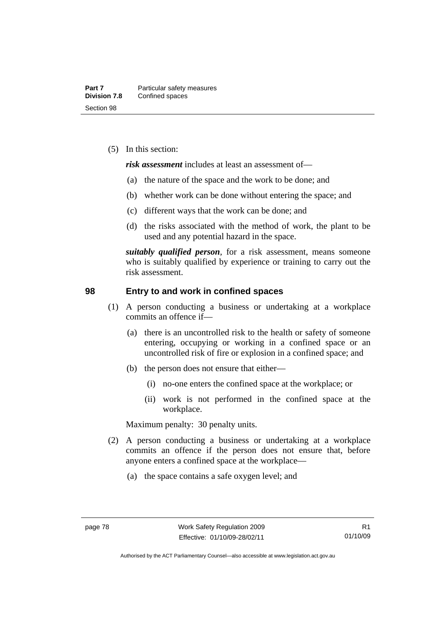(5) In this section:

*risk assessment* includes at least an assessment of—

- (a) the nature of the space and the work to be done; and
- (b) whether work can be done without entering the space; and
- (c) different ways that the work can be done; and
- (d) the risks associated with the method of work, the plant to be used and any potential hazard in the space.

*suitably qualified person*, for a risk assessment, means someone who is suitably qualified by experience or training to carry out the risk assessment.

#### **98 Entry to and work in confined spaces**

- (1) A person conducting a business or undertaking at a workplace commits an offence if—
	- (a) there is an uncontrolled risk to the health or safety of someone entering, occupying or working in a confined space or an uncontrolled risk of fire or explosion in a confined space; and
	- (b) the person does not ensure that either—
		- (i) no-one enters the confined space at the workplace; or
		- (ii) work is not performed in the confined space at the workplace.

- (2) A person conducting a business or undertaking at a workplace commits an offence if the person does not ensure that, before anyone enters a confined space at the workplace—
	- (a) the space contains a safe oxygen level; and

Authorised by the ACT Parliamentary Counsel—also accessible at www.legislation.act.gov.au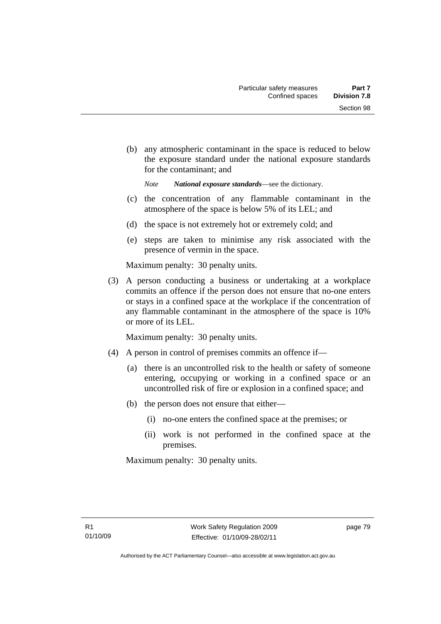(b) any atmospheric contaminant in the space is reduced to below the exposure standard under the national exposure standards for the contaminant; and

*Note National exposure standards*—see the dictionary.

- (c) the concentration of any flammable contaminant in the atmosphere of the space is below 5% of its LEL; and
- (d) the space is not extremely hot or extremely cold; and
- (e) steps are taken to minimise any risk associated with the presence of vermin in the space.

Maximum penalty: 30 penalty units.

 (3) A person conducting a business or undertaking at a workplace commits an offence if the person does not ensure that no-one enters or stays in a confined space at the workplace if the concentration of any flammable contaminant in the atmosphere of the space is 10% or more of its LEL.

Maximum penalty: 30 penalty units.

- (4) A person in control of premises commits an offence if—
	- (a) there is an uncontrolled risk to the health or safety of someone entering, occupying or working in a confined space or an uncontrolled risk of fire or explosion in a confined space; and
	- (b) the person does not ensure that either—
		- (i) no-one enters the confined space at the premises; or
		- (ii) work is not performed in the confined space at the premises.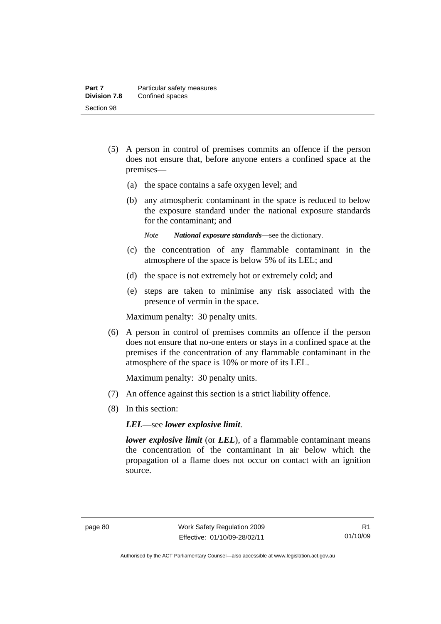- (5) A person in control of premises commits an offence if the person does not ensure that, before anyone enters a confined space at the premises—
	- (a) the space contains a safe oxygen level; and
	- (b) any atmospheric contaminant in the space is reduced to below the exposure standard under the national exposure standards for the contaminant; and
		- *Note National exposure standards*—see the dictionary.
	- (c) the concentration of any flammable contaminant in the atmosphere of the space is below 5% of its LEL; and
	- (d) the space is not extremely hot or extremely cold; and
	- (e) steps are taken to minimise any risk associated with the presence of vermin in the space.

Maximum penalty: 30 penalty units.

 (6) A person in control of premises commits an offence if the person does not ensure that no-one enters or stays in a confined space at the premises if the concentration of any flammable contaminant in the atmosphere of the space is 10% or more of its LEL.

Maximum penalty: 30 penalty units.

- (7) An offence against this section is a strict liability offence.
- (8) In this section:

*LEL*—see *lower explosive limit*.

*lower explosive limit* (or *LEL*), of a flammable contaminant means the concentration of the contaminant in air below which the propagation of a flame does not occur on contact with an ignition source.

Authorised by the ACT Parliamentary Counsel—also accessible at www.legislation.act.gov.au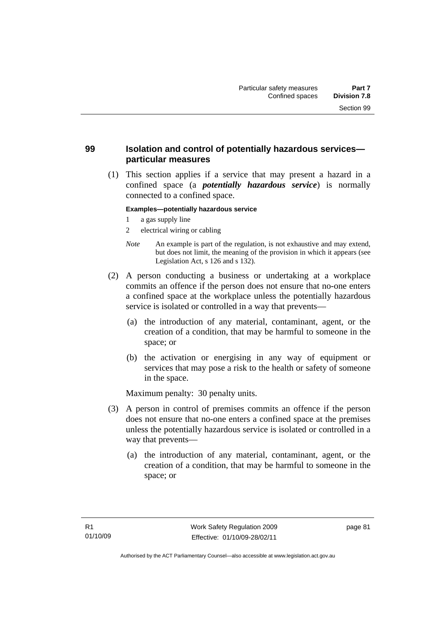# **99 Isolation and control of potentially hazardous services particular measures**

 (1) This section applies if a service that may present a hazard in a confined space (a *potentially hazardous service*) is normally connected to a confined space.

#### **Examples—potentially hazardous service**

- 1 a gas supply line
- 2 electrical wiring or cabling
- *Note* An example is part of the regulation, is not exhaustive and may extend, but does not limit, the meaning of the provision in which it appears (see Legislation Act, s 126 and s 132).
- (2) A person conducting a business or undertaking at a workplace commits an offence if the person does not ensure that no-one enters a confined space at the workplace unless the potentially hazardous service is isolated or controlled in a way that prevents—
	- (a) the introduction of any material, contaminant, agent, or the creation of a condition, that may be harmful to someone in the space; or
	- (b) the activation or energising in any way of equipment or services that may pose a risk to the health or safety of someone in the space.

- (3) A person in control of premises commits an offence if the person does not ensure that no-one enters a confined space at the premises unless the potentially hazardous service is isolated or controlled in a way that prevents—
	- (a) the introduction of any material, contaminant, agent, or the creation of a condition, that may be harmful to someone in the space; or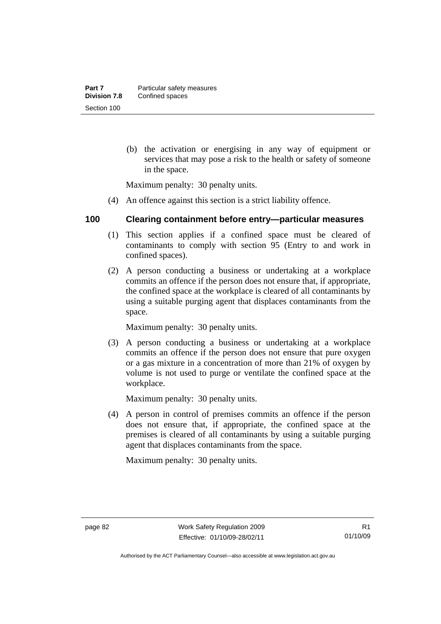(b) the activation or energising in any way of equipment or services that may pose a risk to the health or safety of someone in the space.

Maximum penalty: 30 penalty units.

(4) An offence against this section is a strict liability offence.

### **100 Clearing containment before entry—particular measures**

- (1) This section applies if a confined space must be cleared of contaminants to comply with section 95 (Entry to and work in confined spaces).
- (2) A person conducting a business or undertaking at a workplace commits an offence if the person does not ensure that, if appropriate, the confined space at the workplace is cleared of all contaminants by using a suitable purging agent that displaces contaminants from the space.

Maximum penalty: 30 penalty units.

 (3) A person conducting a business or undertaking at a workplace commits an offence if the person does not ensure that pure oxygen or a gas mixture in a concentration of more than 21% of oxygen by volume is not used to purge or ventilate the confined space at the workplace.

Maximum penalty: 30 penalty units.

 (4) A person in control of premises commits an offence if the person does not ensure that, if appropriate, the confined space at the premises is cleared of all contaminants by using a suitable purging agent that displaces contaminants from the space.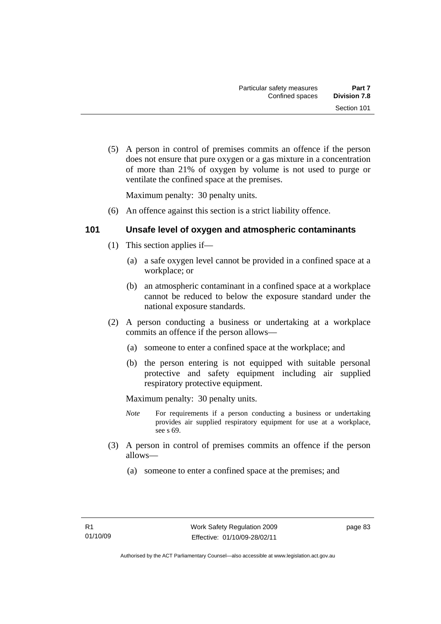(5) A person in control of premises commits an offence if the person does not ensure that pure oxygen or a gas mixture in a concentration of more than 21% of oxygen by volume is not used to purge or ventilate the confined space at the premises.

Maximum penalty: 30 penalty units.

(6) An offence against this section is a strict liability offence.

## **101 Unsafe level of oxygen and atmospheric contaminants**

- (1) This section applies if—
	- (a) a safe oxygen level cannot be provided in a confined space at a workplace; or
	- (b) an atmospheric contaminant in a confined space at a workplace cannot be reduced to below the exposure standard under the national exposure standards.
- (2) A person conducting a business or undertaking at a workplace commits an offence if the person allows—
	- (a) someone to enter a confined space at the workplace; and
	- (b) the person entering is not equipped with suitable personal protective and safety equipment including air supplied respiratory protective equipment.

Maximum penalty: 30 penalty units.

- *Note* For requirements if a person conducting a business or undertaking provides air supplied respiratory equipment for use at a workplace, see s 69.
- (3) A person in control of premises commits an offence if the person allows—
	- (a) someone to enter a confined space at the premises; and

page 83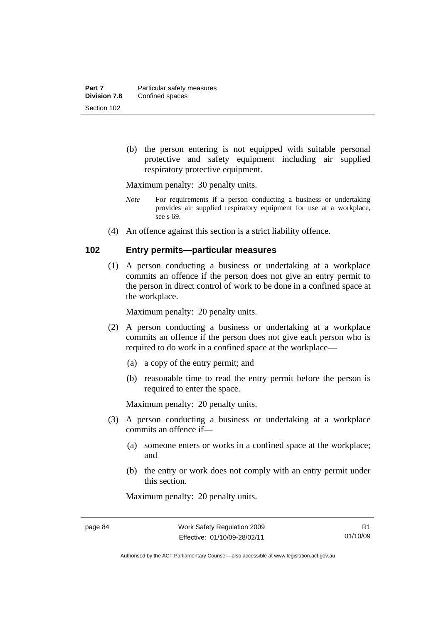(b) the person entering is not equipped with suitable personal protective and safety equipment including air supplied respiratory protective equipment.

Maximum penalty: 30 penalty units.

- *Note* For requirements if a person conducting a business or undertaking provides air supplied respiratory equipment for use at a workplace, see s 69.
- (4) An offence against this section is a strict liability offence.

### **102 Entry permits—particular measures**

 (1) A person conducting a business or undertaking at a workplace commits an offence if the person does not give an entry permit to the person in direct control of work to be done in a confined space at the workplace.

Maximum penalty: 20 penalty units.

- (2) A person conducting a business or undertaking at a workplace commits an offence if the person does not give each person who is required to do work in a confined space at the workplace—
	- (a) a copy of the entry permit; and
	- (b) reasonable time to read the entry permit before the person is required to enter the space.

Maximum penalty: 20 penalty units.

- (3) A person conducting a business or undertaking at a workplace commits an offence if—
	- (a) someone enters or works in a confined space at the workplace; and
	- (b) the entry or work does not comply with an entry permit under this section.

Authorised by the ACT Parliamentary Counsel—also accessible at www.legislation.act.gov.au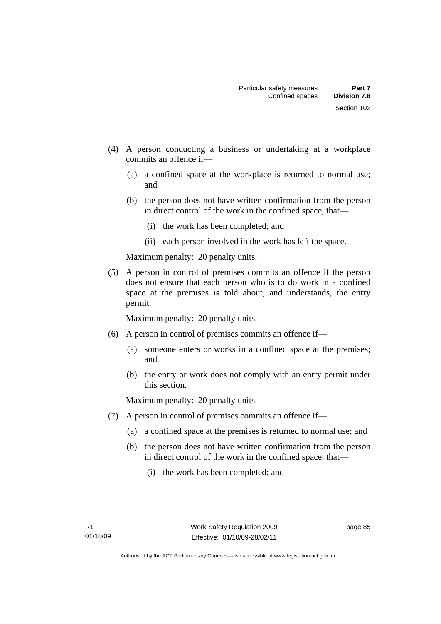- (4) A person conducting a business or undertaking at a workplace commits an offence if—
	- (a) a confined space at the workplace is returned to normal use; and
	- (b) the person does not have written confirmation from the person in direct control of the work in the confined space, that—
		- (i) the work has been completed; and
		- (ii) each person involved in the work has left the space.

Maximum penalty: 20 penalty units.

 (5) A person in control of premises commits an offence if the person does not ensure that each person who is to do work in a confined space at the premises is told about, and understands, the entry permit.

Maximum penalty: 20 penalty units.

- (6) A person in control of premises commits an offence if—
	- (a) someone enters or works in a confined space at the premises; and
	- (b) the entry or work does not comply with an entry permit under this section.

- (7) A person in control of premises commits an offence if—
	- (a) a confined space at the premises is returned to normal use; and
	- (b) the person does not have written confirmation from the person in direct control of the work in the confined space, that—
		- (i) the work has been completed; and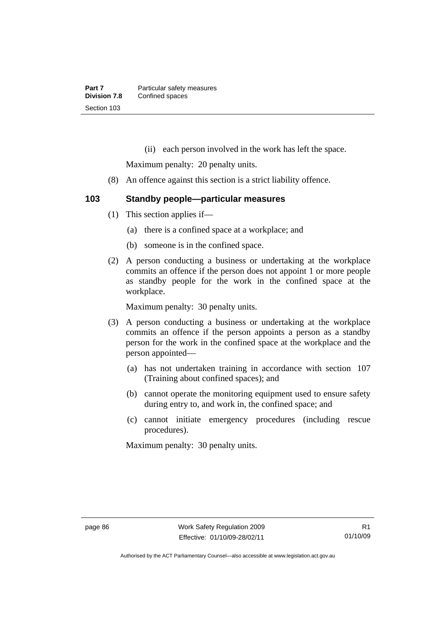(ii) each person involved in the work has left the space.

Maximum penalty: 20 penalty units.

(8) An offence against this section is a strict liability offence.

# **103 Standby people—particular measures**

- (1) This section applies if—
	- (a) there is a confined space at a workplace; and
	- (b) someone is in the confined space.
- (2) A person conducting a business or undertaking at the workplace commits an offence if the person does not appoint 1 or more people as standby people for the work in the confined space at the workplace.

Maximum penalty: 30 penalty units.

- (3) A person conducting a business or undertaking at the workplace commits an offence if the person appoints a person as a standby person for the work in the confined space at the workplace and the person appointed—
	- (a) has not undertaken training in accordance with section 107 (Training about confined spaces); and
	- (b) cannot operate the monitoring equipment used to ensure safety during entry to, and work in, the confined space; and
	- (c) cannot initiate emergency procedures (including rescue procedures).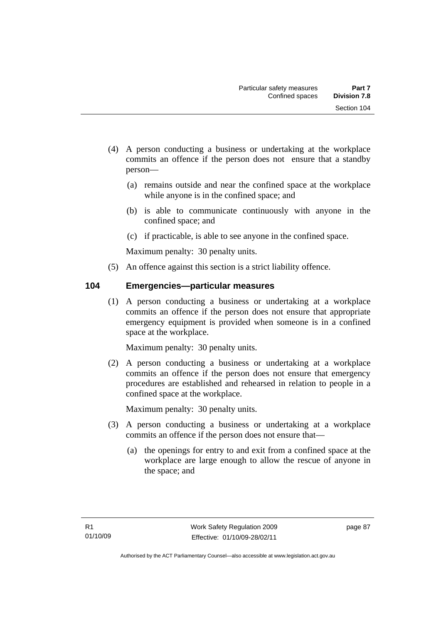- (4) A person conducting a business or undertaking at the workplace commits an offence if the person does not ensure that a standby person—
	- (a) remains outside and near the confined space at the workplace while anyone is in the confined space; and
	- (b) is able to communicate continuously with anyone in the confined space; and
	- (c) if practicable, is able to see anyone in the confined space.

Maximum penalty: 30 penalty units.

(5) An offence against this section is a strict liability offence.

# **104 Emergencies—particular measures**

 (1) A person conducting a business or undertaking at a workplace commits an offence if the person does not ensure that appropriate emergency equipment is provided when someone is in a confined space at the workplace.

Maximum penalty: 30 penalty units.

 (2) A person conducting a business or undertaking at a workplace commits an offence if the person does not ensure that emergency procedures are established and rehearsed in relation to people in a confined space at the workplace.

- (3) A person conducting a business or undertaking at a workplace commits an offence if the person does not ensure that—
	- (a) the openings for entry to and exit from a confined space at the workplace are large enough to allow the rescue of anyone in the space; and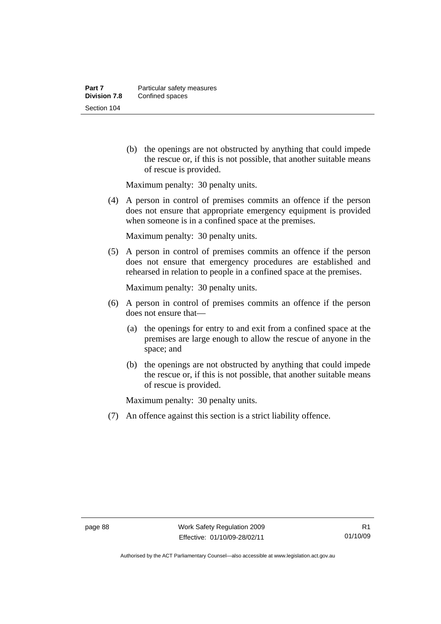(b) the openings are not obstructed by anything that could impede the rescue or, if this is not possible, that another suitable means of rescue is provided.

Maximum penalty: 30 penalty units.

 (4) A person in control of premises commits an offence if the person does not ensure that appropriate emergency equipment is provided when someone is in a confined space at the premises.

Maximum penalty: 30 penalty units.

 (5) A person in control of premises commits an offence if the person does not ensure that emergency procedures are established and rehearsed in relation to people in a confined space at the premises.

Maximum penalty: 30 penalty units.

- (6) A person in control of premises commits an offence if the person does not ensure that—
	- (a) the openings for entry to and exit from a confined space at the premises are large enough to allow the rescue of anyone in the space; and
	- (b) the openings are not obstructed by anything that could impede the rescue or, if this is not possible, that another suitable means of rescue is provided.

Maximum penalty: 30 penalty units.

(7) An offence against this section is a strict liability offence.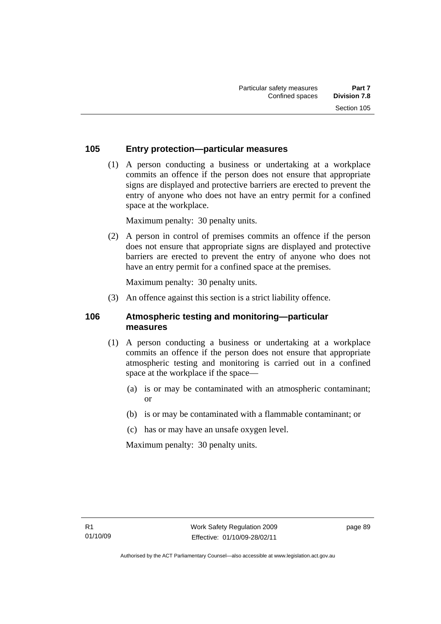# **105 Entry protection—particular measures**

 (1) A person conducting a business or undertaking at a workplace commits an offence if the person does not ensure that appropriate signs are displayed and protective barriers are erected to prevent the entry of anyone who does not have an entry permit for a confined space at the workplace.

Maximum penalty: 30 penalty units.

 (2) A person in control of premises commits an offence if the person does not ensure that appropriate signs are displayed and protective barriers are erected to prevent the entry of anyone who does not have an entry permit for a confined space at the premises.

Maximum penalty: 30 penalty units.

(3) An offence against this section is a strict liability offence.

## **106 Atmospheric testing and monitoring—particular measures**

- (1) A person conducting a business or undertaking at a workplace commits an offence if the person does not ensure that appropriate atmospheric testing and monitoring is carried out in a confined space at the workplace if the space—
	- (a) is or may be contaminated with an atmospheric contaminant; or
	- (b) is or may be contaminated with a flammable contaminant; or
	- (c) has or may have an unsafe oxygen level.

Maximum penalty: 30 penalty units.

page 89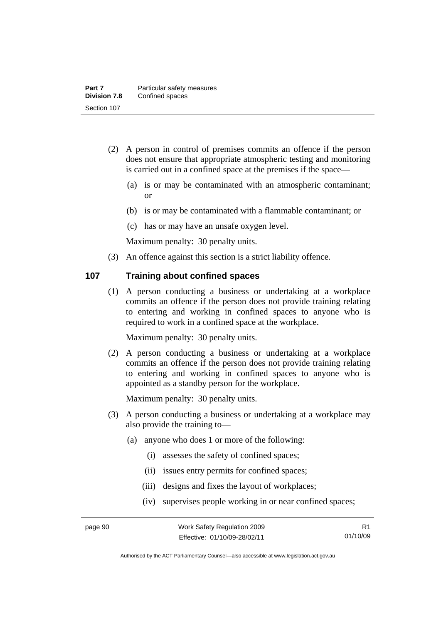- (2) A person in control of premises commits an offence if the person does not ensure that appropriate atmospheric testing and monitoring is carried out in a confined space at the premises if the space—
	- (a) is or may be contaminated with an atmospheric contaminant; or
	- (b) is or may be contaminated with a flammable contaminant; or
	- (c) has or may have an unsafe oxygen level.

Maximum penalty: 30 penalty units.

(3) An offence against this section is a strict liability offence.

### **107 Training about confined spaces**

 (1) A person conducting a business or undertaking at a workplace commits an offence if the person does not provide training relating to entering and working in confined spaces to anyone who is required to work in a confined space at the workplace.

Maximum penalty: 30 penalty units.

 (2) A person conducting a business or undertaking at a workplace commits an offence if the person does not provide training relating to entering and working in confined spaces to anyone who is appointed as a standby person for the workplace.

- (3) A person conducting a business or undertaking at a workplace may also provide the training to—
	- (a) anyone who does 1 or more of the following:
		- (i) assesses the safety of confined spaces;
		- (ii) issues entry permits for confined spaces;
		- (iii) designs and fixes the layout of workplaces;
		- (iv) supervises people working in or near confined spaces;

Authorised by the ACT Parliamentary Counsel—also accessible at www.legislation.act.gov.au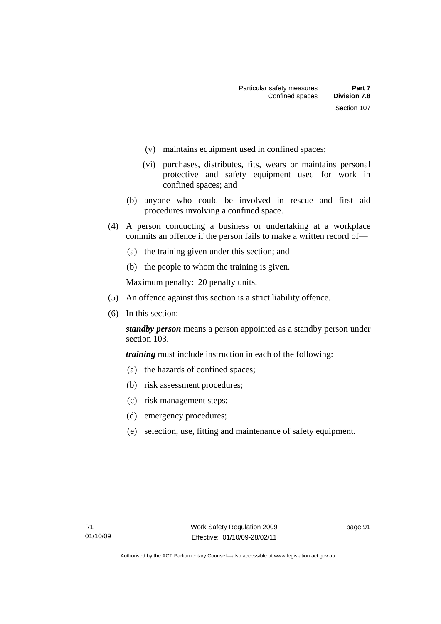- (v) maintains equipment used in confined spaces;
- (vi) purchases, distributes, fits, wears or maintains personal protective and safety equipment used for work in confined spaces; and
- (b) anyone who could be involved in rescue and first aid procedures involving a confined space.
- (4) A person conducting a business or undertaking at a workplace commits an offence if the person fails to make a written record of—
	- (a) the training given under this section; and
	- (b) the people to whom the training is given.

Maximum penalty: 20 penalty units.

- (5) An offence against this section is a strict liability offence.
- (6) In this section:

*standby person* means a person appointed as a standby person under section 103.

*training* must include instruction in each of the following:

- (a) the hazards of confined spaces;
- (b) risk assessment procedures;
- (c) risk management steps;
- (d) emergency procedures;
- (e) selection, use, fitting and maintenance of safety equipment.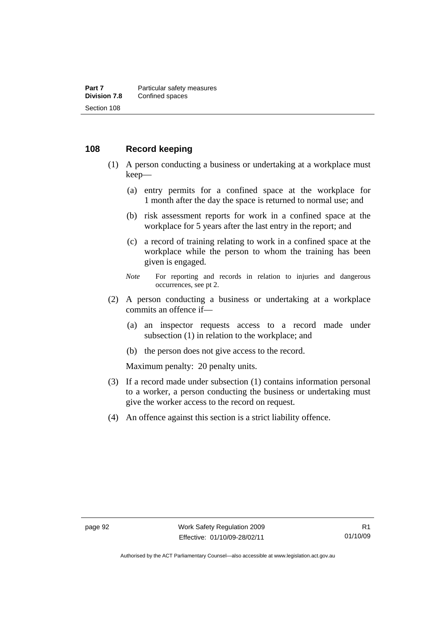### **108 Record keeping**

- (1) A person conducting a business or undertaking at a workplace must keep—
	- (a) entry permits for a confined space at the workplace for 1 month after the day the space is returned to normal use; and
	- (b) risk assessment reports for work in a confined space at the workplace for 5 years after the last entry in the report; and
	- (c) a record of training relating to work in a confined space at the workplace while the person to whom the training has been given is engaged.
	- *Note* For reporting and records in relation to injuries and dangerous occurrences, see pt 2.
- (2) A person conducting a business or undertaking at a workplace commits an offence if—
	- (a) an inspector requests access to a record made under subsection (1) in relation to the workplace; and
	- (b) the person does not give access to the record.

- (3) If a record made under subsection (1) contains information personal to a worker, a person conducting the business or undertaking must give the worker access to the record on request.
- (4) An offence against this section is a strict liability offence.

Authorised by the ACT Parliamentary Counsel—also accessible at www.legislation.act.gov.au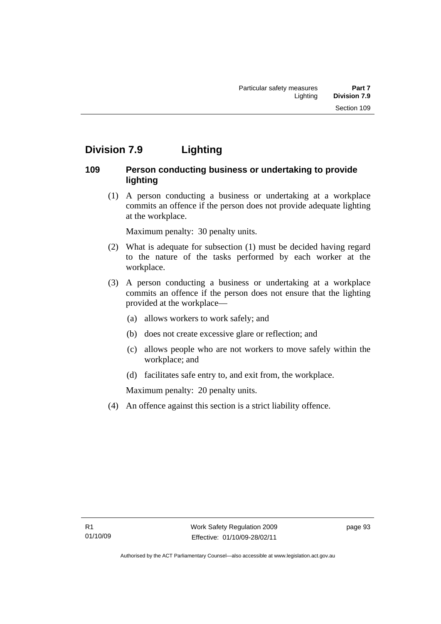# **Division 7.9 Lighting**

# **109 Person conducting business or undertaking to provide lighting**

 (1) A person conducting a business or undertaking at a workplace commits an offence if the person does not provide adequate lighting at the workplace.

Maximum penalty: 30 penalty units.

- (2) What is adequate for subsection (1) must be decided having regard to the nature of the tasks performed by each worker at the workplace.
- (3) A person conducting a business or undertaking at a workplace commits an offence if the person does not ensure that the lighting provided at the workplace—
	- (a) allows workers to work safely; and
	- (b) does not create excessive glare or reflection; and
	- (c) allows people who are not workers to move safely within the workplace; and
	- (d) facilitates safe entry to, and exit from, the workplace.

Maximum penalty: 20 penalty units.

(4) An offence against this section is a strict liability offence.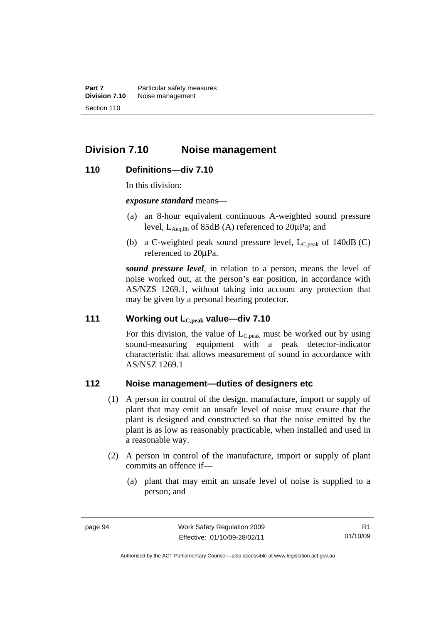**Part 7 Particular safety measures Division 7.10** Noise management Section 110

# **Division 7.10 Noise management**

### **110 Definitions—div 7.10**

In this division:

*exposure standard* means—

- (a) an 8-hour equivalent continuous A-weighted sound pressure level,  $L_{\text{Aea,8h}}$  of 85dB (A) referenced to  $20\mu\text{Pa}$ ; and
- (b) a C-weighted peak sound pressure level,  $L_{C,peak}$  of 140dB (C) referenced to 20μPa.

*sound pressure level*, in relation to a person, means the level of noise worked out, at the person's ear position, in accordance with AS/NZS 1269.1, without taking into account any protection that may be given by a personal hearing protector.

### **111 Working out LC,peak value—div 7.10**

For this division, the value of  $L_{C,peak}$  must be worked out by using sound-measuring equipment with a peak detector-indicator characteristic that allows measurement of sound in accordance with AS/NSZ 1269.1

### **112 Noise management—duties of designers etc**

- (1) A person in control of the design, manufacture, import or supply of plant that may emit an unsafe level of noise must ensure that the plant is designed and constructed so that the noise emitted by the plant is as low as reasonably practicable, when installed and used in a reasonable way.
- (2) A person in control of the manufacture, import or supply of plant commits an offence if—
	- (a) plant that may emit an unsafe level of noise is supplied to a person; and

R1 01/10/09

Authorised by the ACT Parliamentary Counsel—also accessible at www.legislation.act.gov.au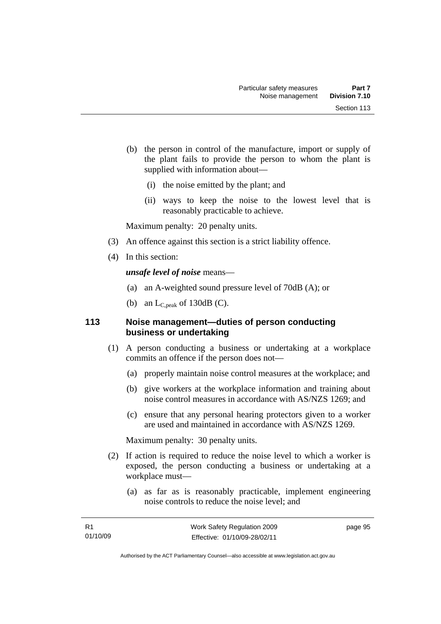- (b) the person in control of the manufacture, import or supply of the plant fails to provide the person to whom the plant is supplied with information about—
	- (i) the noise emitted by the plant; and
	- (ii) ways to keep the noise to the lowest level that is reasonably practicable to achieve.

Maximum penalty: 20 penalty units.

- (3) An offence against this section is a strict liability offence.
- (4) In this section:

*unsafe level of noise* means—

- (a) an A-weighted sound pressure level of 70dB (A); or
- (b) an  $L_{C,peak}$  of 130dB (C).

### **113 Noise management—duties of person conducting business or undertaking**

- (1) A person conducting a business or undertaking at a workplace commits an offence if the person does not—
	- (a) properly maintain noise control measures at the workplace; and
	- (b) give workers at the workplace information and training about noise control measures in accordance with AS/NZS 1269; and
	- (c) ensure that any personal hearing protectors given to a worker are used and maintained in accordance with AS/NZS 1269.

Maximum penalty: 30 penalty units.

- (2) If action is required to reduce the noise level to which a worker is exposed, the person conducting a business or undertaking at a workplace must—
	- (a) as far as is reasonably practicable, implement engineering noise controls to reduce the noise level; and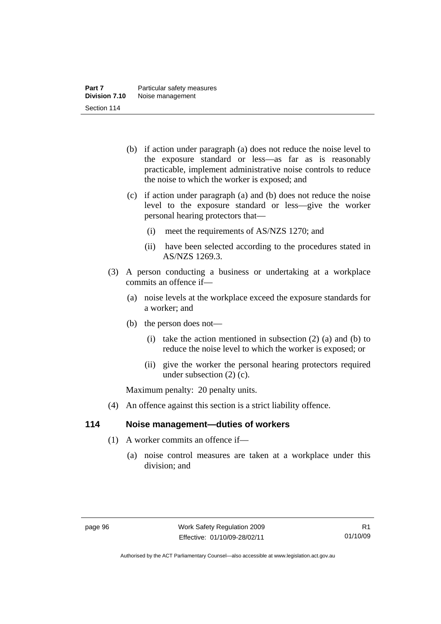- (b) if action under paragraph (a) does not reduce the noise level to the exposure standard or less—as far as is reasonably practicable, implement administrative noise controls to reduce the noise to which the worker is exposed; and
- (c) if action under paragraph (a) and (b) does not reduce the noise level to the exposure standard or less—give the worker personal hearing protectors that—
	- (i) meet the requirements of AS/NZS 1270; and
	- (ii) have been selected according to the procedures stated in AS/NZS 1269.3.
- (3) A person conducting a business or undertaking at a workplace commits an offence if—
	- (a) noise levels at the workplace exceed the exposure standards for a worker; and
	- (b) the person does not—
		- (i) take the action mentioned in subsection  $(2)$  (a) and (b) to reduce the noise level to which the worker is exposed; or
		- (ii) give the worker the personal hearing protectors required under subsection (2) (c).

Maximum penalty: 20 penalty units.

(4) An offence against this section is a strict liability offence.

### **114 Noise management—duties of workers**

- (1) A worker commits an offence if—
	- (a) noise control measures are taken at a workplace under this division; and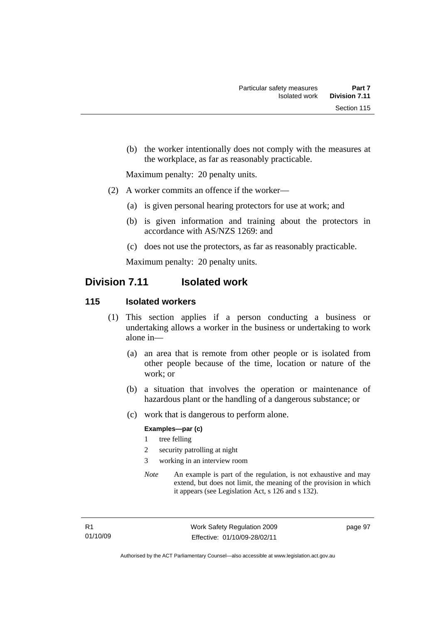(b) the worker intentionally does not comply with the measures at the workplace, as far as reasonably practicable.

Maximum penalty: 20 penalty units.

- (2) A worker commits an offence if the worker—
	- (a) is given personal hearing protectors for use at work; and
	- (b) is given information and training about the protectors in accordance with AS/NZS 1269: and
	- (c) does not use the protectors, as far as reasonably practicable.

Maximum penalty: 20 penalty units.

## **Division 7.11 Isolated work**

### **115 Isolated workers**

- (1) This section applies if a person conducting a business or undertaking allows a worker in the business or undertaking to work alone in—
	- (a) an area that is remote from other people or is isolated from other people because of the time, location or nature of the work; or
	- (b) a situation that involves the operation or maintenance of hazardous plant or the handling of a dangerous substance; or
	- (c) work that is dangerous to perform alone.

#### **Examples—par (c)**

- 1 tree felling
- 2 security patrolling at night
- 3 working in an interview room
- *Note* An example is part of the regulation, is not exhaustive and may extend, but does not limit, the meaning of the provision in which it appears (see Legislation Act, s 126 and s 132).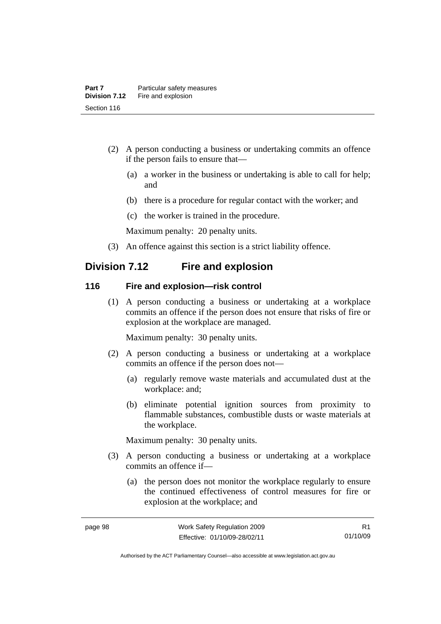- (2) A person conducting a business or undertaking commits an offence if the person fails to ensure that—
	- (a) a worker in the business or undertaking is able to call for help; and
	- (b) there is a procedure for regular contact with the worker; and
	- (c) the worker is trained in the procedure.

Maximum penalty: 20 penalty units.

(3) An offence against this section is a strict liability offence.

# **Division 7.12 Fire and explosion**

#### **116 Fire and explosion—risk control**

 (1) A person conducting a business or undertaking at a workplace commits an offence if the person does not ensure that risks of fire or explosion at the workplace are managed.

Maximum penalty: 30 penalty units.

- (2) A person conducting a business or undertaking at a workplace commits an offence if the person does not—
	- (a) regularly remove waste materials and accumulated dust at the workplace: and;
	- (b) eliminate potential ignition sources from proximity to flammable substances, combustible dusts or waste materials at the workplace.

Maximum penalty: 30 penalty units.

- (3) A person conducting a business or undertaking at a workplace commits an offence if—
	- (a) the person does not monitor the workplace regularly to ensure the continued effectiveness of control measures for fire or explosion at the workplace; and

Authorised by the ACT Parliamentary Counsel—also accessible at www.legislation.act.gov.au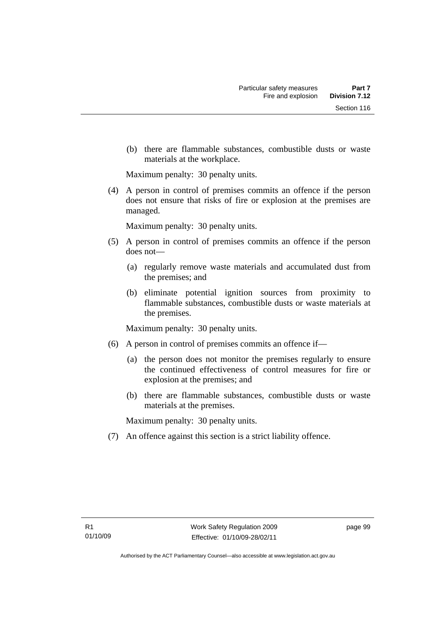(b) there are flammable substances, combustible dusts or waste materials at the workplace.

Maximum penalty: 30 penalty units.

 (4) A person in control of premises commits an offence if the person does not ensure that risks of fire or explosion at the premises are managed.

Maximum penalty: 30 penalty units.

- (5) A person in control of premises commits an offence if the person does not—
	- (a) regularly remove waste materials and accumulated dust from the premises; and
	- (b) eliminate potential ignition sources from proximity to flammable substances, combustible dusts or waste materials at the premises.

Maximum penalty: 30 penalty units.

- (6) A person in control of premises commits an offence if—
	- (a) the person does not monitor the premises regularly to ensure the continued effectiveness of control measures for fire or explosion at the premises; and
	- (b) there are flammable substances, combustible dusts or waste materials at the premises.

Maximum penalty: 30 penalty units.

(7) An offence against this section is a strict liability offence.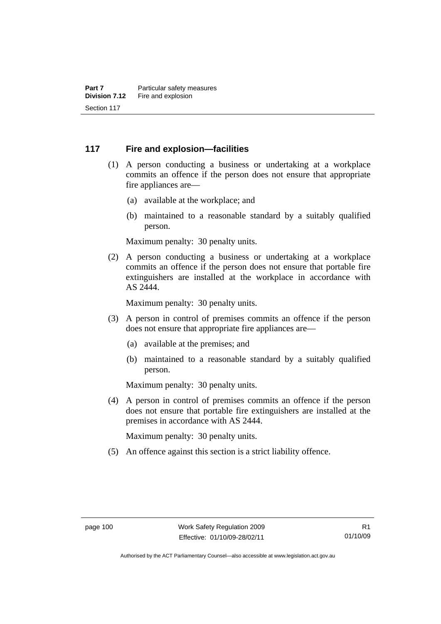### **117 Fire and explosion—facilities**

- (1) A person conducting a business or undertaking at a workplace commits an offence if the person does not ensure that appropriate fire appliances are—
	- (a) available at the workplace; and
	- (b) maintained to a reasonable standard by a suitably qualified person.

Maximum penalty: 30 penalty units.

 (2) A person conducting a business or undertaking at a workplace commits an offence if the person does not ensure that portable fire extinguishers are installed at the workplace in accordance with AS 2444.

Maximum penalty: 30 penalty units.

- (3) A person in control of premises commits an offence if the person does not ensure that appropriate fire appliances are—
	- (a) available at the premises; and
	- (b) maintained to a reasonable standard by a suitably qualified person.

Maximum penalty: 30 penalty units.

 (4) A person in control of premises commits an offence if the person does not ensure that portable fire extinguishers are installed at the premises in accordance with AS 2444.

Maximum penalty: 30 penalty units.

(5) An offence against this section is a strict liability offence.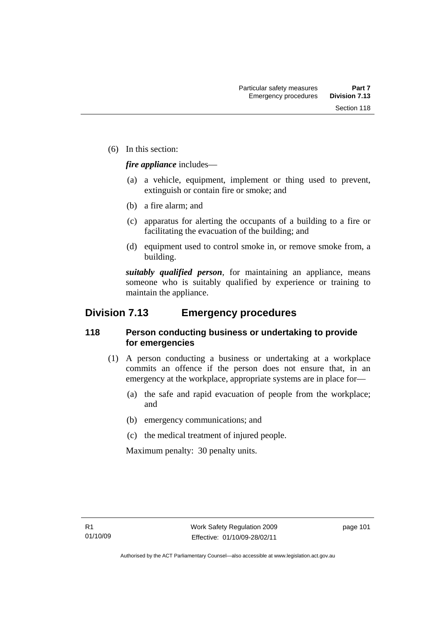(6) In this section:

*fire appliance* includes—

- (a) a vehicle, equipment, implement or thing used to prevent, extinguish or contain fire or smoke; and
- (b) a fire alarm; and
- (c) apparatus for alerting the occupants of a building to a fire or facilitating the evacuation of the building; and
- (d) equipment used to control smoke in, or remove smoke from, a building.

*suitably qualified person*, for maintaining an appliance, means someone who is suitably qualified by experience or training to maintain the appliance.

## **Division 7.13 Emergency procedures**

### **118 Person conducting business or undertaking to provide for emergencies**

- (1) A person conducting a business or undertaking at a workplace commits an offence if the person does not ensure that, in an emergency at the workplace, appropriate systems are in place for—
	- (a) the safe and rapid evacuation of people from the workplace; and
	- (b) emergency communications; and
	- (c) the medical treatment of injured people.

Maximum penalty: 30 penalty units.

page 101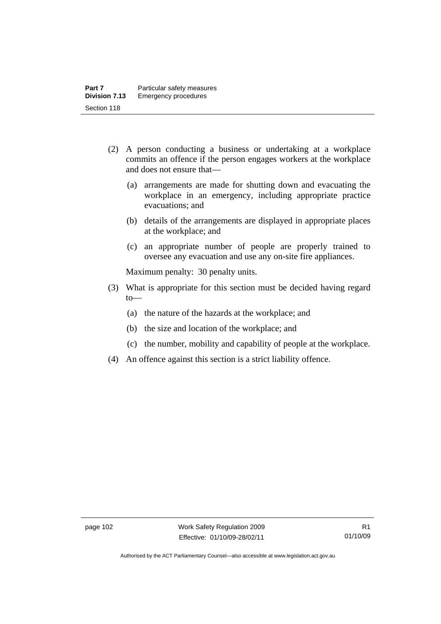- (2) A person conducting a business or undertaking at a workplace commits an offence if the person engages workers at the workplace and does not ensure that—
	- (a) arrangements are made for shutting down and evacuating the workplace in an emergency, including appropriate practice evacuations; and
	- (b) details of the arrangements are displayed in appropriate places at the workplace; and
	- (c) an appropriate number of people are properly trained to oversee any evacuation and use any on-site fire appliances.

Maximum penalty: 30 penalty units.

- (3) What is appropriate for this section must be decided having regard  $to$ —
	- (a) the nature of the hazards at the workplace; and
	- (b) the size and location of the workplace; and
	- (c) the number, mobility and capability of people at the workplace.
- (4) An offence against this section is a strict liability offence.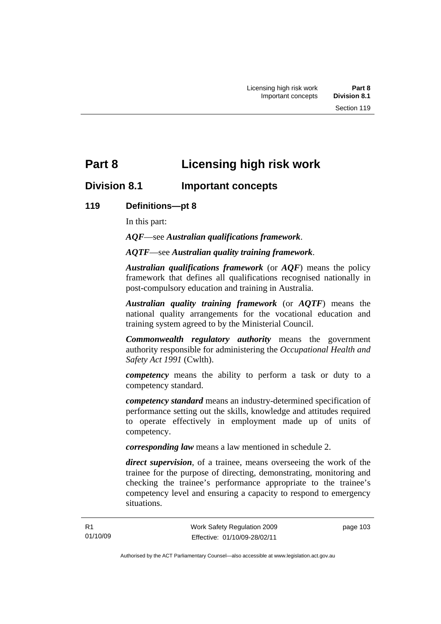# **Part 8 Licensing high risk work**

# **Division 8.1 Important concepts**

### **119 Definitions—pt 8**

In this part:

*AQF*—see *Australian qualifications framework*.

*AQTF*—see *Australian quality training framework*.

*Australian qualifications framework* (or *AQF*) means the policy framework that defines all qualifications recognised nationally in post-compulsory education and training in Australia.

*Australian quality training framework* (or *AQTF*) means the national quality arrangements for the vocational education and training system agreed to by the Ministerial Council.

*Commonwealth regulatory authority* means the government authority responsible for administering the *Occupational Health and Safety Act 1991* (Cwlth).

*competency* means the ability to perform a task or duty to a competency standard.

*competency standard* means an industry-determined specification of performance setting out the skills, knowledge and attitudes required to operate effectively in employment made up of units of competency.

*corresponding law* means a law mentioned in schedule 2.

*direct supervision*, of a trainee, means overseeing the work of the trainee for the purpose of directing, demonstrating, monitoring and checking the trainee's performance appropriate to the trainee's competency level and ensuring a capacity to respond to emergency situations.

page 103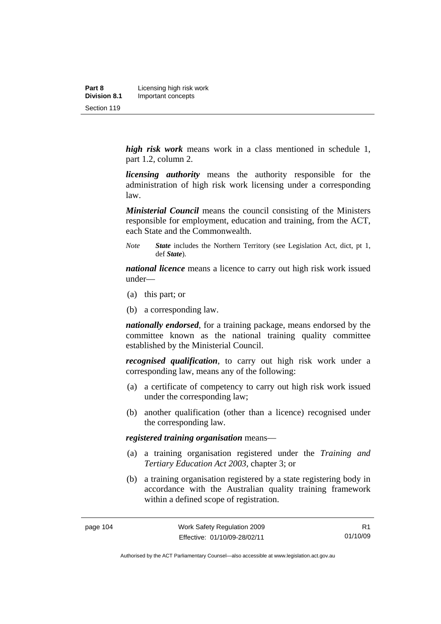*high risk work* means work in a class mentioned in schedule 1, part 1.2, column 2.

*licensing authority* means the authority responsible for the administration of high risk work licensing under a corresponding law.

*Ministerial Council* means the council consisting of the Ministers responsible for employment, education and training, from the ACT, each State and the Commonwealth.

*Note State* includes the Northern Territory (see Legislation Act, dict, pt 1, def *State*).

*national licence* means a licence to carry out high risk work issued under—

- (a) this part; or
- (b) a corresponding law.

*nationally endorsed*, for a training package, means endorsed by the committee known as the national training quality committee established by the Ministerial Council.

*recognised qualification*, to carry out high risk work under a corresponding law, means any of the following:

- (a) a certificate of competency to carry out high risk work issued under the corresponding law;
- (b) another qualification (other than a licence) recognised under the corresponding law.

*registered training organisation* means—

- (a) a training organisation registered under the *Training and Tertiary Education Act 2003*, chapter 3; or
- (b) a training organisation registered by a state registering body in accordance with the Australian quality training framework within a defined scope of registration.

Authorised by the ACT Parliamentary Counsel—also accessible at www.legislation.act.gov.au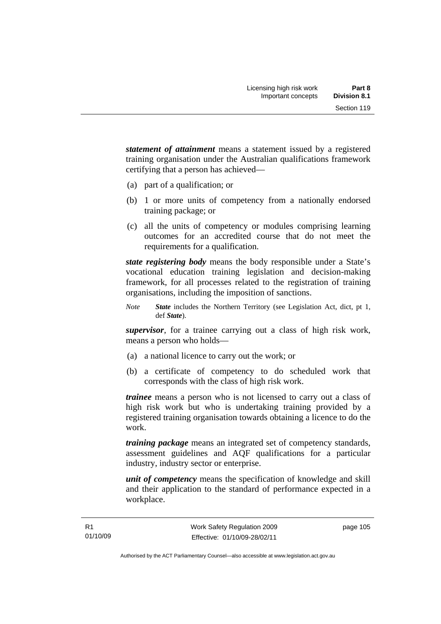*statement of attainment* means a statement issued by a registered training organisation under the Australian qualifications framework certifying that a person has achieved—

- (a) part of a qualification; or
- (b) 1 or more units of competency from a nationally endorsed training package; or
- (c) all the units of competency or modules comprising learning outcomes for an accredited course that do not meet the requirements for a qualification.

*state registering body* means the body responsible under a State's vocational education training legislation and decision-making framework, for all processes related to the registration of training organisations, including the imposition of sanctions.

*Note State* includes the Northern Territory (see Legislation Act, dict, pt 1, def *State*).

*supervisor*, for a trainee carrying out a class of high risk work, means a person who holds—

- (a) a national licence to carry out the work; or
- (b) a certificate of competency to do scheduled work that corresponds with the class of high risk work.

*trainee* means a person who is not licensed to carry out a class of high risk work but who is undertaking training provided by a registered training organisation towards obtaining a licence to do the work.

*training package* means an integrated set of competency standards, assessment guidelines and AQF qualifications for a particular industry, industry sector or enterprise.

*unit of competency* means the specification of knowledge and skill and their application to the standard of performance expected in a workplace.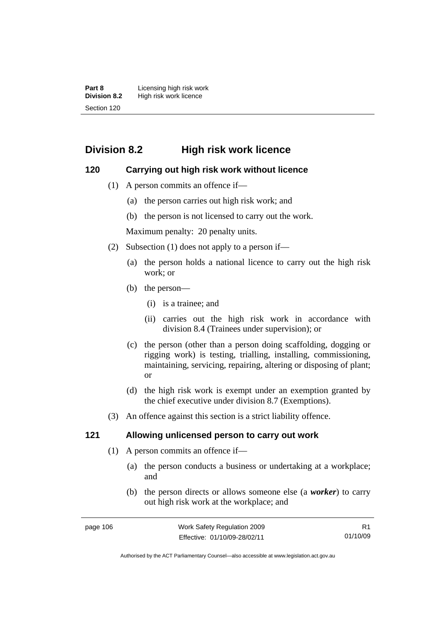**Part 8 Licensing high risk work**<br>**Division 8.2** High risk work licence **Division 8.2** High risk work licence Section 120

# **Division 8.2 High risk work licence**

### **120 Carrying out high risk work without licence**

- (1) A person commits an offence if—
	- (a) the person carries out high risk work; and
	- (b) the person is not licensed to carry out the work.

Maximum penalty: 20 penalty units.

- (2) Subsection (1) does not apply to a person if—
	- (a) the person holds a national licence to carry out the high risk work; or
	- (b) the person—
		- (i) is a trainee; and
		- (ii) carries out the high risk work in accordance with division 8.4 (Trainees under supervision); or
	- (c) the person (other than a person doing scaffolding, dogging or rigging work) is testing, trialling, installing, commissioning, maintaining, servicing, repairing, altering or disposing of plant; or
	- (d) the high risk work is exempt under an exemption granted by the chief executive under division 8.7 (Exemptions).
- (3) An offence against this section is a strict liability offence.

### **121 Allowing unlicensed person to carry out work**

- (1) A person commits an offence if—
	- (a) the person conducts a business or undertaking at a workplace; and
	- (b) the person directs or allows someone else (a *worker*) to carry out high risk work at the workplace; and

Authorised by the ACT Parliamentary Counsel—also accessible at www.legislation.act.gov.au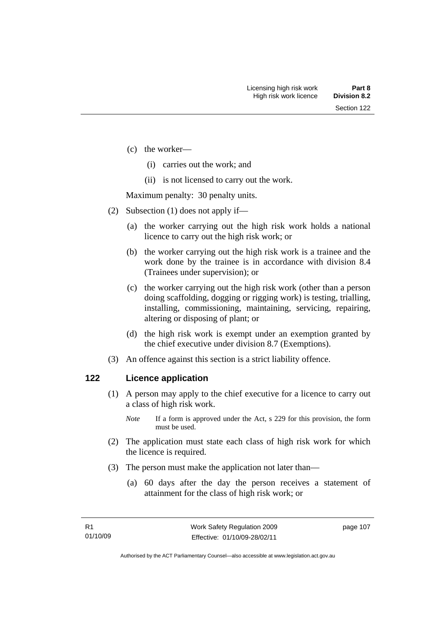- (c) the worker—
	- (i) carries out the work; and
	- (ii) is not licensed to carry out the work.

Maximum penalty: 30 penalty units.

- (2) Subsection (1) does not apply if—
	- (a) the worker carrying out the high risk work holds a national licence to carry out the high risk work; or
	- (b) the worker carrying out the high risk work is a trainee and the work done by the trainee is in accordance with division 8.4 (Trainees under supervision); or
	- (c) the worker carrying out the high risk work (other than a person doing scaffolding, dogging or rigging work) is testing, trialling, installing, commissioning, maintaining, servicing, repairing, altering or disposing of plant; or
	- (d) the high risk work is exempt under an exemption granted by the chief executive under division 8.7 (Exemptions).
- (3) An offence against this section is a strict liability offence.

### **122 Licence application**

- (1) A person may apply to the chief executive for a licence to carry out a class of high risk work.
	- *Note* If a form is approved under the Act, s 229 for this provision, the form must be used.
- (2) The application must state each class of high risk work for which the licence is required.
- (3) The person must make the application not later than—
	- (a) 60 days after the day the person receives a statement of attainment for the class of high risk work; or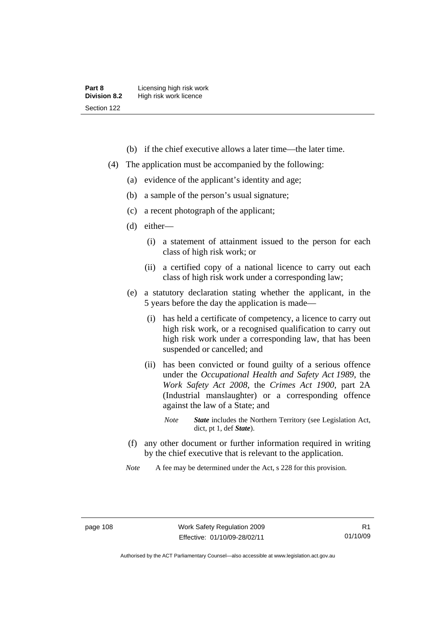- (b) if the chief executive allows a later time—the later time.
- (4) The application must be accompanied by the following:
	- (a) evidence of the applicant's identity and age;
	- (b) a sample of the person's usual signature;
	- (c) a recent photograph of the applicant;
	- (d) either—
		- (i) a statement of attainment issued to the person for each class of high risk work; or
		- (ii) a certified copy of a national licence to carry out each class of high risk work under a corresponding law;
	- (e) a statutory declaration stating whether the applicant, in the 5 years before the day the application is made—
		- (i) has held a certificate of competency, a licence to carry out high risk work, or a recognised qualification to carry out high risk work under a corresponding law, that has been suspended or cancelled; and
		- (ii) has been convicted or found guilty of a serious offence under the *Occupational Health and Safety Act 1989*, the *Work Safety Act 2008*, the *Crimes Act 1900*, part 2A (Industrial manslaughter) or a corresponding offence against the law of a State; and
			- *Note State* includes the Northern Territory (see Legislation Act, dict, pt 1, def *State*).
	- (f) any other document or further information required in writing by the chief executive that is relevant to the application.
	- *Note* A fee may be determined under the Act, s 228 for this provision.

Authorised by the ACT Parliamentary Counsel—also accessible at www.legislation.act.gov.au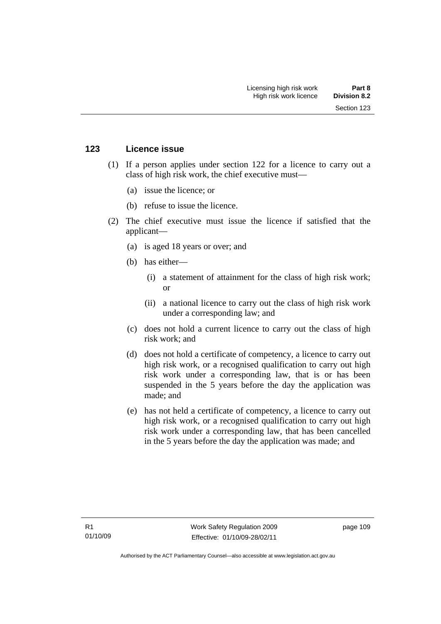### **123 Licence issue**

- (1) If a person applies under section 122 for a licence to carry out a class of high risk work, the chief executive must—
	- (a) issue the licence; or
	- (b) refuse to issue the licence.
- (2) The chief executive must issue the licence if satisfied that the applicant—
	- (a) is aged 18 years or over; and
	- (b) has either—
		- (i) a statement of attainment for the class of high risk work; or
		- (ii) a national licence to carry out the class of high risk work under a corresponding law; and
	- (c) does not hold a current licence to carry out the class of high risk work; and
	- (d) does not hold a certificate of competency, a licence to carry out high risk work, or a recognised qualification to carry out high risk work under a corresponding law, that is or has been suspended in the 5 years before the day the application was made; and
	- (e) has not held a certificate of competency, a licence to carry out high risk work, or a recognised qualification to carry out high risk work under a corresponding law, that has been cancelled in the 5 years before the day the application was made; and

page 109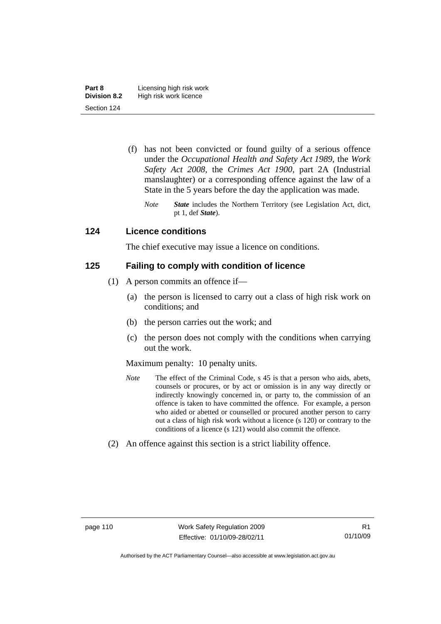- (f) has not been convicted or found guilty of a serious offence under the *Occupational Health and Safety Act 1989*, the *Work Safety Act 2008*, the *Crimes Act 1900*, part 2A (Industrial manslaughter) or a corresponding offence against the law of a State in the 5 years before the day the application was made.
	- *Note State* includes the Northern Territory (see Legislation Act, dict, pt 1, def *State*).

### **124 Licence conditions**

The chief executive may issue a licence on conditions.

### **125 Failing to comply with condition of licence**

- (1) A person commits an offence if—
	- (a) the person is licensed to carry out a class of high risk work on conditions; and
	- (b) the person carries out the work; and
	- (c) the person does not comply with the conditions when carrying out the work.

### Maximum penalty: 10 penalty units.

- *Note* The effect of the Criminal Code, s 45 is that a person who aids, abets, counsels or procures, or by act or omission is in any way directly or indirectly knowingly concerned in, or party to, the commission of an offence is taken to have committed the offence. For example, a person who aided or abetted or counselled or procured another person to carry out a class of high risk work without a licence (s 120) or contrary to the conditions of a licence (s 121) would also commit the offence.
- (2) An offence against this section is a strict liability offence.

Authorised by the ACT Parliamentary Counsel—also accessible at www.legislation.act.gov.au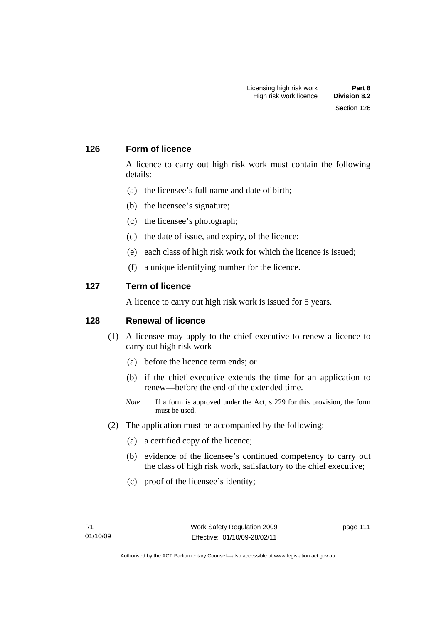### **126 Form of licence**

A licence to carry out high risk work must contain the following details:

- (a) the licensee's full name and date of birth;
- (b) the licensee's signature;
- (c) the licensee's photograph;
- (d) the date of issue, and expiry, of the licence;
- (e) each class of high risk work for which the licence is issued;
- (f) a unique identifying number for the licence.

### **127 Term of licence**

A licence to carry out high risk work is issued for 5 years.

### **128 Renewal of licence**

- (1) A licensee may apply to the chief executive to renew a licence to carry out high risk work—
	- (a) before the licence term ends; or
	- (b) if the chief executive extends the time for an application to renew—before the end of the extended time.
	- *Note* If a form is approved under the Act, s 229 for this provision, the form must be used.
- (2) The application must be accompanied by the following:
	- (a) a certified copy of the licence;
	- (b) evidence of the licensee's continued competency to carry out the class of high risk work, satisfactory to the chief executive;
	- (c) proof of the licensee's identity;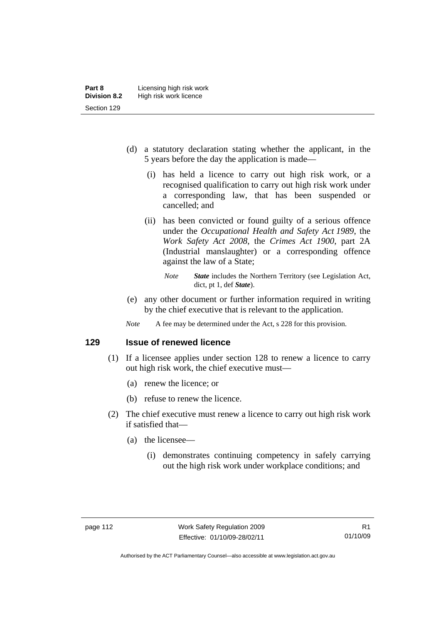- (d) a statutory declaration stating whether the applicant, in the 5 years before the day the application is made—
	- (i) has held a licence to carry out high risk work, or a recognised qualification to carry out high risk work under a corresponding law, that has been suspended or cancelled; and
	- (ii) has been convicted or found guilty of a serious offence under the *Occupational Health and Safety Act 1989*, the *Work Safety Act 2008*, the *Crimes Act 1900*, part 2A (Industrial manslaughter) or a corresponding offence against the law of a State;
		- *Note State* includes the Northern Territory (see Legislation Act, dict, pt 1, def *State*).
- (e) any other document or further information required in writing by the chief executive that is relevant to the application.
- *Note* A fee may be determined under the Act, s 228 for this provision.

**129 Issue of renewed licence** 

- (1) If a licensee applies under section 128 to renew a licence to carry out high risk work, the chief executive must—
	- (a) renew the licence; or
	- (b) refuse to renew the licence.
- (2) The chief executive must renew a licence to carry out high risk work if satisfied that—
	- (a) the licensee—
		- (i) demonstrates continuing competency in safely carrying out the high risk work under workplace conditions; and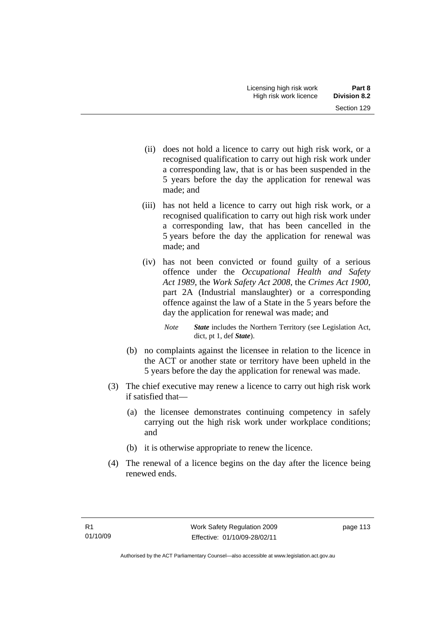- (ii) does not hold a licence to carry out high risk work, or a recognised qualification to carry out high risk work under a corresponding law, that is or has been suspended in the 5 years before the day the application for renewal was made; and
- (iii) has not held a licence to carry out high risk work, or a recognised qualification to carry out high risk work under a corresponding law, that has been cancelled in the 5 years before the day the application for renewal was made; and
- (iv) has not been convicted or found guilty of a serious offence under the *Occupational Health and Safety Act 1989*, the *Work Safety Act 2008*, the *Crimes Act 1900*, part 2A (Industrial manslaughter) or a corresponding offence against the law of a State in the 5 years before the day the application for renewal was made; and
	- *Note State* includes the Northern Territory (see Legislation Act, dict, pt 1, def *State*).
- (b) no complaints against the licensee in relation to the licence in the ACT or another state or territory have been upheld in the 5 years before the day the application for renewal was made.
- (3) The chief executive may renew a licence to carry out high risk work if satisfied that—
	- (a) the licensee demonstrates continuing competency in safely carrying out the high risk work under workplace conditions; and
	- (b) it is otherwise appropriate to renew the licence.
- (4) The renewal of a licence begins on the day after the licence being renewed ends.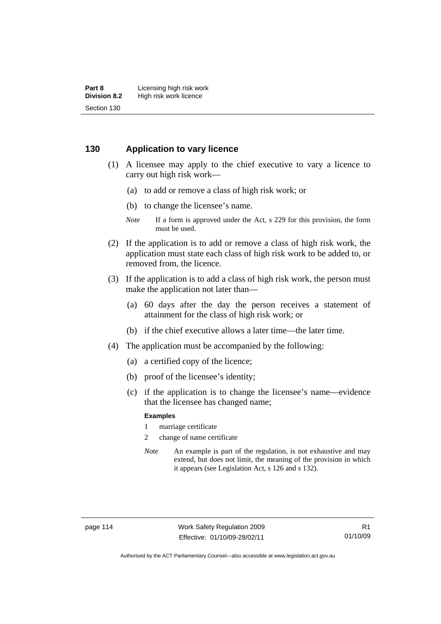### **130 Application to vary licence**

- (1) A licensee may apply to the chief executive to vary a licence to carry out high risk work—
	- (a) to add or remove a class of high risk work; or
	- (b) to change the licensee's name.
	- *Note* If a form is approved under the Act, s 229 for this provision, the form must be used.
- (2) If the application is to add or remove a class of high risk work, the application must state each class of high risk work to be added to, or removed from, the licence.
- (3) If the application is to add a class of high risk work, the person must make the application not later than—
	- (a) 60 days after the day the person receives a statement of attainment for the class of high risk work; or
	- (b) if the chief executive allows a later time—the later time.
- (4) The application must be accompanied by the following:
	- (a) a certified copy of the licence;
	- (b) proof of the licensee's identity;
	- (c) if the application is to change the licensee's name—evidence that the licensee has changed name;

#### **Examples**

- 1 marriage certificate
- 2 change of name certificate
- *Note* An example is part of the regulation, is not exhaustive and may extend, but does not limit, the meaning of the provision in which it appears (see Legislation Act, s 126 and s 132).

Authorised by the ACT Parliamentary Counsel—also accessible at www.legislation.act.gov.au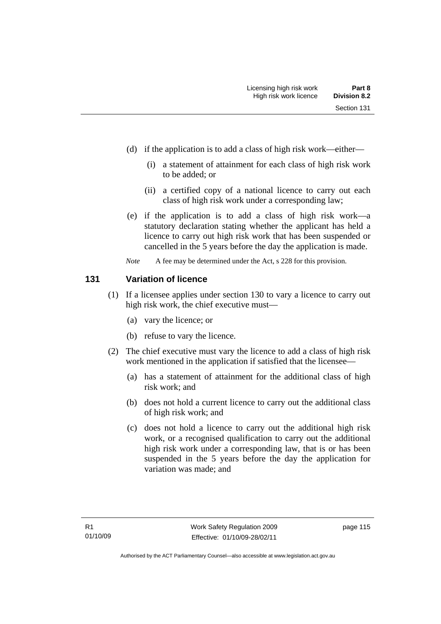- (d) if the application is to add a class of high risk work—either—
	- (i) a statement of attainment for each class of high risk work to be added; or
	- (ii) a certified copy of a national licence to carry out each class of high risk work under a corresponding law;
- (e) if the application is to add a class of high risk work—a statutory declaration stating whether the applicant has held a licence to carry out high risk work that has been suspended or cancelled in the 5 years before the day the application is made.
- *Note* A fee may be determined under the Act, s 228 for this provision.

### **131 Variation of licence**

- (1) If a licensee applies under section 130 to vary a licence to carry out high risk work, the chief executive must—
	- (a) vary the licence; or
	- (b) refuse to vary the licence.
- (2) The chief executive must vary the licence to add a class of high risk work mentioned in the application if satisfied that the licensee—
	- (a) has a statement of attainment for the additional class of high risk work; and
	- (b) does not hold a current licence to carry out the additional class of high risk work; and
	- (c) does not hold a licence to carry out the additional high risk work, or a recognised qualification to carry out the additional high risk work under a corresponding law, that is or has been suspended in the 5 years before the day the application for variation was made; and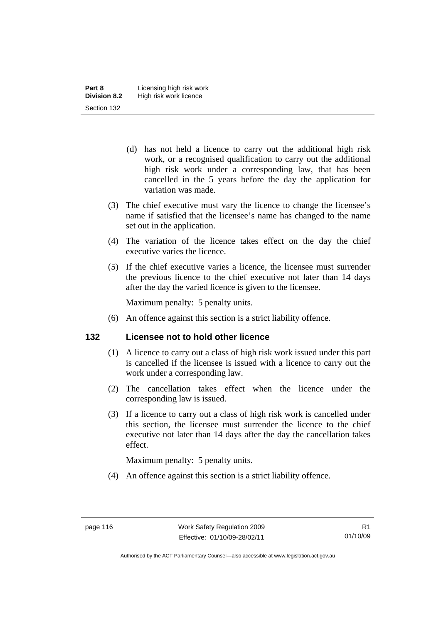- (d) has not held a licence to carry out the additional high risk work, or a recognised qualification to carry out the additional high risk work under a corresponding law, that has been cancelled in the 5 years before the day the application for variation was made.
- (3) The chief executive must vary the licence to change the licensee's name if satisfied that the licensee's name has changed to the name set out in the application.
- (4) The variation of the licence takes effect on the day the chief executive varies the licence.
- (5) If the chief executive varies a licence, the licensee must surrender the previous licence to the chief executive not later than 14 days after the day the varied licence is given to the licensee.

Maximum penalty: 5 penalty units.

(6) An offence against this section is a strict liability offence.

### **132 Licensee not to hold other licence**

- (1) A licence to carry out a class of high risk work issued under this part is cancelled if the licensee is issued with a licence to carry out the work under a corresponding law.
- (2) The cancellation takes effect when the licence under the corresponding law is issued.
- (3) If a licence to carry out a class of high risk work is cancelled under this section, the licensee must surrender the licence to the chief executive not later than 14 days after the day the cancellation takes effect.

Maximum penalty: 5 penalty units.

(4) An offence against this section is a strict liability offence.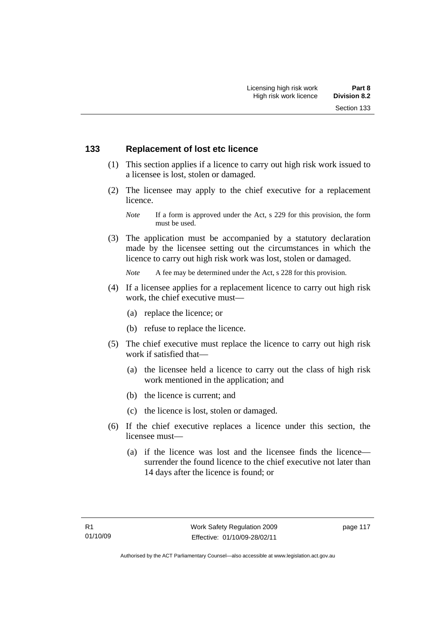### **133 Replacement of lost etc licence**

- (1) This section applies if a licence to carry out high risk work issued to a licensee is lost, stolen or damaged.
- (2) The licensee may apply to the chief executive for a replacement licence.

 (3) The application must be accompanied by a statutory declaration made by the licensee setting out the circumstances in which the licence to carry out high risk work was lost, stolen or damaged.

*Note* A fee may be determined under the Act, s 228 for this provision.

- (4) If a licensee applies for a replacement licence to carry out high risk work, the chief executive must—
	- (a) replace the licence; or
	- (b) refuse to replace the licence.
- (5) The chief executive must replace the licence to carry out high risk work if satisfied that—
	- (a) the licensee held a licence to carry out the class of high risk work mentioned in the application; and
	- (b) the licence is current; and
	- (c) the licence is lost, stolen or damaged.
- (6) If the chief executive replaces a licence under this section, the licensee must—
	- (a) if the licence was lost and the licensee finds the licence surrender the found licence to the chief executive not later than 14 days after the licence is found; or

*Note* If a form is approved under the Act, s 229 for this provision, the form must be used.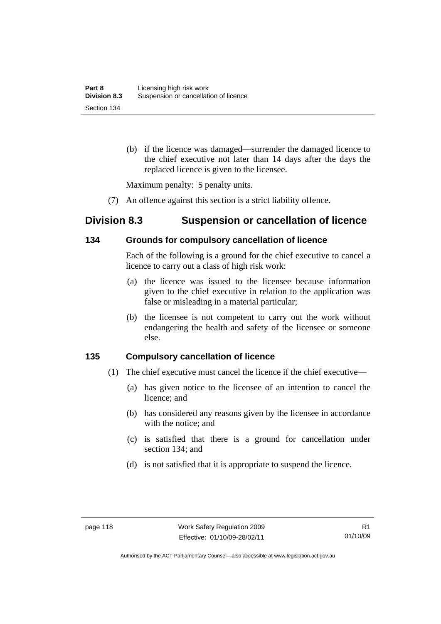(b) if the licence was damaged—surrender the damaged licence to the chief executive not later than 14 days after the days the replaced licence is given to the licensee.

Maximum penalty: 5 penalty units.

(7) An offence against this section is a strict liability offence.

# **Division 8.3 Suspension or cancellation of licence**

### **134 Grounds for compulsory cancellation of licence**

Each of the following is a ground for the chief executive to cancel a licence to carry out a class of high risk work:

- (a) the licence was issued to the licensee because information given to the chief executive in relation to the application was false or misleading in a material particular;
- (b) the licensee is not competent to carry out the work without endangering the health and safety of the licensee or someone else.

### **135 Compulsory cancellation of licence**

- (1) The chief executive must cancel the licence if the chief executive—
	- (a) has given notice to the licensee of an intention to cancel the licence; and
	- (b) has considered any reasons given by the licensee in accordance with the notice; and
	- (c) is satisfied that there is a ground for cancellation under section 134; and
	- (d) is not satisfied that it is appropriate to suspend the licence.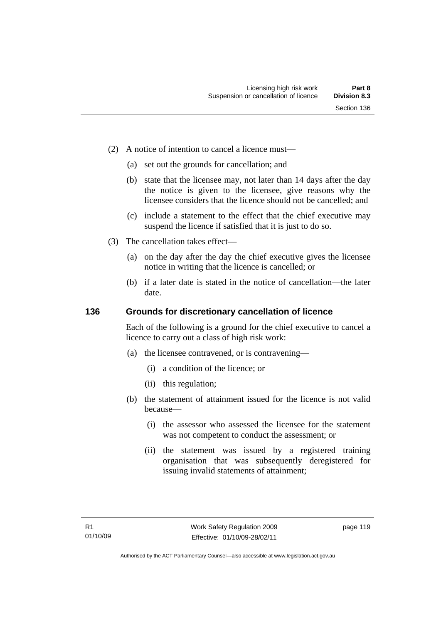- (2) A notice of intention to cancel a licence must—
	- (a) set out the grounds for cancellation; and
	- (b) state that the licensee may, not later than 14 days after the day the notice is given to the licensee, give reasons why the licensee considers that the licence should not be cancelled; and
	- (c) include a statement to the effect that the chief executive may suspend the licence if satisfied that it is just to do so.
- (3) The cancellation takes effect—
	- (a) on the day after the day the chief executive gives the licensee notice in writing that the licence is cancelled; or
	- (b) if a later date is stated in the notice of cancellation—the later date.

#### **136 Grounds for discretionary cancellation of licence**

Each of the following is a ground for the chief executive to cancel a licence to carry out a class of high risk work:

- (a) the licensee contravened, or is contravening—
	- (i) a condition of the licence; or
	- (ii) this regulation;
- (b) the statement of attainment issued for the licence is not valid because—
	- (i) the assessor who assessed the licensee for the statement was not competent to conduct the assessment; or
	- (ii) the statement was issued by a registered training organisation that was subsequently deregistered for issuing invalid statements of attainment;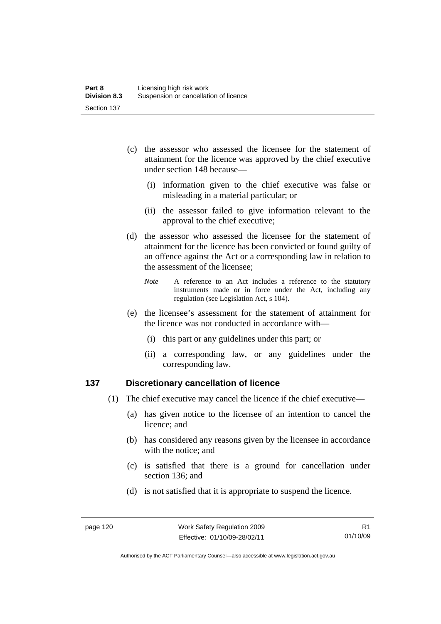- (c) the assessor who assessed the licensee for the statement of attainment for the licence was approved by the chief executive under section 148 because—
	- (i) information given to the chief executive was false or misleading in a material particular; or
	- (ii) the assessor failed to give information relevant to the approval to the chief executive;
- (d) the assessor who assessed the licensee for the statement of attainment for the licence has been convicted or found guilty of an offence against the Act or a corresponding law in relation to the assessment of the licensee;
	- *Note* A reference to an Act includes a reference to the statutory instruments made or in force under the Act, including any regulation (see Legislation Act, s 104).
- (e) the licensee's assessment for the statement of attainment for the licence was not conducted in accordance with—
	- (i) this part or any guidelines under this part; or
	- (ii) a corresponding law, or any guidelines under the corresponding law.

### **137 Discretionary cancellation of licence**

- (1) The chief executive may cancel the licence if the chief executive—
	- (a) has given notice to the licensee of an intention to cancel the licence; and
	- (b) has considered any reasons given by the licensee in accordance with the notice; and
	- (c) is satisfied that there is a ground for cancellation under section 136; and
	- (d) is not satisfied that it is appropriate to suspend the licence.

Authorised by the ACT Parliamentary Counsel—also accessible at www.legislation.act.gov.au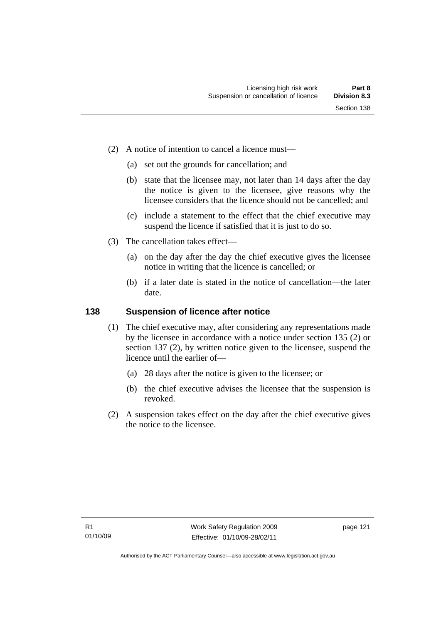- (2) A notice of intention to cancel a licence must—
	- (a) set out the grounds for cancellation; and
	- (b) state that the licensee may, not later than 14 days after the day the notice is given to the licensee, give reasons why the licensee considers that the licence should not be cancelled; and
	- (c) include a statement to the effect that the chief executive may suspend the licence if satisfied that it is just to do so.
- (3) The cancellation takes effect—
	- (a) on the day after the day the chief executive gives the licensee notice in writing that the licence is cancelled; or
	- (b) if a later date is stated in the notice of cancellation—the later date.

#### **138 Suspension of licence after notice**

- (1) The chief executive may, after considering any representations made by the licensee in accordance with a notice under section 135 (2) or section 137 (2), by written notice given to the licensee, suspend the licence until the earlier of—
	- (a) 28 days after the notice is given to the licensee; or
	- (b) the chief executive advises the licensee that the suspension is revoked.
- (2) A suspension takes effect on the day after the chief executive gives the notice to the licensee.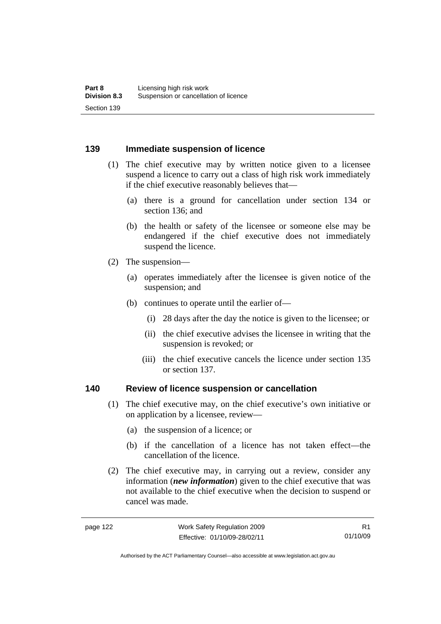#### **139 Immediate suspension of licence**

- (1) The chief executive may by written notice given to a licensee suspend a licence to carry out a class of high risk work immediately if the chief executive reasonably believes that—
	- (a) there is a ground for cancellation under section 134 or section 136; and
	- (b) the health or safety of the licensee or someone else may be endangered if the chief executive does not immediately suspend the licence.
- (2) The suspension—
	- (a) operates immediately after the licensee is given notice of the suspension; and
	- (b) continues to operate until the earlier of—
		- (i) 28 days after the day the notice is given to the licensee; or
		- (ii) the chief executive advises the licensee in writing that the suspension is revoked; or
		- (iii) the chief executive cancels the licence under section 135 or section 137.

#### **140 Review of licence suspension or cancellation**

- (1) The chief executive may, on the chief executive's own initiative or on application by a licensee, review—
	- (a) the suspension of a licence; or
	- (b) if the cancellation of a licence has not taken effect—the cancellation of the licence.
- (2) The chief executive may, in carrying out a review, consider any information (*new information*) given to the chief executive that was not available to the chief executive when the decision to suspend or cancel was made.

Authorised by the ACT Parliamentary Counsel—also accessible at www.legislation.act.gov.au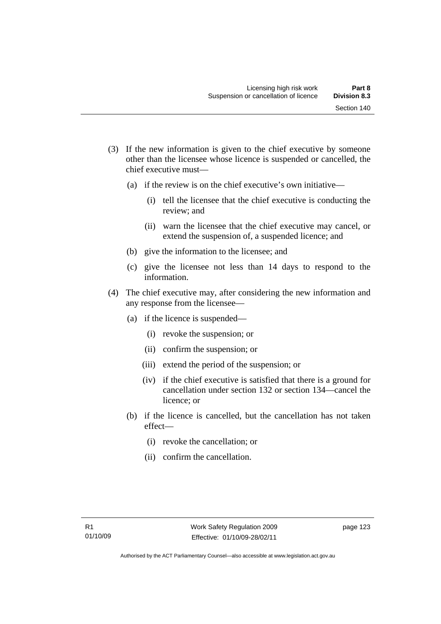- (3) If the new information is given to the chief executive by someone other than the licensee whose licence is suspended or cancelled, the chief executive must—
	- (a) if the review is on the chief executive's own initiative—
		- (i) tell the licensee that the chief executive is conducting the review; and
		- (ii) warn the licensee that the chief executive may cancel, or extend the suspension of, a suspended licence; and
	- (b) give the information to the licensee; and
	- (c) give the licensee not less than 14 days to respond to the information.
- (4) The chief executive may, after considering the new information and any response from the licensee—
	- (a) if the licence is suspended—
		- (i) revoke the suspension; or
		- (ii) confirm the suspension; or
		- (iii) extend the period of the suspension; or
		- (iv) if the chief executive is satisfied that there is a ground for cancellation under section 132 or section 134—cancel the licence; or
	- (b) if the licence is cancelled, but the cancellation has not taken effect—
		- (i) revoke the cancellation; or
		- (ii) confirm the cancellation.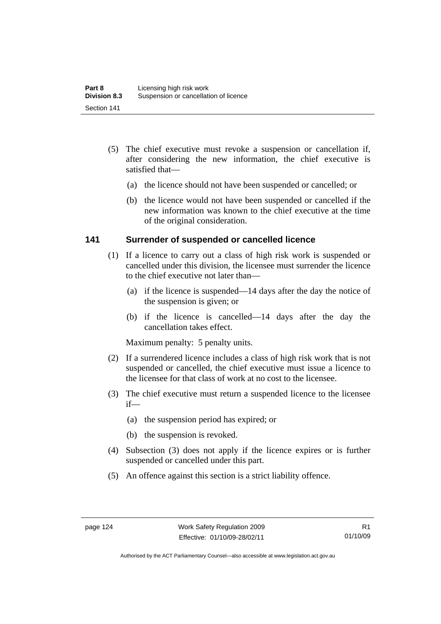- (5) The chief executive must revoke a suspension or cancellation if, after considering the new information, the chief executive is satisfied that—
	- (a) the licence should not have been suspended or cancelled; or
	- (b) the licence would not have been suspended or cancelled if the new information was known to the chief executive at the time of the original consideration.

### **141 Surrender of suspended or cancelled licence**

- (1) If a licence to carry out a class of high risk work is suspended or cancelled under this division, the licensee must surrender the licence to the chief executive not later than—
	- (a) if the licence is suspended—14 days after the day the notice of the suspension is given; or
	- (b) if the licence is cancelled—14 days after the day the cancellation takes effect.

Maximum penalty: 5 penalty units.

- (2) If a surrendered licence includes a class of high risk work that is not suspended or cancelled, the chief executive must issue a licence to the licensee for that class of work at no cost to the licensee.
- (3) The chief executive must return a suspended licence to the licensee if—
	- (a) the suspension period has expired; or
	- (b) the suspension is revoked.
- (4) Subsection (3) does not apply if the licence expires or is further suspended or cancelled under this part.
- (5) An offence against this section is a strict liability offence.

Authorised by the ACT Parliamentary Counsel—also accessible at www.legislation.act.gov.au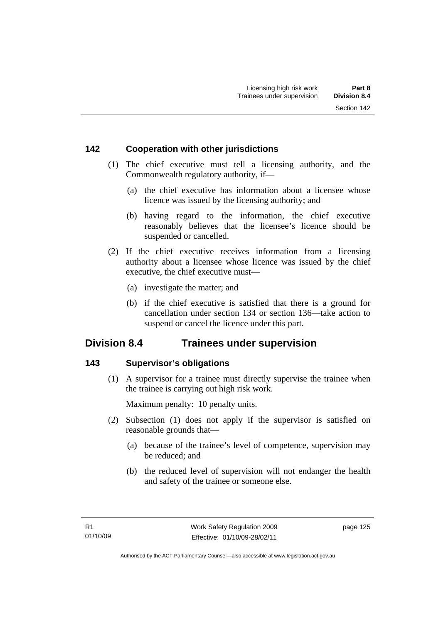### **142 Cooperation with other jurisdictions**

- (1) The chief executive must tell a licensing authority, and the Commonwealth regulatory authority, if—
	- (a) the chief executive has information about a licensee whose licence was issued by the licensing authority; and
	- (b) having regard to the information, the chief executive reasonably believes that the licensee's licence should be suspended or cancelled.
- (2) If the chief executive receives information from a licensing authority about a licensee whose licence was issued by the chief executive, the chief executive must—
	- (a) investigate the matter; and
	- (b) if the chief executive is satisfied that there is a ground for cancellation under section 134 or section 136—take action to suspend or cancel the licence under this part.

## **Division 8.4 Trainees under supervision**

### **143 Supervisor's obligations**

 (1) A supervisor for a trainee must directly supervise the trainee when the trainee is carrying out high risk work.

Maximum penalty: 10 penalty units.

- (2) Subsection (1) does not apply if the supervisor is satisfied on reasonable grounds that—
	- (a) because of the trainee's level of competence, supervision may be reduced; and
	- (b) the reduced level of supervision will not endanger the health and safety of the trainee or someone else.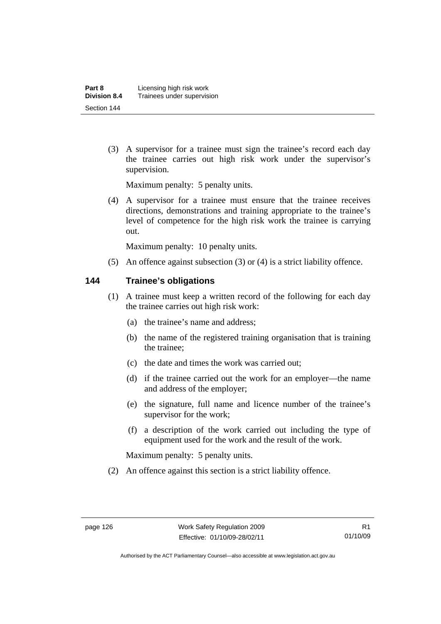(3) A supervisor for a trainee must sign the trainee's record each day the trainee carries out high risk work under the supervisor's supervision.

Maximum penalty: 5 penalty units.

 (4) A supervisor for a trainee must ensure that the trainee receives directions, demonstrations and training appropriate to the trainee's level of competence for the high risk work the trainee is carrying out.

Maximum penalty: 10 penalty units.

(5) An offence against subsection (3) or (4) is a strict liability offence.

### **144 Trainee's obligations**

- (1) A trainee must keep a written record of the following for each day the trainee carries out high risk work:
	- (a) the trainee's name and address;
	- (b) the name of the registered training organisation that is training the trainee;
	- (c) the date and times the work was carried out;
	- (d) if the trainee carried out the work for an employer—the name and address of the employer;
	- (e) the signature, full name and licence number of the trainee's supervisor for the work;
	- (f) a description of the work carried out including the type of equipment used for the work and the result of the work.

Maximum penalty: 5 penalty units.

(2) An offence against this section is a strict liability offence.

Authorised by the ACT Parliamentary Counsel—also accessible at www.legislation.act.gov.au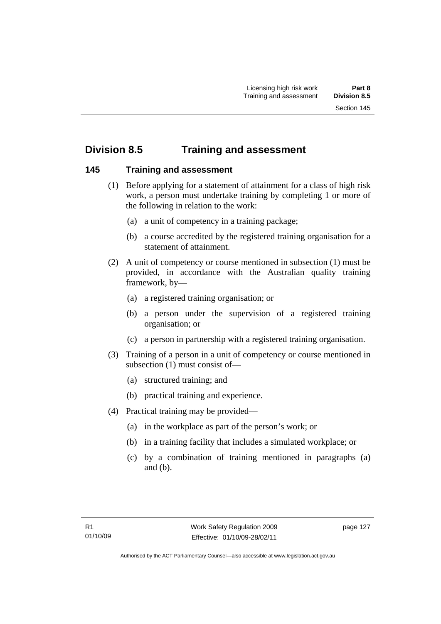# **Division 8.5 Training and assessment**

### **145 Training and assessment**

- (1) Before applying for a statement of attainment for a class of high risk work, a person must undertake training by completing 1 or more of the following in relation to the work:
	- (a) a unit of competency in a training package;
	- (b) a course accredited by the registered training organisation for a statement of attainment.
- (2) A unit of competency or course mentioned in subsection (1) must be provided, in accordance with the Australian quality training framework, by—
	- (a) a registered training organisation; or
	- (b) a person under the supervision of a registered training organisation; or
	- (c) a person in partnership with a registered training organisation.
- (3) Training of a person in a unit of competency or course mentioned in subsection (1) must consist of—
	- (a) structured training; and
	- (b) practical training and experience.
- (4) Practical training may be provided—
	- (a) in the workplace as part of the person's work; or
	- (b) in a training facility that includes a simulated workplace; or
	- (c) by a combination of training mentioned in paragraphs (a) and (b).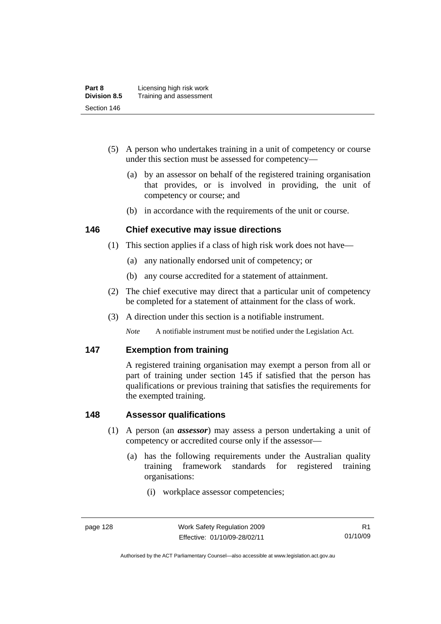| Part 8              | Licensing high risk work |
|---------------------|--------------------------|
| <b>Division 8.5</b> | Training and assessment  |
| Section 146         |                          |

- (5) A person who undertakes training in a unit of competency or course under this section must be assessed for competency—
	- (a) by an assessor on behalf of the registered training organisation that provides, or is involved in providing, the unit of competency or course; and
	- (b) in accordance with the requirements of the unit or course.

### **146 Chief executive may issue directions**

- (1) This section applies if a class of high risk work does not have—
	- (a) any nationally endorsed unit of competency; or
	- (b) any course accredited for a statement of attainment.
- (2) The chief executive may direct that a particular unit of competency be completed for a statement of attainment for the class of work.
- (3) A direction under this section is a notifiable instrument.

*Note* A notifiable instrument must be notified under the Legislation Act.

### **147 Exemption from training**

A registered training organisation may exempt a person from all or part of training under section 145 if satisfied that the person has qualifications or previous training that satisfies the requirements for the exempted training.

### **148 Assessor qualifications**

- (1) A person (an *assessor*) may assess a person undertaking a unit of competency or accredited course only if the assessor—
	- (a) has the following requirements under the Australian quality training framework standards for registered training organisations:
		- (i) workplace assessor competencies;

Authorised by the ACT Parliamentary Counsel—also accessible at www.legislation.act.gov.au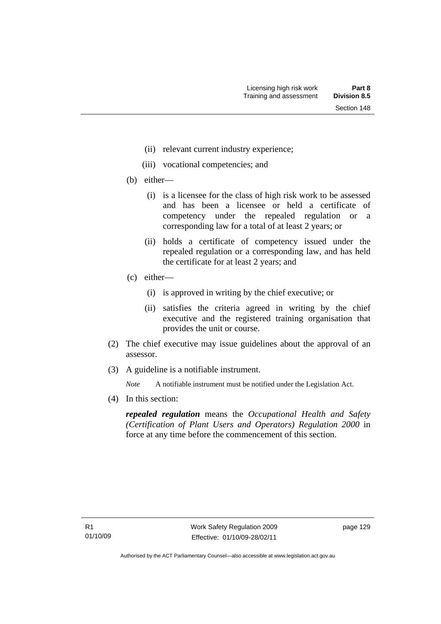- (ii) relevant current industry experience;
- (iii) vocational competencies; and
- (b) either—
	- (i) is a licensee for the class of high risk work to be assessed and has been a licensee or held a certificate of competency under the repealed regulation or a corresponding law for a total of at least 2 years; or
	- (ii) holds a certificate of competency issued under the repealed regulation or a corresponding law, and has held the certificate for at least 2 years; and
- (c) either—
	- (i) is approved in writing by the chief executive; or
	- (ii) satisfies the criteria agreed in writing by the chief executive and the registered training organisation that provides the unit or course.
- (2) The chief executive may issue guidelines about the approval of an assessor.
- (3) A guideline is a notifiable instrument.

*Note* A notifiable instrument must be notified under the Legislation Act.

(4) In this section:

*repealed regulation* means the *Occupational Health and Safety (Certification of Plant Users and Operators) Regulation 2000* in force at any time before the commencement of this section.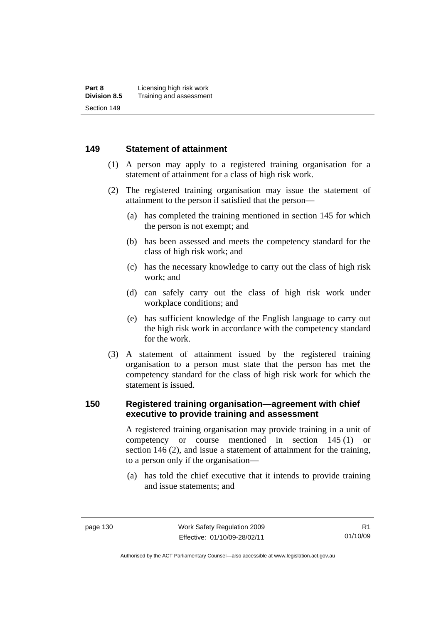### **149 Statement of attainment**

- (1) A person may apply to a registered training organisation for a statement of attainment for a class of high risk work.
- (2) The registered training organisation may issue the statement of attainment to the person if satisfied that the person—
	- (a) has completed the training mentioned in section 145 for which the person is not exempt; and
	- (b) has been assessed and meets the competency standard for the class of high risk work; and
	- (c) has the necessary knowledge to carry out the class of high risk work; and
	- (d) can safely carry out the class of high risk work under workplace conditions; and
	- (e) has sufficient knowledge of the English language to carry out the high risk work in accordance with the competency standard for the work.
- (3) A statement of attainment issued by the registered training organisation to a person must state that the person has met the competency standard for the class of high risk work for which the statement is issued.

### **150 Registered training organisation—agreement with chief executive to provide training and assessment**

A registered training organisation may provide training in a unit of competency or course mentioned in section 145 (1) or section 146 (2), and issue a statement of attainment for the training, to a person only if the organisation—

 (a) has told the chief executive that it intends to provide training and issue statements; and

Authorised by the ACT Parliamentary Counsel—also accessible at www.legislation.act.gov.au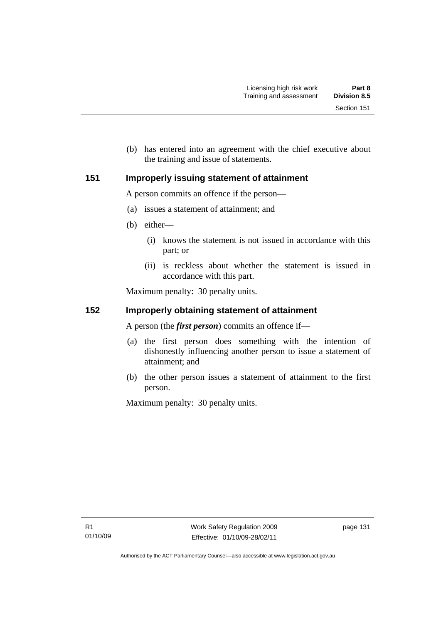(b) has entered into an agreement with the chief executive about the training and issue of statements.

### **151 Improperly issuing statement of attainment**

A person commits an offence if the person—

- (a) issues a statement of attainment; and
- (b) either—
	- (i) knows the statement is not issued in accordance with this part; or
	- (ii) is reckless about whether the statement is issued in accordance with this part.

Maximum penalty: 30 penalty units.

## **152 Improperly obtaining statement of attainment**

A person (the *first person*) commits an offence if—

- (a) the first person does something with the intention of dishonestly influencing another person to issue a statement of attainment; and
- (b) the other person issues a statement of attainment to the first person.

Maximum penalty: 30 penalty units.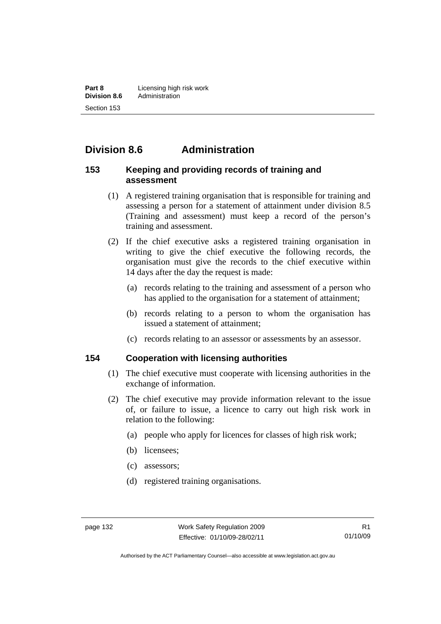**Part 8 Licensing high risk work**<br>**Division 8.6** Administration **Division 8.6** Administration Section 153

# **Division 8.6 Administration**

#### **153 Keeping and providing records of training and assessment**

- (1) A registered training organisation that is responsible for training and assessing a person for a statement of attainment under division 8.5 (Training and assessment) must keep a record of the person's training and assessment.
- (2) If the chief executive asks a registered training organisation in writing to give the chief executive the following records, the organisation must give the records to the chief executive within 14 days after the day the request is made:
	- (a) records relating to the training and assessment of a person who has applied to the organisation for a statement of attainment;
	- (b) records relating to a person to whom the organisation has issued a statement of attainment;
	- (c) records relating to an assessor or assessments by an assessor.

#### **154 Cooperation with licensing authorities**

- (1) The chief executive must cooperate with licensing authorities in the exchange of information.
- (2) The chief executive may provide information relevant to the issue of, or failure to issue, a licence to carry out high risk work in relation to the following:
	- (a) people who apply for licences for classes of high risk work;
	- (b) licensees;
	- (c) assessors;
	- (d) registered training organisations.

Authorised by the ACT Parliamentary Counsel—also accessible at www.legislation.act.gov.au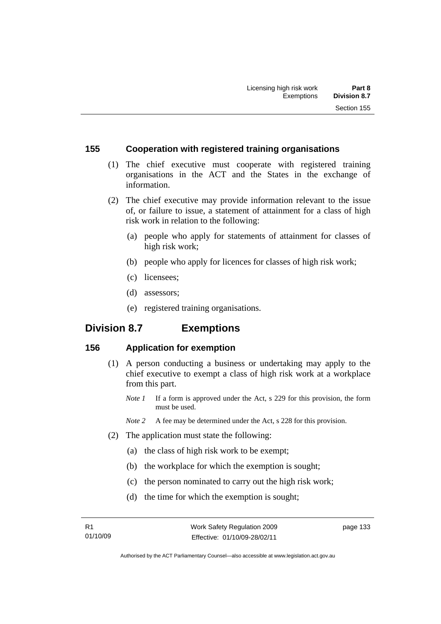#### **155 Cooperation with registered training organisations**

- (1) The chief executive must cooperate with registered training organisations in the ACT and the States in the exchange of information.
- (2) The chief executive may provide information relevant to the issue of, or failure to issue, a statement of attainment for a class of high risk work in relation to the following:
	- (a) people who apply for statements of attainment for classes of high risk work;
	- (b) people who apply for licences for classes of high risk work;
	- (c) licensees;
	- (d) assessors;
	- (e) registered training organisations.

# **Division 8.7 Exemptions**

# **156 Application for exemption**

- (1) A person conducting a business or undertaking may apply to the chief executive to exempt a class of high risk work at a workplace from this part.
	- *Note 1* If a form is approved under the Act, s 229 for this provision, the form must be used.
	- *Note 2* A fee may be determined under the Act, s 228 for this provision.
- (2) The application must state the following:
	- (a) the class of high risk work to be exempt;
	- (b) the workplace for which the exemption is sought;
	- (c) the person nominated to carry out the high risk work;
	- (d) the time for which the exemption is sought;

page 133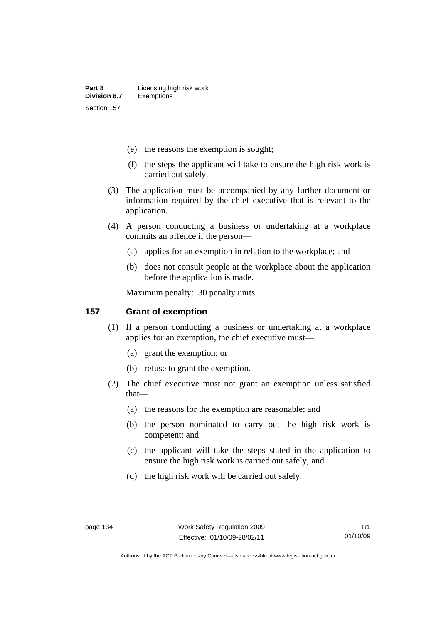- (e) the reasons the exemption is sought;
- (f) the steps the applicant will take to ensure the high risk work is carried out safely.
- (3) The application must be accompanied by any further document or information required by the chief executive that is relevant to the application.
- (4) A person conducting a business or undertaking at a workplace commits an offence if the person—
	- (a) applies for an exemption in relation to the workplace; and
	- (b) does not consult people at the workplace about the application before the application is made.

Maximum penalty: 30 penalty units.

#### **157 Grant of exemption**

- (1) If a person conducting a business or undertaking at a workplace applies for an exemption, the chief executive must—
	- (a) grant the exemption; or
	- (b) refuse to grant the exemption.
- (2) The chief executive must not grant an exemption unless satisfied that—
	- (a) the reasons for the exemption are reasonable; and
	- (b) the person nominated to carry out the high risk work is competent; and
	- (c) the applicant will take the steps stated in the application to ensure the high risk work is carried out safely; and
	- (d) the high risk work will be carried out safely.

Authorised by the ACT Parliamentary Counsel—also accessible at www.legislation.act.gov.au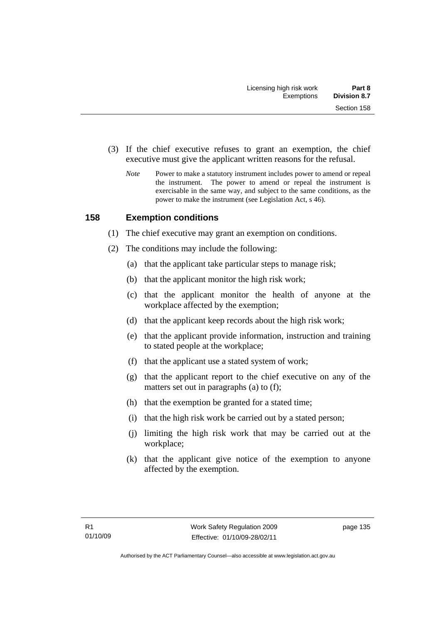- (3) If the chief executive refuses to grant an exemption, the chief executive must give the applicant written reasons for the refusal.
	- *Note* Power to make a statutory instrument includes power to amend or repeal the instrument. The power to amend or repeal the instrument is exercisable in the same way, and subject to the same conditions, as the power to make the instrument (see Legislation Act, s 46).

# **158 Exemption conditions**

- (1) The chief executive may grant an exemption on conditions.
- (2) The conditions may include the following:
	- (a) that the applicant take particular steps to manage risk;
	- (b) that the applicant monitor the high risk work;
	- (c) that the applicant monitor the health of anyone at the workplace affected by the exemption;
	- (d) that the applicant keep records about the high risk work;
	- (e) that the applicant provide information, instruction and training to stated people at the workplace;
	- (f) that the applicant use a stated system of work;
	- (g) that the applicant report to the chief executive on any of the matters set out in paragraphs (a) to (f);
	- (h) that the exemption be granted for a stated time;
	- (i) that the high risk work be carried out by a stated person;
	- (j) limiting the high risk work that may be carried out at the workplace;
	- (k) that the applicant give notice of the exemption to anyone affected by the exemption.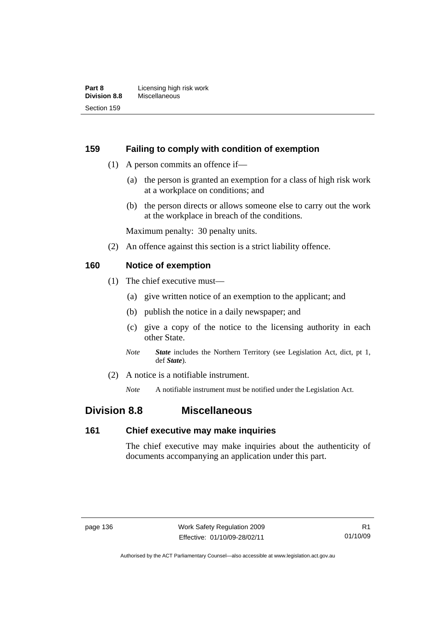### **159 Failing to comply with condition of exemption**

- (1) A person commits an offence if—
	- (a) the person is granted an exemption for a class of high risk work at a workplace on conditions; and
	- (b) the person directs or allows someone else to carry out the work at the workplace in breach of the conditions.

Maximum penalty: 30 penalty units.

(2) An offence against this section is a strict liability offence.

### **160 Notice of exemption**

- (1) The chief executive must—
	- (a) give written notice of an exemption to the applicant; and
	- (b) publish the notice in a daily newspaper; and
	- (c) give a copy of the notice to the licensing authority in each other State.
	- *Note State* includes the Northern Territory (see Legislation Act, dict, pt 1, def *State*).
- (2) A notice is a notifiable instrument.

*Note* A notifiable instrument must be notified under the Legislation Act.

# **Division 8.8 Miscellaneous**

#### **161 Chief executive may make inquiries**

The chief executive may make inquiries about the authenticity of documents accompanying an application under this part.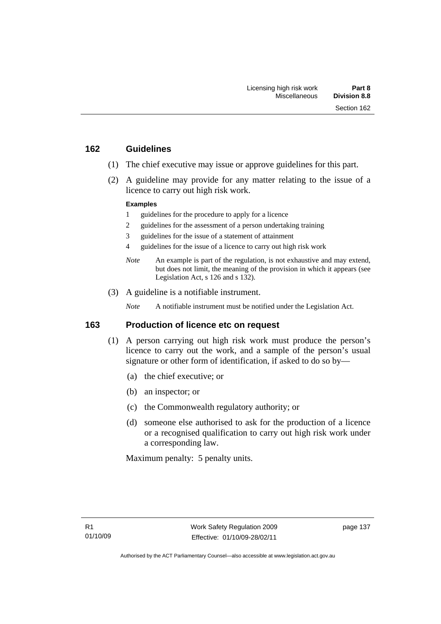#### **162 Guidelines**

- (1) The chief executive may issue or approve guidelines for this part.
- (2) A guideline may provide for any matter relating to the issue of a licence to carry out high risk work.

#### **Examples**

- 1 guidelines for the procedure to apply for a licence
- 2 guidelines for the assessment of a person undertaking training
- 3 guidelines for the issue of a statement of attainment
- 4 guidelines for the issue of a licence to carry out high risk work
- *Note* An example is part of the regulation, is not exhaustive and may extend, but does not limit, the meaning of the provision in which it appears (see Legislation Act, s 126 and s 132).
- (3) A guideline is a notifiable instrument.

*Note* A notifiable instrument must be notified under the Legislation Act.

#### **163 Production of licence etc on request**

- (1) A person carrying out high risk work must produce the person's licence to carry out the work, and a sample of the person's usual signature or other form of identification, if asked to do so by—
	- (a) the chief executive; or
	- (b) an inspector; or
	- (c) the Commonwealth regulatory authority; or
	- (d) someone else authorised to ask for the production of a licence or a recognised qualification to carry out high risk work under a corresponding law.

Maximum penalty: 5 penalty units.

page 137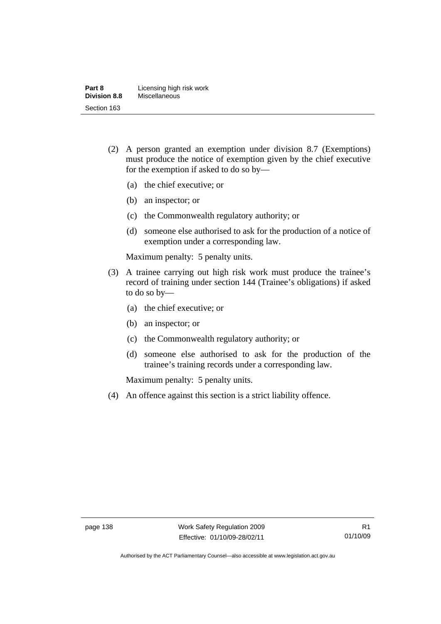| Part 8              | Licensing high risk work |
|---------------------|--------------------------|
| <b>Division 8.8</b> | <b>Miscellaneous</b>     |
| Section 163         |                          |

- (2) A person granted an exemption under division 8.7 (Exemptions) must produce the notice of exemption given by the chief executive for the exemption if asked to do so by—
	- (a) the chief executive; or
	- (b) an inspector; or
	- (c) the Commonwealth regulatory authority; or
	- (d) someone else authorised to ask for the production of a notice of exemption under a corresponding law.

Maximum penalty: 5 penalty units.

- (3) A trainee carrying out high risk work must produce the trainee's record of training under section 144 (Trainee's obligations) if asked to do so by—
	- (a) the chief executive; or
	- (b) an inspector; or
	- (c) the Commonwealth regulatory authority; or
	- (d) someone else authorised to ask for the production of the trainee's training records under a corresponding law.

Maximum penalty: 5 penalty units.

(4) An offence against this section is a strict liability offence.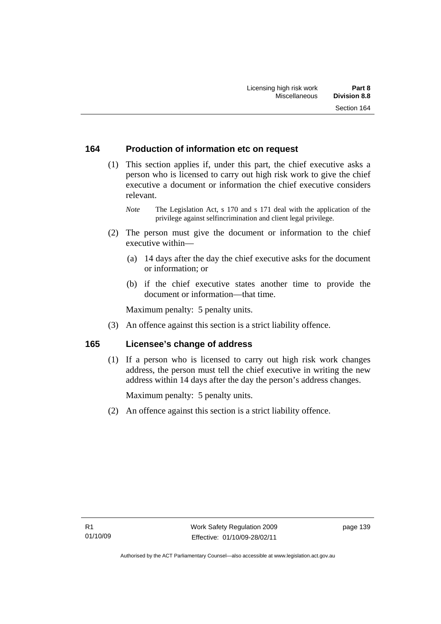# **164 Production of information etc on request**

 (1) This section applies if, under this part, the chief executive asks a person who is licensed to carry out high risk work to give the chief executive a document or information the chief executive considers relevant.

*Note* The Legislation Act, s 170 and s 171 deal with the application of the privilege against selfincrimination and client legal privilege.

- (2) The person must give the document or information to the chief executive within—
	- (a) 14 days after the day the chief executive asks for the document or information; or
	- (b) if the chief executive states another time to provide the document or information—that time.

Maximum penalty: 5 penalty units.

(3) An offence against this section is a strict liability offence.

# **165 Licensee's change of address**

 (1) If a person who is licensed to carry out high risk work changes address, the person must tell the chief executive in writing the new address within 14 days after the day the person's address changes.

Maximum penalty: 5 penalty units.

(2) An offence against this section is a strict liability offence.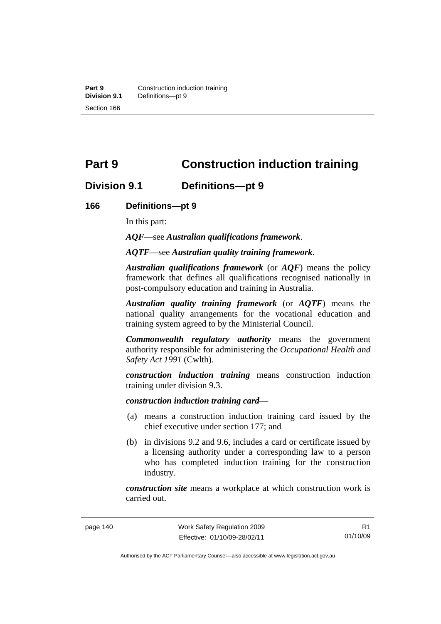# **Part 9 Construction induction training**

# **Division 9.1 Definitions—pt 9**

#### **166 Definitions—pt 9**

In this part:

*AQF*—see *Australian qualifications framework*.

*AQTF*—see *Australian quality training framework*.

*Australian qualifications framework* (or *AQF*) means the policy framework that defines all qualifications recognised nationally in post-compulsory education and training in Australia.

*Australian quality training framework* (or *AQTF*) means the national quality arrangements for the vocational education and training system agreed to by the Ministerial Council.

*Commonwealth regulatory authority* means the government authority responsible for administering the *Occupational Health and Safety Act 1991* (Cwlth).

*construction induction training* means construction induction training under division 9.3.

*construction induction training card*—

- (a) means a construction induction training card issued by the chief executive under section 177; and
- (b) in divisions 9.2 and 9.6, includes a card or certificate issued by a licensing authority under a corresponding law to a person who has completed induction training for the construction industry.

*construction site* means a workplace at which construction work is carried out.

R1 01/10/09

Authorised by the ACT Parliamentary Counsel—also accessible at www.legislation.act.gov.au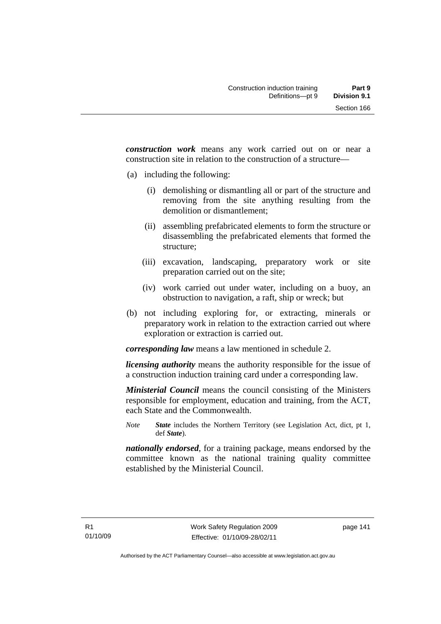*construction work* means any work carried out on or near a construction site in relation to the construction of a structure—

- (a) including the following:
	- (i) demolishing or dismantling all or part of the structure and removing from the site anything resulting from the demolition or dismantlement;
	- (ii) assembling prefabricated elements to form the structure or disassembling the prefabricated elements that formed the structure;
	- (iii) excavation, landscaping, preparatory work or site preparation carried out on the site;
	- (iv) work carried out under water, including on a buoy, an obstruction to navigation, a raft, ship or wreck; but
- (b) not including exploring for, or extracting, minerals or preparatory work in relation to the extraction carried out where exploration or extraction is carried out.

*corresponding law* means a law mentioned in schedule 2.

*licensing authority* means the authority responsible for the issue of a construction induction training card under a corresponding law.

*Ministerial Council* means the council consisting of the Ministers responsible for employment, education and training, from the ACT, each State and the Commonwealth.

*Note State* includes the Northern Territory (see Legislation Act, dict, pt 1, def *State*).

*nationally endorsed*, for a training package, means endorsed by the committee known as the national training quality committee established by the Ministerial Council.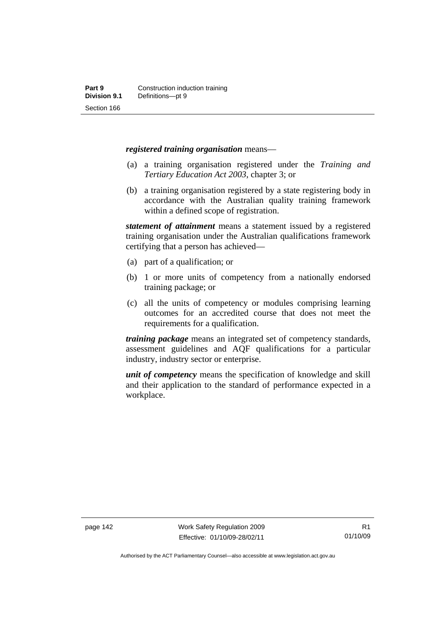#### *registered training organisation* means—

- (a) a training organisation registered under the *Training and Tertiary Education Act 2003*, chapter 3; or
- (b) a training organisation registered by a state registering body in accordance with the Australian quality training framework within a defined scope of registration.

*statement of attainment* means a statement issued by a registered training organisation under the Australian qualifications framework certifying that a person has achieved—

- (a) part of a qualification; or
- (b) 1 or more units of competency from a nationally endorsed training package; or
- (c) all the units of competency or modules comprising learning outcomes for an accredited course that does not meet the requirements for a qualification.

*training package* means an integrated set of competency standards, assessment guidelines and AQF qualifications for a particular industry, industry sector or enterprise.

*unit of competency* means the specification of knowledge and skill and their application to the standard of performance expected in a workplace.

Authorised by the ACT Parliamentary Counsel—also accessible at www.legislation.act.gov.au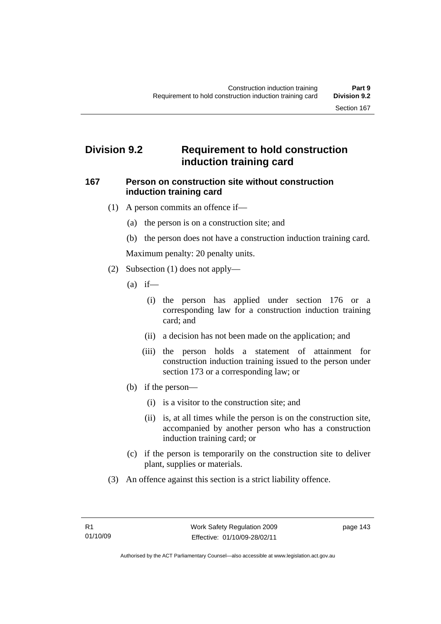# **Division 9.2 Requirement to hold construction induction training card**

#### **167 Person on construction site without construction induction training card**

- (1) A person commits an offence if—
	- (a) the person is on a construction site; and
	- (b) the person does not have a construction induction training card.

Maximum penalty: 20 penalty units.

- (2) Subsection (1) does not apply—
	- $(a)$  if—
		- (i) the person has applied under section 176 or a corresponding law for a construction induction training card; and
		- (ii) a decision has not been made on the application; and
		- (iii) the person holds a statement of attainment for construction induction training issued to the person under section 173 or a corresponding law; or
	- (b) if the person—
		- (i) is a visitor to the construction site; and
		- (ii) is, at all times while the person is on the construction site, accompanied by another person who has a construction induction training card; or
	- (c) if the person is temporarily on the construction site to deliver plant, supplies or materials.
- (3) An offence against this section is a strict liability offence.

page 143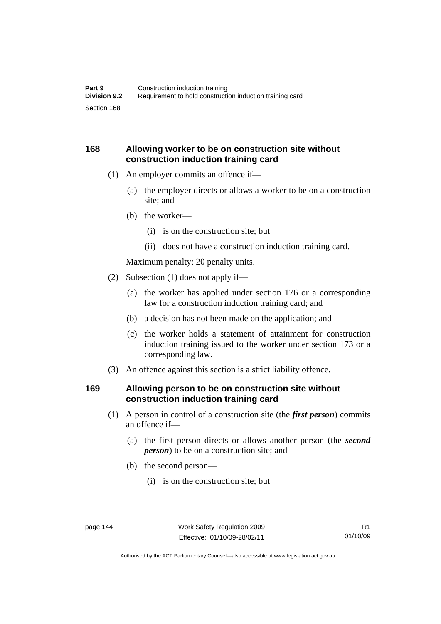# **168 Allowing worker to be on construction site without construction induction training card**

- (1) An employer commits an offence if—
	- (a) the employer directs or allows a worker to be on a construction site; and
	- (b) the worker—
		- (i) is on the construction site; but
		- (ii) does not have a construction induction training card.

Maximum penalty: 20 penalty units.

- (2) Subsection (1) does not apply if—
	- (a) the worker has applied under section 176 or a corresponding law for a construction induction training card; and
	- (b) a decision has not been made on the application; and
	- (c) the worker holds a statement of attainment for construction induction training issued to the worker under section 173 or a corresponding law.
- (3) An offence against this section is a strict liability offence.

## **169 Allowing person to be on construction site without construction induction training card**

- (1) A person in control of a construction site (the *first person*) commits an offence if—
	- (a) the first person directs or allows another person (the *second person*) to be on a construction site; and
	- (b) the second person—
		- (i) is on the construction site; but

Authorised by the ACT Parliamentary Counsel—also accessible at www.legislation.act.gov.au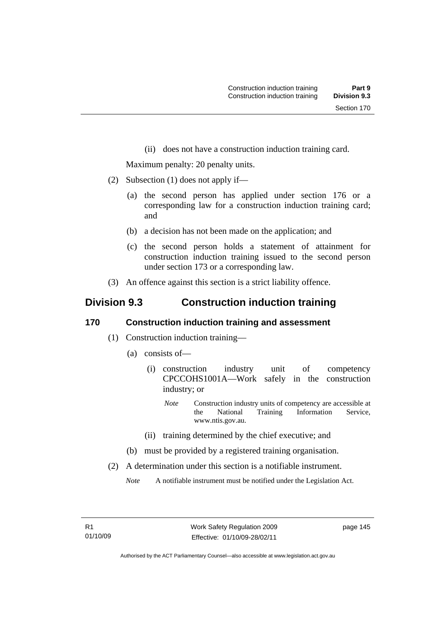(ii) does not have a construction induction training card.

Maximum penalty: 20 penalty units.

- (2) Subsection (1) does not apply if—
	- (a) the second person has applied under section 176 or a corresponding law for a construction induction training card; and
	- (b) a decision has not been made on the application; and
	- (c) the second person holds a statement of attainment for construction induction training issued to the second person under section 173 or a corresponding law.
- (3) An offence against this section is a strict liability offence.

# **Division 9.3 Construction induction training**

#### **170 Construction induction training and assessment**

- (1) Construction induction training—
	- (a) consists of—
		- (i) construction industry unit of competency CPCCOHS1001A—Work safely in the construction industry; or
			- *Note* Construction industry units of competency are accessible at the National Training Information Service, www.ntis.gov.au.
		- (ii) training determined by the chief executive; and
	- (b) must be provided by a registered training organisation.
- (2) A determination under this section is a notifiable instrument.

*Note* A notifiable instrument must be notified under the Legislation Act.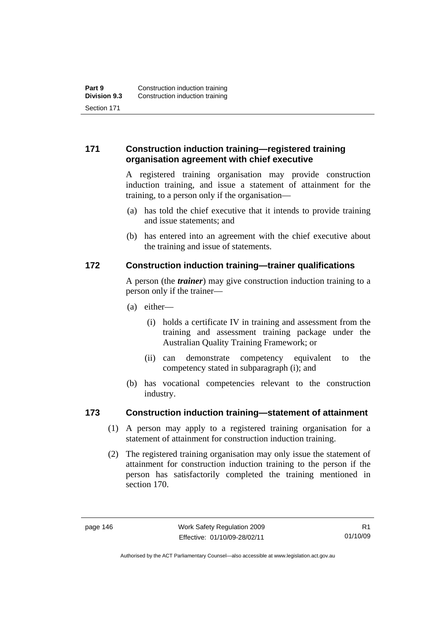# **171 Construction induction training—registered training organisation agreement with chief executive**

A registered training organisation may provide construction induction training, and issue a statement of attainment for the training, to a person only if the organisation—

- (a) has told the chief executive that it intends to provide training and issue statements; and
- (b) has entered into an agreement with the chief executive about the training and issue of statements.

# **172 Construction induction training—trainer qualifications**

A person (the *trainer*) may give construction induction training to a person only if the trainer—

- (a) either—
	- (i) holds a certificate IV in training and assessment from the training and assessment training package under the Australian Quality Training Framework; or
	- (ii) can demonstrate competency equivalent to the competency stated in subparagraph (i); and
- (b) has vocational competencies relevant to the construction industry.

# **173 Construction induction training—statement of attainment**

- (1) A person may apply to a registered training organisation for a statement of attainment for construction induction training.
- (2) The registered training organisation may only issue the statement of attainment for construction induction training to the person if the person has satisfactorily completed the training mentioned in section 170.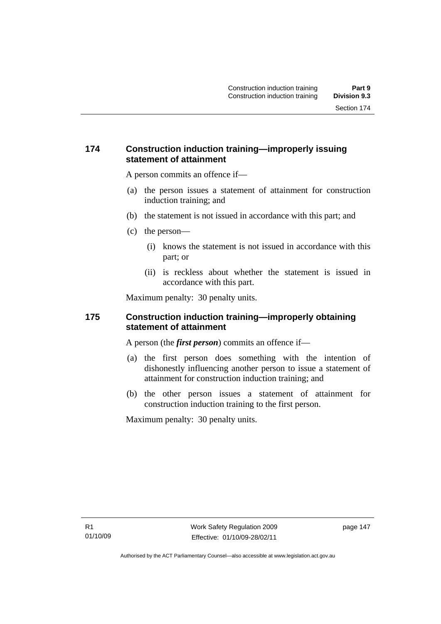## **174 Construction induction training—improperly issuing statement of attainment**

A person commits an offence if—

- (a) the person issues a statement of attainment for construction induction training; and
- (b) the statement is not issued in accordance with this part; and
- (c) the person—
	- (i) knows the statement is not issued in accordance with this part; or
	- (ii) is reckless about whether the statement is issued in accordance with this part.

Maximum penalty: 30 penalty units.

### **175 Construction induction training—improperly obtaining statement of attainment**

A person (the *first person*) commits an offence if—

- (a) the first person does something with the intention of dishonestly influencing another person to issue a statement of attainment for construction induction training; and
- (b) the other person issues a statement of attainment for construction induction training to the first person.

Maximum penalty: 30 penalty units.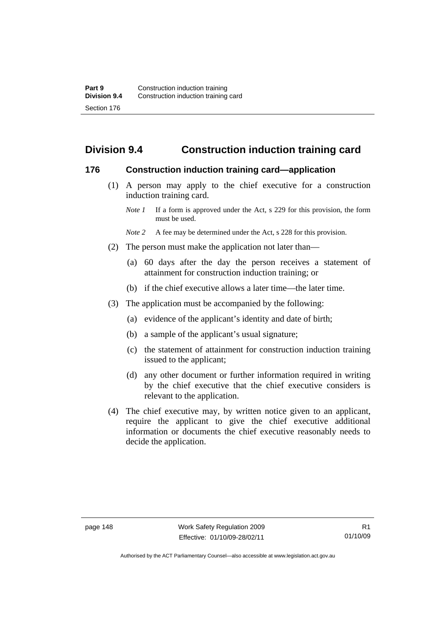# **Division 9.4 Construction induction training card**

#### **176 Construction induction training card—application**

- (1) A person may apply to the chief executive for a construction induction training card.
	- *Note 1* If a form is approved under the Act, s 229 for this provision, the form must be used.
	- *Note 2* A fee may be determined under the Act, s 228 for this provision.
- (2) The person must make the application not later than—
	- (a) 60 days after the day the person receives a statement of attainment for construction induction training; or
	- (b) if the chief executive allows a later time—the later time.
- (3) The application must be accompanied by the following:
	- (a) evidence of the applicant's identity and date of birth;
	- (b) a sample of the applicant's usual signature;
	- (c) the statement of attainment for construction induction training issued to the applicant;
	- (d) any other document or further information required in writing by the chief executive that the chief executive considers is relevant to the application.
- (4) The chief executive may, by written notice given to an applicant, require the applicant to give the chief executive additional information or documents the chief executive reasonably needs to decide the application.

Authorised by the ACT Parliamentary Counsel—also accessible at www.legislation.act.gov.au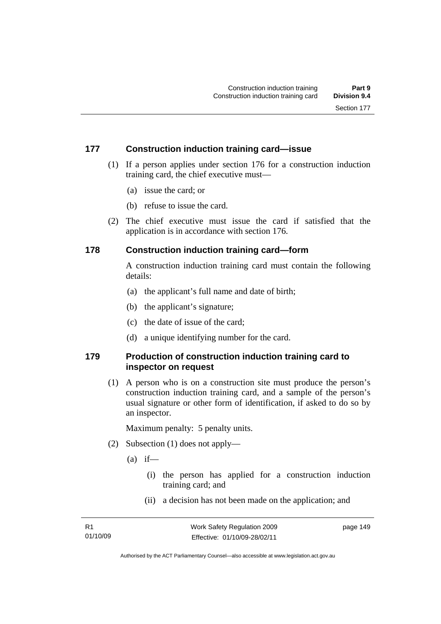# **177 Construction induction training card—issue**

- (1) If a person applies under section 176 for a construction induction training card, the chief executive must—
	- (a) issue the card; or
	- (b) refuse to issue the card.
- (2) The chief executive must issue the card if satisfied that the application is in accordance with section 176.

# **178 Construction induction training card—form**

A construction induction training card must contain the following details:

- (a) the applicant's full name and date of birth;
- (b) the applicant's signature;
- (c) the date of issue of the card;
- (d) a unique identifying number for the card.

# **179 Production of construction induction training card to inspector on request**

 (1) A person who is on a construction site must produce the person's construction induction training card, and a sample of the person's usual signature or other form of identification, if asked to do so by an inspector.

Maximum penalty: 5 penalty units.

- (2) Subsection (1) does not apply—
	- $(a)$  if—
		- (i) the person has applied for a construction induction training card; and
		- (ii) a decision has not been made on the application; and

page 149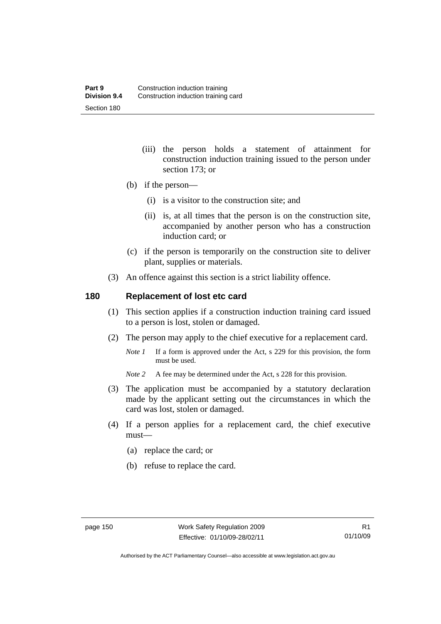- (iii) the person holds a statement of attainment for construction induction training issued to the person under section 173; or
- (b) if the person—
	- (i) is a visitor to the construction site; and
	- (ii) is, at all times that the person is on the construction site, accompanied by another person who has a construction induction card; or
- (c) if the person is temporarily on the construction site to deliver plant, supplies or materials.
- (3) An offence against this section is a strict liability offence.

### **180 Replacement of lost etc card**

- (1) This section applies if a construction induction training card issued to a person is lost, stolen or damaged.
- (2) The person may apply to the chief executive for a replacement card.
	- *Note 1* If a form is approved under the Act, s 229 for this provision, the form must be used.
	- *Note 2* A fee may be determined under the Act, s 228 for this provision.
- (3) The application must be accompanied by a statutory declaration made by the applicant setting out the circumstances in which the card was lost, stolen or damaged.
- (4) If a person applies for a replacement card, the chief executive must—
	- (a) replace the card; or
	- (b) refuse to replace the card.

Authorised by the ACT Parliamentary Counsel—also accessible at www.legislation.act.gov.au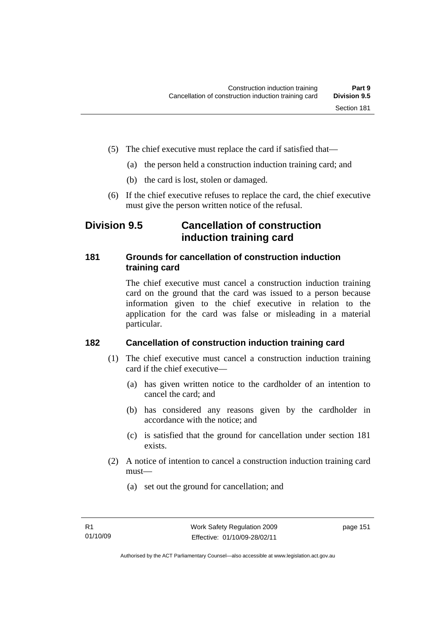- (5) The chief executive must replace the card if satisfied that—
	- (a) the person held a construction induction training card; and
	- (b) the card is lost, stolen or damaged.
- (6) If the chief executive refuses to replace the card, the chief executive must give the person written notice of the refusal.

# **Division 9.5 Cancellation of construction induction training card**

# **181 Grounds for cancellation of construction induction training card**

The chief executive must cancel a construction induction training card on the ground that the card was issued to a person because information given to the chief executive in relation to the application for the card was false or misleading in a material particular.

# **182 Cancellation of construction induction training card**

- (1) The chief executive must cancel a construction induction training card if the chief executive—
	- (a) has given written notice to the cardholder of an intention to cancel the card; and
	- (b) has considered any reasons given by the cardholder in accordance with the notice; and
	- (c) is satisfied that the ground for cancellation under section 181 exists.
- (2) A notice of intention to cancel a construction induction training card must—
	- (a) set out the ground for cancellation; and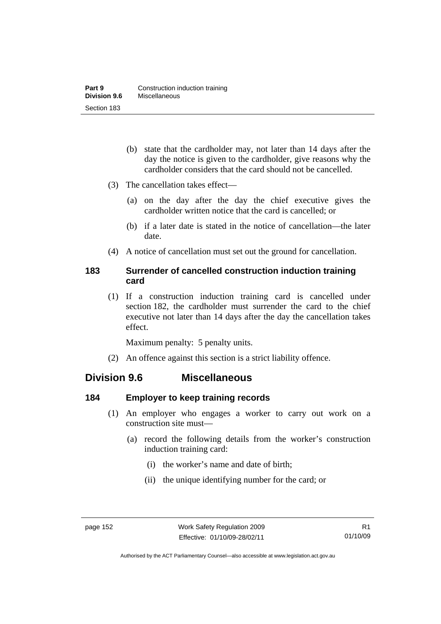- (b) state that the cardholder may, not later than 14 days after the day the notice is given to the cardholder, give reasons why the cardholder considers that the card should not be cancelled.
- (3) The cancellation takes effect—
	- (a) on the day after the day the chief executive gives the cardholder written notice that the card is cancelled; or
	- (b) if a later date is stated in the notice of cancellation—the later date.
- (4) A notice of cancellation must set out the ground for cancellation.

# **183 Surrender of cancelled construction induction training card**

 (1) If a construction induction training card is cancelled under section 182, the cardholder must surrender the card to the chief executive not later than 14 days after the day the cancellation takes effect.

Maximum penalty: 5 penalty units.

(2) An offence against this section is a strict liability offence.

# **Division 9.6 Miscellaneous**

# **184 Employer to keep training records**

- (1) An employer who engages a worker to carry out work on a construction site must—
	- (a) record the following details from the worker's construction induction training card:
		- (i) the worker's name and date of birth;
		- (ii) the unique identifying number for the card; or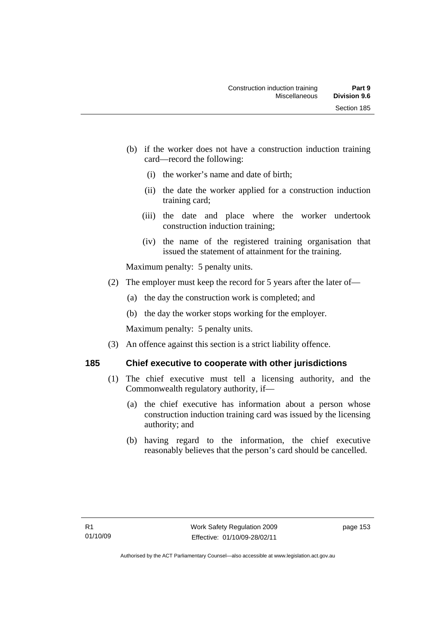- (b) if the worker does not have a construction induction training card—record the following:
	- (i) the worker's name and date of birth;
	- (ii) the date the worker applied for a construction induction training card;
	- (iii) the date and place where the worker undertook construction induction training;
	- (iv) the name of the registered training organisation that issued the statement of attainment for the training.

Maximum penalty: 5 penalty units.

- (2) The employer must keep the record for 5 years after the later of—
	- (a) the day the construction work is completed; and
	- (b) the day the worker stops working for the employer.

Maximum penalty: 5 penalty units.

(3) An offence against this section is a strict liability offence.

# **185 Chief executive to cooperate with other jurisdictions**

- (1) The chief executive must tell a licensing authority, and the Commonwealth regulatory authority, if—
	- (a) the chief executive has information about a person whose construction induction training card was issued by the licensing authority; and
	- (b) having regard to the information, the chief executive reasonably believes that the person's card should be cancelled.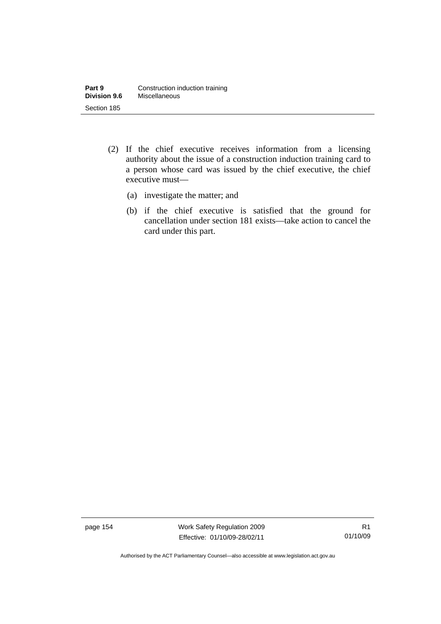- (2) If the chief executive receives information from a licensing authority about the issue of a construction induction training card to a person whose card was issued by the chief executive, the chief executive must—
	- (a) investigate the matter; and
	- (b) if the chief executive is satisfied that the ground for cancellation under section 181 exists—take action to cancel the card under this part.

page 154 Work Safety Regulation 2009 Effective: 01/10/09-28/02/11

R1 01/10/09

Authorised by the ACT Parliamentary Counsel—also accessible at www.legislation.act.gov.au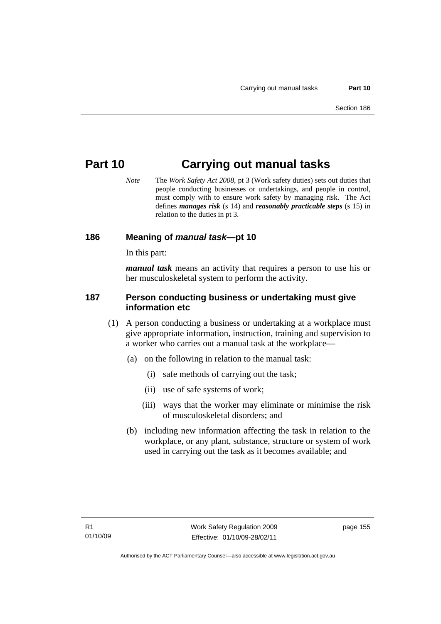# **Part 10 Carrying out manual tasks**

*Note* The *Work Safety Act 2008*, pt 3 (Work safety duties) sets out duties that people conducting businesses or undertakings, and people in control, must comply with to ensure work safety by managing risk. The Act defines *manages risk* (s 14) and *reasonably practicable steps* (s 15) in relation to the duties in pt 3.

### **186 Meaning of** *manual task***—pt 10**

In this part:

*manual task* means an activity that requires a person to use his or her musculoskeletal system to perform the activity.

#### **187 Person conducting business or undertaking must give information etc**

- (1) A person conducting a business or undertaking at a workplace must give appropriate information, instruction, training and supervision to a worker who carries out a manual task at the workplace—
	- (a) on the following in relation to the manual task:
		- (i) safe methods of carrying out the task;
		- (ii) use of safe systems of work;
		- (iii) ways that the worker may eliminate or minimise the risk of musculoskeletal disorders; and
	- (b) including new information affecting the task in relation to the workplace, or any plant, substance, structure or system of work used in carrying out the task as it becomes available; and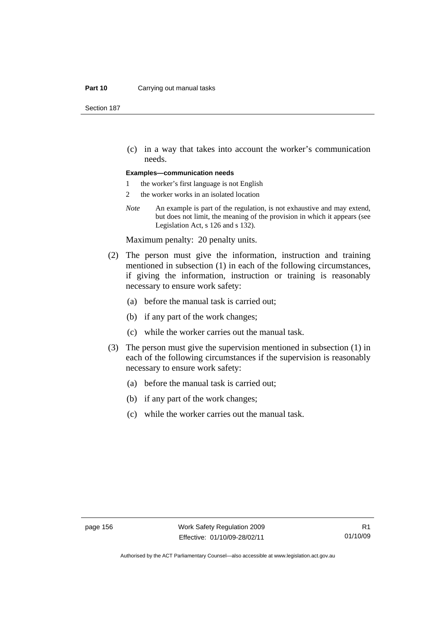#### **Part 10** Carrying out manual tasks

Section 187

 (c) in a way that takes into account the worker's communication needs.

#### **Examples—communication needs**

- 1 the worker's first language is not English
- 2 the worker works in an isolated location
- *Note* An example is part of the regulation, is not exhaustive and may extend, but does not limit, the meaning of the provision in which it appears (see Legislation Act, s 126 and s 132).

Maximum penalty: 20 penalty units.

- (2) The person must give the information, instruction and training mentioned in subsection (1) in each of the following circumstances, if giving the information, instruction or training is reasonably necessary to ensure work safety:
	- (a) before the manual task is carried out;
	- (b) if any part of the work changes;
	- (c) while the worker carries out the manual task.
- (3) The person must give the supervision mentioned in subsection (1) in each of the following circumstances if the supervision is reasonably necessary to ensure work safety:
	- (a) before the manual task is carried out;
	- (b) if any part of the work changes;
	- (c) while the worker carries out the manual task.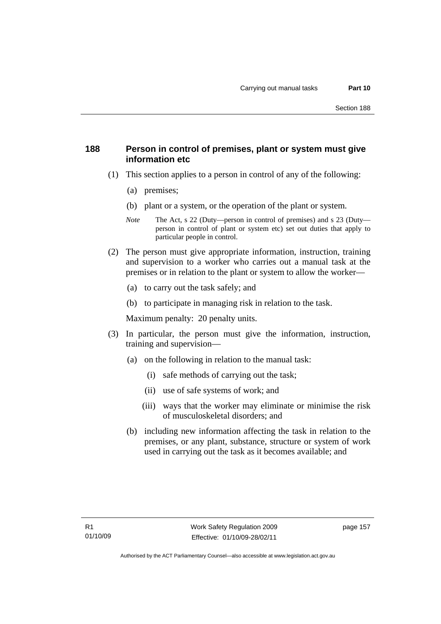## **188 Person in control of premises, plant or system must give information etc**

- (1) This section applies to a person in control of any of the following:
	- (a) premises;
	- (b) plant or a system, or the operation of the plant or system.
	- *Note* The Act, s 22 (Duty—person in control of premises) and s 23 (Duty person in control of plant or system etc) set out duties that apply to particular people in control.
- (2) The person must give appropriate information, instruction, training and supervision to a worker who carries out a manual task at the premises or in relation to the plant or system to allow the worker—
	- (a) to carry out the task safely; and
	- (b) to participate in managing risk in relation to the task.

Maximum penalty: 20 penalty units.

- (3) In particular, the person must give the information, instruction, training and supervision—
	- (a) on the following in relation to the manual task:
		- (i) safe methods of carrying out the task;
		- (ii) use of safe systems of work; and
		- (iii) ways that the worker may eliminate or minimise the risk of musculoskeletal disorders; and
	- (b) including new information affecting the task in relation to the premises, or any plant, substance, structure or system of work used in carrying out the task as it becomes available; and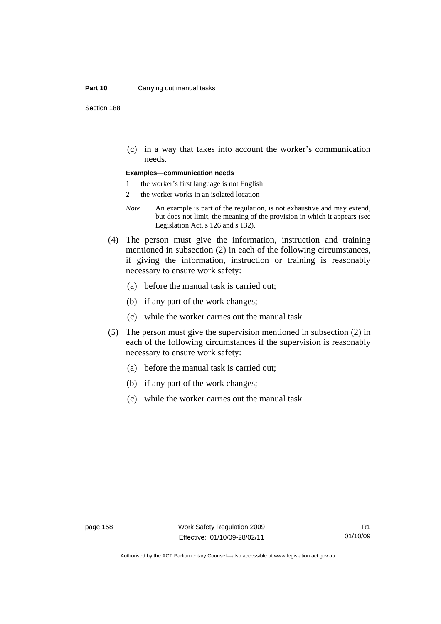#### **Part 10** Carrying out manual tasks

Section 188

 (c) in a way that takes into account the worker's communication needs.

#### **Examples—communication needs**

- 1 the worker's first language is not English
- 2 the worker works in an isolated location
- *Note* An example is part of the regulation, is not exhaustive and may extend, but does not limit, the meaning of the provision in which it appears (see Legislation Act, s 126 and s 132).
- (4) The person must give the information, instruction and training mentioned in subsection (2) in each of the following circumstances, if giving the information, instruction or training is reasonably necessary to ensure work safety:
	- (a) before the manual task is carried out;
	- (b) if any part of the work changes;
	- (c) while the worker carries out the manual task.
- (5) The person must give the supervision mentioned in subsection (2) in each of the following circumstances if the supervision is reasonably necessary to ensure work safety:
	- (a) before the manual task is carried out;
	- (b) if any part of the work changes;
	- (c) while the worker carries out the manual task.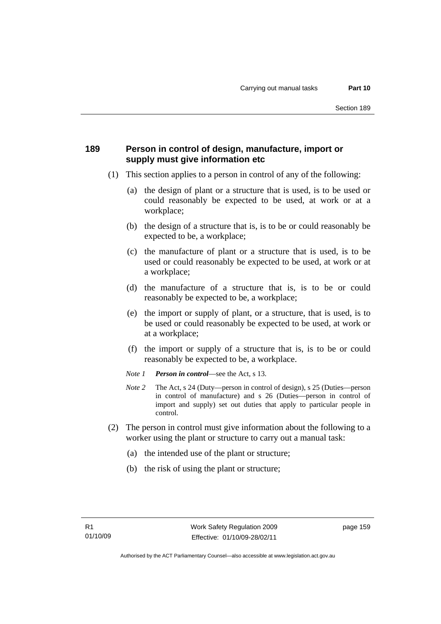## **189 Person in control of design, manufacture, import or supply must give information etc**

- (1) This section applies to a person in control of any of the following:
	- (a) the design of plant or a structure that is used, is to be used or could reasonably be expected to be used, at work or at a workplace;
	- (b) the design of a structure that is, is to be or could reasonably be expected to be, a workplace;
	- (c) the manufacture of plant or a structure that is used, is to be used or could reasonably be expected to be used, at work or at a workplace;
	- (d) the manufacture of a structure that is, is to be or could reasonably be expected to be, a workplace;
	- (e) the import or supply of plant, or a structure, that is used, is to be used or could reasonably be expected to be used, at work or at a workplace;
	- (f) the import or supply of a structure that is, is to be or could reasonably be expected to be, a workplace.
	- *Note 1 Person in control*—see the Act, s 13.
	- *Note 2* The Act, s 24 (Duty—person in control of design), s 25 (Duties—person in control of manufacture) and s 26 (Duties—person in control of import and supply) set out duties that apply to particular people in control.
- (2) The person in control must give information about the following to a worker using the plant or structure to carry out a manual task:
	- (a) the intended use of the plant or structure;
	- (b) the risk of using the plant or structure;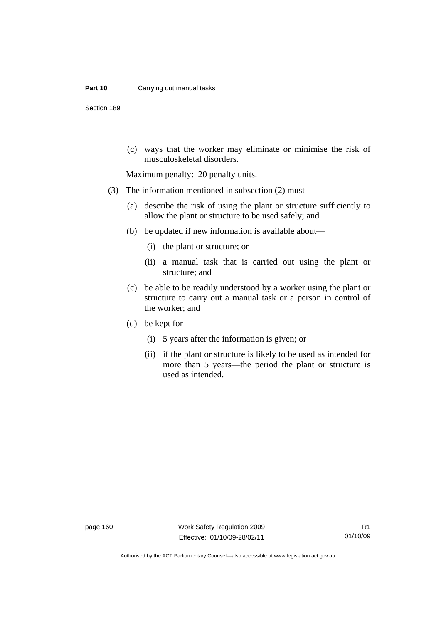#### **Part 10** Carrying out manual tasks

Section 189

 (c) ways that the worker may eliminate or minimise the risk of musculoskeletal disorders.

Maximum penalty: 20 penalty units.

- (3) The information mentioned in subsection (2) must—
	- (a) describe the risk of using the plant or structure sufficiently to allow the plant or structure to be used safely; and
	- (b) be updated if new information is available about—
		- (i) the plant or structure; or
		- (ii) a manual task that is carried out using the plant or structure; and
	- (c) be able to be readily understood by a worker using the plant or structure to carry out a manual task or a person in control of the worker; and
	- (d) be kept for—
		- (i) 5 years after the information is given; or
		- (ii) if the plant or structure is likely to be used as intended for more than 5 years—the period the plant or structure is used as intended.

page 160 Work Safety Regulation 2009 Effective: 01/10/09-28/02/11

Authorised by the ACT Parliamentary Counsel—also accessible at www.legislation.act.gov.au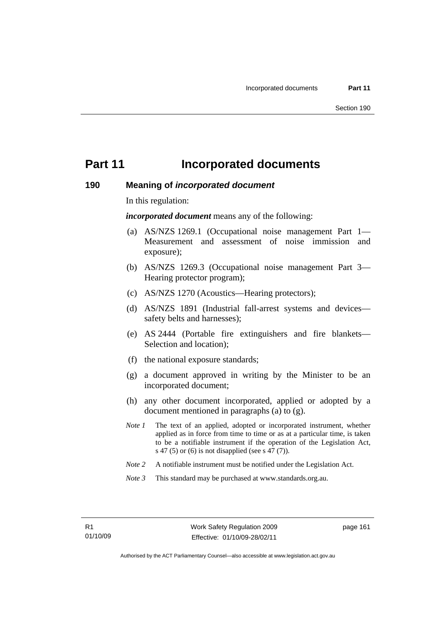# **Part 11** Incorporated documents

#### **190 Meaning of** *incorporated document*

In this regulation:

*incorporated document* means any of the following:

- (a) AS/NZS 1269.1 (Occupational noise management Part 1— Measurement and assessment of noise immission and exposure);
- (b) AS/NZS 1269.3 (Occupational noise management Part 3— Hearing protector program);
- (c) AS/NZS 1270 (Acoustics—Hearing protectors);
- (d) AS/NZS 1891 (Industrial fall-arrest systems and devices safety belts and harnesses);
- (e) AS 2444 (Portable fire extinguishers and fire blankets— Selection and location);
- (f) the national exposure standards;
- (g) a document approved in writing by the Minister to be an incorporated document;
- (h) any other document incorporated, applied or adopted by a document mentioned in paragraphs (a) to (g).
- *Note 1* The text of an applied, adopted or incorporated instrument, whether applied as in force from time to time or as at a particular time, is taken to be a notifiable instrument if the operation of the Legislation Act, s 47 (5) or (6) is not disapplied (see s 47 (7)).
- *Note 2* A notifiable instrument must be notified under the Legislation Act.
- *Note 3* This standard may be purchased at www.standards.org.au.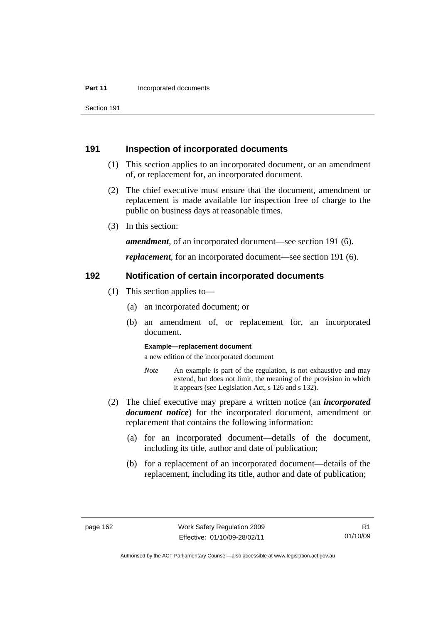#### **Part 11 Incorporated documents**

Section 191

#### **191 Inspection of incorporated documents**

- (1) This section applies to an incorporated document, or an amendment of, or replacement for, an incorporated document.
- (2) The chief executive must ensure that the document, amendment or replacement is made available for inspection free of charge to the public on business days at reasonable times.
- (3) In this section:

*amendment*, of an incorporated document—see section 191 (6).

*replacement*, for an incorporated document—see section 191 (6).

#### **192 Notification of certain incorporated documents**

- (1) This section applies to—
	- (a) an incorporated document; or
	- (b) an amendment of, or replacement for, an incorporated document.

#### **Example—replacement document**

a new edition of the incorporated document

- *Note* An example is part of the regulation, is not exhaustive and may extend, but does not limit, the meaning of the provision in which it appears (see Legislation Act, s 126 and s 132).
- (2) The chief executive may prepare a written notice (an *incorporated document notice*) for the incorporated document, amendment or replacement that contains the following information:
	- (a) for an incorporated document—details of the document, including its title, author and date of publication;
	- (b) for a replacement of an incorporated document—details of the replacement, including its title, author and date of publication;

Authorised by the ACT Parliamentary Counsel—also accessible at www.legislation.act.gov.au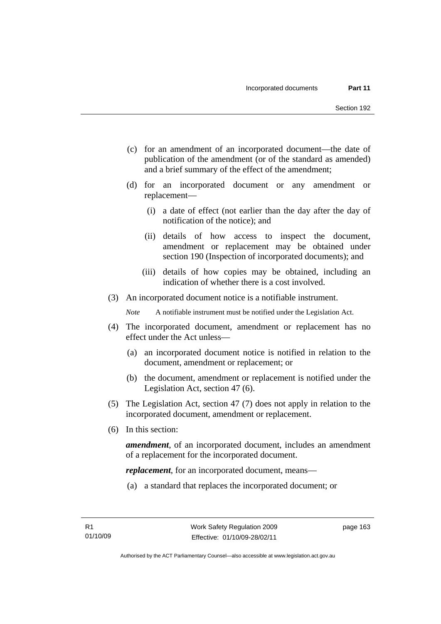- (c) for an amendment of an incorporated document—the date of publication of the amendment (or of the standard as amended) and a brief summary of the effect of the amendment;
- (d) for an incorporated document or any amendment or replacement—
	- (i) a date of effect (not earlier than the day after the day of notification of the notice); and
	- (ii) details of how access to inspect the document, amendment or replacement may be obtained under section 190 (Inspection of incorporated documents); and
	- (iii) details of how copies may be obtained, including an indication of whether there is a cost involved.
- (3) An incorporated document notice is a notifiable instrument.

*Note* A notifiable instrument must be notified under the Legislation Act.

- (4) The incorporated document, amendment or replacement has no effect under the Act unless—
	- (a) an incorporated document notice is notified in relation to the document, amendment or replacement; or
	- (b) the document, amendment or replacement is notified under the Legislation Act, section 47 (6).
- (5) The Legislation Act, section 47 (7) does not apply in relation to the incorporated document, amendment or replacement.
- (6) In this section:

*amendment*, of an incorporated document, includes an amendment of a replacement for the incorporated document.

*replacement*, for an incorporated document, means—

(a) a standard that replaces the incorporated document; or

page 163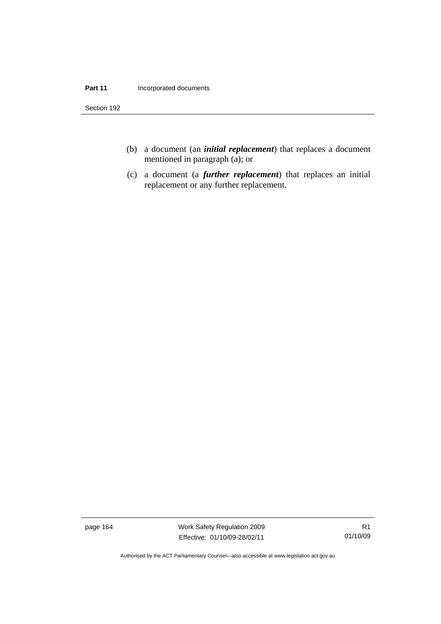#### **Part 11 Incorporated documents**

Section 192

- (b) a document (an *initial replacement*) that replaces a document mentioned in paragraph (a); or
- (c) a document (a *further replacement*) that replaces an initial replacement or any further replacement.

page 164 Work Safety Regulation 2009 Effective: 01/10/09-28/02/11

R1 01/10/09

Authorised by the ACT Parliamentary Counsel—also accessible at www.legislation.act.gov.au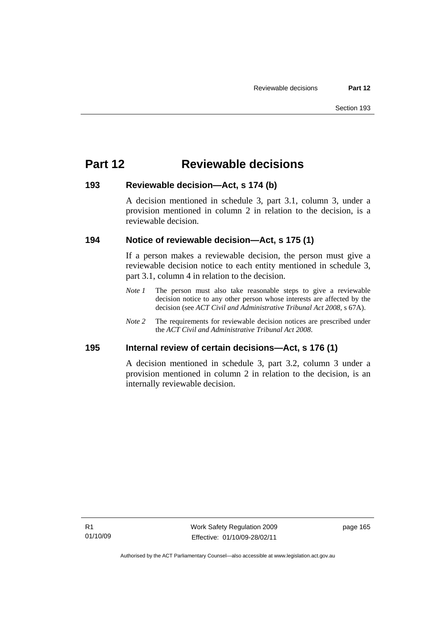# **Part 12 Reviewable decisions**

#### **193 Reviewable decision—Act, s 174 (b)**

A decision mentioned in schedule 3, part 3.1, column 3, under a provision mentioned in column 2 in relation to the decision, is a reviewable decision.

### **194 Notice of reviewable decision—Act, s 175 (1)**

If a person makes a reviewable decision, the person must give a reviewable decision notice to each entity mentioned in schedule 3, part 3.1, column 4 in relation to the decision.

- *Note 1* The person must also take reasonable steps to give a reviewable decision notice to any other person whose interests are affected by the decision (see *ACT Civil and Administrative Tribunal Act 2008*, s 67A).
- *Note* 2 The requirements for reviewable decision notices are prescribed under the *ACT Civil and Administrative Tribunal Act 2008*.

#### **195 Internal review of certain decisions—Act, s 176 (1)**

A decision mentioned in schedule 3, part 3.2, column 3 under a provision mentioned in column 2 in relation to the decision, is an internally reviewable decision.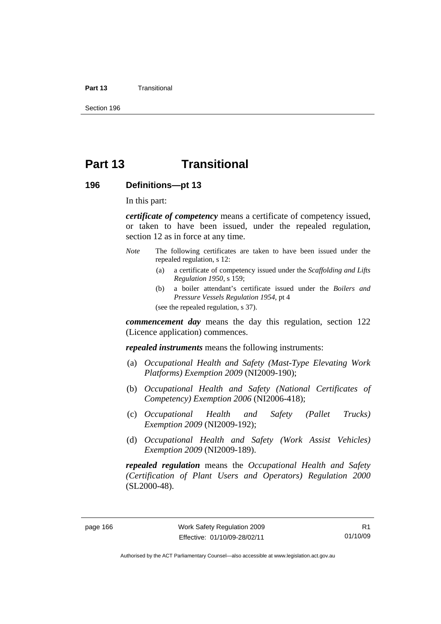#### **Part 13** Transitional

Section 196

# **Part 13 Transitional**

#### **196 Definitions—pt 13**

In this part:

*certificate of competency* means a certificate of competency issued, or taken to have been issued, under the repealed regulation, section 12 as in force at any time.

- *Note* The following certificates are taken to have been issued under the repealed regulation, s 12:
	- (a) a certificate of competency issued under the *Scaffolding and Lifts Regulation 1950*, s 159;
	- (b) a boiler attendant's certificate issued under the *Boilers and Pressure Vessels Regulation 1954*, pt 4

(see the repealed regulation, s 37).

*commencement day* means the day this regulation, section 122 (Licence application) commences.

*repealed instruments* means the following instruments:

- (a) *Occupational Health and Safety (Mast-Type Elevating Work Platforms) Exemption 2009* (NI2009-190);
- (b) *Occupational Health and Safety (National Certificates of Competency) Exemption 2006* (NI2006-418);
- (c) *Occupational Health and Safety (Pallet Trucks) Exemption 2009* (NI2009-192);
- (d) *Occupational Health and Safety (Work Assist Vehicles) Exemption 2009* (NI2009-189).

*repealed regulation* means the *Occupational Health and Safety (Certification of Plant Users and Operators) Regulation 2000* (SL2000-48).

Authorised by the ACT Parliamentary Counsel—also accessible at www.legislation.act.gov.au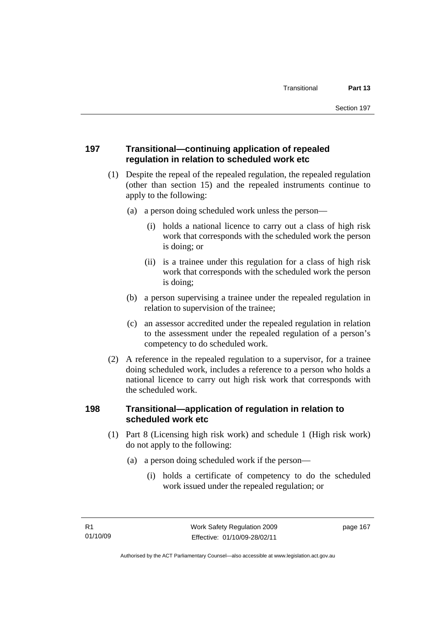#### **197 Transitional—continuing application of repealed regulation in relation to scheduled work etc**

- (1) Despite the repeal of the repealed regulation, the repealed regulation (other than section 15) and the repealed instruments continue to apply to the following:
	- (a) a person doing scheduled work unless the person—
		- (i) holds a national licence to carry out a class of high risk work that corresponds with the scheduled work the person is doing; or
		- (ii) is a trainee under this regulation for a class of high risk work that corresponds with the scheduled work the person is doing;
	- (b) a person supervising a trainee under the repealed regulation in relation to supervision of the trainee;
	- (c) an assessor accredited under the repealed regulation in relation to the assessment under the repealed regulation of a person's competency to do scheduled work.
- (2) A reference in the repealed regulation to a supervisor, for a trainee doing scheduled work, includes a reference to a person who holds a national licence to carry out high risk work that corresponds with the scheduled work.

#### **198 Transitional—application of regulation in relation to scheduled work etc**

- (1) Part 8 (Licensing high risk work) and schedule 1 (High risk work) do not apply to the following:
	- (a) a person doing scheduled work if the person—
		- (i) holds a certificate of competency to do the scheduled work issued under the repealed regulation; or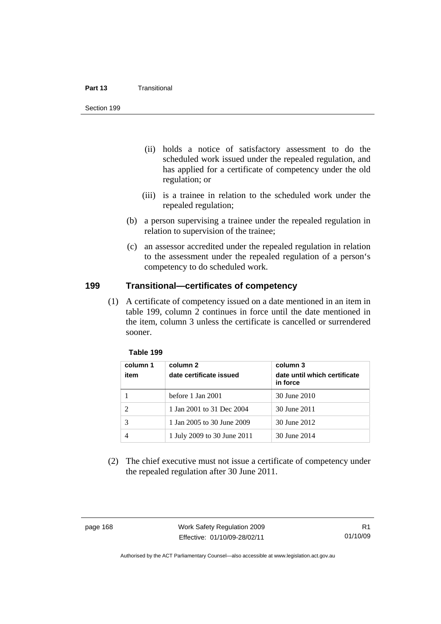#### **Part 13** Transitional

Section 199

- (ii) holds a notice of satisfactory assessment to do the scheduled work issued under the repealed regulation, and has applied for a certificate of competency under the old regulation; or
- (iii) is a trainee in relation to the scheduled work under the repealed regulation;
- (b) a person supervising a trainee under the repealed regulation in relation to supervision of the trainee;
- (c) an assessor accredited under the repealed regulation in relation to the assessment under the repealed regulation of a person's competency to do scheduled work.

#### **199 Transitional—certificates of competency**

 (1) A certificate of competency issued on a date mentioned in an item in table 199, column 2 continues in force until the date mentioned in the item, column 3 unless the certificate is cancelled or surrendered sooner.

| Table 199 |  |
|-----------|--|
|-----------|--|

| column 1<br>item | column 2<br>date certificate issued | column 3<br>date until which certificate<br>in force |  |
|------------------|-------------------------------------|------------------------------------------------------|--|
|                  | before 1 Jan 2001                   | 30 June 2010                                         |  |
|                  | 1 Jan 2001 to 31 Dec 2004           | 30 June 2011                                         |  |
|                  | 1 Jan 2005 to 30 June 2009          | 30 June 2012                                         |  |
|                  | 1 July 2009 to 30 June 2011         | 30 June 2014                                         |  |

 (2) The chief executive must not issue a certificate of competency under the repealed regulation after 30 June 2011.

page 168 Work Safety Regulation 2009 Effective: 01/10/09-28/02/11

Authorised by the ACT Parliamentary Counsel—also accessible at www.legislation.act.gov.au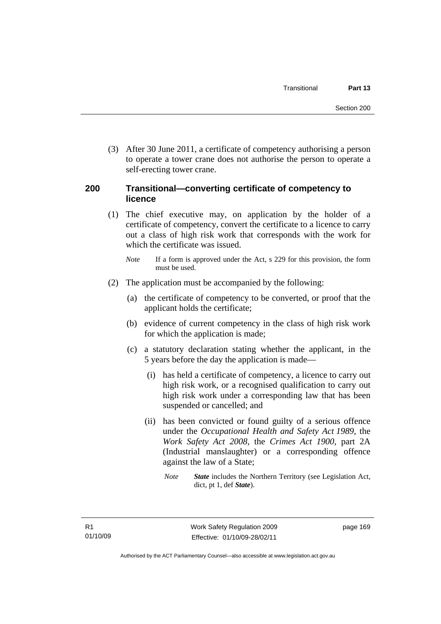(3) After 30 June 2011, a certificate of competency authorising a person to operate a tower crane does not authorise the person to operate a self-erecting tower crane.

#### **200 Transitional—converting certificate of competency to licence**

- (1) The chief executive may, on application by the holder of a certificate of competency, convert the certificate to a licence to carry out a class of high risk work that corresponds with the work for which the certificate was issued.
	- *Note* If a form is approved under the Act, s 229 for this provision, the form must be used.
- (2) The application must be accompanied by the following:
	- (a) the certificate of competency to be converted, or proof that the applicant holds the certificate;
	- (b) evidence of current competency in the class of high risk work for which the application is made;
	- (c) a statutory declaration stating whether the applicant, in the 5 years before the day the application is made—
		- (i) has held a certificate of competency, a licence to carry out high risk work, or a recognised qualification to carry out high risk work under a corresponding law that has been suspended or cancelled; and
		- (ii) has been convicted or found guilty of a serious offence under the *Occupational Health and Safety Act 1989*, the *Work Safety Act 2008*, the *Crimes Act 1900*, part 2A (Industrial manslaughter) or a corresponding offence against the law of a State;
			- *Note State* includes the Northern Territory (see Legislation Act, dict, pt 1, def *State*).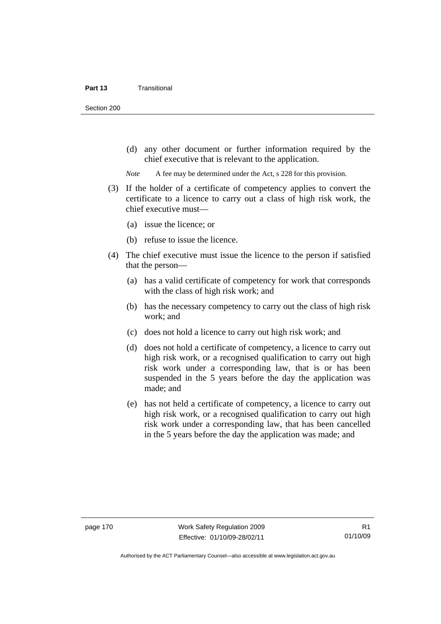Section 200

 (d) any other document or further information required by the chief executive that is relevant to the application.

*Note* A fee may be determined under the Act, s 228 for this provision.

- (3) If the holder of a certificate of competency applies to convert the certificate to a licence to carry out a class of high risk work, the chief executive must—
	- (a) issue the licence; or
	- (b) refuse to issue the licence.
- (4) The chief executive must issue the licence to the person if satisfied that the person—
	- (a) has a valid certificate of competency for work that corresponds with the class of high risk work; and
	- (b) has the necessary competency to carry out the class of high risk work; and
	- (c) does not hold a licence to carry out high risk work; and
	- (d) does not hold a certificate of competency, a licence to carry out high risk work, or a recognised qualification to carry out high risk work under a corresponding law, that is or has been suspended in the 5 years before the day the application was made; and
	- (e) has not held a certificate of competency, a licence to carry out high risk work, or a recognised qualification to carry out high risk work under a corresponding law, that has been cancelled in the 5 years before the day the application was made; and

Authorised by the ACT Parliamentary Counsel—also accessible at www.legislation.act.gov.au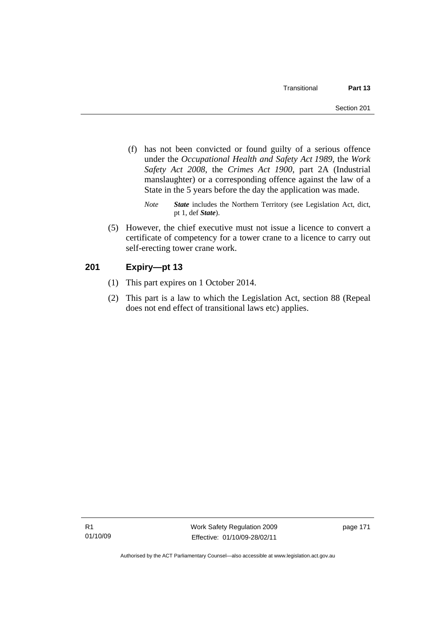- (f) has not been convicted or found guilty of a serious offence under the *Occupational Health and Safety Act 1989*, the *Work Safety Act 2008*, the *Crimes Act 1900*, part 2A (Industrial manslaughter) or a corresponding offence against the law of a State in the 5 years before the day the application was made.
	- *Note State* includes the Northern Territory (see Legislation Act, dict, pt 1, def *State*).
- (5) However, the chief executive must not issue a licence to convert a certificate of competency for a tower crane to a licence to carry out self-erecting tower crane work.

#### **201 Expiry—pt 13**

- (1) This part expires on 1 October 2014.
- (2) This part is a law to which the Legislation Act, section 88 (Repeal does not end effect of transitional laws etc) applies.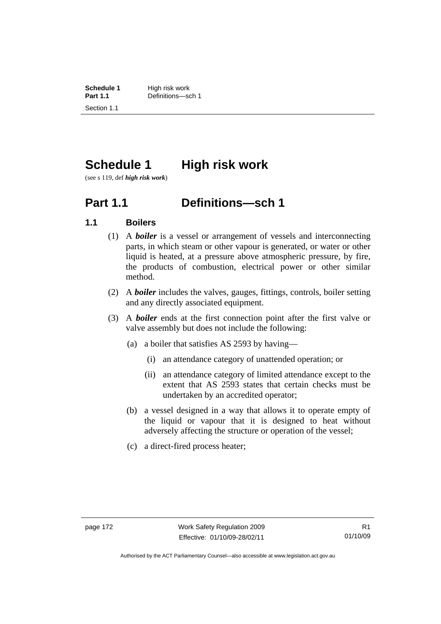**Schedule 1** High risk work<br> **Part 1.1** Definitions—so Definitions—sch 1. Section 1.1

## **Schedule 1 High risk work**

(see s 119, def *high risk work*)

### **Part 1.1 Definitions—sch 1**

#### **1.1 Boilers**

- (1) A *boiler* is a vessel or arrangement of vessels and interconnecting parts, in which steam or other vapour is generated, or water or other liquid is heated, at a pressure above atmospheric pressure, by fire, the products of combustion, electrical power or other similar method.
- (2) A *boiler* includes the valves, gauges, fittings, controls, boiler setting and any directly associated equipment.
- (3) A *boiler* ends at the first connection point after the first valve or valve assembly but does not include the following:
	- (a) a boiler that satisfies AS 2593 by having—
		- (i) an attendance category of unattended operation; or
		- (ii) an attendance category of limited attendance except to the extent that AS 2593 states that certain checks must be undertaken by an accredited operator;
	- (b) a vessel designed in a way that allows it to operate empty of the liquid or vapour that it is designed to heat without adversely affecting the structure or operation of the vessel;
	- (c) a direct-fired process heater;

Authorised by the ACT Parliamentary Counsel—also accessible at www.legislation.act.gov.au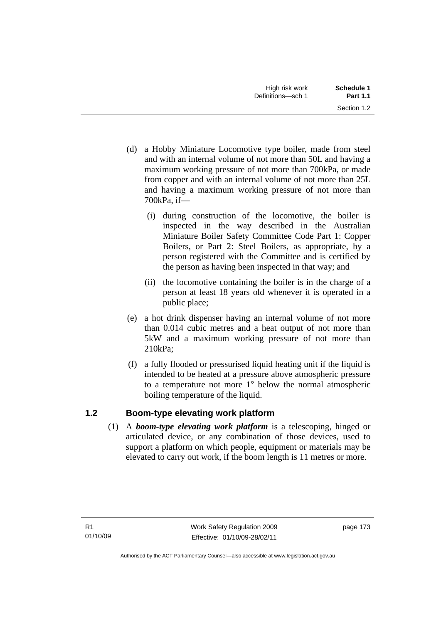- (d) a Hobby Miniature Locomotive type boiler, made from steel and with an internal volume of not more than 50L and having a maximum working pressure of not more than 700kPa, or made from copper and with an internal volume of not more than 25L and having a maximum working pressure of not more than 700kPa, if—
	- (i) during construction of the locomotive, the boiler is inspected in the way described in the Australian Miniature Boiler Safety Committee Code Part 1: Copper Boilers, or Part 2: Steel Boilers, as appropriate, by a person registered with the Committee and is certified by the person as having been inspected in that way; and
	- (ii) the locomotive containing the boiler is in the charge of a person at least 18 years old whenever it is operated in a public place;
- (e) a hot drink dispenser having an internal volume of not more than 0.014 cubic metres and a heat output of not more than 5kW and a maximum working pressure of not more than 210kPa;
- (f) a fully flooded or pressurised liquid heating unit if the liquid is intended to be heated at a pressure above atmospheric pressure to a temperature not more 1° below the normal atmospheric boiling temperature of the liquid.

### **1.2 Boom-type elevating work platform**

 (1) A *boom-type elevating work platform* is a telescoping, hinged or articulated device, or any combination of those devices, used to support a platform on which people, equipment or materials may be elevated to carry out work, if the boom length is 11 metres or more.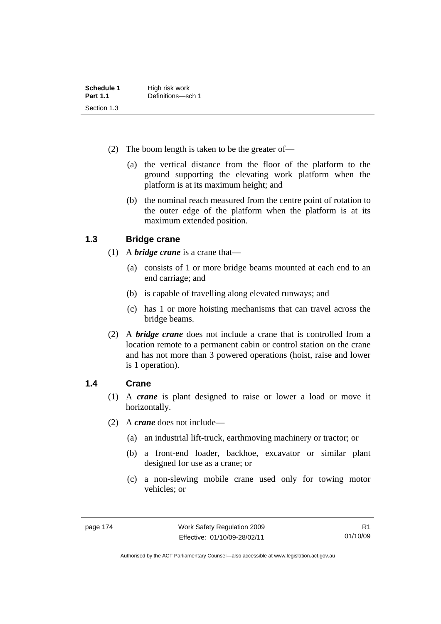| Schedule 1      | High risk work    |
|-----------------|-------------------|
| <b>Part 1.1</b> | Definitions-sch 1 |
| Section 1.3     |                   |

- (2) The boom length is taken to be the greater of—
	- (a) the vertical distance from the floor of the platform to the ground supporting the elevating work platform when the platform is at its maximum height; and
	- (b) the nominal reach measured from the centre point of rotation to the outer edge of the platform when the platform is at its maximum extended position.

#### **1.3 Bridge crane**

- (1) A *bridge crane* is a crane that—
	- (a) consists of 1 or more bridge beams mounted at each end to an end carriage; and
	- (b) is capable of travelling along elevated runways; and
	- (c) has 1 or more hoisting mechanisms that can travel across the bridge beams.
- (2) A *bridge crane* does not include a crane that is controlled from a location remote to a permanent cabin or control station on the crane and has not more than 3 powered operations (hoist, raise and lower is 1 operation).

#### **1.4 Crane**

- (1) A *crane* is plant designed to raise or lower a load or move it horizontally.
- (2) A *crane* does not include—
	- (a) an industrial lift-truck, earthmoving machinery or tractor; or
	- (b) a front-end loader, backhoe, excavator or similar plant designed for use as a crane; or
	- (c) a non-slewing mobile crane used only for towing motor vehicles; or

Authorised by the ACT Parliamentary Counsel—also accessible at www.legislation.act.gov.au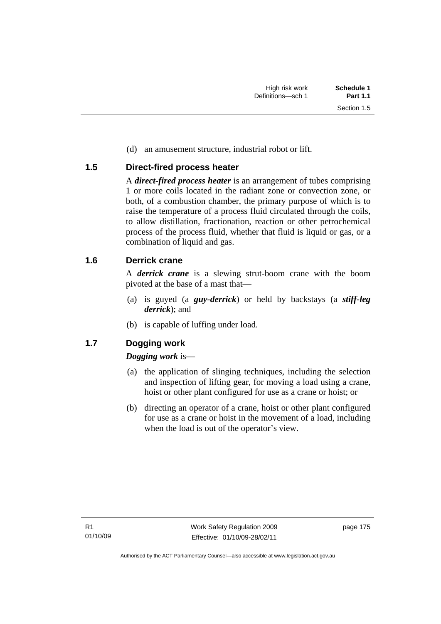(d) an amusement structure, industrial robot or lift.

#### **1.5 Direct-fired process heater**

A *direct-fired process heater* is an arrangement of tubes comprising 1 or more coils located in the radiant zone or convection zone, or both, of a combustion chamber, the primary purpose of which is to raise the temperature of a process fluid circulated through the coils, to allow distillation, fractionation, reaction or other petrochemical process of the process fluid, whether that fluid is liquid or gas, or a combination of liquid and gas.

#### **1.6 Derrick crane**

A *derrick crane* is a slewing strut-boom crane with the boom pivoted at the base of a mast that—

- (a) is guyed (a *guy-derrick*) or held by backstays (a *stiff-leg derrick*); and
- (b) is capable of luffing under load.

### **1.7 Dogging work**

#### *Dogging work* is—

- (a) the application of slinging techniques, including the selection and inspection of lifting gear, for moving a load using a crane, hoist or other plant configured for use as a crane or hoist; or
- (b) directing an operator of a crane, hoist or other plant configured for use as a crane or hoist in the movement of a load, including when the load is out of the operator's view.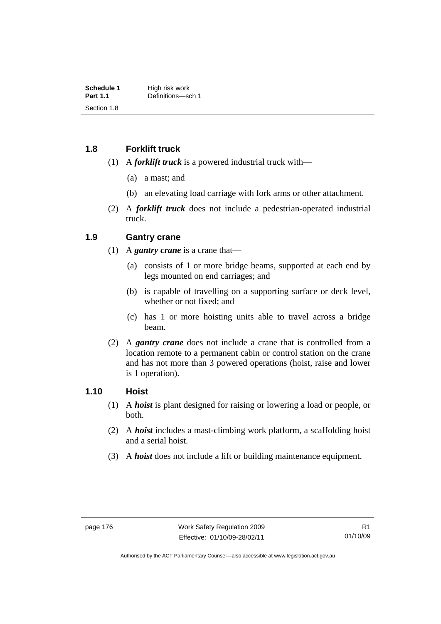**Schedule 1** High risk work<br> **Part 1.1** Definitions—so Definitions—sch 1. Section 1.8

#### **1.8 Forklift truck**

- (1) A *forklift truck* is a powered industrial truck with—
	- (a) a mast; and
	- (b) an elevating load carriage with fork arms or other attachment.
- (2) A *forklift truck* does not include a pedestrian-operated industrial truck.

#### **1.9 Gantry crane**

- (1) A *gantry crane* is a crane that—
	- (a) consists of 1 or more bridge beams, supported at each end by legs mounted on end carriages; and
	- (b) is capable of travelling on a supporting surface or deck level, whether or not fixed; and
	- (c) has 1 or more hoisting units able to travel across a bridge beam.
- (2) A *gantry crane* does not include a crane that is controlled from a location remote to a permanent cabin or control station on the crane and has not more than 3 powered operations (hoist, raise and lower is 1 operation).

#### **1.10 Hoist**

- (1) A *hoist* is plant designed for raising or lowering a load or people, or both.
- (2) A *hoist* includes a mast-climbing work platform, a scaffolding hoist and a serial hoist.
- (3) A *hoist* does not include a lift or building maintenance equipment.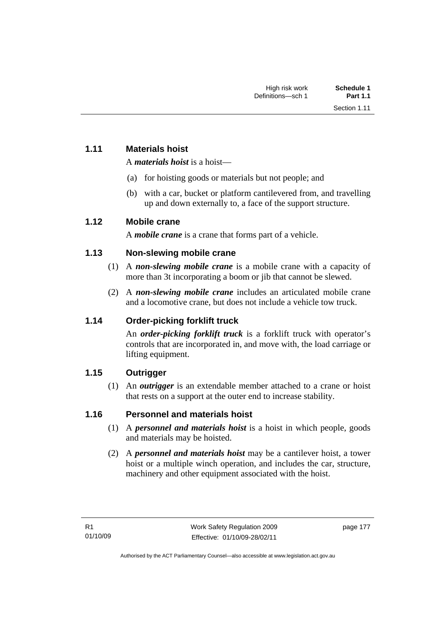#### **1.11 Materials hoist**

A *materials hoist* is a hoist—

- (a) for hoisting goods or materials but not people; and
- (b) with a car, bucket or platform cantilevered from, and travelling up and down externally to, a face of the support structure.

#### **1.12 Mobile crane**

A *mobile crane* is a crane that forms part of a vehicle.

#### **1.13 Non-slewing mobile crane**

- (1) A *non-slewing mobile crane* is a mobile crane with a capacity of more than 3t incorporating a boom or jib that cannot be slewed.
- (2) A *non-slewing mobile crane* includes an articulated mobile crane and a locomotive crane, but does not include a vehicle tow truck.

#### **1.14 Order-picking forklift truck**

An *order-picking forklift truck* is a forklift truck with operator's controls that are incorporated in, and move with, the load carriage or lifting equipment.

#### **1.15 Outrigger**

 (1) An *outrigger* is an extendable member attached to a crane or hoist that rests on a support at the outer end to increase stability.

#### **1.16 Personnel and materials hoist**

- (1) A *personnel and materials hoist* is a hoist in which people, goods and materials may be hoisted.
- (2) A *personnel and materials hoist* may be a cantilever hoist, a tower hoist or a multiple winch operation, and includes the car, structure, machinery and other equipment associated with the hoist.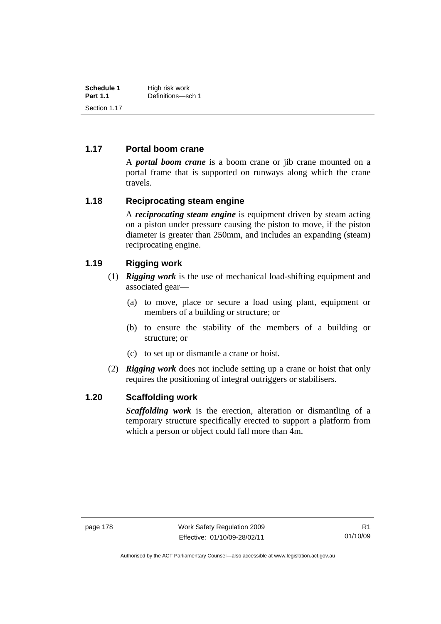| Schedule 1      | High risk work    |  |
|-----------------|-------------------|--|
| <b>Part 1.1</b> | Definitions-sch 1 |  |
| Section 1.17    |                   |  |

#### **1.17 Portal boom crane**

A *portal boom crane* is a boom crane or jib crane mounted on a portal frame that is supported on runways along which the crane travels.

#### **1.18 Reciprocating steam engine**

A *reciprocating steam engine* is equipment driven by steam acting on a piston under pressure causing the piston to move, if the piston diameter is greater than 250mm, and includes an expanding (steam) reciprocating engine.

#### **1.19 Rigging work**

- (1) *Rigging work* is the use of mechanical load-shifting equipment and associated gear—
	- (a) to move, place or secure a load using plant, equipment or members of a building or structure; or
	- (b) to ensure the stability of the members of a building or structure; or
	- (c) to set up or dismantle a crane or hoist.
- (2) *Rigging work* does not include setting up a crane or hoist that only requires the positioning of integral outriggers or stabilisers.

#### **1.20 Scaffolding work**

*Scaffolding work* is the erection, alteration or dismantling of a temporary structure specifically erected to support a platform from which a person or object could fall more than 4m.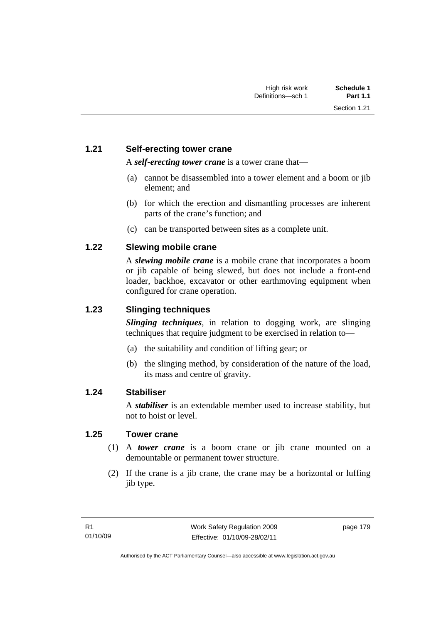#### **1.21 Self-erecting tower crane**

A *self-erecting tower crane* is a tower crane that—

- (a) cannot be disassembled into a tower element and a boom or jib element; and
- (b) for which the erection and dismantling processes are inherent parts of the crane's function; and
- (c) can be transported between sites as a complete unit.

#### **1.22 Slewing mobile crane**

A *slewing mobile crane* is a mobile crane that incorporates a boom or jib capable of being slewed, but does not include a front-end loader, backhoe, excavator or other earthmoving equipment when configured for crane operation.

#### **1.23 Slinging techniques**

*Slinging techniques*, in relation to dogging work, are slinging techniques that require judgment to be exercised in relation to—

- (a) the suitability and condition of lifting gear; or
- (b) the slinging method, by consideration of the nature of the load, its mass and centre of gravity.

#### **1.24 Stabiliser**

A *stabiliser* is an extendable member used to increase stability, but not to hoist or level.

#### **1.25 Tower crane**

- (1) A *tower crane* is a boom crane or jib crane mounted on a demountable or permanent tower structure.
- (2) If the crane is a jib crane, the crane may be a horizontal or luffing jib type.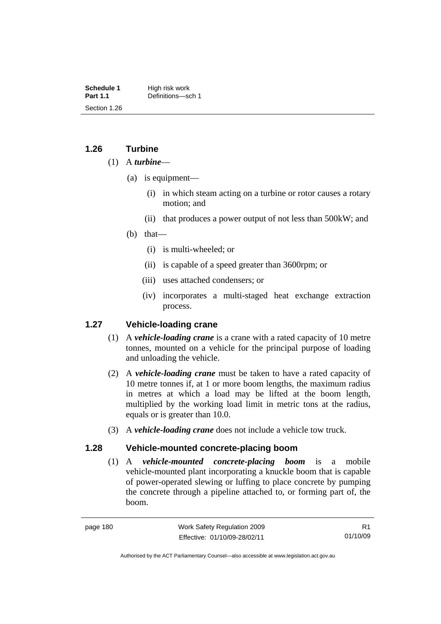**Schedule 1** High risk work<br> **Part 1.1** Definitions—so Definitions—sch 1. Section 1.26

#### **1.26 Turbine**

#### (1) A *turbine*—

- (a) is equipment—
	- (i) in which steam acting on a turbine or rotor causes a rotary motion; and
	- (ii) that produces a power output of not less than 500kW; and
- (b) that—
	- (i) is multi-wheeled; or
	- (ii) is capable of a speed greater than 3600rpm; or
	- (iii) uses attached condensers; or
	- (iv) incorporates a multi-staged heat exchange extraction process.

#### **1.27 Vehicle-loading crane**

- (1) A *vehicle-loading crane* is a crane with a rated capacity of 10 metre tonnes, mounted on a vehicle for the principal purpose of loading and unloading the vehicle.
- (2) A *vehicle-loading crane* must be taken to have a rated capacity of 10 metre tonnes if, at 1 or more boom lengths, the maximum radius in metres at which a load may be lifted at the boom length, multiplied by the working load limit in metric tons at the radius, equals or is greater than 10.0.
- (3) A *vehicle-loading crane* does not include a vehicle tow truck.

#### **1.28 Vehicle-mounted concrete-placing boom**

 (1) A *vehicle-mounted concrete-placing boom* is a mobile vehicle-mounted plant incorporating a knuckle boom that is capable of power-operated slewing or luffing to place concrete by pumping the concrete through a pipeline attached to, or forming part of, the boom.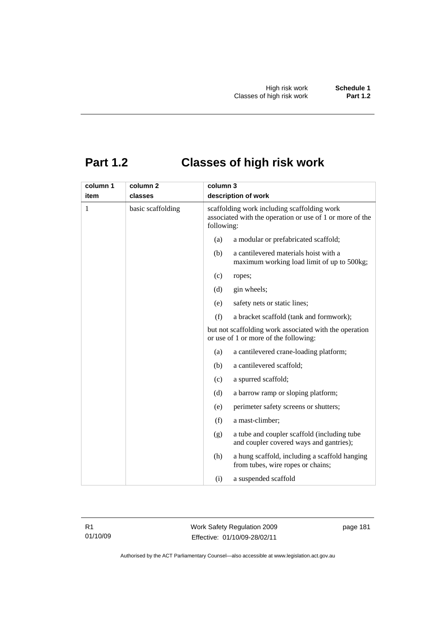# **Part 1.2 Classes of high risk work**

| column 1 | column <sub>2</sub> | column 3 |                                                                                                                       |  |  |
|----------|---------------------|----------|-----------------------------------------------------------------------------------------------------------------------|--|--|
| item     | classes             |          | description of work                                                                                                   |  |  |
| 1        | basic scaffolding   |          | scaffolding work including scaffolding work<br>associated with the operation or use of 1 or more of the<br>following: |  |  |
|          |                     | (a)      | a modular or prefabricated scaffold;                                                                                  |  |  |
|          |                     | (b)      | a cantilevered materials hoist with a<br>maximum working load limit of up to 500kg;                                   |  |  |
|          |                     | (c)      | ropes;                                                                                                                |  |  |
|          |                     | (d)      | gin wheels;                                                                                                           |  |  |
|          |                     | (e)      | safety nets or static lines;                                                                                          |  |  |
|          |                     | (f)      | a bracket scaffold (tank and formwork);                                                                               |  |  |
|          |                     |          | but not scaffolding work associated with the operation<br>or use of 1 or more of the following:                       |  |  |
|          |                     | (a)      | a cantilevered crane-loading platform;                                                                                |  |  |
|          |                     | (b)      | a cantilevered scaffold;                                                                                              |  |  |
|          |                     | (c)      | a spurred scaffold;                                                                                                   |  |  |
|          |                     | (d)      | a barrow ramp or sloping platform;                                                                                    |  |  |
|          |                     | (e)      | perimeter safety screens or shutters;                                                                                 |  |  |
|          |                     | (f)      | a mast-climber;                                                                                                       |  |  |
|          |                     | (g)      | a tube and coupler scaffold (including tube<br>and coupler covered ways and gantries);                                |  |  |
|          |                     | (h)      | a hung scaffold, including a scaffold hanging<br>from tubes, wire ropes or chains;                                    |  |  |
|          |                     | (i)      | a suspended scaffold                                                                                                  |  |  |

R1 01/10/09 Work Safety Regulation 2009 Effective: 01/10/09-28/02/11

page 181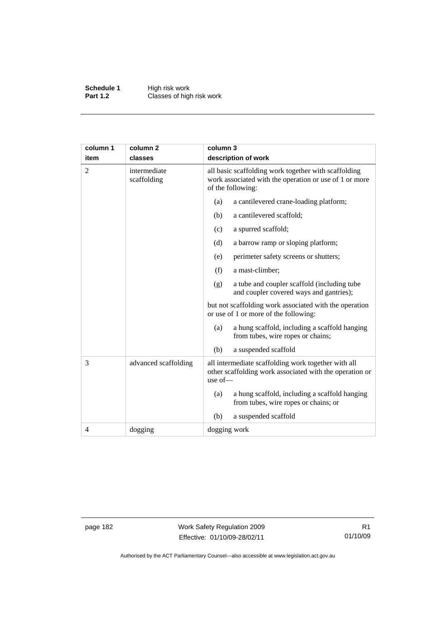**Schedule 1** High risk work **Part 1.2 Classes of high risk work** 

| column 1       | column 2                    | column 3                                                                                                                            |  |  |
|----------------|-----------------------------|-------------------------------------------------------------------------------------------------------------------------------------|--|--|
| item           | classes                     | description of work                                                                                                                 |  |  |
| $\overline{2}$ | intermediate<br>scaffolding | all basic scaffolding work together with scaffolding<br>work associated with the operation or use of 1 or more<br>of the following: |  |  |
|                |                             | a cantilevered crane-loading platform;<br>(a)                                                                                       |  |  |
|                |                             | a cantilevered scaffold;<br>(b)                                                                                                     |  |  |
|                |                             | a spurred scaffold;<br>(c)                                                                                                          |  |  |
|                |                             | (d)<br>a barrow ramp or sloping platform;                                                                                           |  |  |
|                |                             | (e)<br>perimeter safety screens or shutters;                                                                                        |  |  |
|                |                             | (f)<br>a mast-climber;                                                                                                              |  |  |
|                |                             | a tube and coupler scaffold (including tube<br>(g)<br>and coupler covered ways and gantries);                                       |  |  |
|                |                             | but not scaffolding work associated with the operation<br>or use of 1 or more of the following:                                     |  |  |
|                |                             | a hung scaffold, including a scaffold hanging<br>(a)<br>from tubes, wire ropes or chains;                                           |  |  |
|                |                             | (b)<br>a suspended scaffold                                                                                                         |  |  |
| 3              | advanced scaffolding        | all intermediate scaffolding work together with all<br>other scaffolding work associated with the operation or<br>use of-           |  |  |
|                |                             | a hung scaffold, including a scaffold hanging<br>(a)<br>from tubes, wire ropes or chains; or                                        |  |  |
|                |                             | (b)<br>a suspended scaffold                                                                                                         |  |  |
| 4              | dogging                     | dogging work                                                                                                                        |  |  |

page 182 Work Safety Regulation 2009 Effective: 01/10/09-28/02/11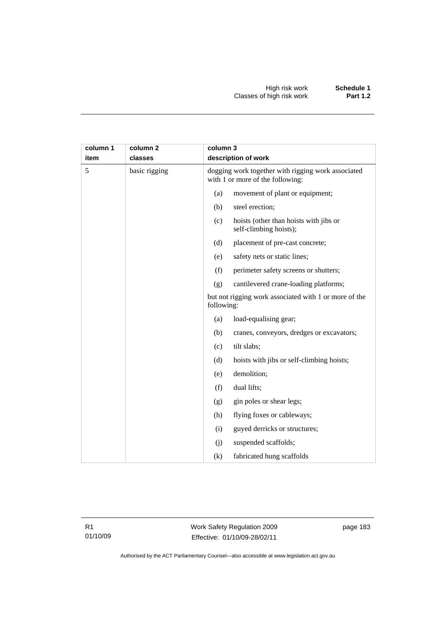| column 1<br>item | column 2<br>classes |            | column 3<br>description of work                                                        |  |
|------------------|---------------------|------------|----------------------------------------------------------------------------------------|--|
| 5                | basic rigging       |            | dogging work together with rigging work associated<br>with 1 or more of the following: |  |
|                  |                     | (a)        | movement of plant or equipment;                                                        |  |
|                  |                     | (b)        | steel erection;                                                                        |  |
|                  |                     | (c)        | hoists (other than hoists with jibs or<br>self-climbing hoists);                       |  |
|                  |                     | (d)        | placement of pre-cast concrete;                                                        |  |
|                  |                     | (e)        | safety nets or static lines;                                                           |  |
|                  |                     | (f)        | perimeter safety screens or shutters;                                                  |  |
|                  |                     | (g)        | cantilevered crane-loading platforms;                                                  |  |
|                  |                     | following: | but not rigging work associated with 1 or more of the                                  |  |
|                  |                     | (a)        | load-equalising gear;                                                                  |  |
|                  |                     | (b)        | cranes, conveyors, dredges or excavators;                                              |  |
|                  |                     | (c)        | tilt slabs;                                                                            |  |
|                  |                     | (d)        | hoists with jibs or self-climbing hoists;                                              |  |
|                  |                     | (e)        | demolition;                                                                            |  |
|                  |                     | (f)        | dual lifts;                                                                            |  |
|                  |                     | (g)        | gin poles or shear legs;                                                               |  |
|                  |                     | (h)        | flying foxes or cableways;                                                             |  |
|                  |                     | (i)        | guyed derricks or structures;                                                          |  |
|                  |                     | (j)        | suspended scaffolds;                                                                   |  |
|                  |                     | (k)        | fabricated hung scaffolds                                                              |  |

Work Safety Regulation 2009 Effective: 01/10/09-28/02/11

page 183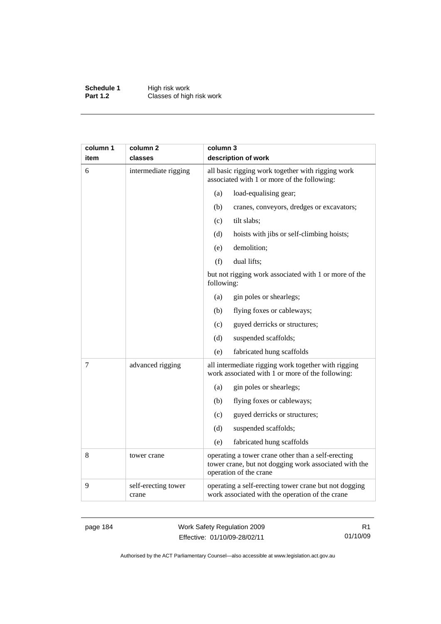**Schedule 1** High risk work **Part 1.2 Classes of high risk work** 

| column 1 | column 2                     | column 3                                                                                                                              |  |  |
|----------|------------------------------|---------------------------------------------------------------------------------------------------------------------------------------|--|--|
| item     | classes                      | description of work                                                                                                                   |  |  |
| 6        | intermediate rigging         | all basic rigging work together with rigging work<br>associated with 1 or more of the following:                                      |  |  |
|          |                              | (a)<br>load-equalising gear;                                                                                                          |  |  |
|          |                              | (b)<br>cranes, conveyors, dredges or excavators;                                                                                      |  |  |
|          |                              | (c)<br>tilt slabs;                                                                                                                    |  |  |
|          |                              | (d)<br>hoists with jibs or self-climbing hoists;                                                                                      |  |  |
|          |                              | demolition;<br>(e)                                                                                                                    |  |  |
|          |                              | (f)<br>dual lifts;                                                                                                                    |  |  |
|          |                              | but not rigging work associated with 1 or more of the<br>following:                                                                   |  |  |
|          |                              | gin poles or shearlegs;<br>(a)                                                                                                        |  |  |
|          |                              | flying foxes or cableways;<br>(b)                                                                                                     |  |  |
|          |                              | (c)<br>guyed derricks or structures;                                                                                                  |  |  |
|          |                              | suspended scaffolds;<br>(d)                                                                                                           |  |  |
|          |                              | fabricated hung scaffolds<br>(e)                                                                                                      |  |  |
| 7        | advanced rigging             | all intermediate rigging work together with rigging<br>work associated with 1 or more of the following:                               |  |  |
|          |                              | gin poles or shearlegs;<br>(a)                                                                                                        |  |  |
|          |                              | flying foxes or cableways;<br>(b)                                                                                                     |  |  |
|          |                              | guyed derricks or structures;<br>(c)                                                                                                  |  |  |
|          |                              | (d)<br>suspended scaffolds;                                                                                                           |  |  |
|          |                              | (e)<br>fabricated hung scaffolds                                                                                                      |  |  |
| 8        | tower crane                  | operating a tower crane other than a self-erecting<br>tower crane, but not dogging work associated with the<br>operation of the crane |  |  |
| 9        | self-erecting tower<br>crane | operating a self-erecting tower crane but not dogging<br>work associated with the operation of the crane                              |  |  |

page 184 Work Safety Regulation 2009 Effective: 01/10/09-28/02/11

R1 01/10/09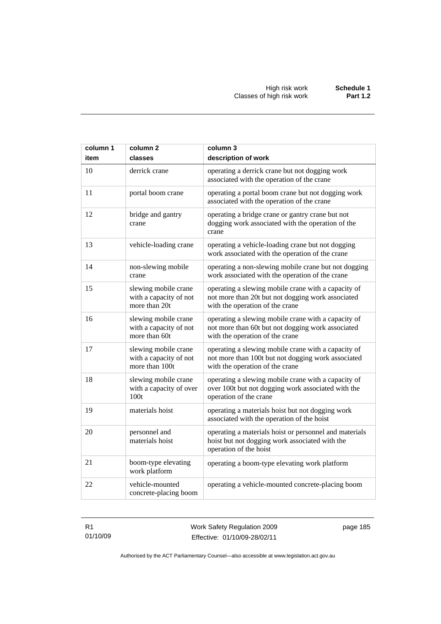| column 1<br>item | column <sub>2</sub><br>classes                                   | column 3<br>description of work                                                                                                              |
|------------------|------------------------------------------------------------------|----------------------------------------------------------------------------------------------------------------------------------------------|
| 10               | derrick crane                                                    | operating a derrick crane but not dogging work<br>associated with the operation of the crane                                                 |
| 11               | portal boom crane                                                | operating a portal boom crane but not dogging work<br>associated with the operation of the crane                                             |
| 12               | bridge and gantry<br>crane                                       | operating a bridge crane or gantry crane but not<br>dogging work associated with the operation of the<br>crane                               |
| 13               | vehicle-loading crane                                            | operating a vehicle-loading crane but not dogging<br>work associated with the operation of the crane                                         |
| 14               | non-slewing mobile<br>crane                                      | operating a non-slewing mobile crane but not dogging<br>work associated with the operation of the crane                                      |
| 15               | slewing mobile crane<br>with a capacity of not<br>more than 20t  | operating a slewing mobile crane with a capacity of<br>not more than 20t but not dogging work associated<br>with the operation of the crane  |
| 16               | slewing mobile crane<br>with a capacity of not<br>more than 60t  | operating a slewing mobile crane with a capacity of<br>not more than 60t but not dogging work associated<br>with the operation of the crane  |
| 17               | slewing mobile crane<br>with a capacity of not<br>more than 100t | operating a slewing mobile crane with a capacity of<br>not more than 100t but not dogging work associated<br>with the operation of the crane |
| 18               | slewing mobile crane<br>with a capacity of over<br>100t          | operating a slewing mobile crane with a capacity of<br>over 100t but not dogging work associated with the<br>operation of the crane          |
| 19               | materials hoist                                                  | operating a materials hoist but not dogging work<br>associated with the operation of the hoist                                               |
| 20               | personnel and<br>materials hoist                                 | operating a materials hoist or personnel and materials<br>hoist but not dogging work associated with the<br>operation of the hoist           |
| 21               | boom-type elevating<br>work platform                             | operating a boom-type elevating work platform                                                                                                |
| 22               | vehicle-mounted<br>concrete-placing boom                         | operating a vehicle-mounted concrete-placing boom                                                                                            |

R1 01/10/09 Work Safety Regulation 2009 Effective: 01/10/09-28/02/11

page 185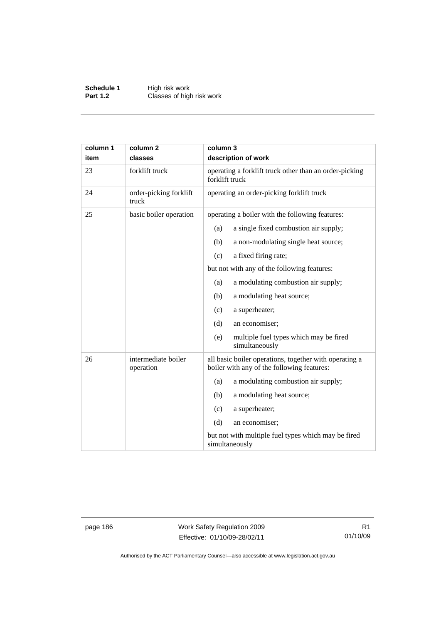**Schedule 1** High risk work **Part 1.2 Classes of high risk work** 

| column 1<br>item | column <sub>2</sub><br>classes   | column 3<br>description of work                                                                      |  |
|------------------|----------------------------------|------------------------------------------------------------------------------------------------------|--|
| 23               | forklift truck                   | operating a forklift truck other than an order-picking<br>forklift truck                             |  |
| 24               | order-picking forklift<br>truck  | operating an order-picking forklift truck                                                            |  |
| 25               | basic boiler operation           | operating a boiler with the following features:                                                      |  |
|                  |                                  | a single fixed combustion air supply;<br>(a)                                                         |  |
|                  |                                  | (b)<br>a non-modulating single heat source;                                                          |  |
|                  |                                  | a fixed firing rate;<br>(c)                                                                          |  |
|                  |                                  | but not with any of the following features:                                                          |  |
|                  |                                  | a modulating combustion air supply;<br>(a)                                                           |  |
|                  |                                  | a modulating heat source;<br>(b)                                                                     |  |
|                  |                                  | a superheater;<br>(c)                                                                                |  |
|                  |                                  | (d)<br>an economiser;                                                                                |  |
|                  |                                  | multiple fuel types which may be fired<br>(e)<br>simultaneously                                      |  |
| 26               | intermediate boiler<br>operation | all basic boiler operations, together with operating a<br>boiler with any of the following features: |  |
|                  |                                  | a modulating combustion air supply;<br>(a)                                                           |  |
|                  |                                  | (b)<br>a modulating heat source;                                                                     |  |
|                  |                                  | a superheater;<br>(c)                                                                                |  |
|                  |                                  | (d)<br>an economiser;                                                                                |  |
|                  |                                  | but not with multiple fuel types which may be fired<br>simultaneously                                |  |

page 186 Work Safety Regulation 2009 Effective: 01/10/09-28/02/11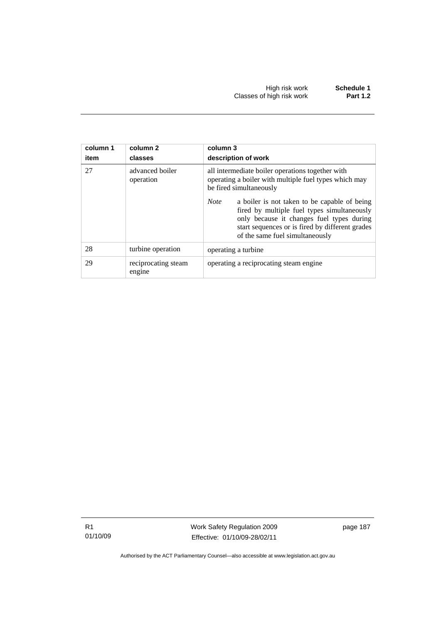| column 1<br>item | column 2<br>classes           | column 3<br>description of work                                                                                                                                                                                                               |  |
|------------------|-------------------------------|-----------------------------------------------------------------------------------------------------------------------------------------------------------------------------------------------------------------------------------------------|--|
| 27               | advanced boiler<br>operation  | all intermediate boiler operations together with<br>operating a boiler with multiple fuel types which may<br>be fired simultaneously                                                                                                          |  |
|                  |                               | <b>Note</b><br>a boiler is not taken to be capable of being<br>fired by multiple fuel types simultaneously<br>only because it changes fuel types during<br>start sequences or is fired by different grades<br>of the same fuel simultaneously |  |
| 28               | turbine operation             | operating a turbine                                                                                                                                                                                                                           |  |
| 29               | reciprocating steam<br>engine | operating a reciprocating steam engine                                                                                                                                                                                                        |  |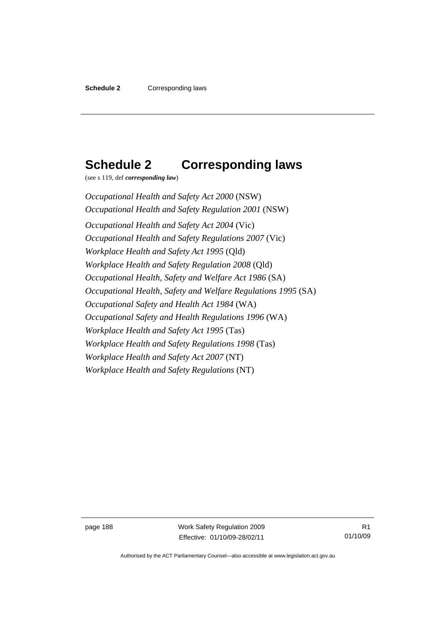### **Schedule 2 Corresponding laws**

(see s 119, def *corresponding law*)

*Occupational Health and Safety Act 2000* (NSW) *Occupational Health and Safety Regulation 2001* (NSW) *Occupational Health and Safety Act 2004* (Vic) *Occupational Health and Safety Regulations 2007* (Vic) *Workplace Health and Safety Act 1995* (Qld) *Workplace Health and Safety Regulation 2008* (Qld) *Occupational Health, Safety and Welfare Act 1986* (SA) *Occupational Health, Safety and Welfare Regulations 1995* (SA) *Occupational Safety and Health Act 1984* (WA) *Occupational Safety and Health Regulations 1996* (WA) *Workplace Health and Safety Act 1995* (Tas) *Workplace Health and Safety Regulations 1998* (Tas) *Workplace Health and Safety Act 2007* (NT) *Workplace Health and Safety Regulations* (NT)

page 188 Work Safety Regulation 2009 Effective: 01/10/09-28/02/11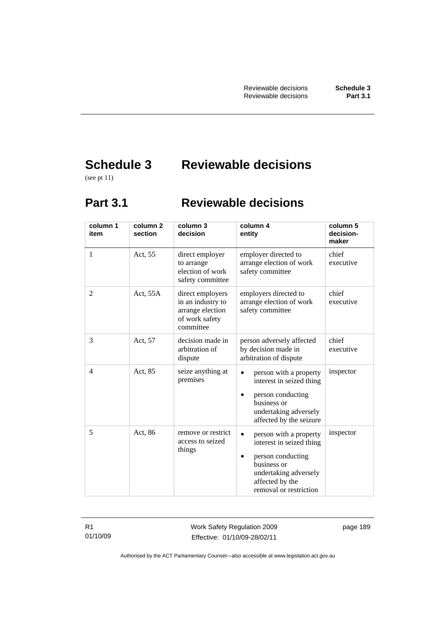# **Schedule 3 Reviewable decisions**

(see pt 11)

### **Part 3.1 Reviewable decisions**

| column 1<br>item | column <sub>2</sub><br>section | column 3<br>decision                                                                     | column 4<br>entity                                                                                                                                           | column 5<br>decision-<br>maker |
|------------------|--------------------------------|------------------------------------------------------------------------------------------|--------------------------------------------------------------------------------------------------------------------------------------------------------------|--------------------------------|
| 1                | Act, 55                        | direct employer<br>to arrange<br>election of work<br>safety committee                    | employer directed to<br>arrange election of work<br>safety committee                                                                                         | chief<br>executive             |
| $\overline{2}$   | Act, 55A                       | direct employers<br>in an industry to<br>arrange election<br>of work safety<br>committee | employers directed to<br>arrange election of work<br>safety committee                                                                                        | chief<br>executive             |
| 3                | Act, 57                        | decision made in<br>arbitration of<br>dispute                                            | person adversely affected<br>by decision made in<br>arbitration of dispute                                                                                   | chief<br>executive             |
| 4                | Act, 85                        | seize anything at<br>premises                                                            | person with a property<br>interest in seized thing<br>person conducting<br>business or<br>undertaking adversely<br>affected by the seizure                   | inspector                      |
| 5                | Act, 86                        | remove or restrict<br>access to seized<br>things                                         | person with a property<br>interest in seized thing<br>person conducting<br>business or<br>undertaking adversely<br>affected by the<br>removal or restriction | inspector                      |

R1 01/10/09 Work Safety Regulation 2009 Effective: 01/10/09-28/02/11

page 189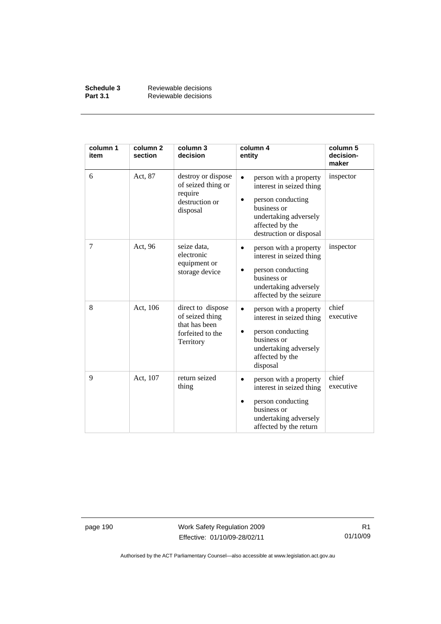| Schedule 3      | Reviewable decisions |
|-----------------|----------------------|
| <b>Part 3.1</b> | Reviewable decisions |

| column 1<br>item | column <sub>2</sub><br>section | column 3<br>decision                                                                   | column 4<br>entity                                                                                                                                            | column 5<br>decision-<br>maker |
|------------------|--------------------------------|----------------------------------------------------------------------------------------|---------------------------------------------------------------------------------------------------------------------------------------------------------------|--------------------------------|
| 6                | Act, 87                        | destroy or dispose<br>of seized thing or<br>require<br>destruction or<br>disposal      | person with a property<br>interest in seized thing<br>person conducting<br>business or<br>undertaking adversely<br>affected by the<br>destruction or disposal | inspector                      |
| 7                | Act, 96                        | seize data,<br>electronic<br>equipment or<br>storage device                            | person with a property<br>interest in seized thing<br>person conducting<br>business or<br>undertaking adversely<br>affected by the seizure                    | inspector                      |
| 8                | Act, 106                       | direct to dispose<br>of seized thing<br>that has been<br>forfeited to the<br>Territory | person with a property<br>interest in seized thing<br>person conducting<br>business or<br>undertaking adversely<br>affected by the<br>disposal                | chief<br>executive             |
| 9                | Act, 107                       | return seized<br>thing                                                                 | person with a property<br>interest in seized thing<br>person conducting<br>business or<br>undertaking adversely<br>affected by the return                     | chief<br>executive             |

page 190 Work Safety Regulation 2009 Effective: 01/10/09-28/02/11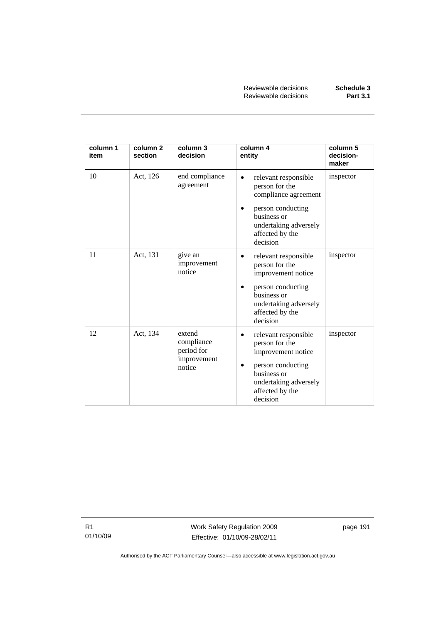| column 1<br>item | column <sub>2</sub><br>section | column 3<br>decision                                        | column 4<br>entity                                                                                                                                                    | column 5<br>decision-<br>maker |
|------------------|--------------------------------|-------------------------------------------------------------|-----------------------------------------------------------------------------------------------------------------------------------------------------------------------|--------------------------------|
| 10               | Act, 126                       | end compliance<br>agreement                                 | relevant responsible<br>person for the<br>compliance agreement<br>person conducting<br>business or<br>undertaking adversely<br>affected by the<br>decision            | inspector                      |
| 11               | Act, 131                       | give an<br>improvement<br>notice                            | relevant responsible<br>person for the<br>improvement notice<br>person conducting<br>$\bullet$<br>business or<br>undertaking adversely<br>affected by the<br>decision | inspector                      |
| 12               | Act, 134                       | extend<br>compliance<br>period for<br>improvement<br>notice | relevant responsible<br>$\bullet$<br>person for the<br>improvement notice<br>person conducting<br>business or<br>undertaking adversely<br>affected by the<br>decision | inspector                      |

R1 01/10/09 Work Safety Regulation 2009 Effective: 01/10/09-28/02/11

page 191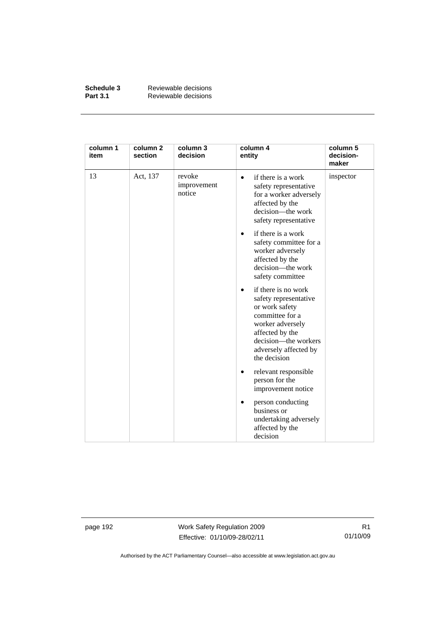| Schedule 3      | Reviewable decisions |
|-----------------|----------------------|
| <b>Part 3.1</b> | Reviewable decisions |

| column 1<br>item | column <sub>2</sub><br>section | column 3<br>decision            | column 4<br>entity                                                                                                                                                                                     | column 5<br>decision-<br>maker |
|------------------|--------------------------------|---------------------------------|--------------------------------------------------------------------------------------------------------------------------------------------------------------------------------------------------------|--------------------------------|
| 13               | Act, 137                       | revoke<br>improvement<br>notice | if there is a work<br>$\bullet$<br>safety representative<br>for a worker adversely<br>affected by the<br>decision-the work<br>safety representative                                                    | inspector                      |
|                  |                                |                                 | if there is a work<br>$\bullet$<br>safety committee for a<br>worker adversely<br>affected by the<br>decision-the work<br>safety committee                                                              |                                |
|                  |                                |                                 | if there is no work<br>$\bullet$<br>safety representative<br>or work safety<br>committee for a<br>worker adversely<br>affected by the<br>decision—the workers<br>adversely affected by<br>the decision |                                |
|                  |                                |                                 | relevant responsible<br>٠<br>person for the<br>improvement notice                                                                                                                                      |                                |
|                  |                                |                                 | person conducting<br>business or<br>undertaking adversely<br>affected by the<br>decision                                                                                                               |                                |

page 192 Work Safety Regulation 2009 Effective: 01/10/09-28/02/11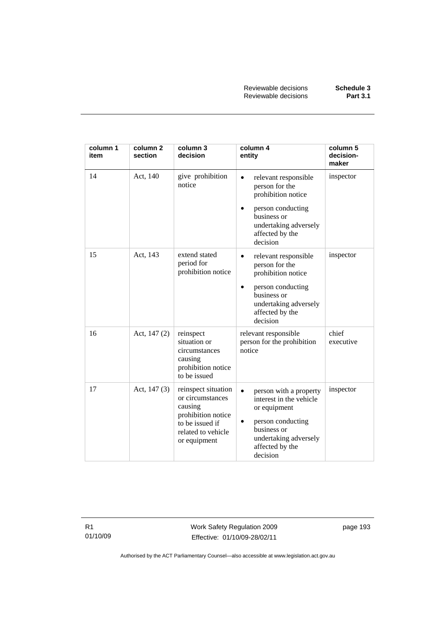| column 1<br>item | column <sub>2</sub><br>section | column 3<br>decision                                                                                                              | column 4<br>entity                                                                                                                                                                 | column 5<br>decision-<br>maker |
|------------------|--------------------------------|-----------------------------------------------------------------------------------------------------------------------------------|------------------------------------------------------------------------------------------------------------------------------------------------------------------------------------|--------------------------------|
| 14               | Act, 140                       | give prohibition<br>notice                                                                                                        | relevant responsible<br>$\bullet$<br>person for the<br>prohibition notice<br>person conducting<br>$\bullet$<br>business or<br>undertaking adversely<br>affected by the<br>decision | inspector                      |
| 15               | Act, 143                       | extend stated<br>period for<br>prohibition notice                                                                                 | relevant responsible<br>$\bullet$<br>person for the<br>prohibition notice<br>person conducting<br>٠<br>business or<br>undertaking adversely<br>affected by the<br>decision         | inspector                      |
| 16               | Act, $147(2)$                  | reinspect<br>situation or<br>circumstances<br>causing<br>prohibition notice<br>to be issued                                       | relevant responsible<br>person for the prohibition<br>notice                                                                                                                       | chief<br>executive             |
| 17               | Act, $147(3)$                  | reinspect situation<br>or circumstances<br>causing<br>prohibition notice<br>to be issued if<br>related to vehicle<br>or equipment | person with a property<br>$\bullet$<br>interest in the vehicle<br>or equipment<br>person conducting<br>٠<br>business or<br>undertaking adversely<br>affected by the<br>decision    | inspector                      |

R1 01/10/09 Work Safety Regulation 2009 Effective: 01/10/09-28/02/11

page 193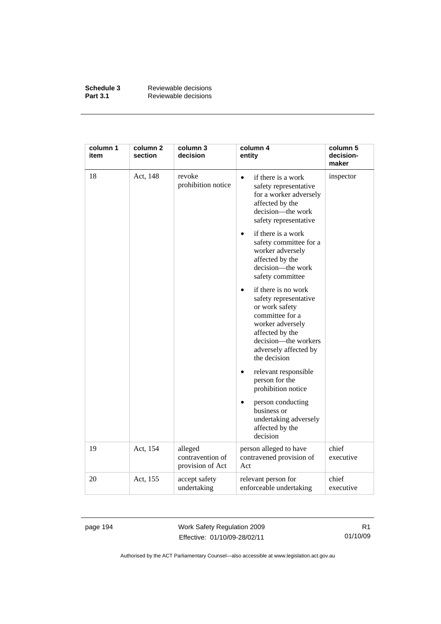| Schedule 3      | Reviewable decisions |
|-----------------|----------------------|
| <b>Part 3.1</b> | Reviewable decisions |

| column 1<br>item | column 2<br>section | column 3<br>decision                            | column 4<br>entity                                                                                                                                                                        | column 5<br>decision-<br>maker |
|------------------|---------------------|-------------------------------------------------|-------------------------------------------------------------------------------------------------------------------------------------------------------------------------------------------|--------------------------------|
| 18               | Act, 148            | revoke<br>prohibition notice                    | if there is a work<br>$\bullet$<br>safety representative<br>for a worker adversely<br>affected by the<br>decision-the work<br>safety representative                                       | inspector                      |
|                  |                     |                                                 | if there is a work<br>$\bullet$<br>safety committee for a<br>worker adversely<br>affected by the<br>decision-the work<br>safety committee                                                 |                                |
|                  |                     |                                                 | if there is no work<br>safety representative<br>or work safety<br>committee for a<br>worker adversely<br>affected by the<br>decision-the workers<br>adversely affected by<br>the decision |                                |
|                  |                     |                                                 | relevant responsible<br>$\bullet$<br>person for the<br>prohibition notice                                                                                                                 |                                |
|                  |                     |                                                 | person conducting<br>business or<br>undertaking adversely<br>affected by the<br>decision                                                                                                  |                                |
| 19               | Act, 154            | alleged<br>contravention of<br>provision of Act | person alleged to have<br>contravened provision of<br>Act                                                                                                                                 | chief<br>executive             |
| 20               | Act, 155            | accept safety<br>undertaking                    | relevant person for<br>enforceable undertaking                                                                                                                                            | chief<br>executive             |

page 194 Work Safety Regulation 2009 Effective: 01/10/09-28/02/11

R1 01/10/09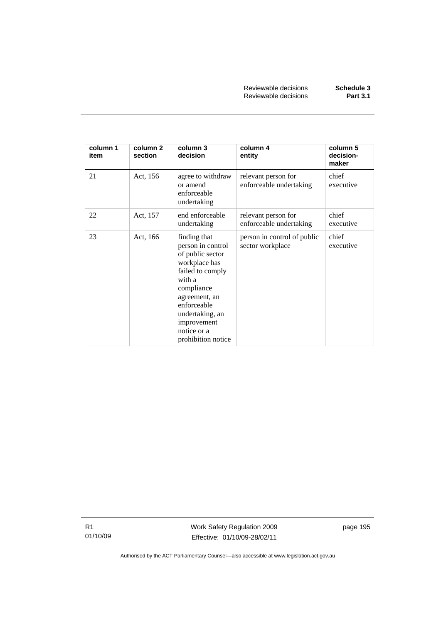| column 1<br>item | column 2<br>section | column 3<br>decision                                                                                                                                                                                                      | column 4<br>entity                              | column 5<br>decision-<br>maker |
|------------------|---------------------|---------------------------------------------------------------------------------------------------------------------------------------------------------------------------------------------------------------------------|-------------------------------------------------|--------------------------------|
| 21               | Act, 156            | agree to withdraw<br>or amend<br>enforceable<br>undertaking                                                                                                                                                               | relevant person for<br>enforceable undertaking  | chief<br>executive             |
| 22               | Act, 157            | end enforceable<br>undertaking                                                                                                                                                                                            | relevant person for<br>enforceable undertaking  | chief<br>executive             |
| 23               | Act, 166            | finding that<br>person in control<br>of public sector<br>workplace has<br>failed to comply<br>with a<br>compliance<br>agreement, an<br>enforceable<br>undertaking, an<br>improvement<br>notice or a<br>prohibition notice | person in control of public<br>sector workplace | chief<br>executive             |

R1 01/10/09 Work Safety Regulation 2009 Effective: 01/10/09-28/02/11

page 195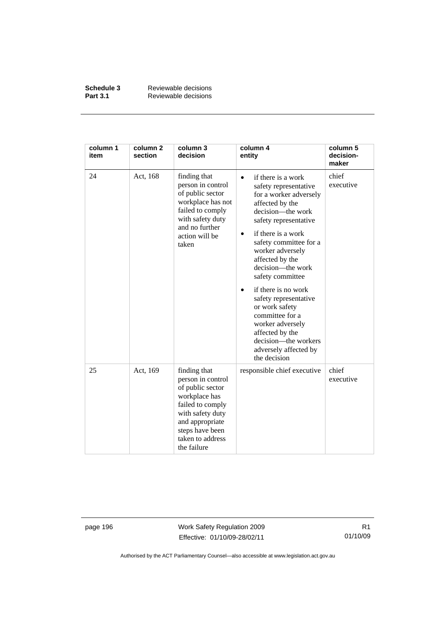| Schedule 3      | Reviewable decisions |
|-----------------|----------------------|
| <b>Part 3.1</b> | Reviewable decisions |

| column 1<br>item | column <sub>2</sub><br>section | column 3<br>decision                                                                                                                                                                    | column 4<br>entity                                                                                                                                                                                                                                                                                                                                                                                                                                                                            | column 5<br>decision-<br>maker |
|------------------|--------------------------------|-----------------------------------------------------------------------------------------------------------------------------------------------------------------------------------------|-----------------------------------------------------------------------------------------------------------------------------------------------------------------------------------------------------------------------------------------------------------------------------------------------------------------------------------------------------------------------------------------------------------------------------------------------------------------------------------------------|--------------------------------|
| 24               | Act, 168                       | finding that<br>person in control<br>of public sector<br>workplace has not<br>failed to comply<br>with safety duty<br>and no further<br>action will be<br>taken                         | if there is a work<br>$\bullet$<br>safety representative<br>for a worker adversely<br>affected by the<br>decision—the work<br>safety representative<br>if there is a work<br>safety committee for a<br>worker adversely<br>affected by the<br>decision—the work<br>safety committee<br>if there is no work<br>$\bullet$<br>safety representative<br>or work safety<br>committee for a<br>worker adversely<br>affected by the<br>decision-the workers<br>adversely affected by<br>the decision | chief<br>executive             |
| 25               | Act, 169                       | finding that<br>person in control<br>of public sector<br>workplace has<br>failed to comply<br>with safety duty<br>and appropriate<br>steps have been<br>taken to address<br>the failure | responsible chief executive                                                                                                                                                                                                                                                                                                                                                                                                                                                                   | chief<br>executive             |

page 196 Work Safety Regulation 2009 Effective: 01/10/09-28/02/11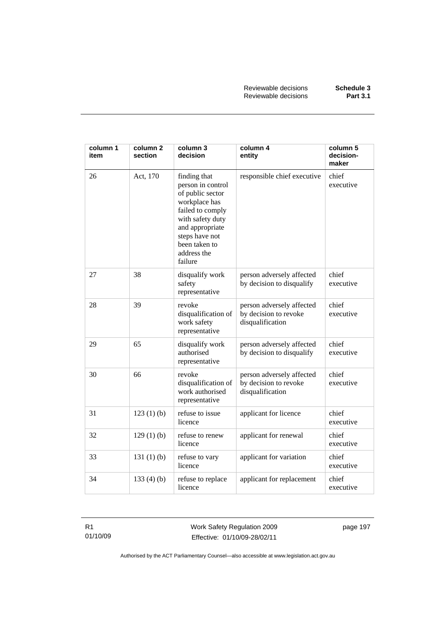| column 1<br>item | column 2<br>section | column 3<br>decision                                                                                                                                                                           | column 4<br>entity                                                     | column 5<br>decision-<br>maker |
|------------------|---------------------|------------------------------------------------------------------------------------------------------------------------------------------------------------------------------------------------|------------------------------------------------------------------------|--------------------------------|
| 26               | Act, 170            | finding that<br>person in control<br>of public sector<br>workplace has<br>failed to comply<br>with safety duty<br>and appropriate<br>steps have not<br>been taken to<br>address the<br>failure | responsible chief executive                                            | chief<br>executive             |
| 27               | 38                  | disqualify work<br>safety<br>representative                                                                                                                                                    | person adversely affected<br>by decision to disqualify                 | chief<br>executive             |
| 28               | 39                  | revoke<br>disqualification of<br>work safety<br>representative                                                                                                                                 | person adversely affected<br>by decision to revoke<br>disqualification | chief<br>executive             |
| 29               | 65                  | disqualify work<br>authorised<br>representative                                                                                                                                                | person adversely affected<br>by decision to disqualify                 | chief<br>executive             |
| 30               | 66                  | revoke<br>disqualification of<br>work authorised<br>representative                                                                                                                             | person adversely affected<br>by decision to revoke<br>disqualification | chief<br>executive             |
| 31               | 123(1)(b)           | refuse to issue<br>licence                                                                                                                                                                     | applicant for licence                                                  | chief<br>executive             |
| 32               | 129(1)(b)           | refuse to renew<br>licence                                                                                                                                                                     | applicant for renewal                                                  | chief<br>executive             |
| 33               | 131 $(1)$ $(b)$     | refuse to vary<br>licence                                                                                                                                                                      | applicant for variation                                                | chief<br>executive             |
| 34               | 133(4)(b)           | refuse to replace<br>licence                                                                                                                                                                   | applicant for replacement                                              | chief<br>executive             |

R1 01/10/09 Work Safety Regulation 2009 Effective: 01/10/09-28/02/11

page 197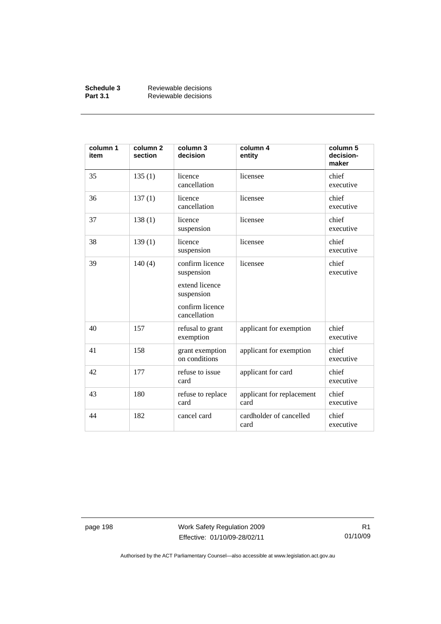| Schedule 3      | Reviewable decisions |
|-----------------|----------------------|
| <b>Part 3.1</b> | Reviewable decisions |

| column 1<br>item | column <sub>2</sub><br>section | column 3<br>decision                                                                             | column 4<br>entity                | column 5<br>decision-<br>maker |
|------------------|--------------------------------|--------------------------------------------------------------------------------------------------|-----------------------------------|--------------------------------|
| 35               | 135(1)                         | licence<br>cancellation                                                                          | licensee                          | chief<br>executive             |
| 36               | 137(1)                         | licence<br>cancellation                                                                          | licensee                          | chief<br>executive             |
| 37               | 138(1)                         | licence<br>suspension                                                                            | licensee                          | chief<br>executive             |
| 38               | 139(1)                         | licence<br>suspension                                                                            | licensee                          | chief<br>executive             |
| 39               | 140(4)                         | confirm licence<br>suspension<br>extend licence<br>suspension<br>confirm licence<br>cancellation | licensee                          | chief<br>executive             |
| 40               | 157                            | refusal to grant<br>exemption                                                                    | applicant for exemption           | chief<br>executive             |
| 41               | 158                            | grant exemption<br>on conditions                                                                 | applicant for exemption           | chief<br>executive             |
| 42               | 177                            | refuse to issue<br>card                                                                          | applicant for card                | chief<br>executive             |
| 43               | 180                            | refuse to replace<br>card                                                                        | applicant for replacement<br>card | chief<br>executive             |
| 44               | 182                            | cancel card                                                                                      | cardholder of cancelled<br>card   | chief<br>executive             |

page 198 Work Safety Regulation 2009 Effective: 01/10/09-28/02/11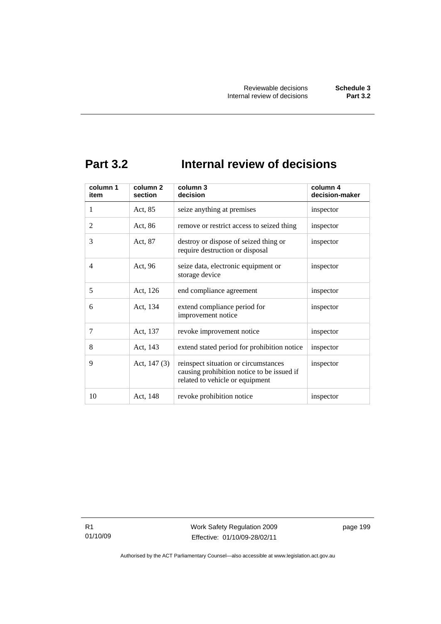### **Part 3.2 Internal review of decisions**

| column 1<br>item | column 2<br>section | column 3<br>decision                                                                                                  | column 4<br>decision-maker |
|------------------|---------------------|-----------------------------------------------------------------------------------------------------------------------|----------------------------|
| 1                | Act, 85             | seize anything at premises                                                                                            | inspector                  |
| $\overline{2}$   | Act, 86             | remove or restrict access to seized thing                                                                             | inspector                  |
| 3                | Act, 87             | destroy or dispose of seized thing or<br>require destruction or disposal                                              | inspector                  |
| 4                | Act, 96             | seize data, electronic equipment or<br>storage device                                                                 | inspector                  |
| 5                | Act, 126            | end compliance agreement                                                                                              | inspector                  |
| 6                | Act, 134            | extend compliance period for<br>improvement notice                                                                    | inspector                  |
| 7                | Act, 137            | revoke improvement notice                                                                                             | inspector                  |
| 8                | Act, 143            | extend stated period for prohibition notice                                                                           | inspector                  |
| 9                | Act, 147 (3)        | reinspect situation or circumstances<br>causing prohibition notice to be issued if<br>related to vehicle or equipment | inspector                  |
| 10               | Act, 148            | revoke prohibition notice                                                                                             | inspector                  |

R1 01/10/09 Work Safety Regulation 2009 Effective: 01/10/09-28/02/11

page 199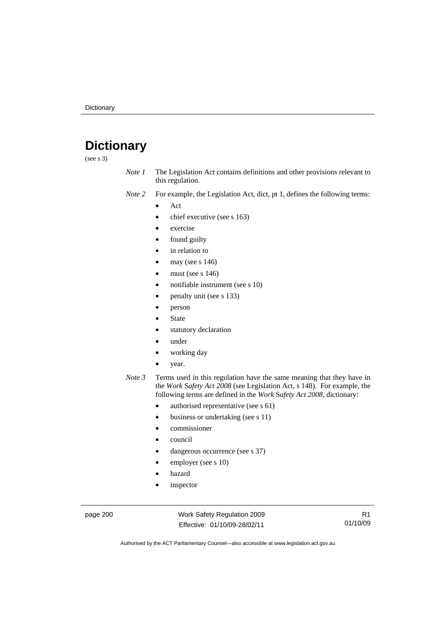### **Dictionary**

(see s 3)

- *Note 1* The Legislation Act contains definitions and other provisions relevant to this regulation.
- *Note 2* For example, the Legislation Act, dict, pt 1, defines the following terms:
	- Act
		- chief executive (see s 163)
		- exercise
		- found guilty
		- in relation to
		- may (see  $s$  146)
		- must (see s  $146$ )
		- notifiable instrument (see s 10)
		- penalty unit (see s 133)
		- person
		- **State**
		- statutory declaration
		- under
		- working day
		- year.
- *Note 3* Terms used in this regulation have the same meaning that they have in the *Work* S*afety Act 2008* (see Legislation Act, s 148). For example, the following terms are defined in the *Work* S*afety Act 2008*, dictionary:
	- authorised representative (see s 61)
	- business or undertaking (see s 11)
	- commissioner
	- council
	- dangerous occurrence (see s 37)
	- employer (see s 10)
	- hazard
	- inspector

page 200 Work Safety Regulation 2009 Effective: 01/10/09-28/02/11

R1 01/10/09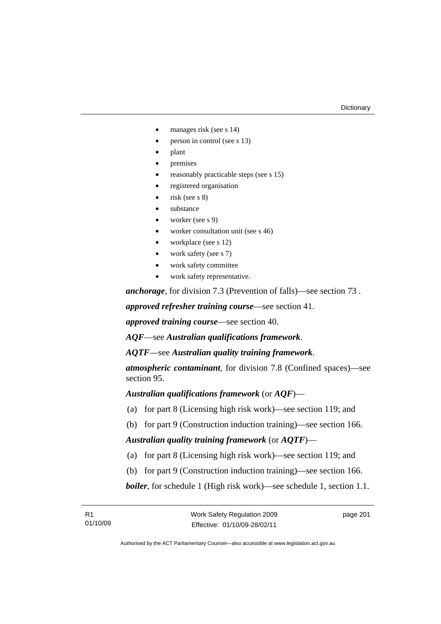- manages risk (see s 14)
- person in control (see s 13)
- plant
- premises
- reasonably practicable steps (see s 15)
- registered organisation
- risk (see s 8)
- substance
- worker (see s 9)
- worker consultation unit (see s 46)
- workplace (see s 12)
- work safety (see s 7)
- work safety committee
- work safety representative.

*anchorage*, for division 7.3 (Prevention of falls)—see section 73 .

*approved refresher training course*—see section 41.

*approved training course*—see section 40.

*AQF*—see *Australian qualifications framework*.

*AQTF*—see *Australian quality training framework*.

*atmospheric contaminant*, for division 7.8 (Confined spaces)—see section 95.

*Australian qualifications framework* (or *AQF*)—

- (a) for part 8 (Licensing high risk work)—see section 119; and
- (b) for part 9 (Construction induction training)—see section 166.

*Australian quality training framework* (or *AQTF*)—

- (a) for part 8 (Licensing high risk work)—see section 119; and
- (b) for part 9 (Construction induction training)—see section 166.

*boiler*, for schedule 1 (High risk work)—see schedule 1, section 1.1.

page 201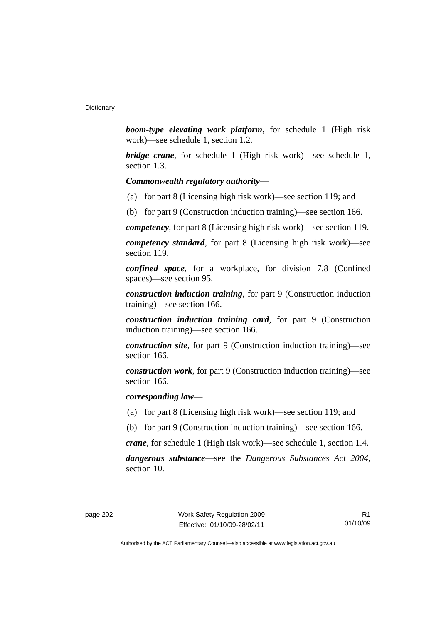*boom-type elevating work platform*, for schedule 1 (High risk work)—see schedule 1, section 1.2.

*bridge crane*, for schedule 1 (High risk work)—see schedule 1, section 1.3.

#### *Commonwealth regulatory authority*—

- (a) for part 8 (Licensing high risk work)—see section 119; and
- (b) for part 9 (Construction induction training)—see section 166.

*competency*, for part 8 (Licensing high risk work)—see section 119.

*competency standard*, for part 8 (Licensing high risk work)—see section 119.

*confined space*, for a workplace, for division 7.8 (Confined spaces)—see section 95.

*construction induction training*, for part 9 (Construction induction training)—see section 166.

*construction induction training card*, for part 9 (Construction induction training)—see section 166.

*construction site*, for part 9 (Construction induction training)—see section 166.

*construction work*, for part 9 (Construction induction training)—see section 166.

*corresponding law*—

- (a) for part 8 (Licensing high risk work)—see section 119; and
- (b) for part 9 (Construction induction training)—see section 166.

*crane*, for schedule 1 (High risk work)—see schedule 1, section 1.4.

*dangerous substance*—see the *Dangerous Substances Act 2004*, section 10.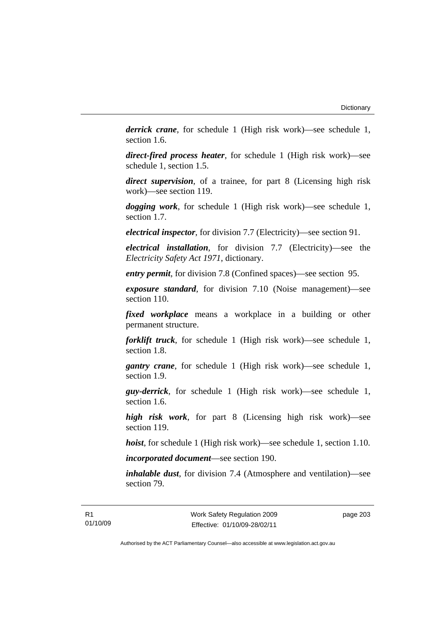*derrick crane*, for schedule 1 (High risk work)—see schedule 1, section 1.6.

*direct-fired process heater*, for schedule 1 (High risk work)—see schedule 1, section 1.5.

*direct supervision*, of a trainee, for part 8 (Licensing high risk work)—see section 119.

*dogging work*, for schedule 1 (High risk work)—see schedule 1, section 1.7.

*electrical inspector*, for division 7.7 (Electricity)—see section 91.

*electrical installation*, for division 7.7 (Electricity)—see the *Electricity Safety Act 1971*, dictionary.

*entry permit*, for division 7.8 (Confined spaces)—see section 95.

*exposure standard*, for division 7.10 (Noise management)—see section 110.

*fixed workplace* means a workplace in a building or other permanent structure.

*forklift truck*, for schedule 1 (High risk work)—see schedule 1, section 1.8.

*gantry crane*, for schedule 1 (High risk work)—see schedule 1, section 1.9.

*guy-derrick*, for schedule 1 (High risk work)—see schedule 1, section 1.6.

*high risk work*, for part 8 (Licensing high risk work)—see section 119.

*hoist*, for schedule 1 (High risk work)—see schedule 1, section 1.10.

*incorporated document*—see section 190.

*inhalable dust*, for division 7.4 (Atmosphere and ventilation)—see section 79.

page 203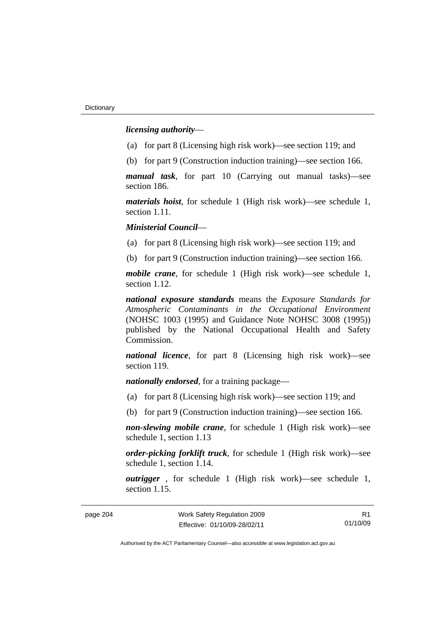*licensing authority*—

- (a) for part 8 (Licensing high risk work)—see section 119; and
- (b) for part 9 (Construction induction training)—see section 166.

*manual task*, for part 10 (Carrying out manual tasks)—see section 186.

*materials hoist*, for schedule 1 (High risk work)—see schedule 1, section 1.11.

*Ministerial Council*—

(a) for part 8 (Licensing high risk work)—see section 119; and

(b) for part 9 (Construction induction training)—see section 166.

*mobile crane*, for schedule 1 (High risk work)—see schedule 1, section 1.12.

*national exposure standards* means the *Exposure Standards for Atmospheric Contaminants in the Occupational Environment* (NOHSC 1003 (1995) and Guidance Note NOHSC 3008 (1995)) published by the National Occupational Health and Safety Commission.

*national licence*, for part 8 (Licensing high risk work)—see section 119.

*nationally endorsed*, for a training package—

- (a) for part 8 (Licensing high risk work)—see section 119; and
- (b) for part 9 (Construction induction training)—see section 166.

*non-slewing mobile crane*, for schedule 1 (High risk work)—see schedule 1, section 1.13

*order-picking forklift truck*, for schedule 1 (High risk work)—see schedule 1, section 1.14.

*outrigger* , for schedule 1 (High risk work)—see schedule 1, section 1.15.

page 204 Work Safety Regulation 2009 Effective: 01/10/09-28/02/11

R1 01/10/09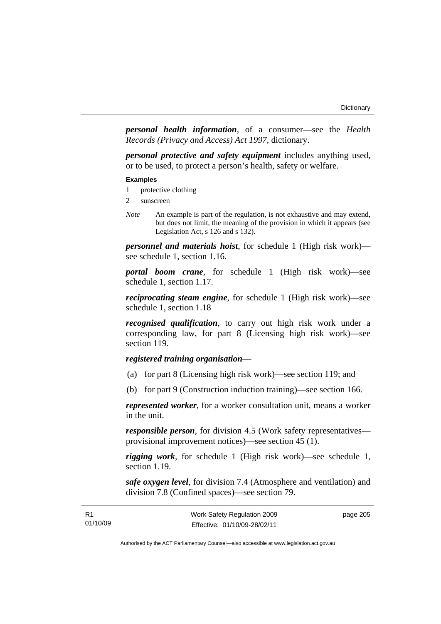*personal health information*, of a consumer—see the *Health Records (Privacy and Access) Act 1997*, dictionary.

*personal protective and safety equipment* includes anything used, or to be used, to protect a person's health, safety or welfare.

#### **Examples**

- 1 protective clothing
- 2 sunscreen
- *Note* An example is part of the regulation, is not exhaustive and may extend, but does not limit, the meaning of the provision in which it appears (see Legislation Act, s 126 and s 132).

*personnel and materials hoist*, for schedule 1 (High risk work) see schedule 1, section 1.16.

*portal boom crane*, for schedule 1 (High risk work)—see schedule 1, section 1.17.

*reciprocating steam engine*, for schedule 1 (High risk work)—see schedule 1, section 1.18

*recognised qualification*, to carry out high risk work under a corresponding law, for part 8 (Licensing high risk work)—see section 119.

## *registered training organisation*—

- (a) for part 8 (Licensing high risk work)—see section 119; and
- (b) for part 9 (Construction induction training)—see section 166.

*represented worker*, for a worker consultation unit, means a worker in the unit.

*responsible person*, for division 4.5 (Work safety representatives provisional improvement notices)—see section 45 (1).

*rigging work*, for schedule 1 (High risk work)—see schedule 1, section 1.19.

*safe oxygen level*, for division 7.4 (Atmosphere and ventilation) and division 7.8 (Confined spaces)—see section 79.

| R1       | Work Safety Regulation 2009  | page 205 |
|----------|------------------------------|----------|
| 01/10/09 | Effective: 01/10/09-28/02/11 |          |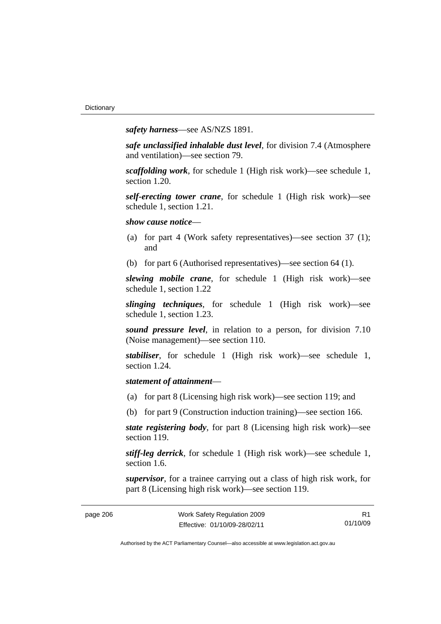*safety harness*—see AS/NZS 1891.

*safe unclassified inhalable dust level*, for division 7.4 (Atmosphere and ventilation)—see section 79.

*scaffolding work*, for schedule 1 (High risk work)—see schedule 1, section 1.20.

*self-erecting tower crane*, for schedule 1 (High risk work)—see schedule 1, section 1.21.

*show cause notice*—

- (a) for part 4 (Work safety representatives)—see section 37 (1); and
- (b) for part 6 (Authorised representatives)—see section 64 (1).

*slewing mobile crane*, for schedule 1 (High risk work)—see schedule 1, section 1.22

*slinging techniques*, for schedule 1 (High risk work)—see schedule 1, section 1.23.

*sound pressure level*, in relation to a person, for division 7.10 (Noise management)—see section 110.

*stabiliser*, for schedule 1 (High risk work)—see schedule 1, section 1.24.

## *statement of attainment*—

- (a) for part 8 (Licensing high risk work)—see section 119; and
- (b) for part 9 (Construction induction training)—see section 166.

*state registering body*, for part 8 (Licensing high risk work)—see section 119.

*stiff-leg derrick*, for schedule 1 (High risk work)—see schedule 1, section 1.6.

*supervisor*, for a trainee carrying out a class of high risk work, for part 8 (Licensing high risk work)—see section 119.

R1 01/10/09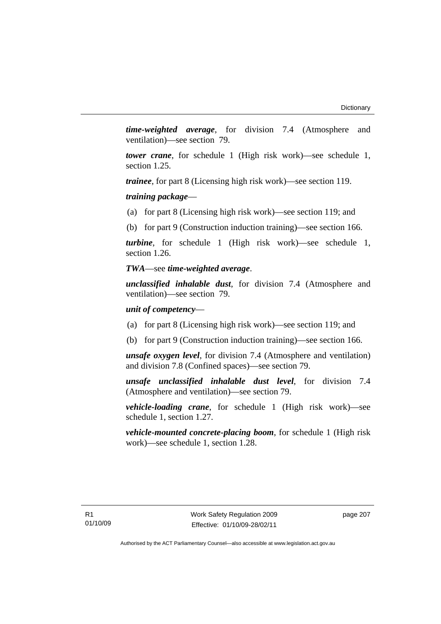*time-weighted average*, for division 7.4 (Atmosphere and ventilation)—see section 79.

*tower crane*, for schedule 1 (High risk work)—see schedule 1, section 1.25.

*trainee*, for part 8 (Licensing high risk work)—see section 119.

*training package*—

(a) for part 8 (Licensing high risk work)—see section 119; and

(b) for part 9 (Construction induction training)—see section 166.

*turbine*, for schedule 1 (High risk work)—see schedule 1, section 1.26.

### *TWA*—see *time-weighted average*.

*unclassified inhalable dust*, for division 7.4 (Atmosphere and ventilation)—see section 79.

### *unit of competency*—

- (a) for part 8 (Licensing high risk work)—see section 119; and
- (b) for part 9 (Construction induction training)—see section 166.

*unsafe oxygen level*, for division 7.4 (Atmosphere and ventilation) and division 7.8 (Confined spaces)—see section 79.

*unsafe unclassified inhalable dust level*, for division 7.4 (Atmosphere and ventilation)—see section 79.

*vehicle-loading crane*, for schedule 1 (High risk work)—see schedule 1, section 1.27.

*vehicle-mounted concrete-placing boom*, for schedule 1 (High risk work)—see schedule 1, section 1.28.

page 207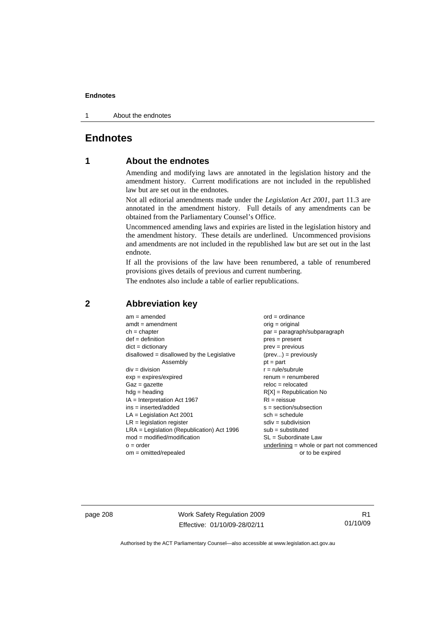### **Endnotes**

1 About the endnotes

## **Endnotes**

## **1 About the endnotes**

Amending and modifying laws are annotated in the legislation history and the amendment history. Current modifications are not included in the republished law but are set out in the endnotes.

Not all editorial amendments made under the *Legislation Act 2001*, part 11.3 are annotated in the amendment history. Full details of any amendments can be obtained from the Parliamentary Counsel's Office.

Uncommenced amending laws and expiries are listed in the legislation history and the amendment history. These details are underlined. Uncommenced provisions and amendments are not included in the republished law but are set out in the last endnote.

If all the provisions of the law have been renumbered, a table of renumbered provisions gives details of previous and current numbering.

The endnotes also include a table of earlier republications.

| $am = amended$                               | $ord = ordinance$                         |
|----------------------------------------------|-------------------------------------------|
| $amdt = amendment$                           | $orig = original$                         |
| $ch = chapter$                               | par = paragraph/subparagraph              |
| $def = definition$                           | $pres = present$                          |
| $dict = dictionary$                          | $prev = previous$                         |
| $disallowed = disallowed by the Legislative$ | $(\text{prev}) = \text{previously}$       |
| Assembly                                     | $pt = part$                               |
| $div = division$                             | $r = rule/subrule$                        |
| $exp = expires/expired$                      | $renum = renumbered$                      |
| $Gaz = gazette$                              | $reloc = relocated$                       |
| $hdg =$ heading                              | $R[X]$ = Republication No                 |
| $IA = Interpretation Act 1967$               | $RI = reissue$                            |
| $ins = inserted/added$                       | $s = section/subsection$                  |
| $LA =$ Legislation Act 2001                  | $sch = schedule$                          |
| $LR =$ legislation register                  | $sdiv = subdivision$                      |
| $LRA =$ Legislation (Republication) Act 1996 | $sub =$ substituted                       |
| $mod = modified/modification$                | SL = Subordinate Law                      |
| $o = order$                                  | underlining = whole or part not commenced |
| $om = omitted/repealed$                      | or to be expired                          |
|                                              |                                           |

## **2 Abbreviation key**

page 208 Work Safety Regulation 2009 Effective: 01/10/09-28/02/11

R1 01/10/09